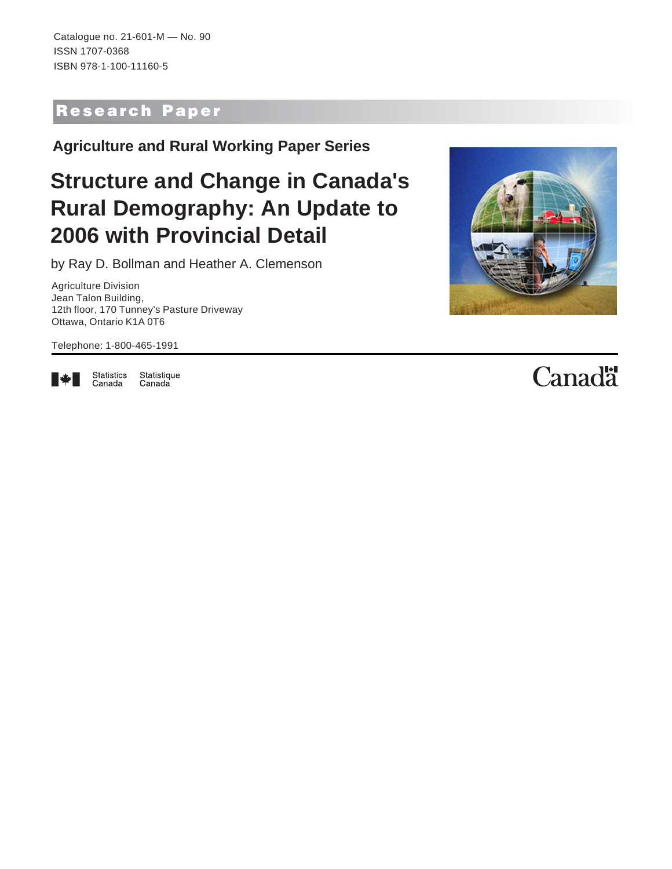Catalogue no. 21-601-M — No. 90 ISSN 1707-0368 ISBN 978-1-100-11160-5

## Research Paper

**Agriculture and Rural Working Paper Series**

# **Structure and Change in Canada's Rural Demography: An Update to 2006 with Provincial Detail**

by Ray D. Bollman and Heather A. Clemenson

Agriculture Division Jean Talon Building, 12th floor, 170 Tunney's Pasture Driveway Ottawa, Ontario K1A 0T6

Telephone: 1-800-465-1991



Statistics<br>Canada Statistique Canada

# **Canadä**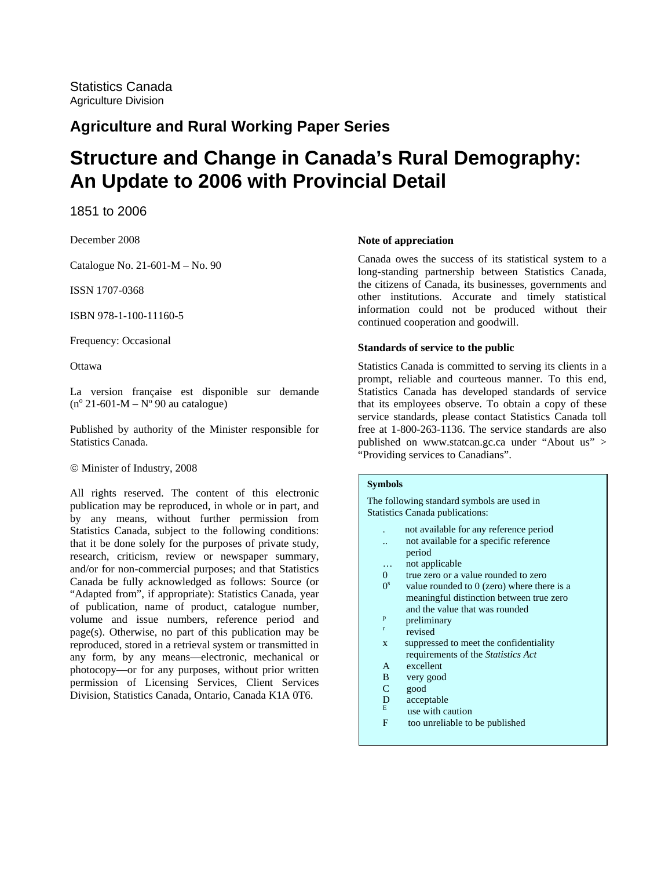### **Agriculture and Rural Working Paper Series**

# **Structure and Change in Canada's Rural Demography: An Update to 2006 with Provincial Detail**

1851 to 2006

December 2008

Catalogue No. 21-601-M – No. 90

ISSN 1707-0368

ISBN 978-1-100-11160-5

Frequency: Occasional

**Ottawa** 

La version française est disponible sur demande  $(n^{\circ} 21 - 601 - M - N^{\circ} 90$  au catalogue)

Published by authority of the Minister responsible for Statistics Canada.

© Minister of Industry, 2008

All rights reserved. The content of this electronic publication may be reproduced, in whole or in part, and by any means, without further permission from Statistics Canada, subject to the following conditions: that it be done solely for the purposes of private study, research, criticism, review or newspaper summary, and/or for non-commercial purposes; and that Statistics Canada be fully acknowledged as follows: Source (or "Adapted from", if appropriate): Statistics Canada, year of publication, name of product, catalogue number, volume and issue numbers, reference period and page(s). Otherwise, no part of this publication may be reproduced, stored in a retrieval system or transmitted in any form, by any means—electronic, mechanical or photocopy—or for any purposes, without prior written permission of Licensing Services, Client Services Division, Statistics Canada, Ontario, Canada K1A 0T6.

#### **Note of appreciation**

Canada owes the success of its statistical system to a long-standing partnership between Statistics Canada, the citizens of Canada, its businesses, governments and other institutions. Accurate and timely statistical information could not be produced without their continued cooperation and goodwill.

#### **Standards of service to the public**

Statistics Canada is committed to serving its clients in a prompt, reliable and courteous manner. To this end, Statistics Canada has developed standards of service that its employees observe. To obtain a copy of these service standards, please contact Statistics Canada toll free at 1-800-263-1136. The service standards are also published on www.statcan.gc.ca under "About us" > "Providing services to Canadians".

#### **Symbols**

The following standard symbols are used in Statistics Canada publications:

- . not available for any reference period .. not available for a specific reference
- period
- … not applicable
- 0 true zero or a value rounded to zero
- $0<sup>s</sup>$  value rounded to 0 (zero) where there is a meaningful distinction between true zero and the value that was rounded  $\frac{p}{q}$
- preliminary
- revised
- x suppressed to meet the confidentiality requirements of the *Statistics Act*
- A excellent
- B very good
- C good
- D acceptable
- use with caution
- F too unreliable to be published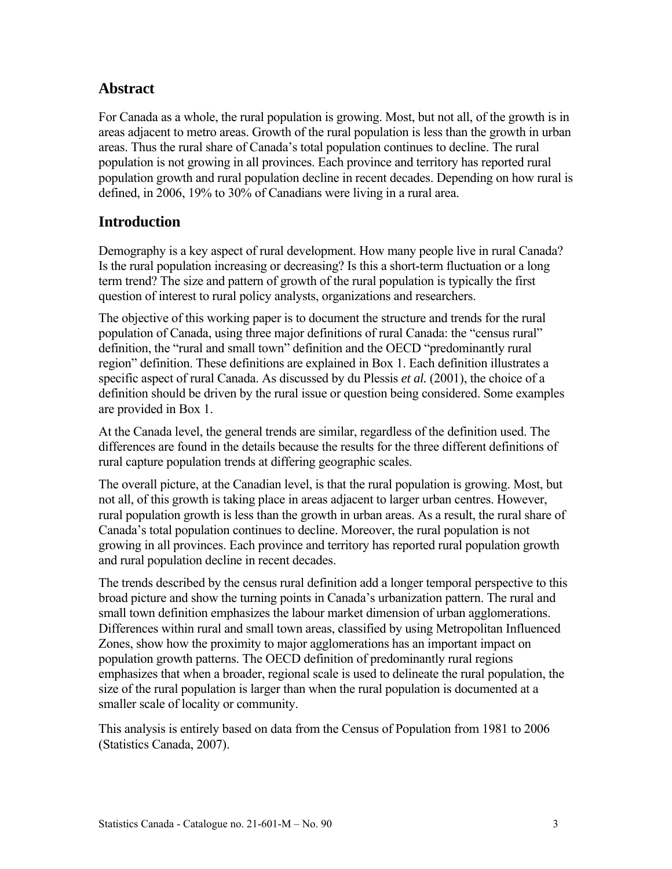#### **Abstract**

For Canada as a whole, the rural population is growing. Most, but not all, of the growth is in areas adjacent to metro areas. Growth of the rural population is less than the growth in urban areas. Thus the rural share of Canada's total population continues to decline. The rural population is not growing in all provinces. Each province and territory has reported rural population growth and rural population decline in recent decades. Depending on how rural is defined, in 2006, 19% to 30% of Canadians were living in a rural area.

#### **Introduction**

Demography is a key aspect of rural development. How many people live in rural Canada? Is the rural population increasing or decreasing? Is this a short-term fluctuation or a long term trend? The size and pattern of growth of the rural population is typically the first question of interest to rural policy analysts, organizations and researchers.

The objective of this working paper is to document the structure and trends for the rural population of Canada, using three major definitions of rural Canada: the "census rural" definition, the "rural and small town" definition and the OECD "predominantly rural region" definition. These definitions are explained in Box 1. Each definition illustrates a specific aspect of rural Canada. As discussed by du Plessis *et al.* (2001), the choice of a definition should be driven by the rural issue or question being considered. Some examples are provided in Box 1.

At the Canada level, the general trends are similar, regardless of the definition used. The differences are found in the details because the results for the three different definitions of rural capture population trends at differing geographic scales.

The overall picture, at the Canadian level, is that the rural population is growing. Most, but not all, of this growth is taking place in areas adjacent to larger urban centres. However, rural population growth is less than the growth in urban areas. As a result, the rural share of Canada's total population continues to decline. Moreover, the rural population is not growing in all provinces. Each province and territory has reported rural population growth and rural population decline in recent decades.

The trends described by the census rural definition add a longer temporal perspective to this broad picture and show the turning points in Canada's urbanization pattern. The rural and small town definition emphasizes the labour market dimension of urban agglomerations. Differences within rural and small town areas, classified by using Metropolitan Influenced Zones, show how the proximity to major agglomerations has an important impact on population growth patterns. The OECD definition of predominantly rural regions emphasizes that when a broader, regional scale is used to delineate the rural population, the size of the rural population is larger than when the rural population is documented at a smaller scale of locality or community.

This analysis is entirely based on data from the Census of Population from 1981 to 2006 (Statistics Canada, 2007).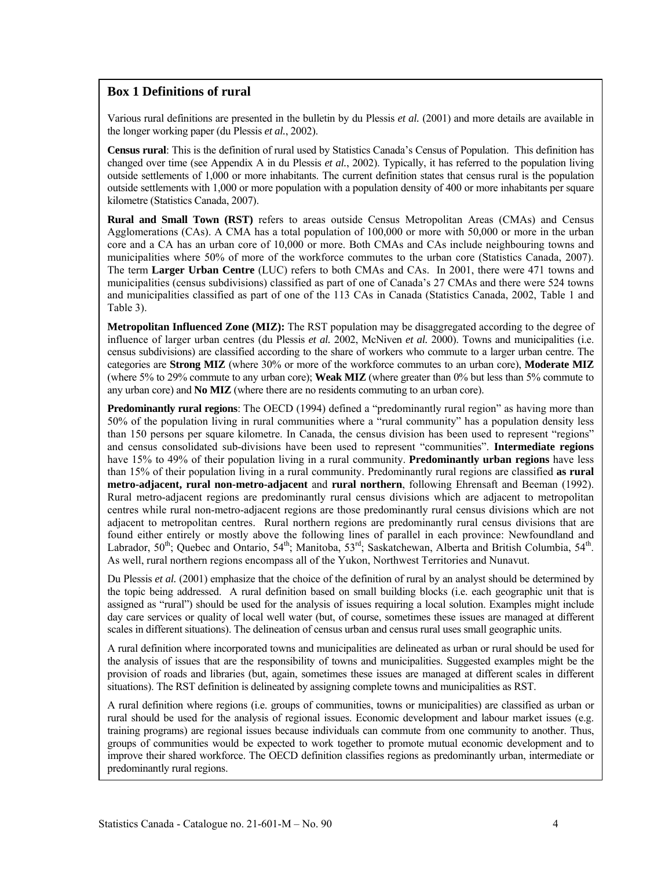#### **Box 1 Definitions of rural**

Various rural definitions are presented in the bulletin by du Plessis *et al.* (2001) and more details are available in the longer working paper (du Plessis *et al.*, 2002).

**Census rural**: This is the definition of rural used by Statistics Canada's Census of Population. This definition has changed over time (see Appendix A in du Plessis *et al.*, 2002). Typically, it has referred to the population living outside settlements of 1,000 or more inhabitants. The current definition states that census rural is the population outside settlements with 1,000 or more population with a population density of 400 or more inhabitants per square kilometre (Statistics Canada, 2007).

**Rural and Small Town (RST)** refers to areas outside Census Metropolitan Areas (CMAs) and Census Agglomerations (CAs). A CMA has a total population of 100,000 or more with 50,000 or more in the urban core and a CA has an urban core of 10,000 or more. Both CMAs and CAs include neighbouring towns and municipalities where 50% of more of the workforce commutes to the urban core (Statistics Canada, 2007). The term **Larger Urban Centre** (LUC) refers to both CMAs and CAs. In 2001, there were 471 towns and municipalities (census subdivisions) classified as part of one of Canada's 27 CMAs and there were 524 towns and municipalities classified as part of one of the 113 CAs in Canada (Statistics Canada, 2002, Table 1 and Table 3).

**Metropolitan Influenced Zone (MIZ):** The RST population may be disaggregated according to the degree of influence of larger urban centres (du Plessis *et al.* 2002, McNiven *et al.* 2000). Towns and municipalities (i.e. census subdivisions) are classified according to the share of workers who commute to a larger urban centre. The categories are **Strong MIZ** (where 30% or more of the workforce commutes to an urban core), **Moderate MIZ**  (where 5% to 29% commute to any urban core); **Weak MIZ** (where greater than 0% but less than 5% commute to any urban core) and **No MIZ** (where there are no residents commuting to an urban core).

**Predominantly rural regions**: The OECD (1994) defined a "predominantly rural region" as having more than 50% of the population living in rural communities where a "rural community" has a population density less than 150 persons per square kilometre. In Canada, the census division has been used to represent "regions" and census consolidated sub-divisions have been used to represent "communities". **Intermediate regions** have 15% to 49% of their population living in a rural community. **Predominantly urban regions** have less than 15% of their population living in a rural community. Predominantly rural regions are classified **as rural metro-adjacent, rural non-metro-adjacent** and **rural northern**, following Ehrensaft and Beeman (1992). Rural metro-adjacent regions are predominantly rural census divisions which are adjacent to metropolitan centres while rural non-metro-adjacent regions are those predominantly rural census divisions which are not adjacent to metropolitan centres. Rural northern regions are predominantly rural census divisions that are found either entirely or mostly above the following lines of parallel in each province: Newfoundland and Labrador, 50<sup>th</sup>; Quebec and Ontario, 54<sup>th</sup>; Manitoba, 53<sup>rd</sup>; Saskatchewan, Alberta and British Columbia, 54<sup>th</sup>. As well, rural northern regions encompass all of the Yukon, Northwest Territories and Nunavut.

Du Plessis *et al.* (2001) emphasize that the choice of the definition of rural by an analyst should be determined by the topic being addressed. A rural definition based on small building blocks (i.e. each geographic unit that is assigned as "rural") should be used for the analysis of issues requiring a local solution. Examples might include day care services or quality of local well water (but, of course, sometimes these issues are managed at different scales in different situations). The delineation of census urban and census rural uses small geographic units.

A rural definition where incorporated towns and municipalities are delineated as urban or rural should be used for the analysis of issues that are the responsibility of towns and municipalities. Suggested examples might be the provision of roads and libraries (but, again, sometimes these issues are managed at different scales in different situations). The RST definition is delineated by assigning complete towns and municipalities as RST.

A rural definition where regions (i.e. groups of communities, towns or municipalities) are classified as urban or rural should be used for the analysis of regional issues. Economic development and labour market issues (e.g. training programs) are regional issues because individuals can commute from one community to another. Thus, groups of communities would be expected to work together to promote mutual economic development and to improve their shared workforce. The OECD definition classifies regions as predominantly urban, intermediate or predominantly rural regions.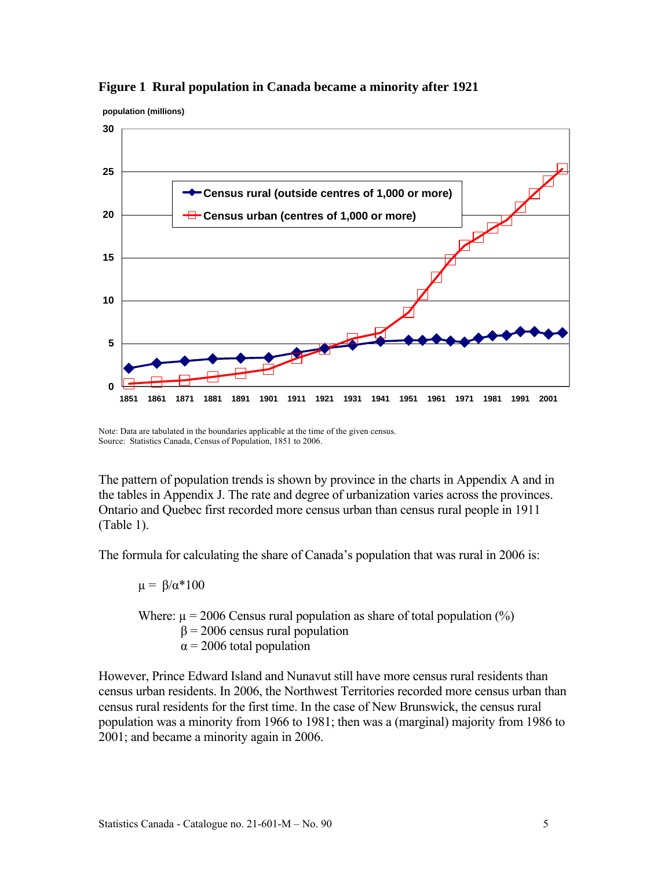





Note: Data are tabulated in the boundaries applicable at the time of the given census. Source: Statistics Canada, Census of Population, 1851 to 2006.

The pattern of population trends is shown by province in the charts in Appendix A and in the tables in Appendix J. The rate and degree of urbanization varies across the provinces. Ontario and Quebec first recorded more census urban than census rural people in 1911 (Table 1).

The formula for calculating the share of Canada's population that was rural in 2006 is:

 $\mu = \beta/\alpha * 100$ 

Where:  $\mu$  = 2006 Census rural population as share of total population (%)  $β = 2006$  census rural population  $\alpha$  = 2006 total population

However, Prince Edward Island and Nunavut still have more census rural residents than census urban residents. In 2006, the Northwest Territories recorded more census urban than census rural residents for the first time. In the case of New Brunswick, the census rural population was a minority from 1966 to 1981; then was a (marginal) majority from 1986 to 2001; and became a minority again in 2006.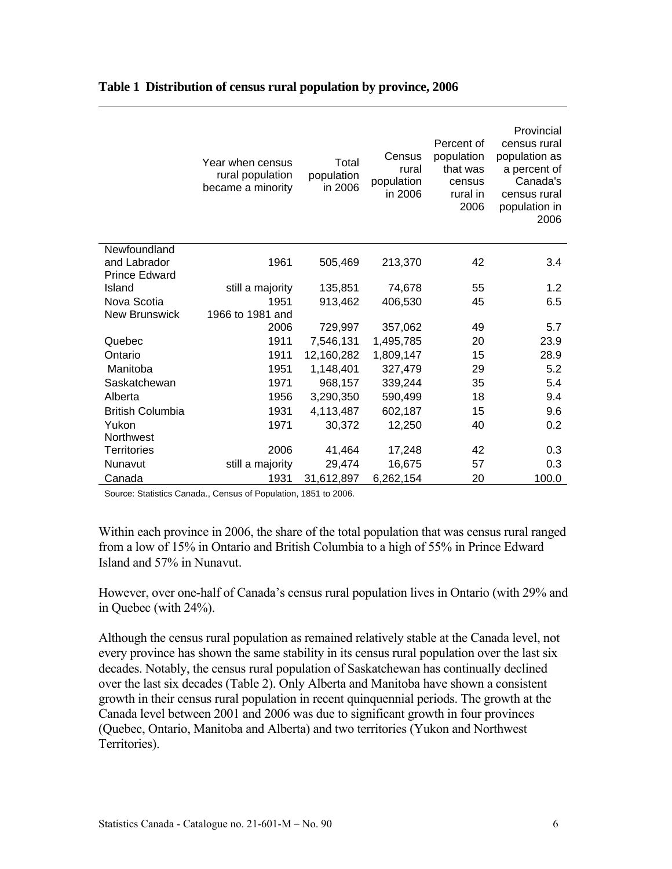|                         | Year when census<br>rural population<br>became a minority | Total<br>population<br>in 2006 | Census<br>rural<br>population<br>in 2006 | Percent of<br>population<br>that was<br>census<br>rural in<br>2006 | Provincial<br>census rural<br>population as<br>a percent of<br>Canada's<br>census rural<br>population in<br>2006 |
|-------------------------|-----------------------------------------------------------|--------------------------------|------------------------------------------|--------------------------------------------------------------------|------------------------------------------------------------------------------------------------------------------|
| Newfoundland            |                                                           |                                |                                          |                                                                    |                                                                                                                  |
| and Labrador            | 1961                                                      | 505,469                        | 213,370                                  | 42                                                                 | 3.4                                                                                                              |
| <b>Prince Edward</b>    |                                                           |                                |                                          |                                                                    |                                                                                                                  |
| Island                  | still a majority                                          | 135,851                        | 74,678                                   | 55                                                                 | 1.2                                                                                                              |
| Nova Scotia             | 1951                                                      | 913,462                        | 406,530                                  | 45                                                                 | 6.5                                                                                                              |
| <b>New Brunswick</b>    | 1966 to 1981 and                                          |                                |                                          |                                                                    |                                                                                                                  |
|                         | 2006                                                      | 729,997                        | 357,062                                  | 49                                                                 | 5.7                                                                                                              |
| Quebec                  | 1911                                                      | 7,546,131                      | 1,495,785                                | 20                                                                 | 23.9                                                                                                             |
| Ontario                 | 1911                                                      | 12,160,282                     | 1,809,147                                | 15                                                                 | 28.9                                                                                                             |
| Manitoba                | 1951                                                      | 1,148,401                      | 327,479                                  | 29                                                                 | 5.2                                                                                                              |
| Saskatchewan            | 1971                                                      | 968,157                        | 339,244                                  | 35                                                                 | 5.4                                                                                                              |
| Alberta                 | 1956                                                      | 3,290,350                      | 590,499                                  | 18                                                                 | 9.4                                                                                                              |
| <b>British Columbia</b> | 1931                                                      | 4,113,487                      | 602,187                                  | 15                                                                 | 9.6                                                                                                              |
| Yukon                   | 1971                                                      | 30,372                         | 12,250                                   | 40                                                                 | 0.2                                                                                                              |
| <b>Northwest</b>        |                                                           |                                |                                          |                                                                    |                                                                                                                  |
| <b>Territories</b>      | 2006                                                      | 41,464                         | 17,248                                   | 42                                                                 | 0.3                                                                                                              |
| Nunavut                 | still a majority                                          | 29,474                         | 16,675                                   | 57                                                                 | 0.3                                                                                                              |
| Canada                  | 1931                                                      | 31,612,897                     | 6,262,154                                | 20                                                                 | 100.0                                                                                                            |

#### **Table 1 Distribution of census rural population by province, 2006**

Source: Statistics Canada., Census of Population, 1851 to 2006.

Within each province in 2006, the share of the total population that was census rural ranged from a low of 15% in Ontario and British Columbia to a high of 55% in Prince Edward Island and 57% in Nunavut.

However, over one-half of Canada's census rural population lives in Ontario (with 29% and in Quebec (with 24%).

Although the census rural population as remained relatively stable at the Canada level, not every province has shown the same stability in its census rural population over the last six decades. Notably, the census rural population of Saskatchewan has continually declined over the last six decades (Table 2). Only Alberta and Manitoba have shown a consistent growth in their census rural population in recent quinquennial periods. The growth at the Canada level between 2001 and 2006 was due to significant growth in four provinces (Quebec, Ontario, Manitoba and Alberta) and two territories (Yukon and Northwest Territories).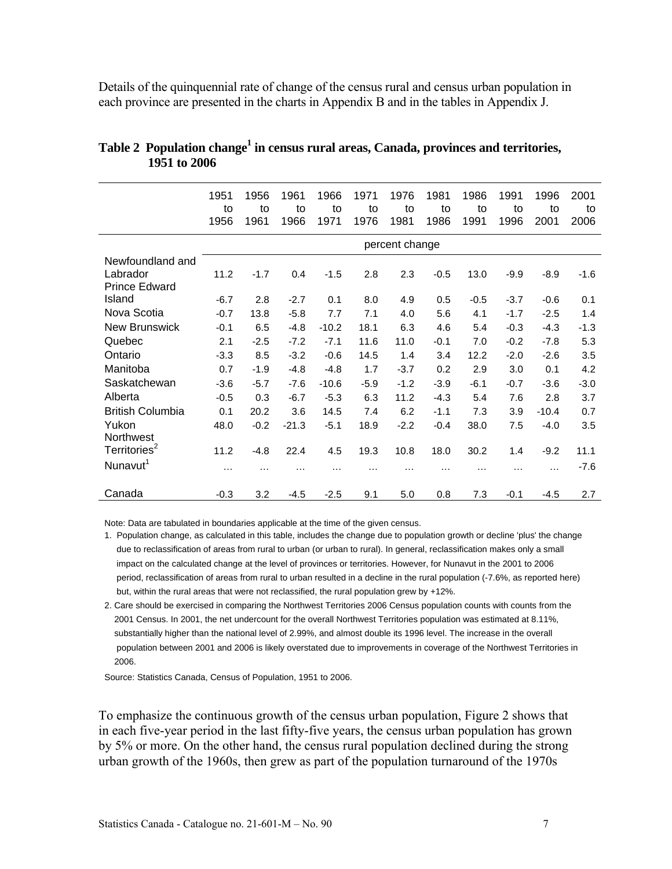Details of the quinquennial rate of change of the census rural and census urban population in each province are presented in the charts in Appendix B and in the tables in Appendix J.

|                          | 1951<br>to<br>1956 | 1956<br>to<br>1961 | 1961<br>to<br>1966 | 1966<br>to<br>1971 | 1971<br>to<br>1976 | 1976<br>to<br>1981 | 1981<br>to<br>1986 | 1986<br>to<br>1991 | 1991<br>to<br>1996 | 1996<br>to<br>2001 | 2001<br>to<br>2006 |
|--------------------------|--------------------|--------------------|--------------------|--------------------|--------------------|--------------------|--------------------|--------------------|--------------------|--------------------|--------------------|
|                          |                    |                    |                    |                    |                    | percent change     |                    |                    |                    |                    |                    |
| Newfoundland and         |                    |                    |                    |                    |                    |                    |                    |                    |                    |                    |                    |
| Labrador                 | 11.2               | $-1.7$             | 0.4                | $-1.5$             | 2.8                | 2.3                | $-0.5$             | 13.0               | $-9.9$             | $-8.9$             | $-1.6$             |
| <b>Prince Edward</b>     |                    |                    |                    |                    |                    |                    |                    |                    |                    |                    |                    |
| Island                   | $-6.7$             | 2.8                | $-2.7$             | 0.1                | 8.0                | 4.9                | 0.5                | $-0.5$             | $-3.7$             | $-0.6$             | 0.1                |
| Nova Scotia              | $-0.7$             | 13.8               | $-5.8$             | 7.7                | 7.1                | 4.0                | 5.6                | 4.1                | $-1.7$             | $-2.5$             | 1.4                |
| New Brunswick            | $-0.1$             | 6.5                | $-4.8$             | $-10.2$            | 18.1               | 6.3                | 4.6                | 5.4                | $-0.3$             | $-4.3$             | $-1.3$             |
| Quebec                   | 2.1                | $-2.5$             | $-7.2$             | $-7.1$             | 11.6               | 11.0               | $-0.1$             | 7.0                | $-0.2$             | $-7.8$             | 5.3                |
| Ontario                  | $-3.3$             | 8.5                | $-3.2$             | $-0.6$             | 14.5               | 1.4                | 3.4                | 12.2               | $-2.0$             | $-2.6$             | 3.5                |
| Manitoba                 | 0.7                | $-1.9$             | $-4.8$             | $-4.8$             | 1.7                | $-3.7$             | 0.2                | 2.9                | 3.0                | 0.1                | 4.2                |
| Saskatchewan             | $-3.6$             | $-5.7$             | $-7.6$             | $-10.6$            | $-5.9$             | $-1.2$             | $-3.9$             | $-6.1$             | $-0.7$             | $-3.6$             | $-3.0$             |
| Alberta                  | $-0.5$             | 0.3                | $-6.7$             | $-5.3$             | 6.3                | 11.2               | $-4.3$             | 5.4                | 7.6                | 2.8                | 3.7                |
| <b>British Columbia</b>  | 0.1                | 20.2               | 3.6                | 14.5               | 7.4                | 6.2                | $-1.1$             | 7.3                | 3.9                | $-10.4$            | 0.7                |
| Yukon                    | 48.0               | $-0.2$             | $-21.3$            | $-5.1$             | 18.9               | $-2.2$             | $-0.4$             | 38.0               | 7.5                | $-4.0$             | 3.5                |
| Northwest                |                    |                    |                    |                    |                    |                    |                    |                    |                    |                    |                    |
| Territories <sup>2</sup> | 11.2               | $-4.8$             | 22.4               | 4.5                | 19.3               | 10.8               | 18.0               | 30.2               | 1.4                | $-9.2$             | 11.1               |
| Nunavut <sup>1</sup>     | $\cdots$           | $\cdots$           | .                  | .                  | $\cdots$           | .                  | .                  | .                  | $\cdots$           | $\cdots$           | $-7.6$             |
|                          |                    |                    |                    |                    |                    |                    |                    |                    |                    |                    |                    |
| Canada                   | $-0.3$             | 3.2                | $-4.5$             | $-2.5$             | 9.1                | 5.0                | 0.8                | 7.3                | $-0.1$             | $-4.5$             | 2.7                |

#### Table 2 Population change<sup>1</sup> in census rural areas, Canada, provinces and territories, **1951 to 2006**

Note: Data are tabulated in boundaries applicable at the time of the given census.

- 1. Population change, as calculated in this table, includes the change due to population growth or decline 'plus' the change due to reclassification of areas from rural to urban (or urban to rural). In general, reclassification makes only a small impact on the calculated change at the level of provinces or territories. However, for Nunavut in the 2001 to 2006 period, reclassification of areas from rural to urban resulted in a decline in the rural population (-7.6%, as reported here) but, within the rural areas that were not reclassified, the rural population grew by +12%.
- 2. Care should be exercised in comparing the Northwest Territories 2006 Census population counts with counts from the 2001 Census. In 2001, the net undercount for the overall Northwest Territories population was estimated at 8.11%, substantially higher than the national level of 2.99%, and almost double its 1996 level. The increase in the overall population between 2001 and 2006 is likely overstated due to improvements in coverage of the Northwest Territories in 2006.

Source: Statistics Canada, Census of Population, 1951 to 2006.

To emphasize the continuous growth of the census urban population, Figure 2 shows that in each five-year period in the last fifty-five years, the census urban population has grown by 5% or more. On the other hand, the census rural population declined during the strong urban growth of the 1960s, then grew as part of the population turnaround of the 1970s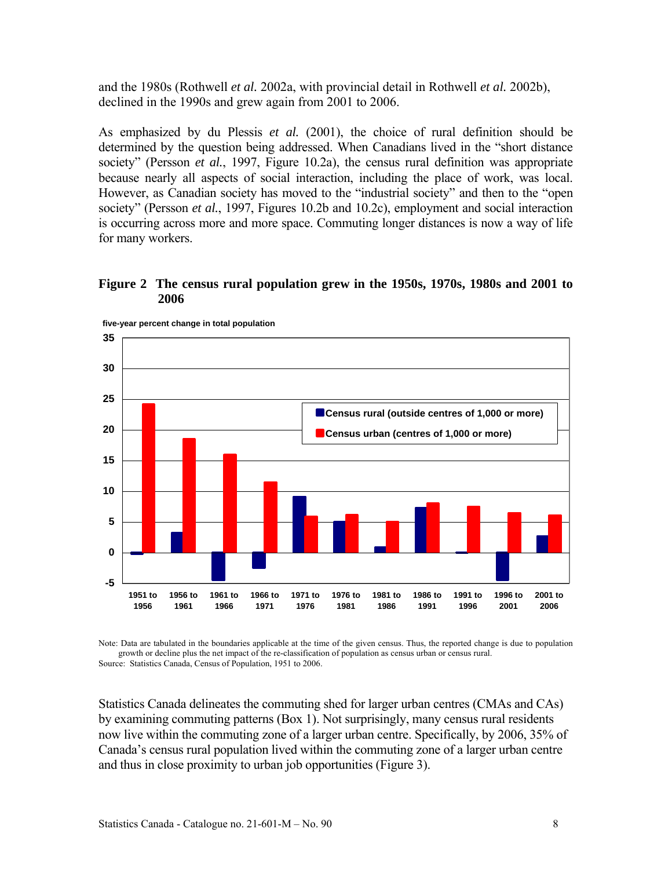and the 1980s (Rothwell *et al.* 2002a, with provincial detail in Rothwell *et al.* 2002b), declined in the 1990s and grew again from 2001 to 2006.

As emphasized by du Plessis *et al.* (2001), the choice of rural definition should be determined by the question being addressed. When Canadians lived in the "short distance society" (Persson *et al.*, 1997, Figure 10.2a), the census rural definition was appropriate because nearly all aspects of social interaction, including the place of work, was local. However, as Canadian society has moved to the "industrial society" and then to the "open society" (Persson *et al.*, 1997, Figures 10.2b and 10.2c), employment and social interaction is occurring across more and more space. Commuting longer distances is now a way of life for many workers.

#### **Figure 2 The census rural population grew in the 1950s, 1970s, 1980s and 2001 to 2006**



**five-year percent change in total population**

Note: Data are tabulated in the boundaries applicable at the time of the given census. Thus, the reported change is due to population growth or decline plus the net impact of the re-classification of population as census urban or census rural. Source: Statistics Canada, Census of Population, 1951 to 2006.

Statistics Canada delineates the commuting shed for larger urban centres (CMAs and CAs) by examining commuting patterns (Box 1). Not surprisingly, many census rural residents now live within the commuting zone of a larger urban centre. Specifically, by 2006, 35% of Canada's census rural population lived within the commuting zone of a larger urban centre and thus in close proximity to urban job opportunities (Figure 3).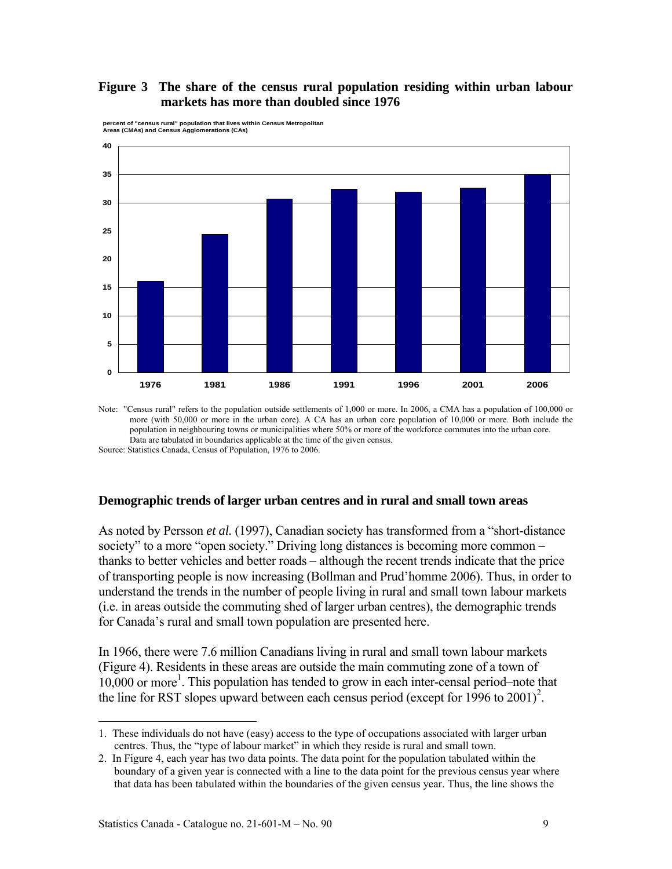#### **Figure 3 The share of the census rural population residing within urban labour markets has more than doubled since 1976**



**percent of "census rural" population that lives within Census Metropolitan Areas (CMAs) and Census Agglomerations (CAs)**

Note: "Census rural" refers to the population outside settlements of 1,000 or more. In 2006, a CMA has a population of 100,000 or more (with 50,000 or more in the urban core). A CA has an urban core population of 10,000 or more. Both include the population in neighbouring towns or municipalities where 50% or more of the workforce commutes into the urban core. Data are tabulated in boundaries applicable at the time of the given census.

Source: Statistics Canada, Census of Population, 1976 to 2006.

#### **Demographic trends of larger urban centres and in rural and small town areas**

As noted by Persson *et al.* (1997), Canadian society has transformed from a "short-distance society" to a more "open society." Driving long distances is becoming more common – thanks to better vehicles and better roads – although the recent trends indicate that the price of transporting people is now increasing (Bollman and Prud'homme 2006). Thus, in order to understand the trends in the number of people living in rural and small town labour markets (i.e. in areas outside the commuting shed of larger urban centres), the demographic trends for Canada's rural and small town population are presented here.

In 1966, there were 7.6 million Canadians living in rural and small town labour markets (Figure 4). Residents in these areas are outside the main commuting zone of a town of 10,000 or more<sup>1</sup>. This population has tended to grow in each inter-censal period–note that the line for RST slopes upward between each census period (except for  $1996$  to  $2001$ )<sup>2</sup>.

l

<sup>1.</sup> These individuals do not have (easy) access to the type of occupations associated with larger urban centres. Thus, the "type of labour market" in which they reside is rural and small town.

<sup>2.</sup> In Figure 4, each year has two data points. The data point for the population tabulated within the boundary of a given year is connected with a line to the data point for the previous census year where that data has been tabulated within the boundaries of the given census year. Thus, the line shows the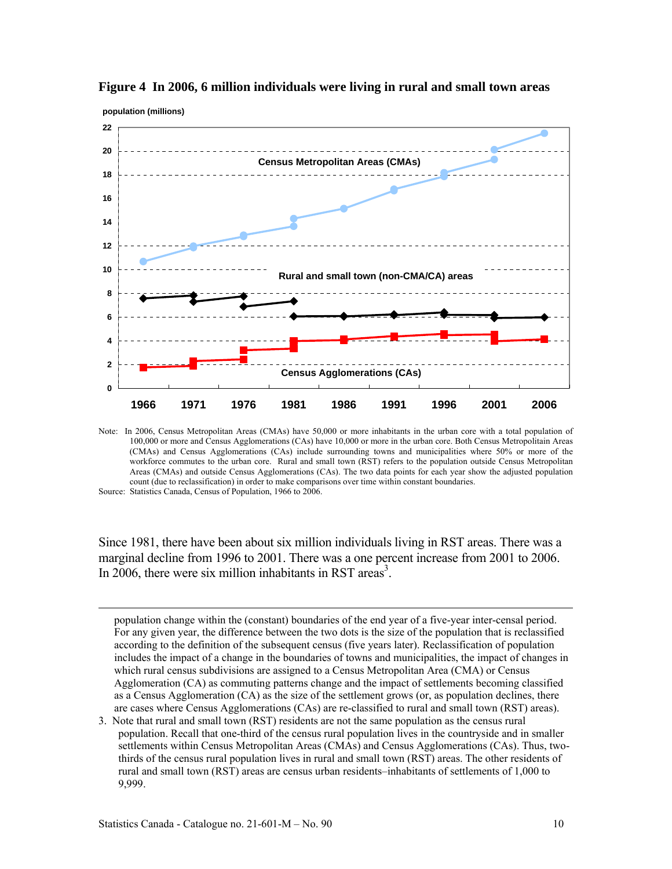

**Figure 4 In 2006, 6 million individuals were living in rural and small town areas** 

Note: In 2006, Census Metropolitan Areas (CMAs) have 50,000 or more inhabitants in the urban core with a total population of 100,000 or more and Census Agglomerations (CAs) have 10,000 or more in the urban core. Both Census Metropolitain Areas (CMAs) and Census Agglomerations (CAs) include surrounding towns and municipalities where 50% or more of the workforce commutes to the urban core. Rural and small town (RST) refers to the population outside Census Metropolitan Areas (CMAs) and outside Census Agglomerations (CAs). The two data points for each year show the adjusted population count (due to reclassification) in order to make comparisons over time within constant boundaries.

Source: Statistics Canada, Census of Population, 1966 to 2006.

-

Since 1981, there have been about six million individuals living in RST areas. There was a marginal decline from 1996 to 2001. There was a one percent increase from 2001 to 2006. In 2006, there were six million inhabitants in RST areas<sup>3</sup>.

population change within the (constant) boundaries of the end year of a five-year inter-censal period. For any given year, the difference between the two dots is the size of the population that is reclassified according to the definition of the subsequent census (five years later). Reclassification of population includes the impact of a change in the boundaries of towns and municipalities, the impact of changes in which rural census subdivisions are assigned to a Census Metropolitan Area (CMA) or Census Agglomeration (CA) as commuting patterns change and the impact of settlements becoming classified as a Census Agglomeration (CA) as the size of the settlement grows (or, as population declines, there are cases where Census Agglomerations (CAs) are re-classified to rural and small town (RST) areas).

3. Note that rural and small town (RST) residents are not the same population as the census rural population. Recall that one-third of the census rural population lives in the countryside and in smaller settlements within Census Metropolitan Areas (CMAs) and Census Agglomerations (CAs). Thus, twothirds of the census rural population lives in rural and small town (RST) areas. The other residents of rural and small town (RST) areas are census urban residents–inhabitants of settlements of 1,000 to 9,999.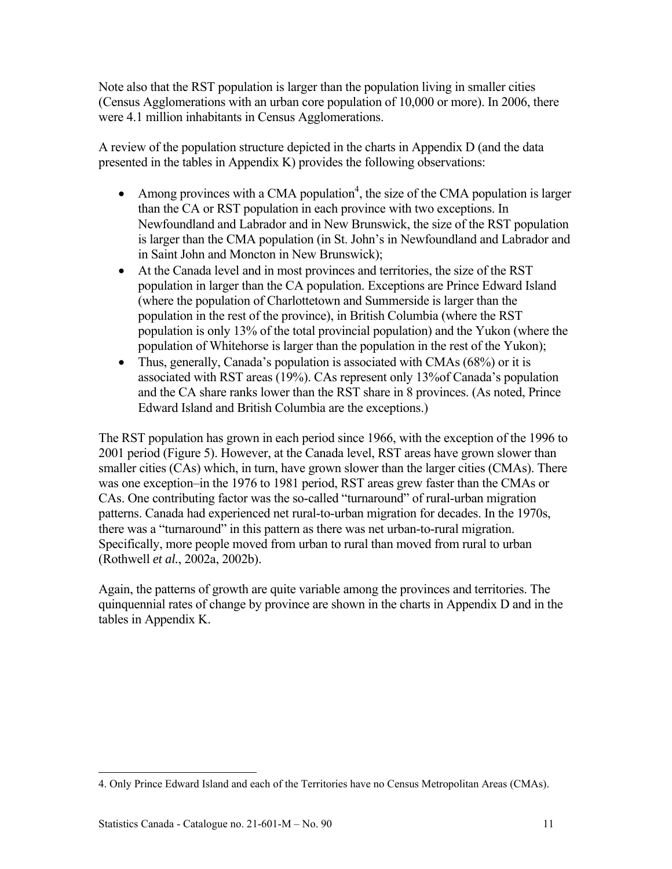Note also that the RST population is larger than the population living in smaller cities (Census Agglomerations with an urban core population of 10,000 or more). In 2006, there were 4.1 million inhabitants in Census Agglomerations.

A review of the population structure depicted in the charts in Appendix D (and the data presented in the tables in Appendix K) provides the following observations:

- Among provinces with a CMA population<sup>4</sup>, the size of the CMA population is larger than the CA or RST population in each province with two exceptions. In Newfoundland and Labrador and in New Brunswick, the size of the RST population is larger than the CMA population (in St. John's in Newfoundland and Labrador and in Saint John and Moncton in New Brunswick);
- At the Canada level and in most provinces and territories, the size of the RST population in larger than the CA population. Exceptions are Prince Edward Island (where the population of Charlottetown and Summerside is larger than the population in the rest of the province), in British Columbia (where the RST population is only 13% of the total provincial population) and the Yukon (where the population of Whitehorse is larger than the population in the rest of the Yukon);
- Thus, generally, Canada's population is associated with CMAs (68%) or it is associated with RST areas (19%). CAs represent only 13%of Canada's population and the CA share ranks lower than the RST share in 8 provinces. (As noted, Prince Edward Island and British Columbia are the exceptions.)

The RST population has grown in each period since 1966, with the exception of the 1996 to 2001 period (Figure 5). However, at the Canada level, RST areas have grown slower than smaller cities (CAs) which, in turn, have grown slower than the larger cities (CMAs). There was one exception–in the 1976 to 1981 period, RST areas grew faster than the CMAs or CAs. One contributing factor was the so-called "turnaround" of rural-urban migration patterns. Canada had experienced net rural-to-urban migration for decades. In the 1970s, there was a "turnaround" in this pattern as there was net urban-to-rural migration. Specifically, more people moved from urban to rural than moved from rural to urban (Rothwell *et al.*, 2002a, 2002b).

Again, the patterns of growth are quite variable among the provinces and territories. The quinquennial rates of change by province are shown in the charts in Appendix D and in the tables in Appendix K.

l 4. Only Prince Edward Island and each of the Territories have no Census Metropolitan Areas (CMAs).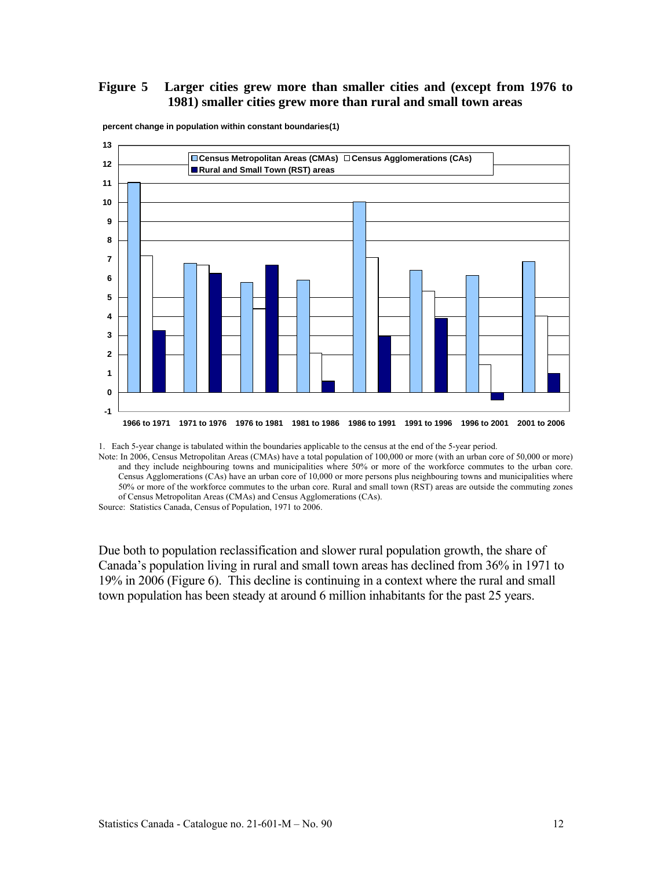#### **Figure 5 Larger cities grew more than smaller cities and (except from 1976 to 1981) smaller cities grew more than rural and small town areas**



**percent change in population within constant boundaries(1)**

1. Each 5-year change is tabulated within the boundaries applicable to the census at the end of the 5-year period.

Note: In 2006, Census Metropolitan Areas (CMAs) have a total population of 100,000 or more (with an urban core of 50,000 or more) and they include neighbouring towns and municipalities where 50% or more of the workforce commutes to the urban core. Census Agglomerations (CAs) have an urban core of 10,000 or more persons plus neighbouring towns and municipalities where 50% or more of the workforce commutes to the urban core. Rural and small town (RST) areas are outside the commuting zones of Census Metropolitan Areas (CMAs) and Census Agglomerations (CAs).

Source: Statistics Canada, Census of Population, 1971 to 2006.

Due both to population reclassification and slower rural population growth, the share of Canada's population living in rural and small town areas has declined from 36% in 1971 to 19% in 2006 (Figure 6). This decline is continuing in a context where the rural and small town population has been steady at around 6 million inhabitants for the past 25 years.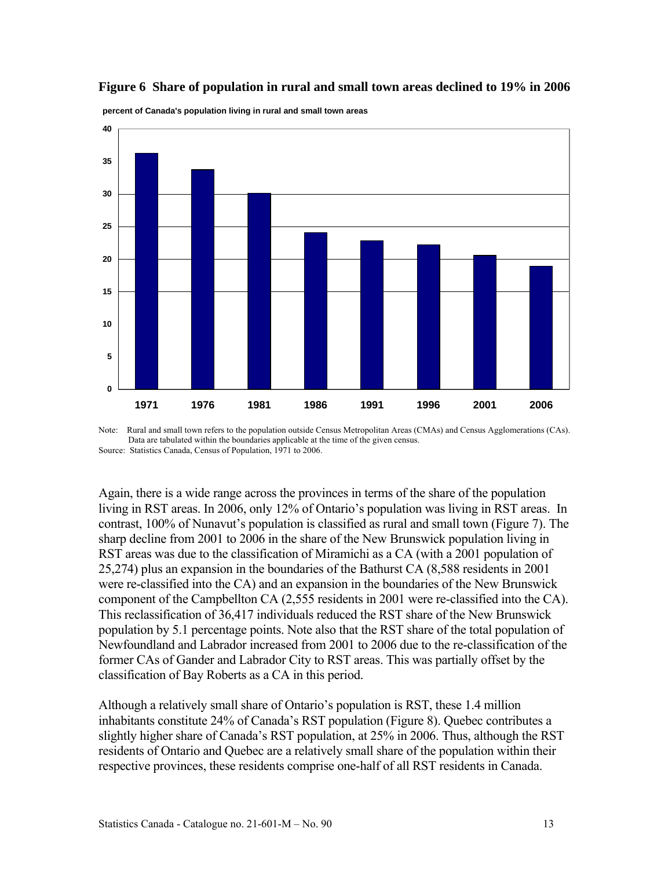#### **Figure 6 Share of population in rural and small town areas declined to 19% in 2006**



**percent of Canada's population living in rural and small town areas**

Again, there is a wide range across the provinces in terms of the share of the population living in RST areas. In 2006, only 12% of Ontario's population was living in RST areas. In contrast, 100% of Nunavut's population is classified as rural and small town (Figure 7). The sharp decline from 2001 to 2006 in the share of the New Brunswick population living in RST areas was due to the classification of Miramichi as a CA (with a 2001 population of 25,274) plus an expansion in the boundaries of the Bathurst CA (8,588 residents in 2001 were re-classified into the CA) and an expansion in the boundaries of the New Brunswick component of the Campbellton CA (2,555 residents in 2001 were re-classified into the CA). This reclassification of 36,417 individuals reduced the RST share of the New Brunswick population by 5.1 percentage points. Note also that the RST share of the total population of Newfoundland and Labrador increased from 2001 to 2006 due to the re-classification of the former CAs of Gander and Labrador City to RST areas. This was partially offset by the classification of Bay Roberts as a CA in this period.

Although a relatively small share of Ontario's population is RST, these 1.4 million inhabitants constitute 24% of Canada's RST population (Figure 8). Quebec contributes a slightly higher share of Canada's RST population, at 25% in 2006. Thus, although the RST residents of Ontario and Quebec are a relatively small share of the population within their respective provinces, these residents comprise one-half of all RST residents in Canada.

Note: Rural and small town refers to the population outside Census Metropolitan Areas (CMAs) and Census Agglomerations (CAs). Data are tabulated within the boundaries applicable at the time of the given census. Source: Statistics Canada, Census of Population, 1971 to 2006.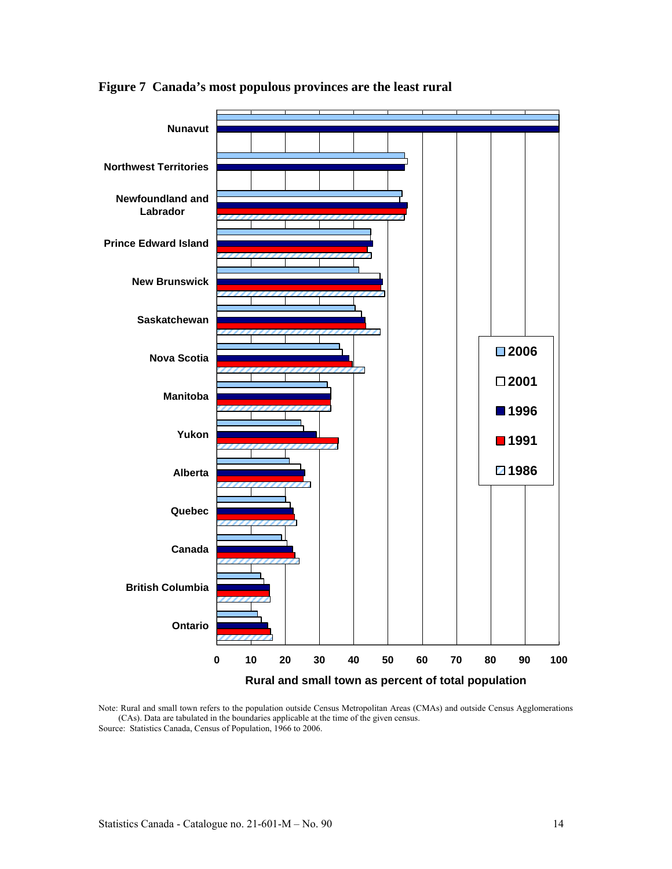

**Figure 7 Canada's most populous provinces are the least rural** 

Note: Rural and small town refers to the population outside Census Metropolitan Areas (CMAs) and outside Census Agglomerations (CAs). Data are tabulated in the boundaries applicable at the time of the given census. Source: Statistics Canada, Census of Population, 1966 to 2006.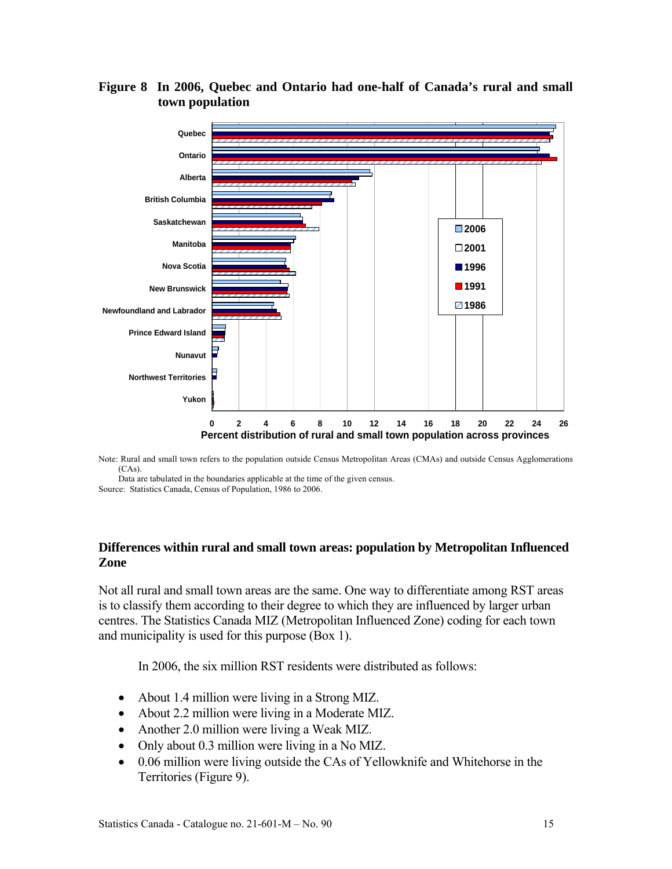

#### **Figure 8 In 2006, Quebec and Ontario had one-half of Canada's rural and small town population**

Note: Rural and small town refers to the population outside Census Metropolitan Areas (CMAs) and outside Census Agglomerations (CAs).

Data are tabulated in the boundaries applicable at the time of the given census. Source: Statistics Canada, Census of Population, 1986 to 2006.

#### **Differences within rural and small town areas: population by Metropolitan Influenced Zone**

Not all rural and small town areas are the same. One way to differentiate among RST areas is to classify them according to their degree to which they are influenced by larger urban centres. The Statistics Canada MIZ (Metropolitan Influenced Zone) coding for each town and municipality is used for this purpose (Box 1).

In 2006, the six million RST residents were distributed as follows:

- About 1.4 million were living in a Strong MIZ.
- About 2.2 million were living in a Moderate MIZ.
- Another 2.0 million were living a Weak MIZ.
- Only about 0.3 million were living in a No MIZ.
- 0.06 million were living outside the CAs of Yellowknife and Whitehorse in the Territories (Figure 9).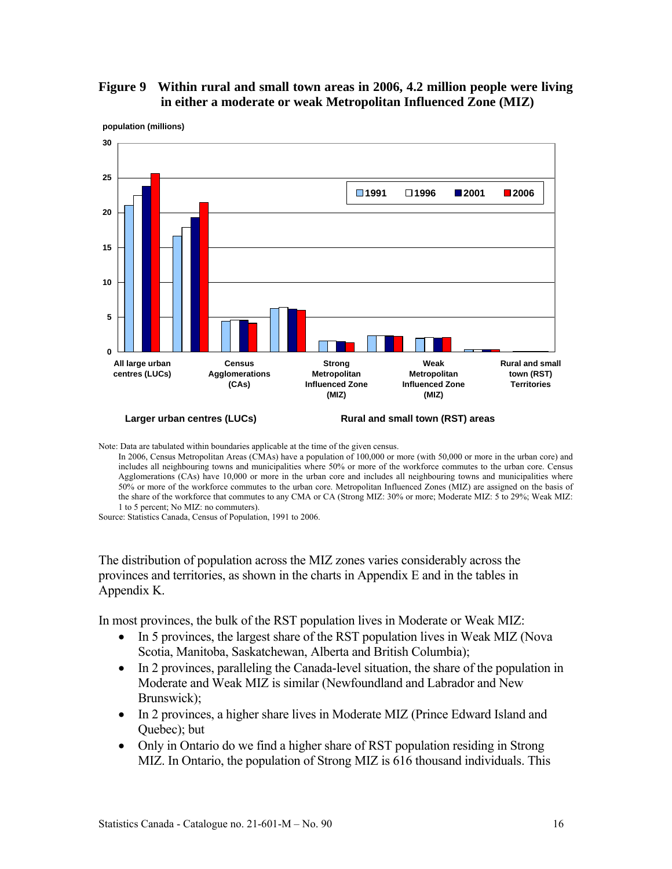#### **Figure 9 Within rural and small town areas in 2006, 4.2 million people were living in either a moderate or weak Metropolitan Influenced Zone (MIZ)**



**population (millions)**

Note: Data are tabulated within boundaries applicable at the time of the given census.

In 2006, Census Metropolitan Areas (CMAs) have a population of 100,000 or more (with 50,000 or more in the urban core) and includes all neighbouring towns and municipalities where 50% or more of the workforce commutes to the urban core. Census Agglomerations (CAs) have 10,000 or more in the urban core and includes all neighbouring towns and municipalities where 50% or more of the workforce commutes to the urban core. Metropolitan Influenced Zones (MIZ) are assigned on the basis of the share of the workforce that commutes to any CMA or CA (Strong MIZ: 30% or more; Moderate MIZ: 5 to 29%; Weak MIZ: 1 to 5 percent; No MIZ: no commuters).

Source: Statistics Canada, Census of Population, 1991 to 2006.

The distribution of population across the MIZ zones varies considerably across the provinces and territories, as shown in the charts in Appendix E and in the tables in Appendix K.

In most provinces, the bulk of the RST population lives in Moderate or Weak MIZ:

- In 5 provinces, the largest share of the RST population lives in Weak MIZ (Nova Scotia, Manitoba, Saskatchewan, Alberta and British Columbia);
- In 2 provinces, paralleling the Canada-level situation, the share of the population in Moderate and Weak MIZ is similar (Newfoundland and Labrador and New Brunswick);
- In 2 provinces, a higher share lives in Moderate MIZ (Prince Edward Island and Quebec); but
- Only in Ontario do we find a higher share of RST population residing in Strong MIZ. In Ontario, the population of Strong MIZ is 616 thousand individuals. This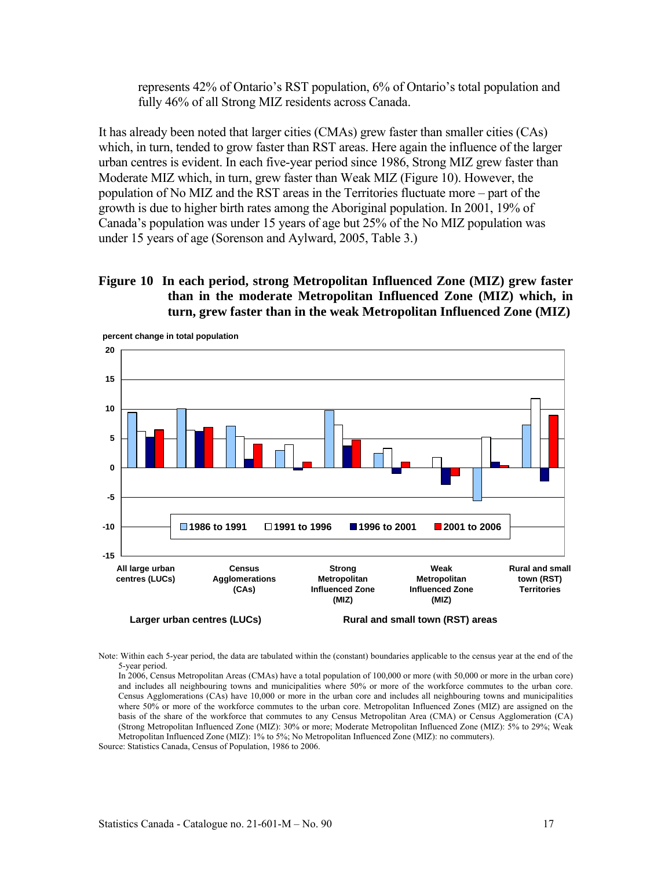represents 42% of Ontario's RST population, 6% of Ontario's total population and fully 46% of all Strong MIZ residents across Canada.

It has already been noted that larger cities (CMAs) grew faster than smaller cities (CAs) which, in turn, tended to grow faster than RST areas. Here again the influence of the larger urban centres is evident. In each five-year period since 1986, Strong MIZ grew faster than Moderate MIZ which, in turn, grew faster than Weak MIZ (Figure 10). However, the population of No MIZ and the RST areas in the Territories fluctuate more – part of the growth is due to higher birth rates among the Aboriginal population. In 2001, 19% of Canada's population was under 15 years of age but 25% of the No MIZ population was under 15 years of age (Sorenson and Aylward, 2005, Table 3.)

#### **Figure 10 In each period, strong Metropolitan Influenced Zone (MIZ) grew faster than in the moderate Metropolitan Influenced Zone (MIZ) which, in turn, grew faster than in the weak Metropolitan Influenced Zone (MIZ)**



Note: Within each 5-year period, the data are tabulated within the (constant) boundaries applicable to the census year at the end of the 5-year period.

In 2006, Census Metropolitan Areas (CMAs) have a total population of 100,000 or more (with 50,000 or more in the urban core) and includes all neighbouring towns and municipalities where 50% or more of the workforce commutes to the urban core. Census Agglomerations (CAs) have 10,000 or more in the urban core and includes all neighbouring towns and municipalities where 50% or more of the workforce commutes to the urban core. Metropolitan Influenced Zones (MIZ) are assigned on the basis of the share of the workforce that commutes to any Census Metropolitan Area (CMA) or Census Agglomeration (CA) (Strong Metropolitan Influenced Zone (MIZ): 30% or more; Moderate Metropolitan Influenced Zone (MIZ): 5% to 29%; Weak Metropolitan Influenced Zone (MIZ): 1% to 5%; No Metropolitan Influenced Zone (MIZ): no commuters).

Source: Statistics Canada, Census of Population, 1986 to 2006.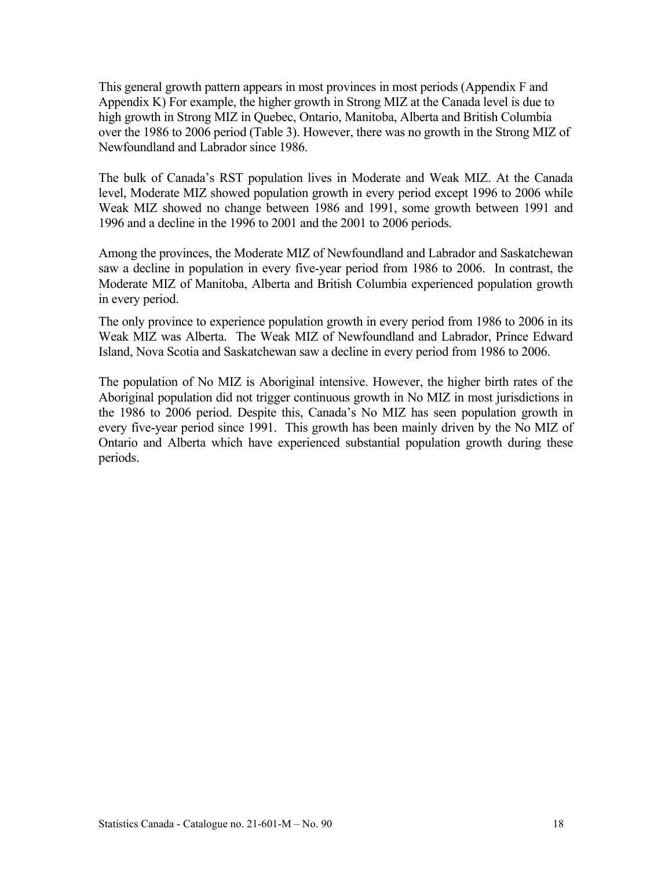This general growth pattern appears in most provinces in most periods (Appendix F and Appendix K) For example, the higher growth in Strong MIZ at the Canada level is due to high growth in Strong MIZ in Quebec, Ontario, Manitoba, Alberta and British Columbia over the 1986 to 2006 period (Table 3). However, there was no growth in the Strong MIZ of Newfoundland and Labrador since 1986.

The bulk of Canada's RST population lives in Moderate and Weak MIZ. At the Canada level, Moderate MIZ showed population growth in every period except 1996 to 2006 while Weak MIZ showed no change between 1986 and 1991, some growth between 1991 and 1996 and a decline in the 1996 to 2001 and the 2001 to 2006 periods.

Among the provinces, the Moderate MIZ of Newfoundland and Labrador and Saskatchewan saw a decline in population in every five-year period from 1986 to 2006. In contrast, the Moderate MIZ of Manitoba, Alberta and British Columbia experienced population growth in every period.

The only province to experience population growth in every period from 1986 to 2006 in its Weak MIZ was Alberta. The Weak MIZ of Newfoundland and Labrador, Prince Edward Island, Nova Scotia and Saskatchewan saw a decline in every period from 1986 to 2006.

The population of No MIZ is Aboriginal intensive. However, the higher birth rates of the Aboriginal population did not trigger continuous growth in No MIZ in most jurisdictions in the 1986 to 2006 period. Despite this, Canada's No MIZ has seen population growth in every five-year period since 1991. This growth has been mainly driven by the No MIZ of Ontario and Alberta which have experienced substantial population growth during these periods.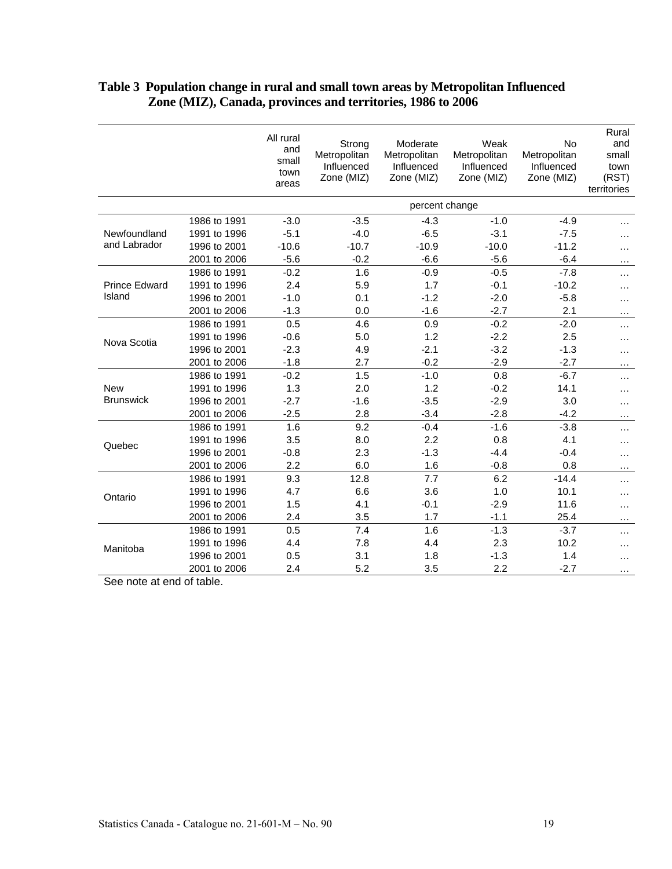|                      |              | All rural<br>and<br>small<br>town<br>areas | Strong<br>Metropolitan<br>Influenced<br>Zone (MIZ) | Moderate<br>Metropolitan<br>Influenced<br>Zone (MIZ) | Weak<br>Metropolitan<br>Influenced<br>Zone (MIZ) | No<br>Metropolitan<br>Influenced<br>Zone (MIZ) | Rural<br>and<br>small<br>town<br>(RST)<br>territories |  |  |  |
|----------------------|--------------|--------------------------------------------|----------------------------------------------------|------------------------------------------------------|--------------------------------------------------|------------------------------------------------|-------------------------------------------------------|--|--|--|
|                      |              |                                            | percent change                                     |                                                      |                                                  |                                                |                                                       |  |  |  |
|                      | 1986 to 1991 | $-3.0$                                     | $-3.5$                                             | $-4.3$                                               | $-1.0$                                           | $-4.9$                                         |                                                       |  |  |  |
| Newfoundland         | 1991 to 1996 | $-5.1$                                     | $-4.0$                                             | $-6.5$                                               | $-3.1$                                           | $-7.5$                                         | .                                                     |  |  |  |
| and Labrador         | 1996 to 2001 | $-10.6$                                    | $-10.7$                                            | $-10.9$                                              | $-10.0$                                          | $-11.2$                                        | .                                                     |  |  |  |
|                      | 2001 to 2006 | $-5.6$                                     | $-0.2$                                             | $-6.6$                                               | $-5.6$                                           | $-6.4$                                         | .                                                     |  |  |  |
|                      | 1986 to 1991 | $-0.2$                                     | 1.6                                                | $-0.9$                                               | $-0.5$                                           | $-7.8$                                         | .                                                     |  |  |  |
| <b>Prince Edward</b> | 1991 to 1996 | 2.4                                        | 5.9                                                | 1.7                                                  | $-0.1$                                           | $-10.2$                                        | .                                                     |  |  |  |
| Island               | 1996 to 2001 | $-1.0$                                     | 0.1                                                | $-1.2$                                               | $-2.0$                                           | $-5.8$                                         | .                                                     |  |  |  |
|                      | 2001 to 2006 | $-1.3$                                     | 0.0                                                | $-1.6$                                               | $-2.7$                                           | 2.1                                            | $\cdots$                                              |  |  |  |
| Nova Scotia          | 1986 to 1991 | 0.5                                        | 4.6                                                | 0.9                                                  | $-0.2$                                           | $-2.0$                                         | .                                                     |  |  |  |
|                      | 1991 to 1996 | $-0.6$                                     | 5.0                                                | 1.2                                                  | $-2.2$                                           | 2.5                                            | .                                                     |  |  |  |
|                      | 1996 to 2001 | $-2.3$                                     | 4.9                                                | $-2.1$                                               | $-3.2$                                           | $-1.3$                                         | .                                                     |  |  |  |
|                      | 2001 to 2006 | $-1.8$                                     | 2.7                                                | $-0.2$                                               | $-2.9$                                           | $-2.7$                                         | .                                                     |  |  |  |
|                      | 1986 to 1991 | $-0.2$                                     | 1.5                                                | $-1.0$                                               | 0.8                                              | $-6.7$                                         | $\cdots$                                              |  |  |  |
| <b>New</b>           | 1991 to 1996 | 1.3                                        | 2.0                                                | 1.2                                                  | $-0.2$                                           | 14.1                                           | .                                                     |  |  |  |
| <b>Brunswick</b>     | 1996 to 2001 | $-2.7$                                     | $-1.6$                                             | $-3.5$                                               | $-2.9$                                           | 3.0                                            | .                                                     |  |  |  |
|                      | 2001 to 2006 | $-2.5$                                     | 2.8                                                | $-3.4$                                               | $-2.8$                                           | $-4.2$                                         | $\cdots$                                              |  |  |  |
|                      | 1986 to 1991 | 1.6                                        | 9.2                                                | $-0.4$                                               | $-1.6$                                           | $-3.8$                                         | $\cdots$                                              |  |  |  |
| Quebec               | 1991 to 1996 | 3.5                                        | 8.0                                                | 2.2                                                  | 0.8                                              | 4.1                                            | .                                                     |  |  |  |
|                      | 1996 to 2001 | $-0.8$                                     | 2.3                                                | $-1.3$                                               | $-4.4$                                           | $-0.4$                                         | .                                                     |  |  |  |
|                      | 2001 to 2006 | 2.2                                        | 6.0                                                | 1.6                                                  | $-0.8$                                           | 0.8                                            | $\cdots$                                              |  |  |  |
|                      | 1986 to 1991 | 9.3                                        | 12.8                                               | 7.7                                                  | 6.2                                              | $-14.4$                                        | .                                                     |  |  |  |
| Ontario              | 1991 to 1996 | 4.7                                        | 6.6                                                | 3.6                                                  | 1.0                                              | 10.1                                           | .                                                     |  |  |  |
|                      | 1996 to 2001 | 1.5                                        | 4.1                                                | $-0.1$                                               | $-2.9$                                           | 11.6                                           | $\cdots$                                              |  |  |  |
|                      | 2001 to 2006 | 2.4                                        | 3.5                                                | 1.7                                                  | $-1.1$                                           | 25.4                                           | $\cdots$                                              |  |  |  |
|                      | 1986 to 1991 | 0.5                                        | 7.4                                                | 1.6                                                  | $-1.3$                                           | $-3.7$                                         | .                                                     |  |  |  |
| Manitoba             | 1991 to 1996 | 4.4                                        | 7.8                                                | 4.4                                                  | 2.3                                              | 10.2                                           | .                                                     |  |  |  |
|                      | 1996 to 2001 | 0.5                                        | 3.1                                                | 1.8                                                  | $-1.3$                                           | 1.4                                            | .                                                     |  |  |  |
|                      | 2001 to 2006 | 2.4                                        | 5.2                                                | 3.5                                                  | 2.2                                              | $-2.7$                                         | .                                                     |  |  |  |

#### **Table 3 Population change in rural and small town areas by Metropolitan Influenced Zone (MIZ), Canada, provinces and territories, 1986 to 2006**

See note at end of table.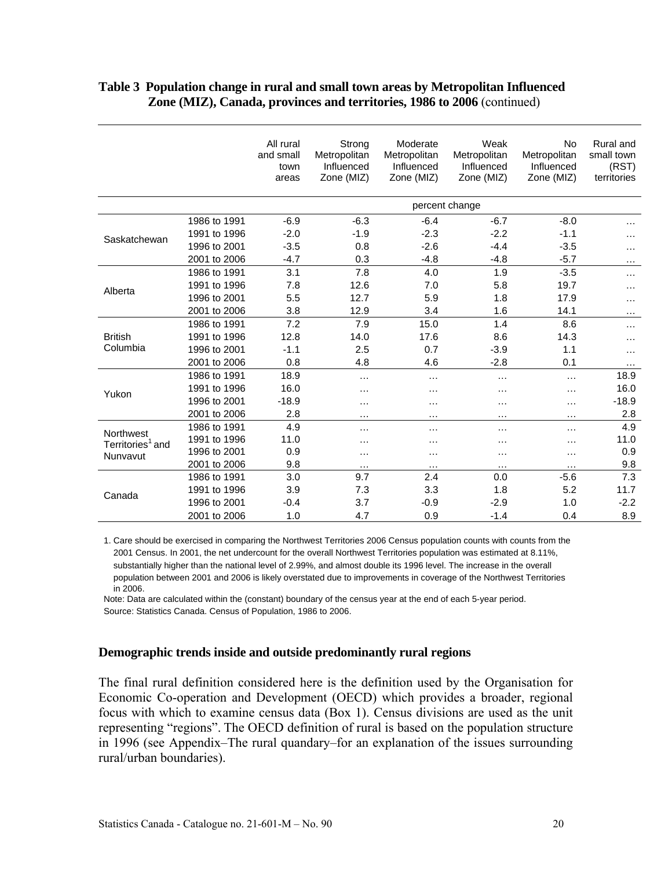|                              |              | All rural<br>and small<br>town<br>areas | Strong<br>Metropolitan<br>Influenced<br>Zone (MIZ) | Moderate<br>Metropolitan<br>Influenced<br>Zone (MIZ) | Weak<br>Metropolitan<br>Influenced<br>Zone (MIZ) | No<br>Metropolitan<br>Influenced<br>Zone (MIZ) | Rural and<br>small town<br>(RST)<br>territories |
|------------------------------|--------------|-----------------------------------------|----------------------------------------------------|------------------------------------------------------|--------------------------------------------------|------------------------------------------------|-------------------------------------------------|
|                              |              |                                         |                                                    |                                                      |                                                  |                                                |                                                 |
|                              | 1986 to 1991 | $-6.9$                                  | $-6.3$                                             | $-6.4$                                               | $-6.7$                                           | $-8.0$                                         | .                                               |
| Saskatchewan                 | 1991 to 1996 | $-2.0$                                  | $-1.9$                                             | $-2.3$                                               | $-2.2$                                           | $-1.1$                                         | $\cdots$                                        |
|                              | 1996 to 2001 | $-3.5$                                  | 0.8                                                | $-2.6$                                               | $-4.4$                                           | $-3.5$                                         | .                                               |
|                              | 2001 to 2006 | $-4.7$                                  | 0.3                                                | $-4.8$                                               | $-4.8$                                           | $-5.7$                                         | .                                               |
|                              | 1986 to 1991 | 3.1                                     | 7.8                                                | 4.0                                                  | 1.9                                              | $-3.5$                                         | $\cdots$                                        |
| Alberta                      | 1991 to 1996 | 7.8                                     | 12.6                                               | 7.0                                                  | 5.8                                              | 19.7                                           | $\cdots$                                        |
|                              | 1996 to 2001 | 5.5                                     | 12.7                                               | 5.9                                                  | 1.8                                              | 17.9                                           | $\cdots$                                        |
|                              | 2001 to 2006 | 3.8                                     | 12.9                                               | 3.4                                                  | 1.6                                              | 14.1                                           | $\cdots$                                        |
|                              | 1986 to 1991 | 7.2                                     | 7.9                                                | 15.0                                                 | 1.4                                              | 8.6                                            | $\cdots$                                        |
| <b>British</b>               | 1991 to 1996 | 12.8                                    | 14.0                                               | 17.6                                                 | 8.6                                              | 14.3                                           | $\cdots$                                        |
| Columbia                     | 1996 to 2001 | $-1.1$                                  | 2.5                                                | 0.7                                                  | $-3.9$                                           | 1.1                                            | $\cdots$                                        |
|                              | 2001 to 2006 | 0.8                                     | 4.8                                                | 4.6                                                  | $-2.8$                                           | 0.1                                            | $\cdots$                                        |
|                              | 1986 to 1991 | 18.9                                    | $\cdots$                                           | .                                                    | $\cdots$                                         | $\cdots$                                       | 18.9                                            |
| Yukon                        | 1991 to 1996 | 16.0                                    | .                                                  | .                                                    | $\cdots$                                         | .                                              | 16.0                                            |
|                              | 1996 to 2001 | $-18.9$                                 | .                                                  | .                                                    | $\cdots$                                         | $\cdots$                                       | $-18.9$                                         |
|                              | 2001 to 2006 | 2.8                                     | $\cdots$                                           | .                                                    | $\cdots$                                         | $\cdots$                                       | 2.8                                             |
| Northwest                    | 1986 to 1991 | 4.9                                     | $\cdots$                                           | $\cdots$                                             | $\cdots$                                         | $\cdots$                                       | 4.9                                             |
| Territories <sup>1</sup> and | 1991 to 1996 | 11.0                                    |                                                    | .                                                    | $\cdots$                                         | .                                              | 11.0                                            |
| Nunvavut                     | 1996 to 2001 | 0.9                                     | $\cdots$                                           | .                                                    | $\cdots$                                         | $\cdots$                                       | 0.9                                             |
|                              | 2001 to 2006 | 9.8                                     | $\cdots$                                           | $\cdots$                                             | $\cdots$                                         | $\cdots$                                       | 9.8                                             |
|                              | 1986 to 1991 | 3.0                                     | 9.7                                                | 2.4                                                  | 0.0                                              | $-5.6$                                         | 7.3                                             |
| Canada                       | 1991 to 1996 | 3.9                                     | 7.3                                                | 3.3                                                  | 1.8                                              | 5.2                                            | 11.7                                            |
|                              | 1996 to 2001 | $-0.4$                                  | 3.7                                                | $-0.9$                                               | $-2.9$                                           | 1.0                                            | $-2.2$                                          |
|                              | 2001 to 2006 | 1.0                                     | 4.7                                                | 0.9                                                  | $-1.4$                                           | 0.4                                            | 8.9                                             |

#### **Table 3 Population change in rural and small town areas by Metropolitan Influenced Zone (MIZ), Canada, provinces and territories, 1986 to 2006** (continued)

1. Care should be exercised in comparing the Northwest Territories 2006 Census population counts with counts from the 2001 Census. In 2001, the net undercount for the overall Northwest Territories population was estimated at 8.11%, substantially higher than the national level of 2.99%, and almost double its 1996 level. The increase in the overall population between 2001 and 2006 is likely overstated due to improvements in coverage of the Northwest Territories in 2006.

Note: Data are calculated within the (constant) boundary of the census year at the end of each 5-year period. Source: Statistics Canada. Census of Population, 1986 to 2006.

#### **Demographic trends inside and outside predominantly rural regions**

The final rural definition considered here is the definition used by the Organisation for Economic Co-operation and Development (OECD) which provides a broader, regional focus with which to examine census data (Box 1). Census divisions are used as the unit representing "regions". The OECD definition of rural is based on the population structure in 1996 (see Appendix–The rural quandary–for an explanation of the issues surrounding rural/urban boundaries).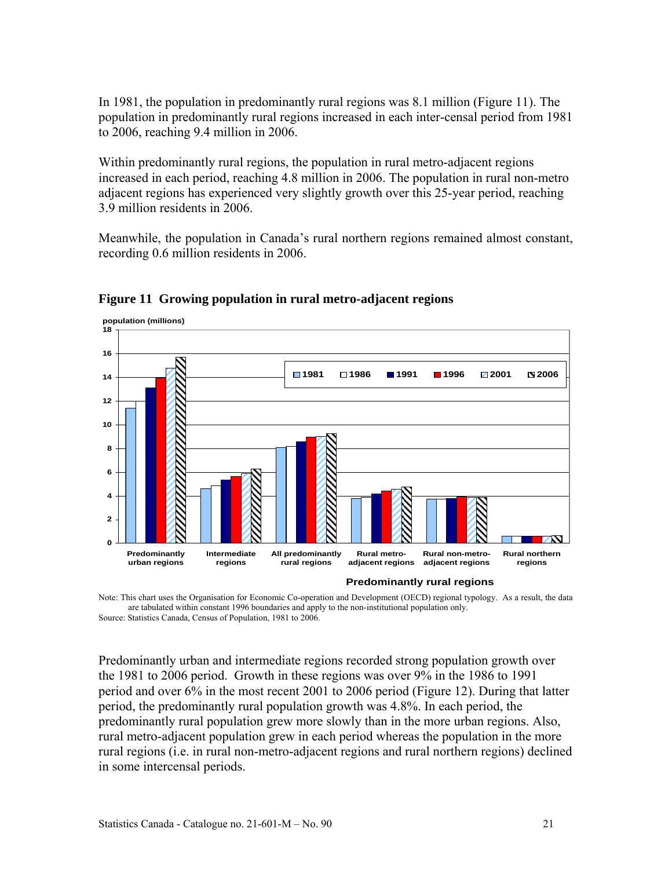In 1981, the population in predominantly rural regions was 8.1 million (Figure 11). The population in predominantly rural regions increased in each inter-censal period from 1981 to 2006, reaching 9.4 million in 2006.

Within predominantly rural regions, the population in rural metro-adjacent regions increased in each period, reaching 4.8 million in 2006. The population in rural non-metro adjacent regions has experienced very slightly growth over this 25-year period, reaching 3.9 million residents in 2006.

Meanwhile, the population in Canada's rural northern regions remained almost constant, recording 0.6 million residents in 2006.



**Figure 11 Growing population in rural metro-adjacent regions** 

Predominantly urban and intermediate regions recorded strong population growth over the 1981 to 2006 period. Growth in these regions was over 9% in the 1986 to 1991 period and over 6% in the most recent 2001 to 2006 period (Figure 12). During that latter period, the predominantly rural population growth was 4.8%. In each period, the predominantly rural population grew more slowly than in the more urban regions. Also, rural metro-adjacent population grew in each period whereas the population in the more rural regions (i.e. in rural non-metro-adjacent regions and rural northern regions) declined in some intercensal periods.

Note: This chart uses the Organisation for Economic Co-operation and Development (OECD) regional typology. As a result, the data are tabulated within constant 1996 boundaries and apply to the non-institutional population only. Source: Statistics Canada, Census of Population, 1981 to 2006.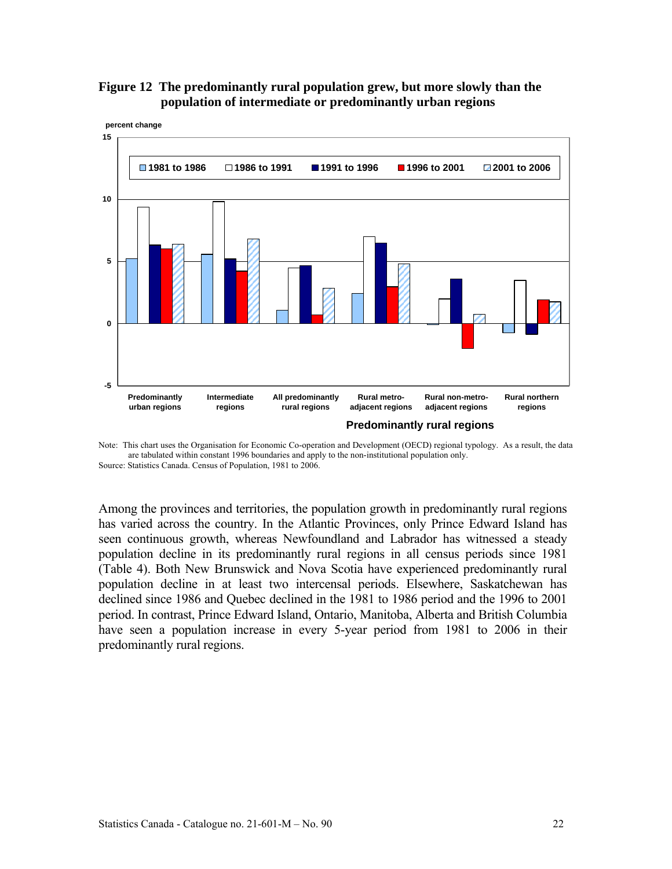



Note: This chart uses the Organisation for Economic Co-operation and Development (OECD) regional typology. As a result, the data are tabulated within constant 1996 boundaries and apply to the non-institutional population only. Source: Statistics Canada. Census of Population, 1981 to 2006.

Among the provinces and territories, the population growth in predominantly rural regions has varied across the country. In the Atlantic Provinces, only Prince Edward Island has seen continuous growth, whereas Newfoundland and Labrador has witnessed a steady population decline in its predominantly rural regions in all census periods since 1981 (Table 4). Both New Brunswick and Nova Scotia have experienced predominantly rural population decline in at least two intercensal periods. Elsewhere, Saskatchewan has declined since 1986 and Quebec declined in the 1981 to 1986 period and the 1996 to 2001 period. In contrast, Prince Edward Island, Ontario, Manitoba, Alberta and British Columbia have seen a population increase in every 5-year period from 1981 to 2006 in their predominantly rural regions.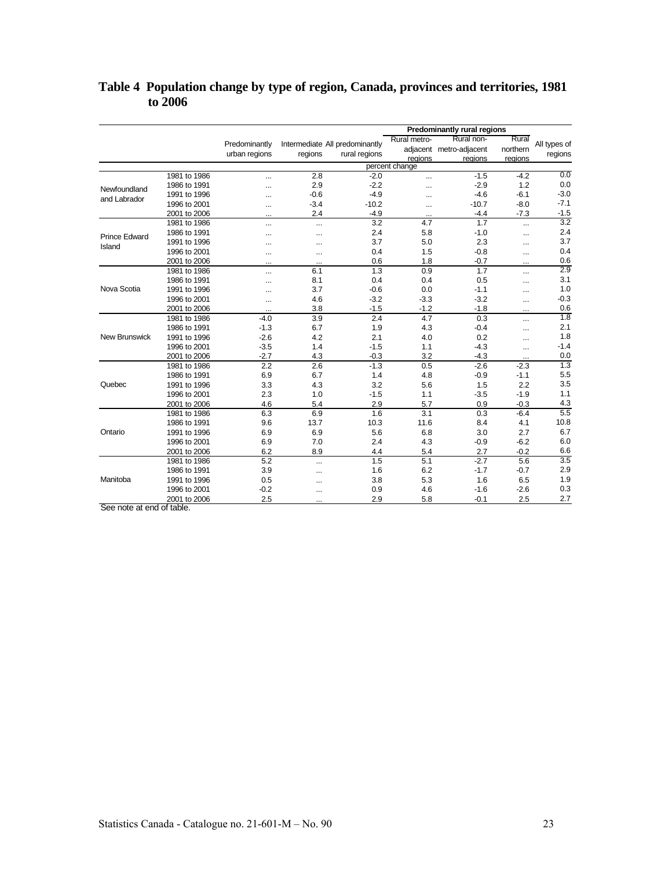#### **Table 4 Population change by type of region, Canada, provinces and territories, 1981 to 2006**

|                      |              | <b>Predominantly rural regions</b> |           |                                |                |                         |           |                  |
|----------------------|--------------|------------------------------------|-----------|--------------------------------|----------------|-------------------------|-----------|------------------|
|                      |              | Predominantly                      |           | Intermediate All predominantly | Rural metro-   | Rural non-              | Rural     | All types of     |
|                      |              | urban regions                      | regions   | rural regions                  |                | adjacent metro-adjacent | northern  | regions          |
|                      |              |                                    |           |                                | regions        | regions                 | regions   |                  |
|                      |              |                                    |           |                                | percent change |                         |           |                  |
|                      | 1981 to 1986 | $\cdots$                           | 2.8       | $-2.0$                         |                | $-1.5$                  | $-4.2$    | 0.0              |
| Newfoundland         | 1986 to 1991 |                                    | 2.9       | $-2.2$                         | $\ddotsc$      | $-2.9$                  | 1.2       | 0.0              |
| and Labrador         | 1991 to 1996 |                                    | $-0.6$    | $-4.9$                         | $\ddotsc$      | $-4.6$                  | $-6.1$    | $-3.0$           |
|                      | 1996 to 2001 | $\ddotsc$                          | $-3.4$    | $-10.2$                        | $\ddotsc$      | $-10.7$                 | $-8.0$    | $-7.1$           |
|                      | 2001 to 2006 |                                    | 2.4       | $-4.9$                         | $\cdots$       | $-4.4$                  | $-7.3$    | $-1.5$           |
|                      | 1981 to 1986 |                                    |           | 3.2                            | 4.7            | 1.7                     |           | 3.2              |
| <b>Prince Edward</b> | 1986 to 1991 | $\cdots$                           | $\ddotsc$ | 2.4                            | 5.8            | $-1.0$                  | $\cdots$  | 2.4              |
| Island               | 1991 to 1996 |                                    |           | 3.7                            | 5.0            | 2.3                     | $\cdots$  | 3.7              |
|                      | 1996 to 2001 | $\cdots$                           | $\ddotsc$ | 0.4                            | 1.5            | $-0.8$                  |           | 0.4              |
|                      | 2001 to 2006 | $\cdots$                           | $\cdots$  | 0.6                            | 1.8            | $-0.7$                  | $\cdots$  | 0.6              |
|                      | 1981 to 1986 |                                    | 6.1       | 1.3                            | 0.9            | 1.7                     |           | 2.9              |
| Nova Scotia          | 1986 to 1991 |                                    | 8.1       | 0.4                            | 0.4            | 0.5                     | $\ddotsc$ | 3.1              |
|                      | 1991 to 1996 | $\ddotsc$                          | 3.7       | $-0.6$                         | 0.0            | $-1.1$                  | $\cdots$  | 1.0              |
|                      | 1996 to 2001 |                                    | 4.6       | $-3.2$                         | $-3.3$         | $-3.2$                  | $\cdots$  | $-0.3$           |
|                      | 2001 to 2006 | $\ddotsc$                          | 3.8       | $-1.5$                         | $-1.2$         | $-1.8$                  | $\ddotsc$ | 0.6              |
|                      | 1981 to 1986 | $-4.0$                             | 3.9       | 2.4                            | 4.7            | 0.3                     |           | 1.8              |
|                      | 1986 to 1991 | $-1.3$                             | 6.7       | 1.9                            | 4.3            | $-0.4$                  |           | 2.1              |
| <b>New Brunswick</b> | 1991 to 1996 | $-2.6$                             | 4.2       | 2.1                            | 4.0            | 0.2                     | $\cdots$  | 1.8              |
|                      | 1996 to 2001 | $-3.5$                             | 1.4       | $-1.5$                         | 1.1            | $-4.3$                  | $\cdots$  | $-1.4$           |
|                      | 2001 to 2006 | $-2.7$                             | 4.3       | $-0.3$                         | 3.2            | $-4.3$                  | $\cdots$  | 0.0              |
|                      | 1981 to 1986 | 2.2                                | 2.6       | $-1.3$                         | 0.5            | $-2.6$                  | $-2.3$    | 1.3              |
|                      | 1986 to 1991 | 6.9                                | 6.7       | 1.4                            | 4.8            | $-0.9$                  | $-1.1$    | 5.5              |
| Quebec               | 1991 to 1996 | 3.3                                | 4.3       | 3.2                            | 5.6            | 1.5                     | 2.2       | 3.5              |
|                      | 1996 to 2001 | 2.3                                | 1.0       | $-1.5$                         | 1.1            | $-3.5$                  | $-1.9$    | 1.1              |
|                      | 2001 to 2006 | 4.6                                | 5.4       | 2.9                            | 5.7            | 0.9                     | $-0.3$    | 4.3              |
|                      | 1981 to 1986 | 6.3                                | 6.9       | 1.6                            | 3.1            | 0.3                     | $-6.4$    | $\overline{5.5}$ |
|                      | 1986 to 1991 | 9.6                                | 13.7      | 10.3                           | 11.6           | 8.4                     | 4.1       | 10.8             |
| Ontario              | 1991 to 1996 | 6.9                                | 6.9       | 5.6                            | 6.8            | 3.0                     | 2.7       | 6.7              |
|                      | 1996 to 2001 | 6.9                                | 7.0       | 2.4                            | 4.3            | $-0.9$                  | $-6.2$    | 6.0              |
|                      | 2001 to 2006 | 6.2                                | 8.9       | 4.4                            | 5.4            | 2.7                     | $-0.2$    | 6.6              |
|                      | 1981 to 1986 | 5.2                                |           | 1.5                            | 5.1            | $-2.7$                  | 5.6       | 3.5              |
|                      | 1986 to 1991 | 3.9                                |           | 1.6                            | 6.2            | $-1.7$                  | $-0.7$    | 2.9              |
| Manitoba             | 1991 to 1996 | 0.5                                | $\cdots$  | 3.8                            | 5.3            | 1.6                     | 6.5       | 1.9              |
|                      | 1996 to 2001 | $-0.2$                             | $\cdots$  | 0.9                            | 4.6            | $-1.6$                  | $-2.6$    | 0.3              |
|                      | 2001 to 2006 | 2.5                                |           | 2.9                            | 5.8            | $-0.1$                  | 2.5       | 2.7              |

See note at end of table.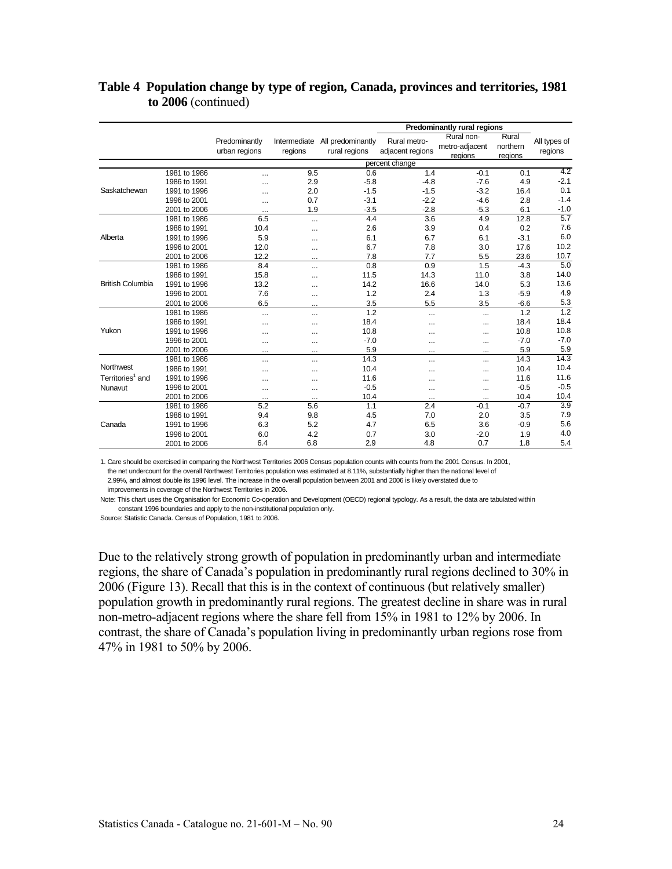|                              |              |                                |           |                                                                     |                | Predominantly rural regions             |                              |                         |
|------------------------------|--------------|--------------------------------|-----------|---------------------------------------------------------------------|----------------|-----------------------------------------|------------------------------|-------------------------|
|                              |              | Predominantly<br>urban regions | regions   | Intermediate All predominantly<br>rural regions<br>adjacent regions |                | Rural non-<br>metro-adjacent<br>regions | Rural<br>northern<br>reaions | All types of<br>regions |
|                              |              |                                |           |                                                                     | percent change |                                         |                              |                         |
|                              | 1981 to 1986 |                                | 9.5       | 0.6                                                                 | 1.4            | $-0.1$                                  | 0.1                          | 4.2                     |
|                              | 1986 to 1991 | $\ddotsc$                      | 2.9       | $-5.8$                                                              | $-4.8$         | $-7.6$                                  | 4.9                          | $-2.1$                  |
| Saskatchewan                 | 1991 to 1996 | $\cdots$                       | 2.0       | $-1.5$                                                              | $-1.5$         | $-3.2$                                  | 16.4                         | 0.1                     |
|                              | 1996 to 2001 |                                | 0.7       | $-3.1$                                                              | $-2.2$         | $-4.6$                                  | 2.8                          | $-1.4$                  |
|                              | 2001 to 2006 | $\cdots$                       | 1.9       | $-3.5$                                                              | $-2.8$         | $-5.3$                                  | 6.1                          | $-1.0$                  |
|                              | 1981 to 1986 | 6.5                            |           | 4.4                                                                 | 3.6            | 4.9                                     | 12.8                         | 5.7                     |
|                              | 1986 to 1991 | 10.4                           | $\ddotsc$ | 2.6                                                                 | 3.9            | 0.4                                     | 0.2                          | 7.6                     |
| Alberta                      | 1991 to 1996 | 5.9                            |           | 6.1                                                                 | 6.7            | 6.1                                     | $-3.1$                       | 6.0                     |
|                              | 1996 to 2001 | 12.0                           | $\cdots$  | 6.7                                                                 | 7.8            | 3.0                                     | 17.6                         | 10.2                    |
|                              | 2001 to 2006 | 12.2                           | $\cdots$  | 7.8                                                                 | 7.7            | 5.5                                     | 23.6                         | 10.7                    |
|                              | 1981 to 1986 | 8.4                            | $\cdots$  | 0.8                                                                 | 0.9            | 1.5                                     | $-4.3$                       | 5.0                     |
| <b>British Columbia</b>      | 1986 to 1991 | 15.8                           |           | 11.5                                                                | 14.3           | 11.0                                    | 3.8                          | 14.0                    |
|                              | 1991 to 1996 | 13.2                           | $\ddotsc$ | 14.2                                                                | 16.6           | 14.0                                    | 5.3                          | 13.6                    |
|                              | 1996 to 2001 | 7.6                            | $\ddotsc$ | 1.2                                                                 | 2.4            | 1.3                                     | $-5.9$                       | 4.9                     |
|                              | 2001 to 2006 | 6.5                            |           | 3.5                                                                 | 5.5            | 3.5                                     | $-6.6$                       | 5.3                     |
|                              | 1981 to 1986 | $\cdots$                       | $\cdots$  | 1.2                                                                 | $\cdots$       | $\cdots$                                | 1.2                          | 1.2                     |
|                              | 1986 to 1991 |                                |           | 18.4                                                                |                |                                         | 18.4                         | 18.4                    |
| Yukon                        | 1991 to 1996 | $\cdots$                       | $\ddotsc$ | 10.8                                                                |                | $\cdots$                                | 10.8                         | 10.8                    |
|                              | 1996 to 2001 | $\cdots$                       | $\cdots$  | $-7.0$                                                              | $\cdots$       |                                         | $-7.0$                       | $-7.0$                  |
|                              | 2001 to 2006 | $\cdots$                       | $\cdots$  | 5.9                                                                 | $\cdots$       | $\cdots$                                | 5.9                          | 5.9                     |
|                              | 1981 to 1986 |                                |           | 14.3                                                                | $\ddotsc$      |                                         | 14.3                         | 14.3                    |
| Northwest                    | 1986 to 1991 | $\cdots$                       |           | 10.4                                                                | $\cdots$       | $\ddotsc$                               | 10.4                         | 10.4                    |
| Territories <sup>1</sup> and | 1991 to 1996 | $\cdots$                       | $\cdots$  | 11.6                                                                | $\cdots$       |                                         | 11.6                         | 11.6                    |
| Nunavut                      | 1996 to 2001 |                                | $\ddotsc$ | $-0.5$                                                              |                |                                         | $-0.5$                       | $-0.5$                  |
|                              | 2001 to 2006 | $\cdots$                       | $\cdots$  | 10.4                                                                | $\cdots$       | $\ddotsc$                               | 10.4                         | 10.4                    |
|                              | 1981 to 1986 | 5.2                            | 5.6       | 1.1                                                                 | 2.4            | $-0.1$                                  | $-0.7$                       | 3.9                     |
|                              | 1986 to 1991 | 9.4                            | 9.8       | 4.5                                                                 | 7.0            | 2.0                                     | 3.5                          | 7.9                     |
| Canada                       | 1991 to 1996 | 6.3                            | 5.2       | 4.7                                                                 | 6.5            | 3.6                                     | $-0.9$                       | 5.6                     |
|                              | 1996 to 2001 | 6.0                            | 4.2       | 0.7                                                                 | 3.0            | $-2.0$                                  | 1.9                          | 4.0                     |
|                              | 2001 to 2006 | 6.4                            | 6.8       | 2.9                                                                 | 4.8            | 0.7                                     | 1.8                          | 5.4                     |

#### **Table 4 Population change by type of region, Canada, provinces and territories, 1981 to 2006** (continued)

1. Care should be exercised in comparing the Northwest Territories 2006 Census population counts with counts from the 2001 Census. In 2001,

 the net undercount for the overall Northwest Territories population was estimated at 8.11%, substantially higher than the national level of 2.99%, and almost double its 1996 level. The increase in the overall population between 2001 and 2006 is likely overstated due to

improvements in coverage of the Northwest Territories in 2006.

Note: This chart uses the Organisation for Economic Co-operation and Development (OECD) regional typology. As a result, the data are tabulated within constant 1996 boundaries and apply to the non-institutional population only.

Source: Statistic Canada. Census of Population, 1981 to 2006.

Due to the relatively strong growth of population in predominantly urban and intermediate regions, the share of Canada's population in predominantly rural regions declined to 30% in 2006 (Figure 13). Recall that this is in the context of continuous (but relatively smaller) population growth in predominantly rural regions. The greatest decline in share was in rural non-metro-adjacent regions where the share fell from 15% in 1981 to 12% by 2006. In contrast, the share of Canada's population living in predominantly urban regions rose from 47% in 1981 to 50% by 2006.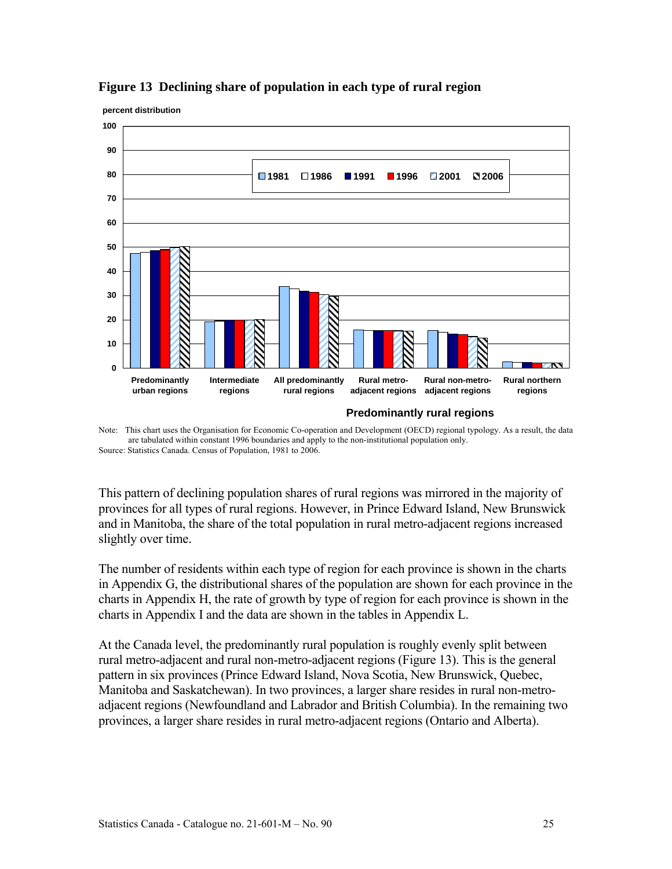

#### **Figure 13 Declining share of population in each type of rural region**

Note: This chart uses the Organisation for Economic Co-operation and Development (OECD) regional typology. As a result, the data are tabulated within constant 1996 boundaries and apply to the non-institutional population only. Source: Statistics Canada. Census of Population, 1981 to 2006.

This pattern of declining population shares of rural regions was mirrored in the majority of provinces for all types of rural regions. However, in Prince Edward Island, New Brunswick and in Manitoba, the share of the total population in rural metro-adjacent regions increased slightly over time.

The number of residents within each type of region for each province is shown in the charts in Appendix G, the distributional shares of the population are shown for each province in the charts in Appendix H, the rate of growth by type of region for each province is shown in the charts in Appendix I and the data are shown in the tables in Appendix L.

At the Canada level, the predominantly rural population is roughly evenly split between rural metro-adjacent and rural non-metro-adjacent regions (Figure 13). This is the general pattern in six provinces (Prince Edward Island, Nova Scotia, New Brunswick, Quebec, Manitoba and Saskatchewan). In two provinces, a larger share resides in rural non-metroadjacent regions (Newfoundland and Labrador and British Columbia). In the remaining two provinces, a larger share resides in rural metro-adjacent regions (Ontario and Alberta).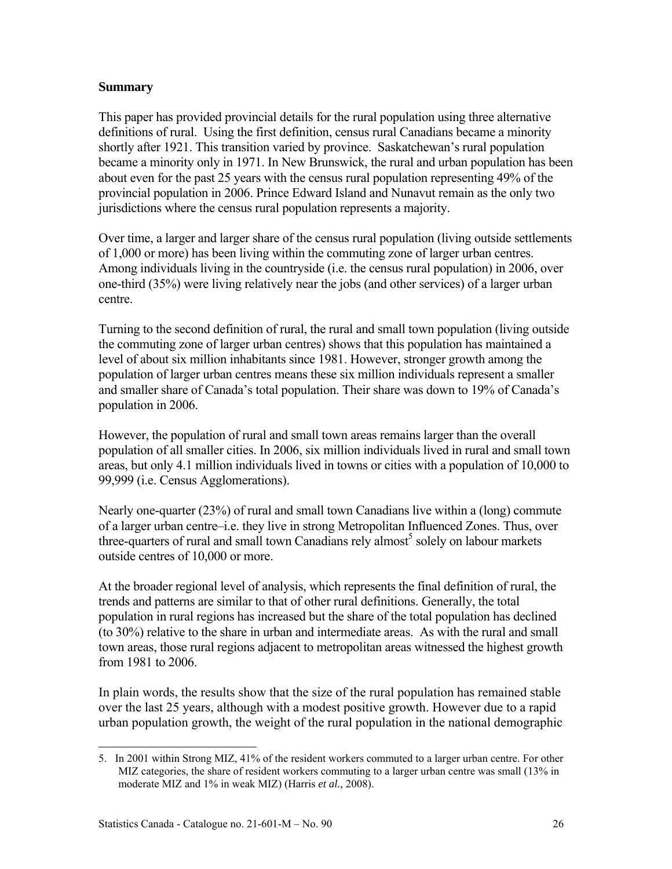#### **Summary**

This paper has provided provincial details for the rural population using three alternative definitions of rural. Using the first definition, census rural Canadians became a minority shortly after 1921. This transition varied by province. Saskatchewan's rural population became a minority only in 1971. In New Brunswick, the rural and urban population has been about even for the past 25 years with the census rural population representing 49% of the provincial population in 2006. Prince Edward Island and Nunavut remain as the only two jurisdictions where the census rural population represents a majority.

Over time, a larger and larger share of the census rural population (living outside settlements of 1,000 or more) has been living within the commuting zone of larger urban centres. Among individuals living in the countryside (i.e. the census rural population) in 2006, over one-third (35%) were living relatively near the jobs (and other services) of a larger urban centre.

Turning to the second definition of rural, the rural and small town population (living outside the commuting zone of larger urban centres) shows that this population has maintained a level of about six million inhabitants since 1981. However, stronger growth among the population of larger urban centres means these six million individuals represent a smaller and smaller share of Canada's total population. Their share was down to 19% of Canada's population in 2006.

However, the population of rural and small town areas remains larger than the overall population of all smaller cities. In 2006, six million individuals lived in rural and small town areas, but only 4.1 million individuals lived in towns or cities with a population of 10,000 to 99,999 (i.e. Census Agglomerations).

Nearly one-quarter (23%) of rural and small town Canadians live within a (long) commute of a larger urban centre–i.e. they live in strong Metropolitan Influenced Zones. Thus, over three-quarters of rural and small town Canadians rely almost<sup>5</sup> solely on labour markets outside centres of 10,000 or more.

At the broader regional level of analysis, which represents the final definition of rural, the trends and patterns are similar to that of other rural definitions. Generally, the total population in rural regions has increased but the share of the total population has declined (to 30%) relative to the share in urban and intermediate areas. As with the rural and small town areas, those rural regions adjacent to metropolitan areas witnessed the highest growth from 1981 to 2006.

In plain words, the results show that the size of the rural population has remained stable over the last 25 years, although with a modest positive growth. However due to a rapid urban population growth, the weight of the rural population in the national demographic

l 5. In 2001 within Strong MIZ, 41% of the resident workers commuted to a larger urban centre. For other MIZ categories, the share of resident workers commuting to a larger urban centre was small (13% in moderate MIZ and 1% in weak MIZ) (Harris *et al.*, 2008).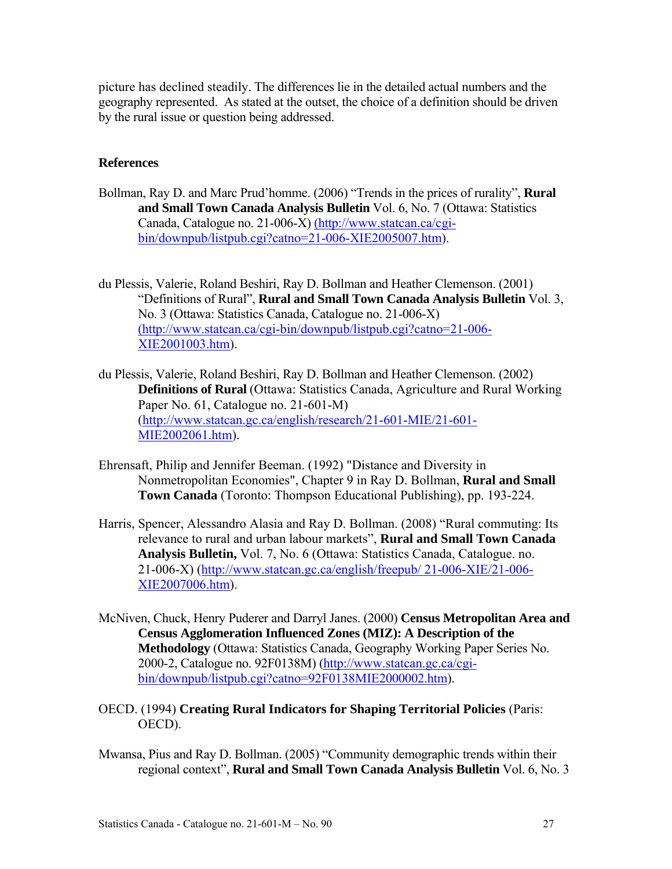picture has declined steadily. The differences lie in the detailed actual numbers and the geography represented. As stated at the outset, the choice of a definition should be driven by the rural issue or question being addressed.

#### **References**

- Bollman, Ray D. and Marc Prud'homme. (2006) "Trends in the prices of rurality", **Rural and Small Town Canada Analysis Bulletin** Vol. 6, No. 7 (Ottawa: Statistics Canada, Catalogue no. 21-006-X) (http://www.statcan.ca/cgibin/downpub/listpub.cgi?catno=21-006-XIE2005007.htm).
- du Plessis, Valerie, Roland Beshiri, Ray D. Bollman and Heather Clemenson. (2001) "Definitions of Rural", **Rural and Small Town Canada Analysis Bulletin** Vol. 3, No. 3 (Ottawa: Statistics Canada, Catalogue no. 21-006-X) (http://www.statcan.ca/cgi-bin/downpub/listpub.cgi?catno=21-006- XIE2001003.htm).
- du Plessis, Valerie, Roland Beshiri, Ray D. Bollman and Heather Clemenson. (2002) **Definitions of Rural** (Ottawa: Statistics Canada, Agriculture and Rural Working Paper No. 61, Catalogue no. 21-601-M) (http://www.statcan.gc.ca/english/research/21-601-MIE/21-601- MIE2002061.htm).
- Ehrensaft, Philip and Jennifer Beeman. (1992) "Distance and Diversity in Nonmetropolitan Economies", Chapter 9 in Ray D. Bollman, **Rural and Small Town Canada** (Toronto: Thompson Educational Publishing), pp. 193-224.
- Harris, Spencer, Alessandro Alasia and Ray D. Bollman. (2008) "Rural commuting: Its relevance to rural and urban labour markets", **Rural and Small Town Canada Analysis Bulletin,** Vol. 7, No. 6 (Ottawa: Statistics Canada, Catalogue. no. 21-006-X) (http://www.statcan.gc.ca/english/freepub/ 21-006-XIE/21-006- XIE2007006.htm).
- McNiven, Chuck, Henry Puderer and Darryl Janes. (2000) **Census Metropolitan Area and Census Agglomeration Influenced Zones (MIZ): A Description of the Methodology** (Ottawa: Statistics Canada, Geography Working Paper Series No. 2000-2, Catalogue no. 92F0138M) (http://www.statcan.gc.ca/cgibin/downpub/listpub.cgi?catno=92F0138MIE2000002.htm).
- OECD. (1994) **Creating Rural Indicators for Shaping Territorial Policies** (Paris: OECD).
- Mwansa, Pius and Ray D. Bollman. (2005) "Community demographic trends within their regional context", **Rural and Small Town Canada Analysis Bulletin** Vol. 6, No. 3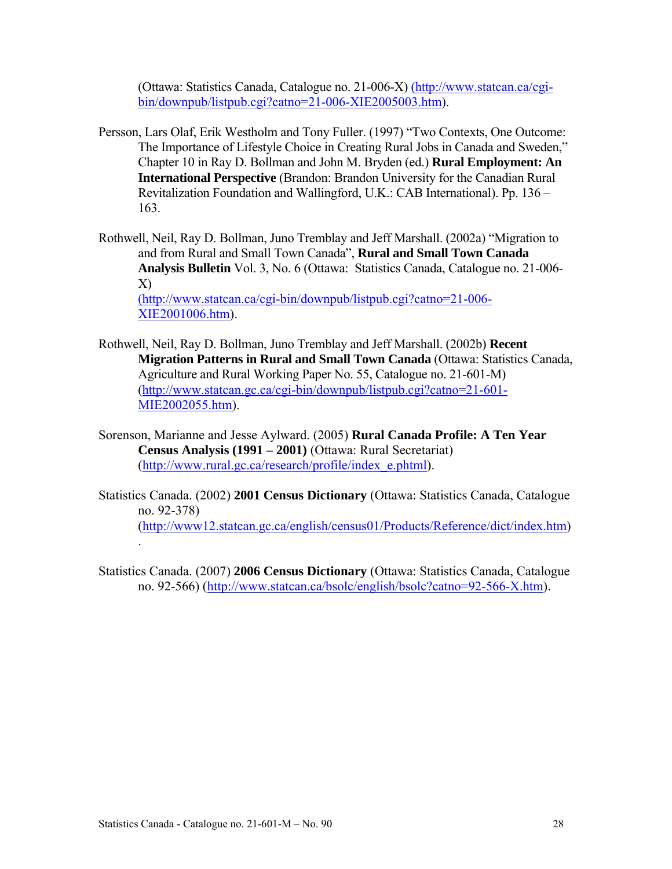(Ottawa: Statistics Canada, Catalogue no. 21-006-X) (http://www.statcan.ca/cgibin/downpub/listpub.cgi?catno=21-006-XIE2005003.htm).

- Persson, Lars Olaf, Erik Westholm and Tony Fuller. (1997) "Two Contexts, One Outcome: The Importance of Lifestyle Choice in Creating Rural Jobs in Canada and Sweden," Chapter 10 in Ray D. Bollman and John M. Bryden (ed.) **Rural Employment: An International Perspective** (Brandon: Brandon University for the Canadian Rural Revitalization Foundation and Wallingford, U.K.: CAB International). Pp. 136 – 163.
- Rothwell, Neil, Ray D. Bollman, Juno Tremblay and Jeff Marshall. (2002a) "Migration to and from Rural and Small Town Canada", **Rural and Small Town Canada Analysis Bulletin** Vol. 3, No. 6 (Ottawa: Statistics Canada, Catalogue no. 21-006- X) (http://www.statcan.ca/cgi-bin/downpub/listpub.cgi?catno=21-006- XIE2001006.htm).
- Rothwell, Neil, Ray D. Bollman, Juno Tremblay and Jeff Marshall. (2002b) **Recent Migration Patterns in Rural and Small Town Canada** (Ottawa: Statistics Canada, Agriculture and Rural Working Paper No. 55, Catalogue no. 21-601-M) (http://www.statcan.gc.ca/cgi-bin/downpub/listpub.cgi?catno=21-601- MIE2002055.htm).
- Sorenson, Marianne and Jesse Aylward. (2005) **Rural Canada Profile: A Ten Year Census Analysis (1991 – 2001)** (Ottawa: Rural Secretariat) (http://www.rural.gc.ca/research/profile/index\_e.phtml).
- Statistics Canada. (2002) **2001 Census Dictionary** (Ottawa: Statistics Canada, Catalogue no. 92-378) (http://www12.statcan.gc.ca/english/census01/Products/Reference/dict/index.htm) .
- Statistics Canada. (2007) **2006 Census Dictionary** (Ottawa: Statistics Canada, Catalogue no. 92-566) (http://www.statcan.ca/bsolc/english/bsolc?catno=92-566-X.htm).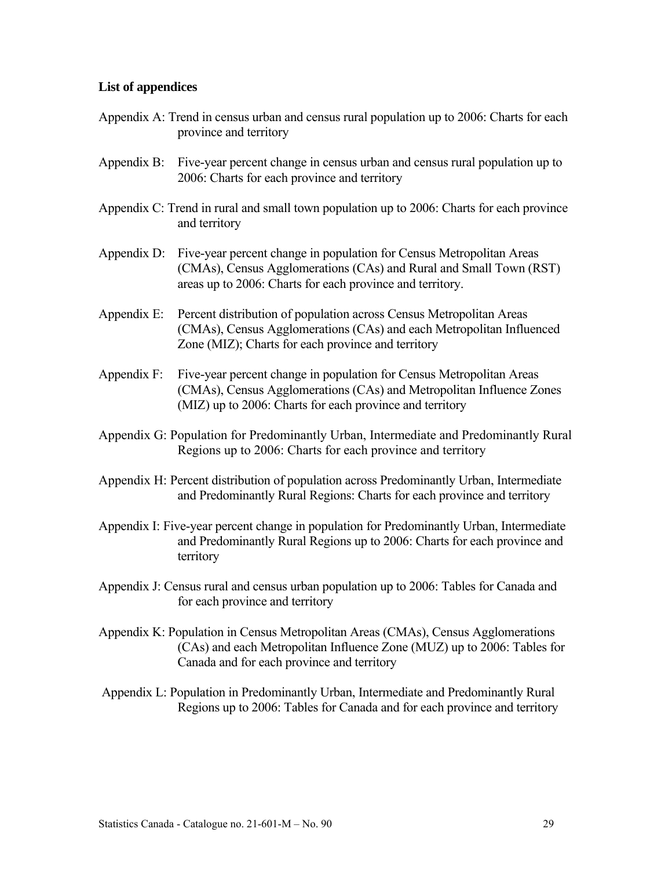#### **List of appendices**

- Appendix A: Trend in census urban and census rural population up to 2006: Charts for each province and territory
- Appendix B: Five-year percent change in census urban and census rural population up to 2006: Charts for each province and territory
- Appendix C: Trend in rural and small town population up to 2006: Charts for each province and territory
- Appendix D: Five-year percent change in population for Census Metropolitan Areas (CMAs), Census Agglomerations (CAs) and Rural and Small Town (RST) areas up to 2006: Charts for each province and territory.
- Appendix E: Percent distribution of population across Census Metropolitan Areas (CMAs), Census Agglomerations (CAs) and each Metropolitan Influenced Zone (MIZ); Charts for each province and territory
- Appendix F: Five-year percent change in population for Census Metropolitan Areas (CMAs), Census Agglomerations (CAs) and Metropolitan Influence Zones (MIZ) up to 2006: Charts for each province and territory
- Appendix G: Population for Predominantly Urban, Intermediate and Predominantly Rural Regions up to 2006: Charts for each province and territory
- Appendix H: Percent distribution of population across Predominantly Urban, Intermediate and Predominantly Rural Regions: Charts for each province and territory
- Appendix I: Five-year percent change in population for Predominantly Urban, Intermediate and Predominantly Rural Regions up to 2006: Charts for each province and territory
- Appendix J: Census rural and census urban population up to 2006: Tables for Canada and for each province and territory
- Appendix K: Population in Census Metropolitan Areas (CMAs), Census Agglomerations (CAs) and each Metropolitan Influence Zone (MUZ) up to 2006: Tables for Canada and for each province and territory
- Appendix L: Population in Predominantly Urban, Intermediate and Predominantly Rural Regions up to 2006: Tables for Canada and for each province and territory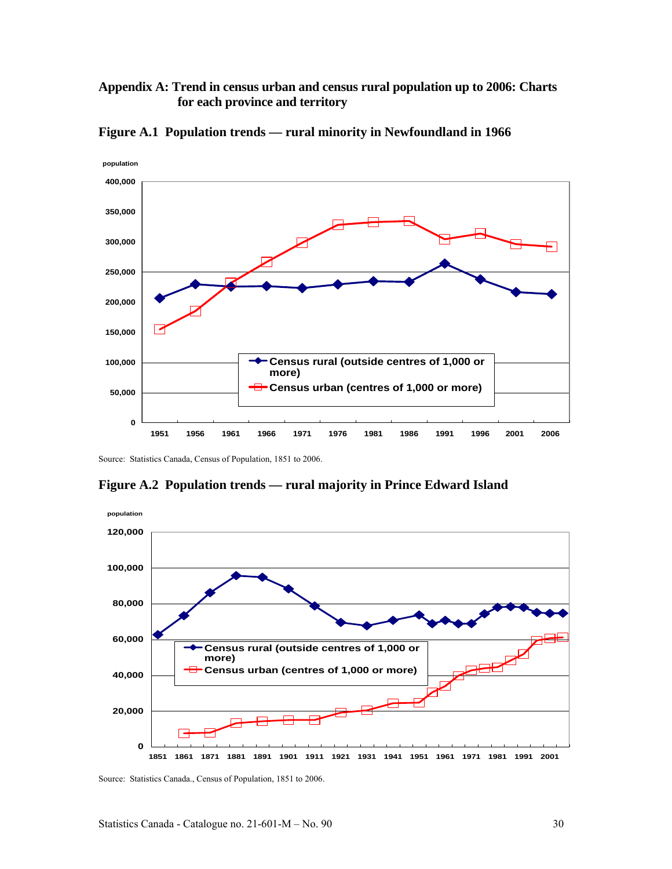#### **Appendix A: Trend in census urban and census rural population up to 2006: Charts for each province and territory**



**Figure A.1 Population trends — rural minority in Newfoundland in 1966** 

Source: Statistics Canada, Census of Population, 1851 to 2006.



**Figure A.2 Population trends — rural majority in Prince Edward Island** 

Source: Statistics Canada., Census of Population, 1851 to 2006.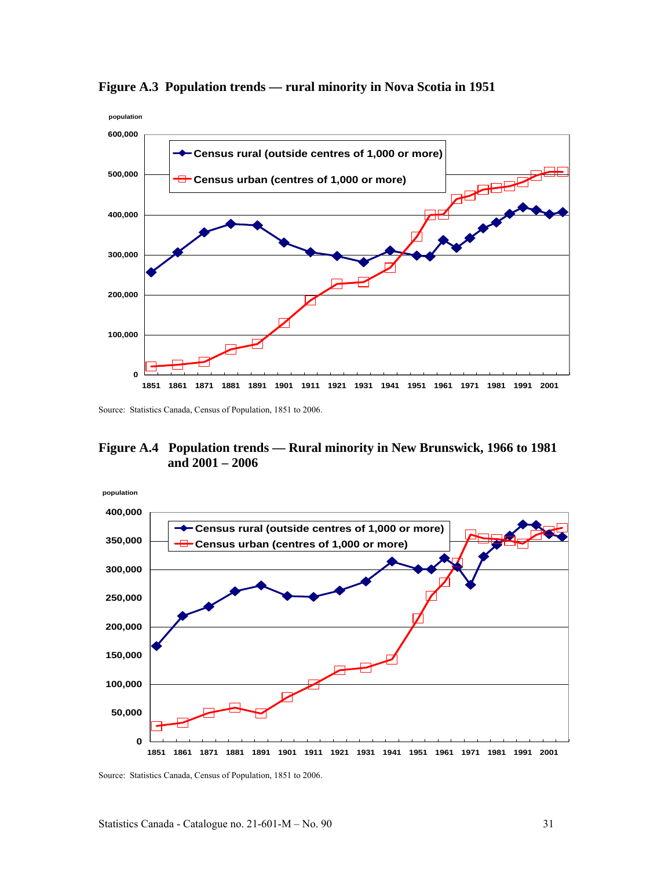

**Figure A.3 Population trends — rural minority in Nova Scotia in 1951** 

Source: Statistics Canada, Census of Population, 1851 to 2006.

#### **Figure A.4 Population trends — Rural minority in New Brunswick, 1966 to 1981 and 2001 – 2006**



Source: Statistics Canada, Census of Population, 1851 to 2006.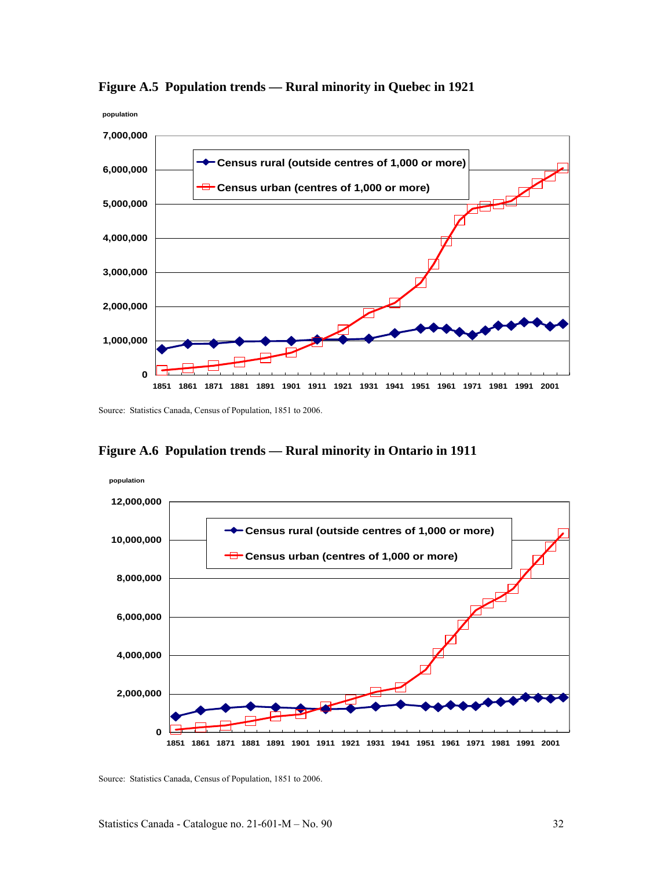

**Figure A.5 Population trends — Rural minority in Quebec in 1921** 

Source: Statistics Canada, Census of Population, 1851 to 2006.





Source: Statistics Canada, Census of Population, 1851 to 2006.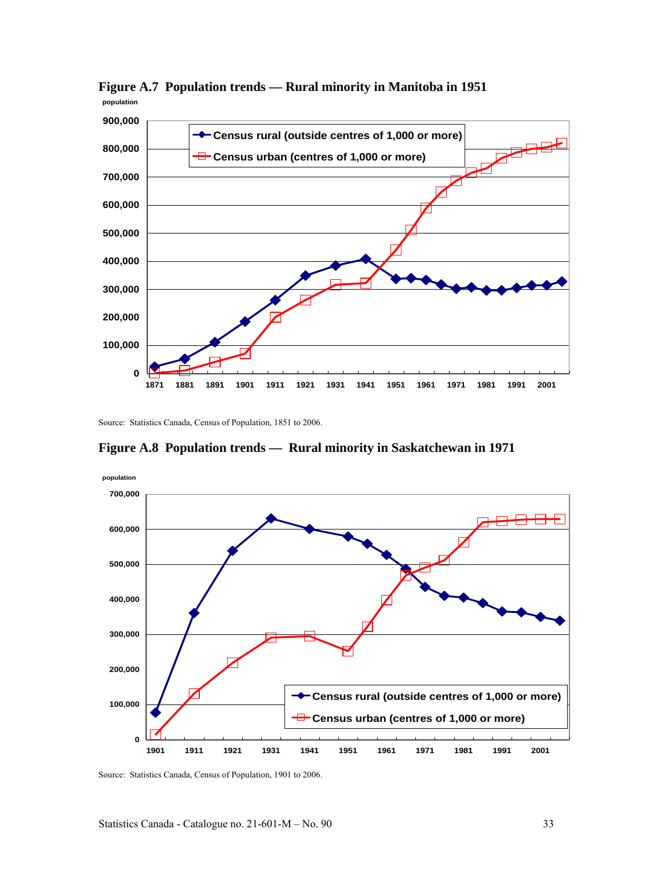

**Figure A.7 Population trends — Rural minority in Manitoba in 1951 population**

Source: Statistics Canada, Census of Population, 1851 to 2006.

**Figure A.8 Population trends — Rural minority in Saskatchewan in 1971** 



Source: Statistics Canada, Census of Population, 1901 to 2006.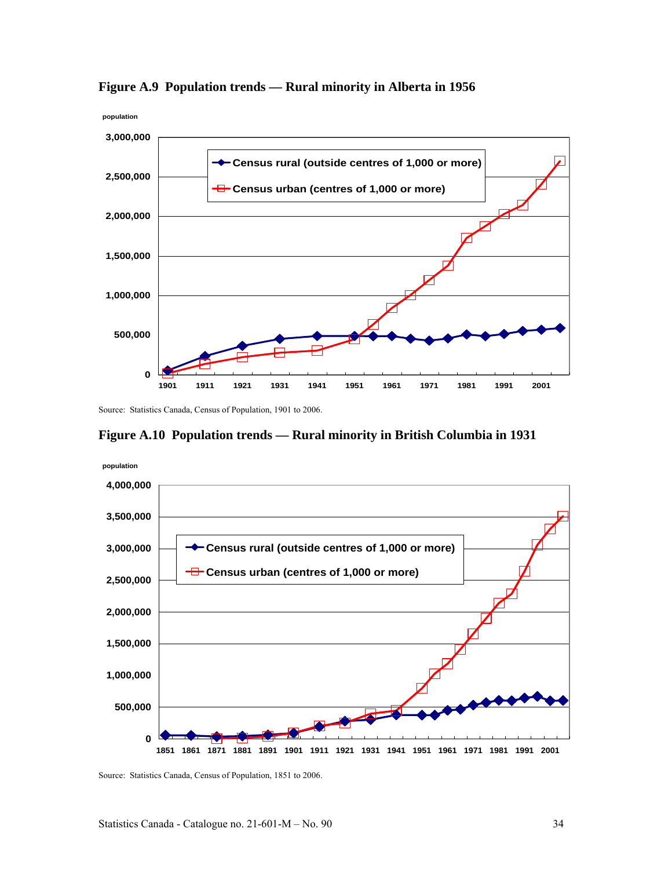

**Figure A.9 Population trends — Rural minority in Alberta in 1956** 

Source: Statistics Canada, Census of Population, 1901 to 2006.





Source: Statistics Canada, Census of Population, 1851 to 2006.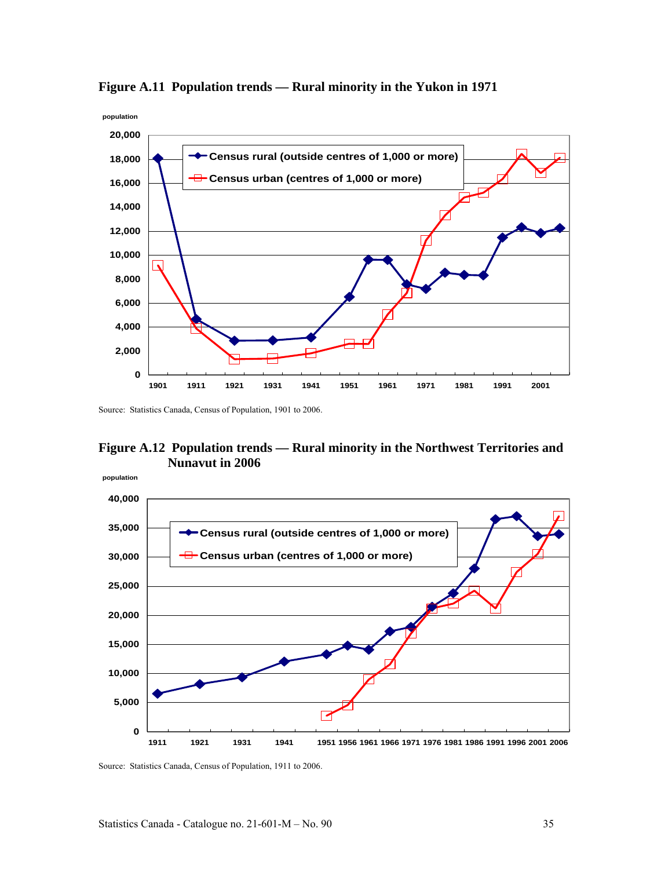

**Figure A.11 Population trends — Rural minority in the Yukon in 1971** 

Source: Statistics Canada, Census of Population, 1901 to 2006.

#### **Figure A.12 Population trends — Rural minority in the Northwest Territories and Nunavut in 2006**



Source: Statistics Canada, Census of Population, 1911 to 2006.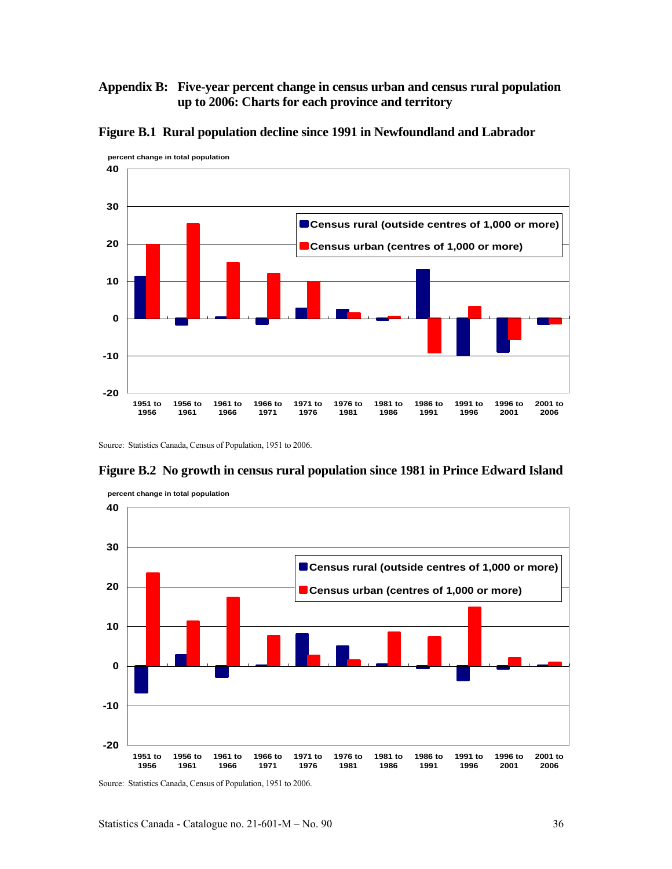#### **Appendix B: Five-year percent change in census urban and census rural population up to 2006: Charts for each province and territory**



**Figure B.1 Rural population decline since 1991 in Newfoundland and Labrador** 

Source: Statistics Canada, Census of Population, 1951 to 2006.

#### **Figure B.2 No growth in census rural population since 1981 in Prince Edward Island**



 **percent change in total population**

Source: Statistics Canada, Census of Population, 1951 to 2006.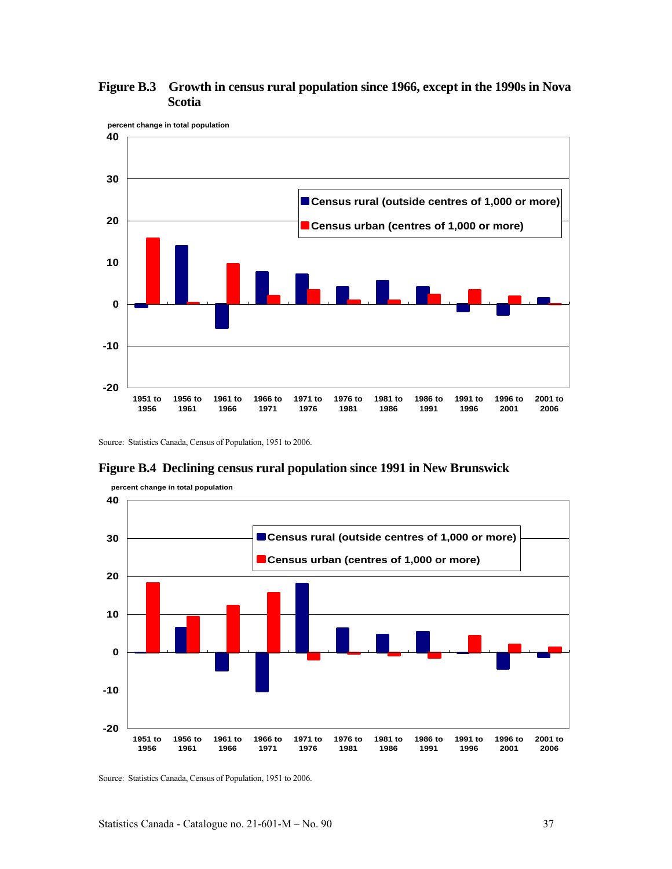

# **Figure B.3 Growth in census rural population since 1966, except in the 1990s in Nova Scotia**

Source: Statistics Canada, Census of Population, 1951 to 2006.

#### **-20 -10 0 10 20 30 40 1951 to 1956 1956 to 1961 1961 to 1966 1966 to 1971 1971 to 1976 1976 to 1981 1981 to 1986 1986 to 1991 1991 to 1996 1996 to 2001 2001 to 2006 percent change in total population Census rural (outside centres of 1,000 or more) Census urban (centres of 1,000 or more)**

**Figure B.4 Declining census rural population since 1991 in New Brunswick**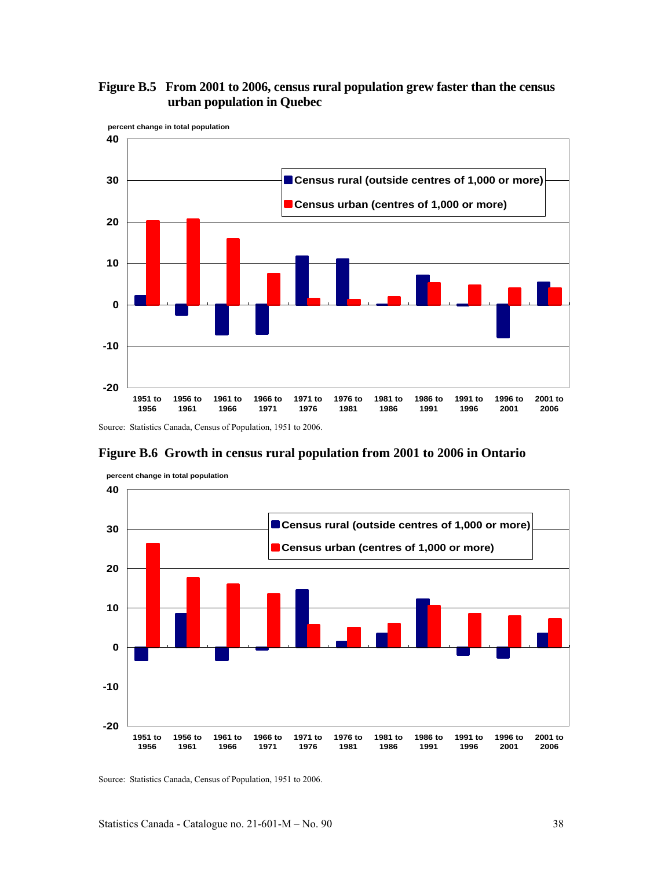# **Figure B.5 From 2001 to 2006, census rural population grew faster than the census urban population in Quebec**



# **Figure B.6 Growth in census rural population from 2001 to 2006 in Ontario**



**percent change in total population**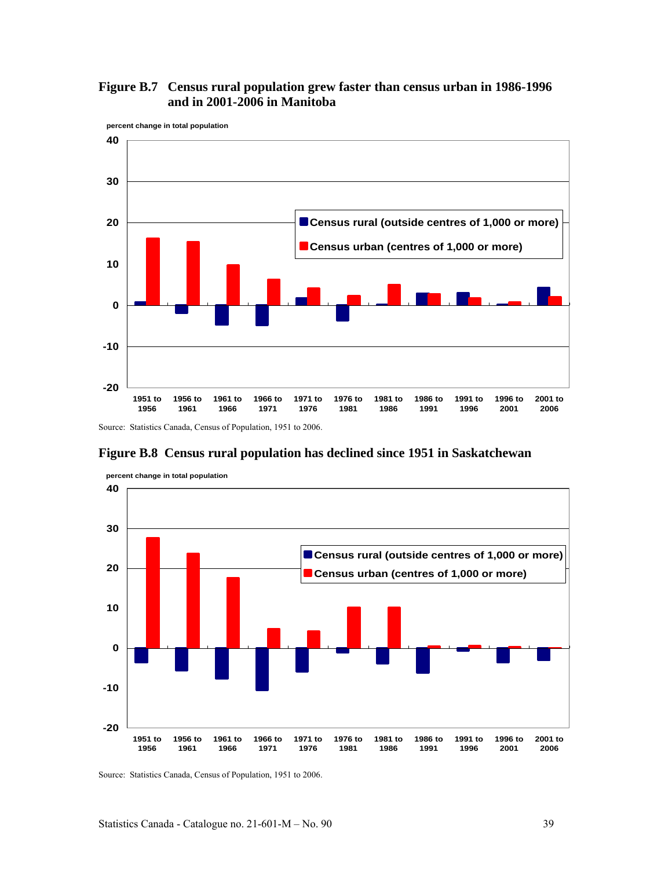



**Figure B.8 Census rural population has declined since 1951 in Saskatchewan** 



**percent change in total population**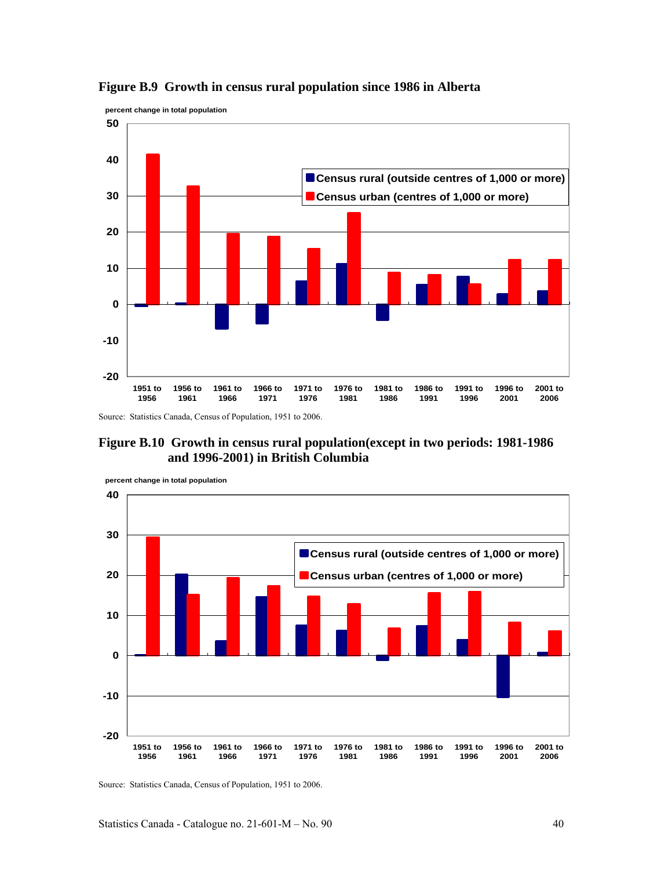



Source: Statistics Canada, Census of Population, 1951 to 2006.



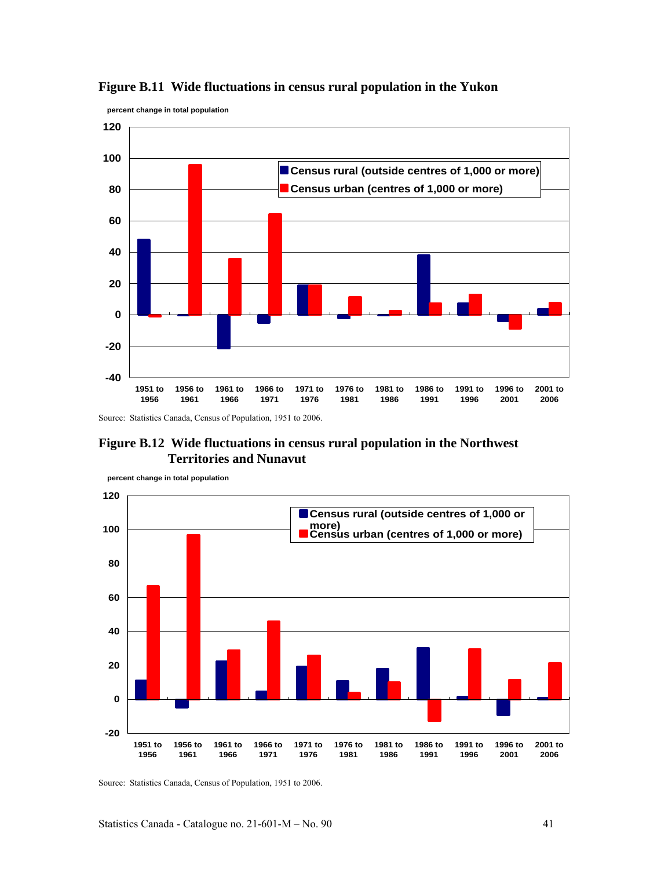



Source: Statistics Canada, Census of Population, 1951 to 2006.

# **Figure B.12 Wide fluctuations in census rural population in the Northwest Territories and Nunavut**



**percent change in total population**

 **percent change in total population**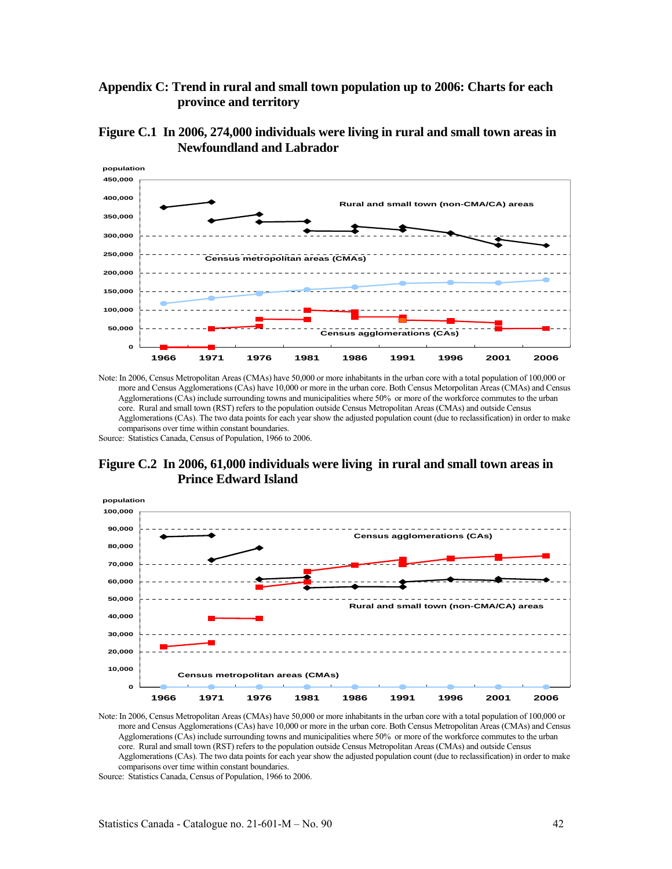# **Appendix C: Trend in rural and small town population up to 2006: Charts for each province and territory**





Note: In 2006, Census Metropolitan Areas (CMAs) have 50,000 or more inhabitants in the urban core with a total population of 100,000 or more and Census Agglomerations (CAs) have 10,000 or more in the urban core. Both Census Metorpolitan Areas (CMAs) and Census Agglomerations (CAs) include surrounding towns and municipalities where 50% or more of the workforce commutes to the urban core. Rural and small town (RST) refers to the population outside Census Metropolitan Areas (CMAs) and outside Census Agglomerations (CAs). The two data points for each year show the adjusted population count (due to reclassification) in order to make comparisons over time within constant boundaries.

Source: Statistics Canada, Census of Population, 1966 to 2006.

# **Figure C.2 In 2006, 61,000 individuals were living in rural and small town areas in Prince Edward Island**



Note: In 2006, Census Metropolitan Areas (CMAs) have 50,000 or more inhabitants in the urban core with a total population of 100,000 or more and Census Agglomerations (CAs) have 10,000 or more in the urban core. Both Census Metropolitan Areas (CMAs) and Census Agglomerations (CAs) include surrounding towns and municipalities where 50% or more of the workforce commutes to the urban core. Rural and small town (RST) refers to the population outside Census Metropolitan Areas (CMAs) and outside Census Agglomerations (CAs). The two data points for each year show the adjusted population count (due to reclassification) in order to make comparisons over time within constant boundaries.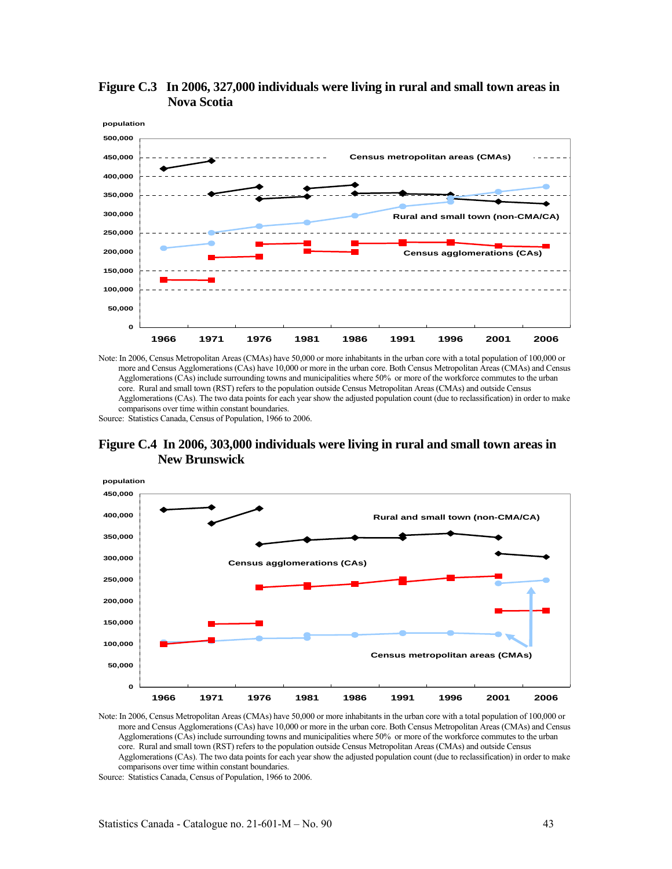

**Figure C.3 In 2006, 327,000 individuals were living in rural and small town areas in Nova Scotia** 

Source: Statistics Canada, Census of Population, 1966 to 2006.





Note: In 2006, Census Metropolitan Areas (CMAs) have 50,000 or more inhabitants in the urban core with a total population of 100,000 or more and Census Agglomerations (CAs) have 10,000 or more in the urban core. Both Census Metropolitan Areas (CMAs) and Census Agglomerations (CAs) include surrounding towns and municipalities where 50% or more of the workforce commutes to the urban core. Rural and small town (RST) refers to the population outside Census Metropolitan Areas (CMAs) and outside Census Agglomerations (CAs). The two data points for each year show the adjusted population count (due to reclassification) in order to make comparisons over time within constant boundaries.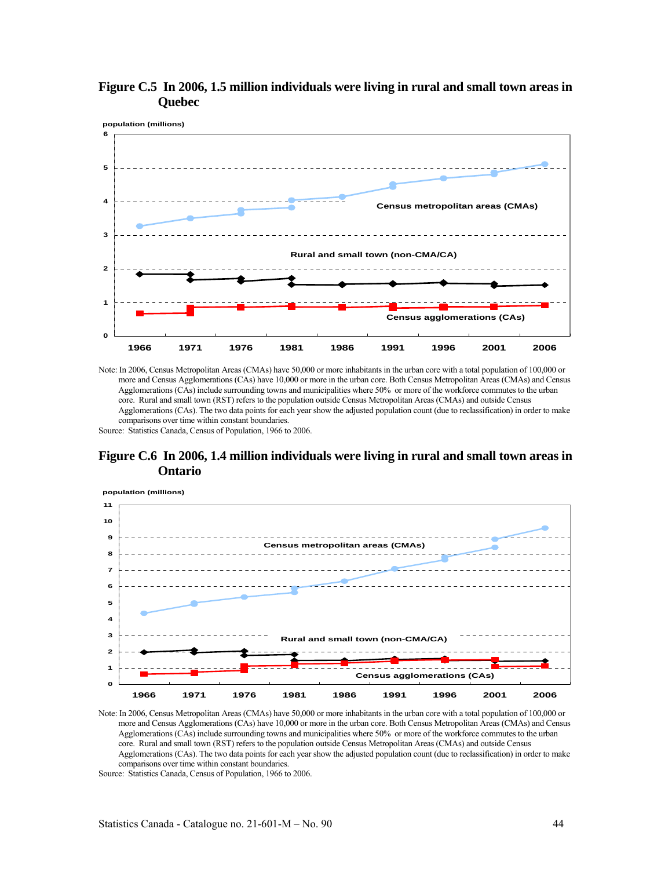



# **Figure C.6 In 2006, 1.4 million individuals were living in rural and small town areas in Ontario**



Note: In 2006, Census Metropolitan Areas (CMAs) have 50,000 or more inhabitants in the urban core with a total population of 100,000 or more and Census Agglomerations (CAs) have 10,000 or more in the urban core. Both Census Metropolitan Areas (CMAs) and Census Agglomerations (CAs) include surrounding towns and municipalities where 50% or more of the workforce commutes to the urban core. Rural and small town (RST) refers to the population outside Census Metropolitan Areas (CMAs) and outside Census Agglomerations (CAs). The two data points for each year show the adjusted population count (due to reclassification) in order to make comparisons over time within constant boundaries.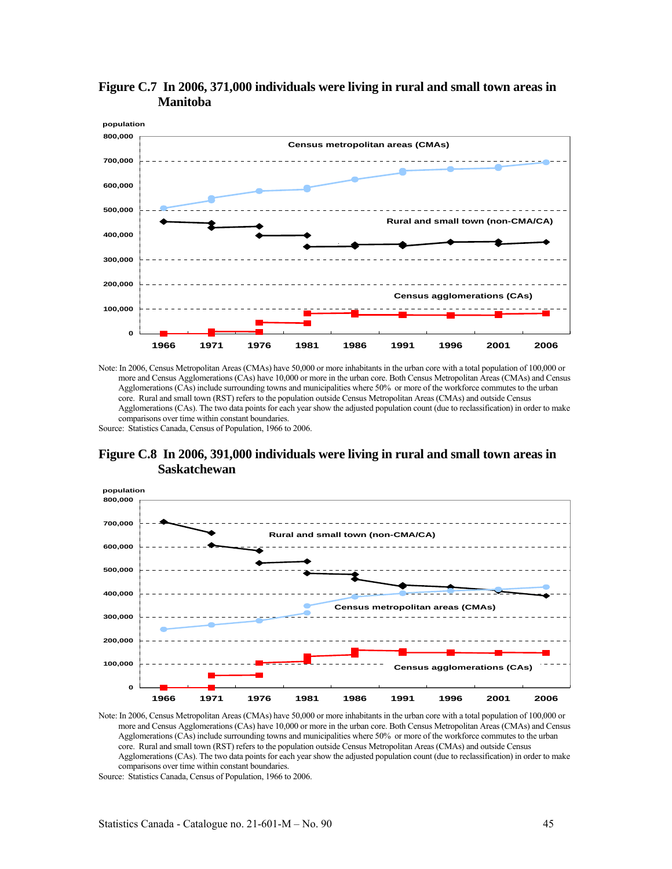







Note: In 2006, Census Metropolitan Areas (CMAs) have 50,000 or more inhabitants in the urban core with a total population of 100,000 or more and Census Agglomerations (CAs) have 10,000 or more in the urban core. Both Census Metropolitan Areas (CMAs) and Census Agglomerations (CAs) include surrounding towns and municipalities where 50% or more of the workforce commutes to the urban core. Rural and small town (RST) refers to the population outside Census Metropolitan Areas (CMAs) and outside Census Agglomerations (CAs). The two data points for each year show the adjusted population count (due to reclassification) in order to make comparisons over time within constant boundaries.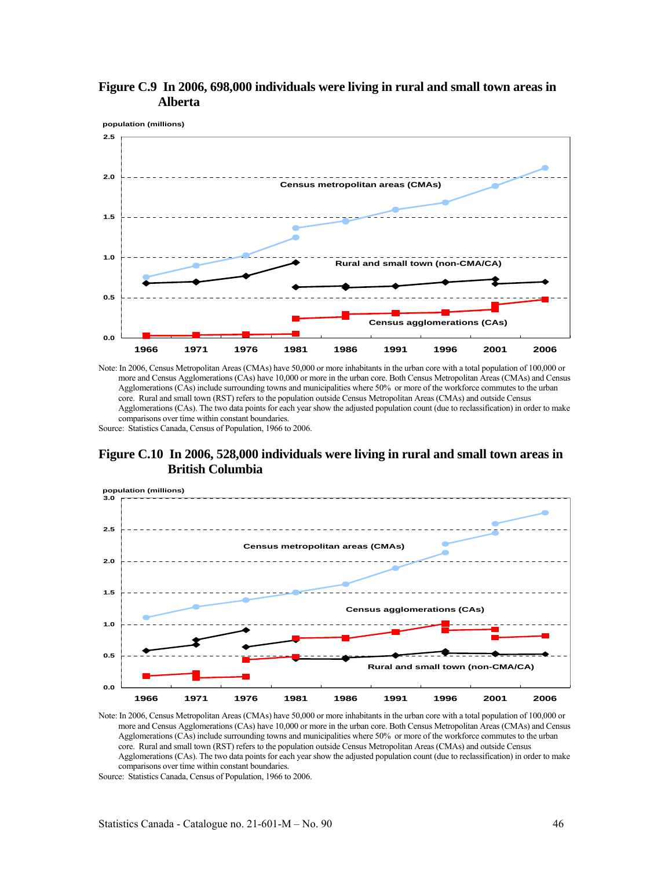







Note: In 2006, Census Metropolitan Areas (CMAs) have 50,000 or more inhabitants in the urban core with a total population of 100,000 or more and Census Agglomerations (CAs) have 10,000 or more in the urban core. Both Census Metropolitan Areas (CMAs) and Census Agglomerations (CAs) include surrounding towns and municipalities where 50% or more of the workforce commutes to the urban core. Rural and small town (RST) refers to the population outside Census Metropolitan Areas (CMAs) and outside Census Agglomerations (CAs). The two data points for each year show the adjusted population count (due to reclassification) in order to make comparisons over time within constant boundaries.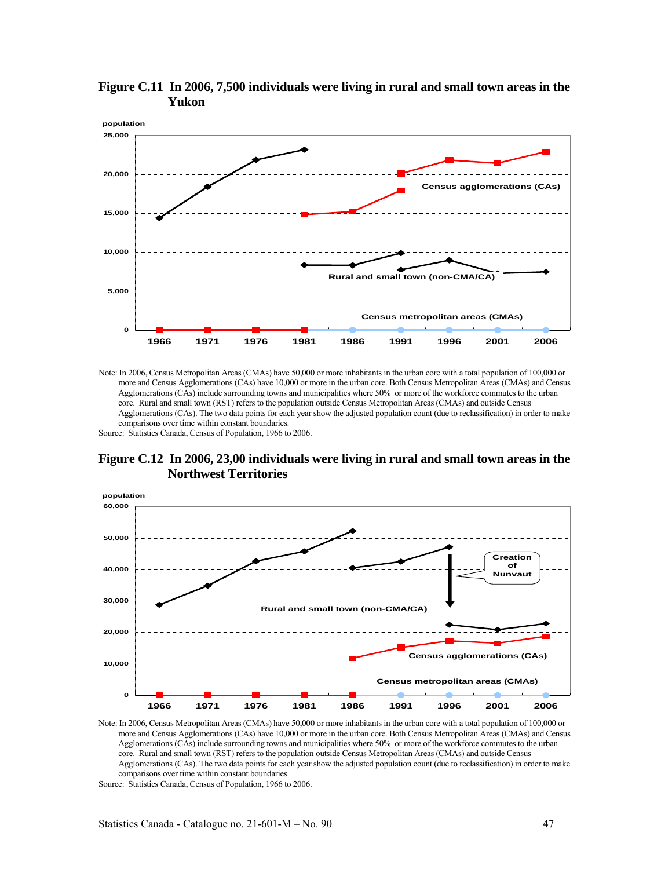

**Figure C.11 In 2006, 7,500 individuals were living in rural and small town areas in the Yukon** 

**Figure C.12 In 2006, 23,00 individuals were living in rural and small town areas in the Northwest Territories** 



Note: In 2006, Census Metropolitan Areas (CMAs) have 50,000 or more inhabitants in the urban core with a total population of 100,000 or more and Census Agglomerations (CAs) have 10,000 or more in the urban core. Both Census Metropolitan Areas (CMAs) and Census Agglomerations (CAs) include surrounding towns and municipalities where 50% or more of the workforce commutes to the urban core. Rural and small town (RST) refers to the population outside Census Metropolitan Areas (CMAs) and outside Census Agglomerations (CAs). The two data points for each year show the adjusted population count (due to reclassification) in order to make comparisons over time within constant boundaries.

Source: Statistics Canada, Census of Population, 1966 to 2006.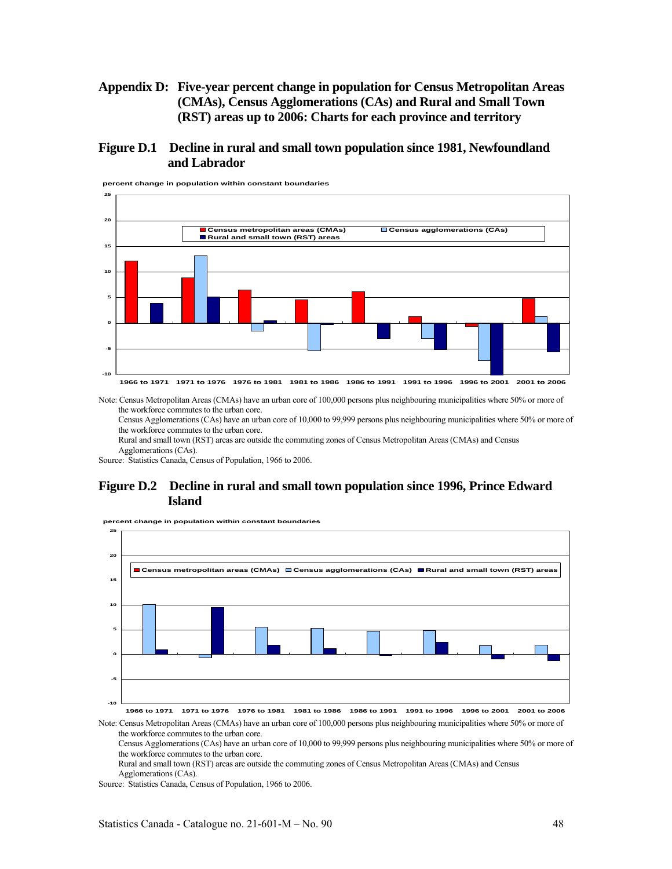# **Appendix D: Five-year percent change in population for Census Metropolitan Areas (CMAs), Census Agglomerations (CAs) and Rural and Small Town (RST) areas up to 2006: Charts for each province and territory**

# **Figure D.1 Decline in rural and small town population since 1981, Newfoundland and Labrador**



**percent change in population within constant boundaries**

Note: Census Metropolitan Areas (CMAs) have an urban core of 100,000 persons plus neighbouring municipalities where 50% or more of the workforce commutes to the urban core.

Census Agglomerations (CAs) have an urban core of 10,000 to 99,999 persons plus neighbouring municipalities where 50% or more of the workforce commutes to the urban core.

Rural and small town (RST) areas are outside the commuting zones of Census Metropolitan Areas (CMAs) and Census Agglomerations (CAs).

Source: Statistics Canada, Census of Population, 1966 to 2006.

# **Figure D.2 Decline in rural and small town population since 1996, Prince Edward Island**



**percent change in population within constant boundaries**

**1966 to 1971 1971 to 1976 1976 to 1981 1981 to 1986 1986 to 1991 1991 to 1996 1996 to 2001 2001 to 2006**

Note: Census Metropolitan Areas (CMAs) have an urban core of 100,000 persons plus neighbouring municipalities where 50% or more of the workforce commutes to the urban core.

Census Agglomerations (CAs) have an urban core of 10,000 to 99,999 persons plus neighbouring municipalities where 50% or more of the workforce commutes to the urban core.

Rural and small town (RST) areas are outside the commuting zones of Census Metropolitan Areas (CMAs) and Census Agglomerations (CAs).

Source: Statistics Canada, Census of Population, 1966 to 2006.

**-10**

**-5**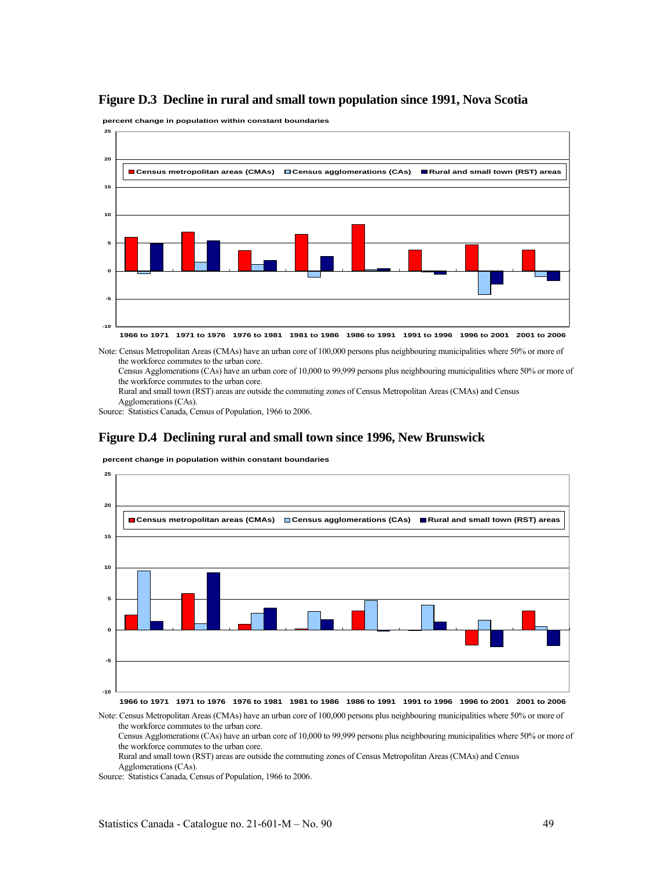

**percent change in population within constant boundaries**



Note: Census Metropolitan Areas (CMAs) have an urban core of 100,000 persons plus neighbouring municipalities where 50% or more of the workforce commutes to the urban core.

Census Agglomerations (CAs) have an urban core of 10,000 to 99,999 persons plus neighbouring municipalities where 50% or more of the workforce commutes to the urban core.

Rural and small town (RST) areas are outside the commuting zones of Census Metropolitan Areas (CMAs) and Census Agglomerations (CAs).

Source: Statistics Canada, Census of Population, 1966 to 2006.

# **Figure D.4 Declining rural and small town since 1996, New Brunswick**



**percent change in population within constant boundaries**

**1966 to 1971 1971 to 1976 1976 to 1981 1981 to 1986 1986 to 1991 1991 to 1996 1996 to 2001 2001 to 2006**

Note: Census Metropolitan Areas (CMAs) have an urban core of 100,000 persons plus neighbouring municipalities where 50% or more of the workforce commutes to the urban core.

Census Agglomerations (CAs) have an urban core of 10,000 to 99,999 persons plus neighbouring municipalities where 50% or more of the workforce commutes to the urban core.

Rural and small town (RST) areas are outside the commuting zones of Census Metropolitan Areas (CMAs) and Census Agglomerations (CAs).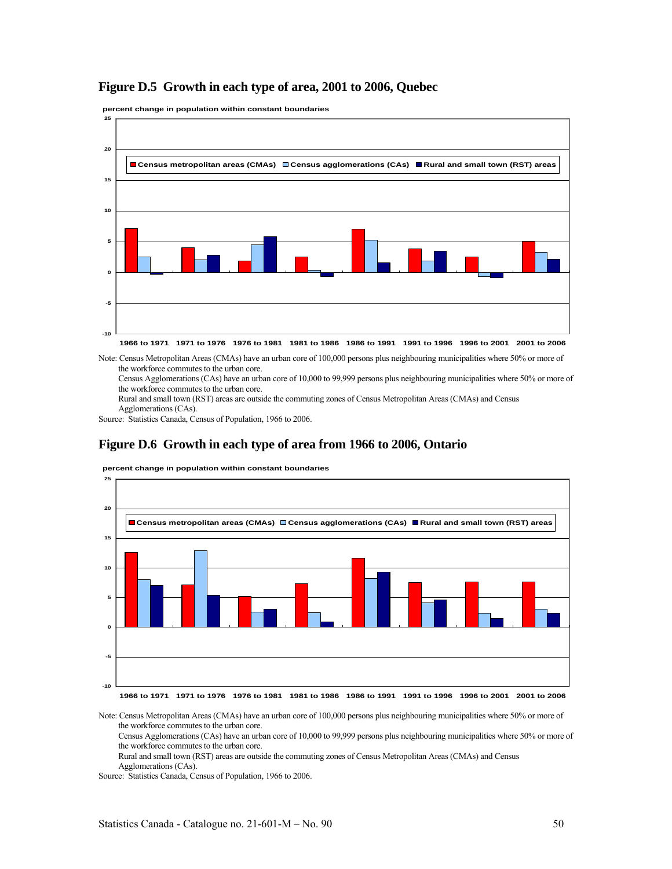# **Figure D.5 Growth in each type of area, 2001 to 2006, Quebec**

**percent change in population within constant boundaries**



**1966 to 1971 1971 to 1976 1976 to 1981 1981 to 1986 1986 to 1991 1991 to 1996 1996 to 2001 2001 to 2006**

Note: Census Metropolitan Areas (CMAs) have an urban core of 100,000 persons plus neighbouring municipalities where 50% or more of the workforce commutes to the urban core.

Census Agglomerations (CAs) have an urban core of 10,000 to 99,999 persons plus neighbouring municipalities where 50% or more of the workforce commutes to the urban core.

Rural and small town (RST) areas are outside the commuting zones of Census Metropolitan Areas (CMAs) and Census Agglomerations (CAs).

Source: Statistics Canada, Census of Population, 1966 to 2006.

### **Figure D.6 Growth in each type of area from 1966 to 2006, Ontario**

**percent change in population within constant boundaries**



Note: Census Metropolitan Areas (CMAs) have an urban core of 100,000 persons plus neighbouring municipalities where 50% or more of the workforce commutes to the urban core.

Census Agglomerations (CAs) have an urban core of 10,000 to 99,999 persons plus neighbouring municipalities where 50% or more of the workforce commutes to the urban core.

Rural and small town (RST) areas are outside the commuting zones of Census Metropolitan Areas (CMAs) and Census

Agglomerations (CAs).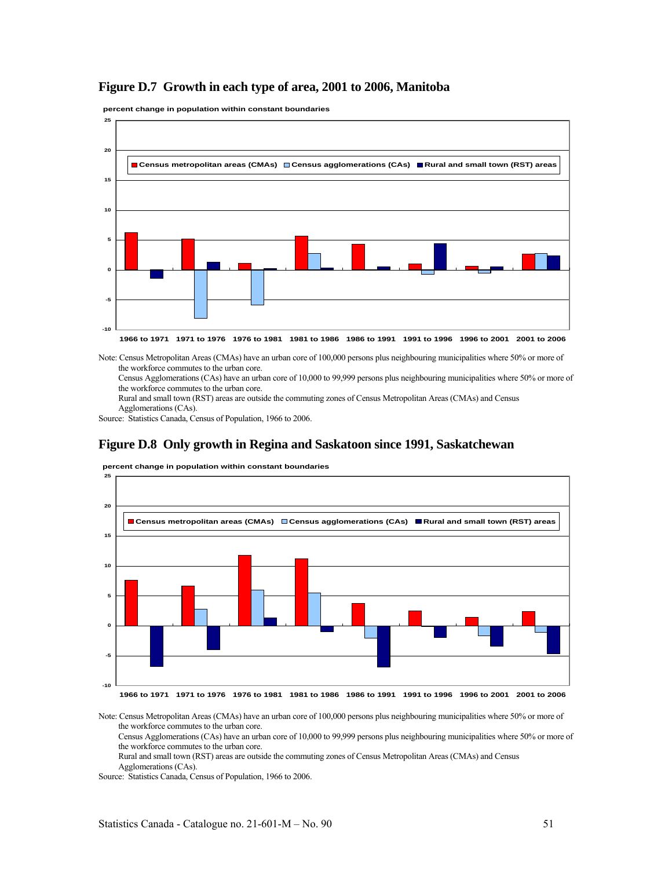# **Figure D.7 Growth in each type of area, 2001 to 2006, Manitoba**

**percent change in population within constant boundaries**



Note: Census Metropolitan Areas (CMAs) have an urban core of 100,000 persons plus neighbouring municipalities where 50% or more of the workforce commutes to the urban core.

Census Agglomerations (CAs) have an urban core of 10,000 to 99,999 persons plus neighbouring municipalities where 50% or more of the workforce commutes to the urban core.

Rural and small town (RST) areas are outside the commuting zones of Census Metropolitan Areas (CMAs) and Census Agglomerations (CAs).

Source: Statistics Canada, Census of Population, 1966 to 2006.

### **Figure D.8 Only growth in Regina and Saskatoon since 1991, Saskatchewan**



**percent change in population within constant boundaries**

Note: Census Metropolitan Areas (CMAs) have an urban core of 100,000 persons plus neighbouring municipalities where 50% or more of the workforce commutes to the urban core.

Census Agglomerations (CAs) have an urban core of 10,000 to 99,999 persons plus neighbouring municipalities where 50% or more of the workforce commutes to the urban core.

Rural and small town (RST) areas are outside the commuting zones of Census Metropolitan Areas (CMAs) and Census

Agglomerations (CAs).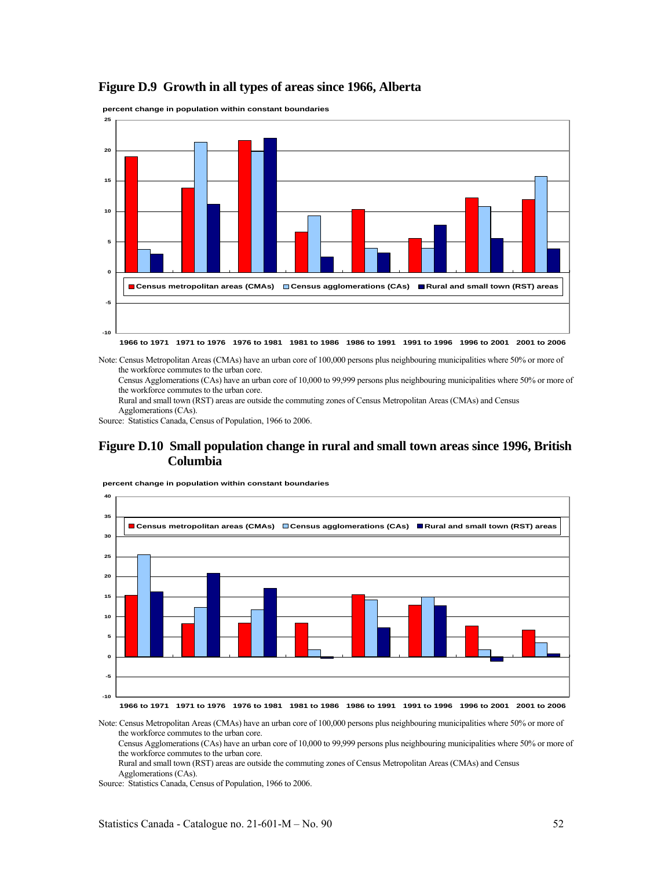# **Figure D.9 Growth in all types of areas since 1966, Alberta**

**percent change in population within constant boundaries**



**1966 to 1971 1971 to 1976 1976 to 1981 1981 to 1986 1986 to 1991 1991 to 1996 1996 to 2001 2001 to 2006**

Note: Census Metropolitan Areas (CMAs) have an urban core of 100,000 persons plus neighbouring municipalities where 50% or more of the workforce commutes to the urban core.

Census Agglomerations (CAs) have an urban core of 10,000 to 99,999 persons plus neighbouring municipalities where 50% or more of the workforce commutes to the urban core.

Rural and small town (RST) areas are outside the commuting zones of Census Metropolitan Areas (CMAs) and Census Agglomerations (CAs).

Source: Statistics Canada, Census of Population, 1966 to 2006.

# **Figure D.10 Small population change in rural and small town areas since 1996, British Columbia**



**percent change in population within constant boundaries**

Note: Census Metropolitan Areas (CMAs) have an urban core of 100,000 persons plus neighbouring municipalities where 50% or more of the workforce commutes to the urban core.

Census Agglomerations (CAs) have an urban core of 10,000 to 99,999 persons plus neighbouring municipalities where 50% or more of the workforce commutes to the urban core.

Rural and small town (RST) areas are outside the commuting zones of Census Metropolitan Areas (CMAs) and Census Agglomerations (CAs).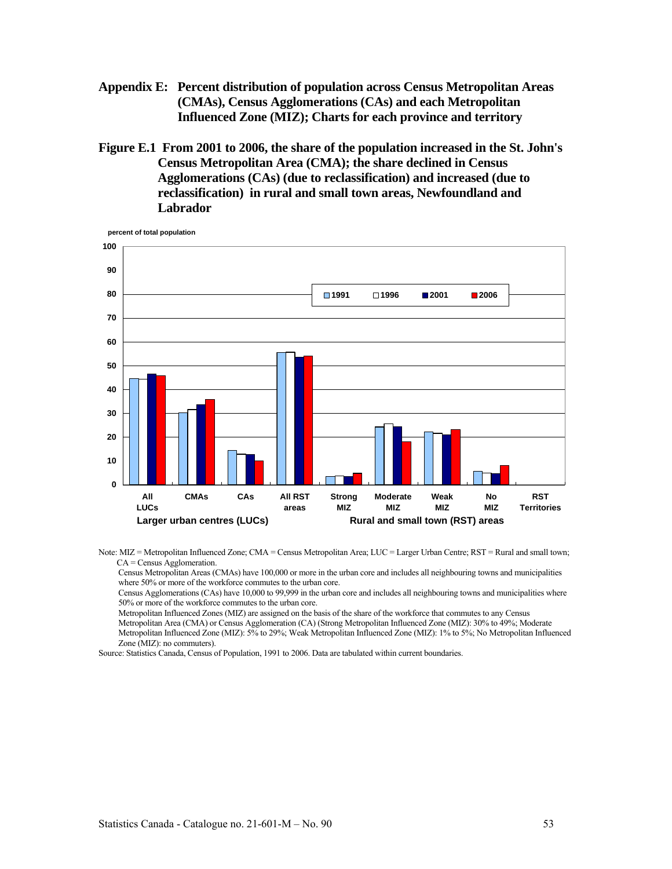- **Appendix E: Percent distribution of population across Census Metropolitan Areas (CMAs), Census Agglomerations (CAs) and each Metropolitan Influenced Zone (MIZ); Charts for each province and territory**
- **Figure E.1 From 2001 to 2006, the share of the population increased in the St. John's Census Metropolitan Area (CMA); the share declined in Census Agglomerations (CAs) (due to reclassification) and increased (due to reclassification) in rural and small town areas, Newfoundland and Labrador**



Note: MIZ = Metropolitan Influenced Zone; CMA = Census Metropolitan Area; LUC = Larger Urban Centre; RST = Rural and small town; CA = Census Agglomeration.

Census Metropolitan Areas (CMAs) have 100,000 or more in the urban core and includes all neighbouring towns and municipalities where 50% or more of the workforce commutes to the urban core.

Census Agglomerations (CAs) have 10,000 to 99,999 in the urban core and includes all neighbouring towns and municipalities where 50% or more of the workforce commutes to the urban core.

Metropolitan Influenced Zones (MIZ) are assigned on the basis of the share of the workforce that commutes to any Census Metropolitan Area (CMA) or Census Agglomeration (CA) (Strong Metropolitan Influenced Zone (MIZ): 30% to 49%; Moderate Metropolitan Influenced Zone (MIZ): 5% to 29%; Weak Metropolitan Influenced Zone (MIZ): 1% to 5%; No Metropolitan Influenced Zone (MIZ): no commuters).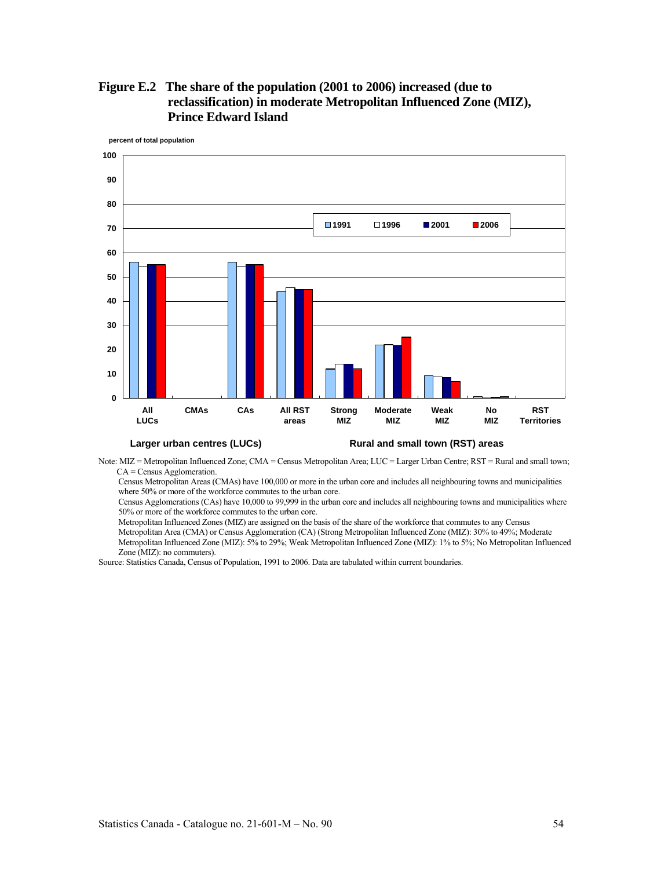

**Figure E.2 The share of the population (2001 to 2006) increased (due to reclassification) in moderate Metropolitan Influenced Zone (MIZ), Prince Edward Island** 

**Larger urban centres (LUCs) Rural and small town (RST) areas**

Note: MIZ = Metropolitan Influenced Zone; CMA = Census Metropolitan Area; LUC = Larger Urban Centre; RST = Rural and small town; CA = Census Agglomeration.

Census Metropolitan Areas (CMAs) have 100,000 or more in the urban core and includes all neighbouring towns and municipalities where 50% or more of the workforce commutes to the urban core.

Census Agglomerations (CAs) have 10,000 to 99,999 in the urban core and includes all neighbouring towns and municipalities where 50% or more of the workforce commutes to the urban core.

Metropolitan Influenced Zones (MIZ) are assigned on the basis of the share of the workforce that commutes to any Census Metropolitan Area (CMA) or Census Agglomeration (CA) (Strong Metropolitan Influenced Zone (MIZ): 30% to 49%; Moderate

Metropolitan Influenced Zone (MIZ): 5% to 29%; Weak Metropolitan Influenced Zone (MIZ): 1% to 5%; No Metropolitan Influenced Zone (MIZ): no commuters).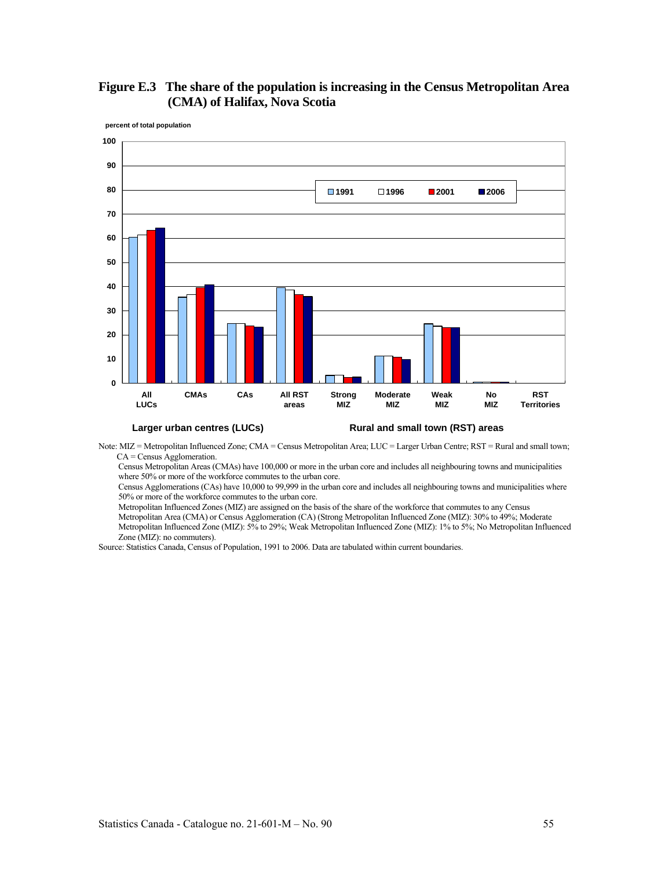

# **Figure E.3 The share of the population is increasing in the Census Metropolitan Area (CMA) of Halifax, Nova Scotia**

### **Larger urban centres (LUCs) Rural and small town (RST) areas**

Note: MIZ = Metropolitan Influenced Zone; CMA = Census Metropolitan Area; LUC = Larger Urban Centre; RST = Rural and small town; CA = Census Agglomeration.

Census Metropolitan Areas (CMAs) have 100,000 or more in the urban core and includes all neighbouring towns and municipalities where 50% or more of the workforce commutes to the urban core.

Census Agglomerations (CAs) have 10,000 to 99,999 in the urban core and includes all neighbouring towns and municipalities where 50% or more of the workforce commutes to the urban core.

Metropolitan Influenced Zones (MIZ) are assigned on the basis of the share of the workforce that commutes to any Census

Metropolitan Area (CMA) or Census Agglomeration (CA) (Strong Metropolitan Influenced Zone (MIZ): 30% to 49%; Moderate Metropolitan Influenced Zone (MIZ): 5% to 29%; Weak Metropolitan Influenced Zone (MIZ): 1% to 5%; No Metropolitan Influenced Zone (MIZ): no commuters).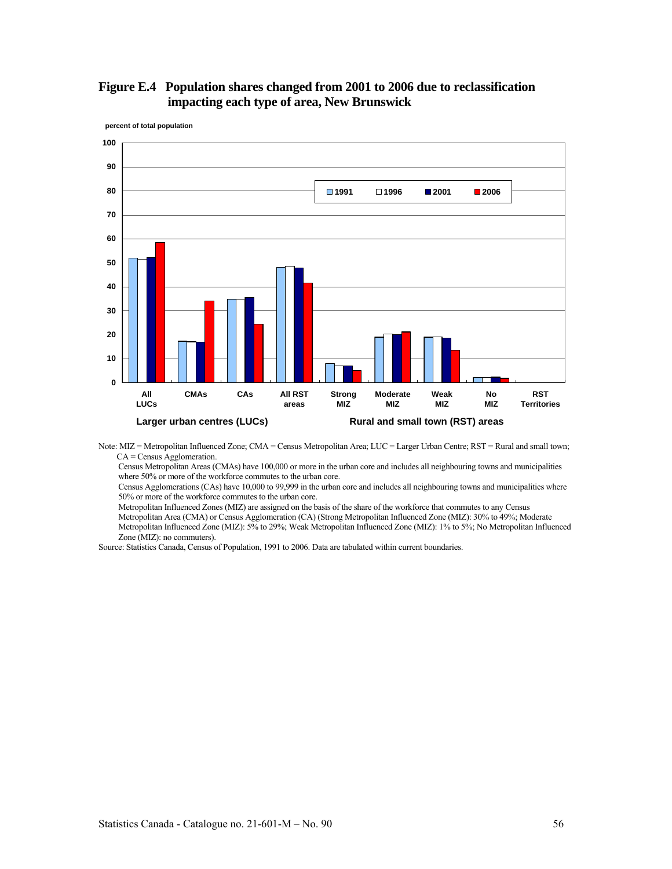



Note: MIZ = Metropolitan Influenced Zone; CMA = Census Metropolitan Area; LUC = Larger Urban Centre; RST = Rural and small town; CA = Census Agglomeration.

Census Metropolitan Areas (CMAs) have 100,000 or more in the urban core and includes all neighbouring towns and municipalities where 50% or more of the workforce commutes to the urban core.

Census Agglomerations (CAs) have 10,000 to 99,999 in the urban core and includes all neighbouring towns and municipalities where 50% or more of the workforce commutes to the urban core.

Metropolitan Influenced Zones (MIZ) are assigned on the basis of the share of the workforce that commutes to any Census

Metropolitan Area (CMA) or Census Agglomeration (CA) (Strong Metropolitan Influenced Zone (MIZ): 30% to 49%; Moderate Metropolitan Influenced Zone (MIZ): 5% to 29%; Weak Metropolitan Influenced Zone (MIZ): 1% to 5%; No Metropolitan Influenced Zone (MIZ): no commuters).

Source: Statistics Canada, Census of Population, 1991 to 2006. Data are tabulated within current boundaries.

# **100**

**percent of total population**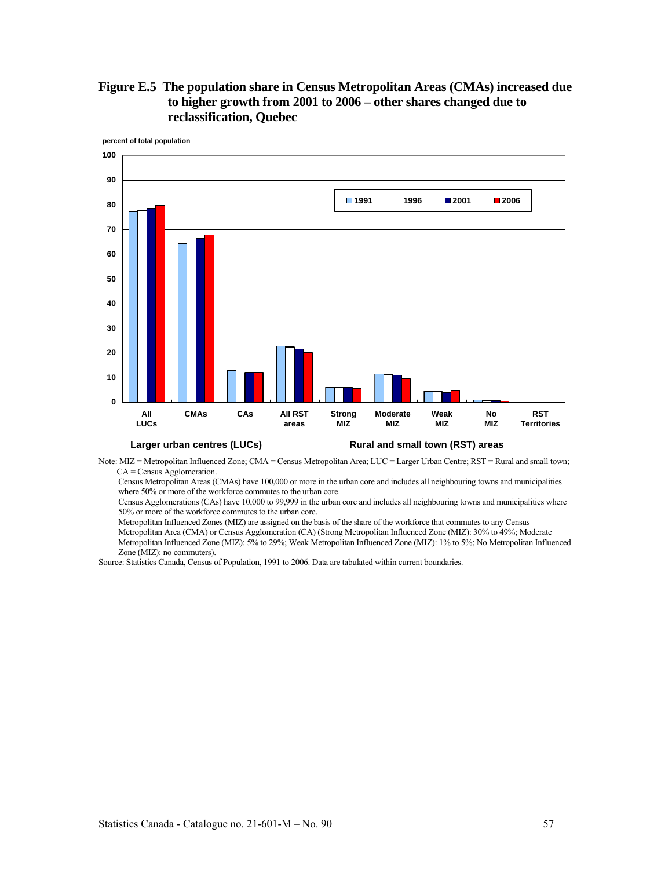



Note: MIZ = Metropolitan Influenced Zone; CMA = Census Metropolitan Area; LUC = Larger Urban Centre; RST = Rural and small town; CA = Census Agglomeration.

Census Metropolitan Areas (CMAs) have 100,000 or more in the urban core and includes all neighbouring towns and municipalities where 50% or more of the workforce commutes to the urban core.

Census Agglomerations (CAs) have 10,000 to 99,999 in the urban core and includes all neighbouring towns and municipalities where 50% or more of the workforce commutes to the urban core.

Metropolitan Influenced Zones (MIZ) are assigned on the basis of the share of the workforce that commutes to any Census Metropolitan Area (CMA) or Census Agglomeration (CA) (Strong Metropolitan Influenced Zone (MIZ): 30% to 49%; Moderate

Metropolitan Influenced Zone (MIZ): 5% to 29%; Weak Metropolitan Influenced Zone (MIZ): 1% to 5%; No Metropolitan Influenced Zone (MIZ): no commuters).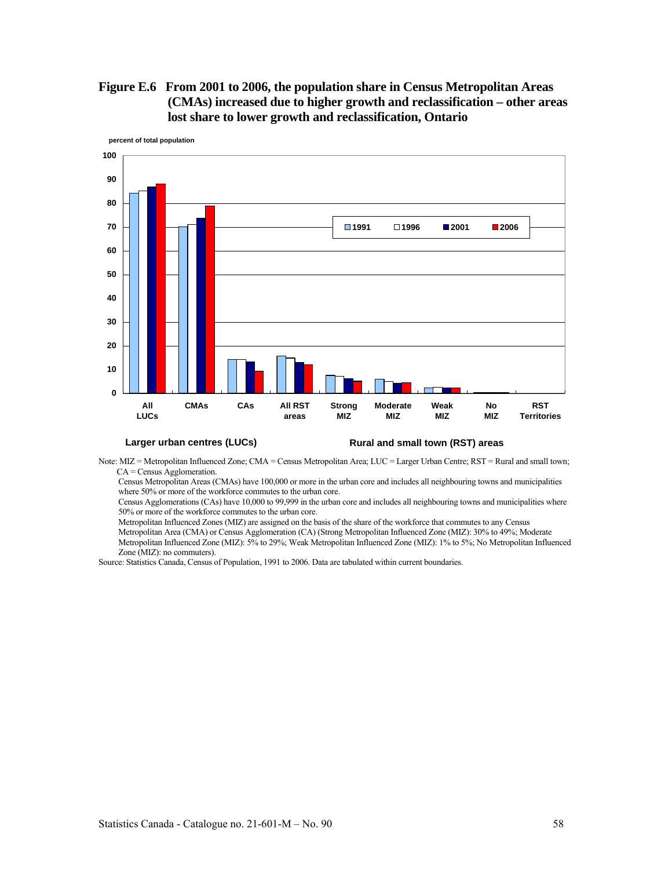**Figure E.6 From 2001 to 2006, the population share in Census Metropolitan Areas (CMAs) increased due to higher growth and reclassification – other areas lost share to lower growth and reclassification, Ontario** 



**Larger urban centres (LUCs) Rural and small town (RST) areas**

Note: MIZ = Metropolitan Influenced Zone; CMA = Census Metropolitan Area; LUC = Larger Urban Centre; RST = Rural and small town; CA = Census Agglomeration.

Census Metropolitan Areas (CMAs) have 100,000 or more in the urban core and includes all neighbouring towns and municipalities where 50% or more of the workforce commutes to the urban core.

Census Agglomerations (CAs) have 10,000 to 99,999 in the urban core and includes all neighbouring towns and municipalities where 50% or more of the workforce commutes to the urban core.

Metropolitan Influenced Zones (MIZ) are assigned on the basis of the share of the workforce that commutes to any Census Metropolitan Area (CMA) or Census Agglomeration (CA) (Strong Metropolitan Influenced Zone (MIZ): 30% to 49%; Moderate

Metropolitan Influenced Zone (MIZ): 5% to 29%; Weak Metropolitan Influenced Zone (MIZ): 1% to 5%; No Metropolitan Influenced Zone (MIZ): no commuters).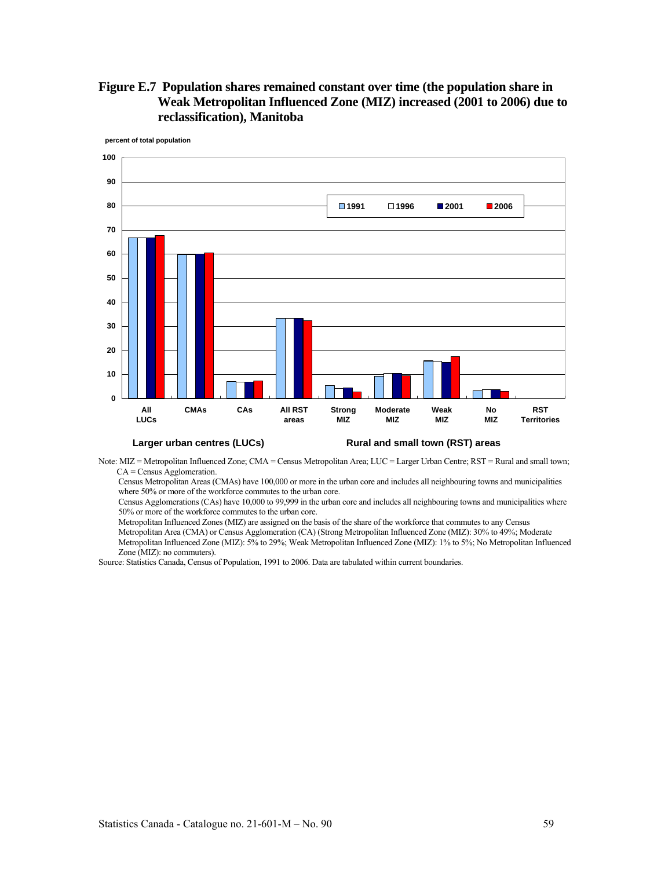# **Figure E.7 Population shares remained constant over time (the population share in Weak Metropolitan Influenced Zone (MIZ) increased (2001 to 2006) due to reclassification), Manitoba**



#### Note: MIZ = Metropolitan Influenced Zone; CMA = Census Metropolitan Area; LUC = Larger Urban Centre; RST = Rural and small town; CA = Census Agglomeration.

Census Metropolitan Areas (CMAs) have 100,000 or more in the urban core and includes all neighbouring towns and municipalities where 50% or more of the workforce commutes to the urban core.

Census Agglomerations (CAs) have 10,000 to 99,999 in the urban core and includes all neighbouring towns and municipalities where 50% or more of the workforce commutes to the urban core.

Metropolitan Influenced Zones (MIZ) are assigned on the basis of the share of the workforce that commutes to any Census

Metropolitan Area (CMA) or Census Agglomeration (CA) (Strong Metropolitan Influenced Zone (MIZ): 30% to 49%; Moderate Metropolitan Influenced Zone (MIZ): 5% to 29%; Weak Metropolitan Influenced Zone (MIZ): 1% to 5%; No Metropolitan Influenced Zone (MIZ): no commuters).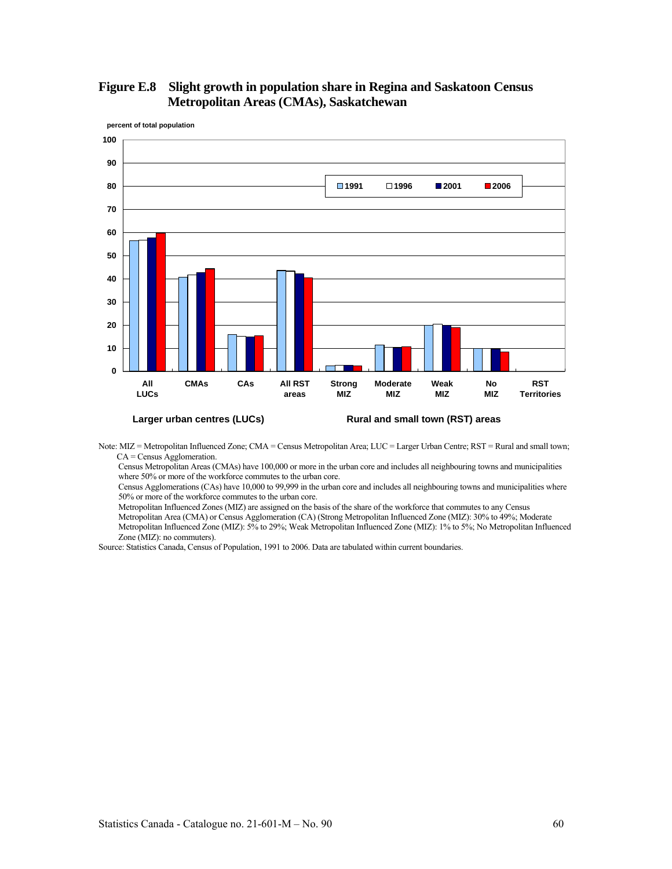



Note: MIZ = Metropolitan Influenced Zone; CMA = Census Metropolitan Area; LUC = Larger Urban Centre; RST = Rural and small town; CA = Census Agglomeration.

Census Metropolitan Areas (CMAs) have 100,000 or more in the urban core and includes all neighbouring towns and municipalities where 50% or more of the workforce commutes to the urban core.

Census Agglomerations (CAs) have 10,000 to 99,999 in the urban core and includes all neighbouring towns and municipalities where 50% or more of the workforce commutes to the urban core.

Metropolitan Influenced Zones (MIZ) are assigned on the basis of the share of the workforce that commutes to any Census

Metropolitan Area (CMA) or Census Agglomeration (CA) (Strong Metropolitan Influenced Zone (MIZ): 30% to 49%; Moderate Metropolitan Influenced Zone (MIZ): 5% to 29%; Weak Metropolitan Influenced Zone (MIZ): 1% to 5%; No Metropolitan Influenced Zone (MIZ): no commuters).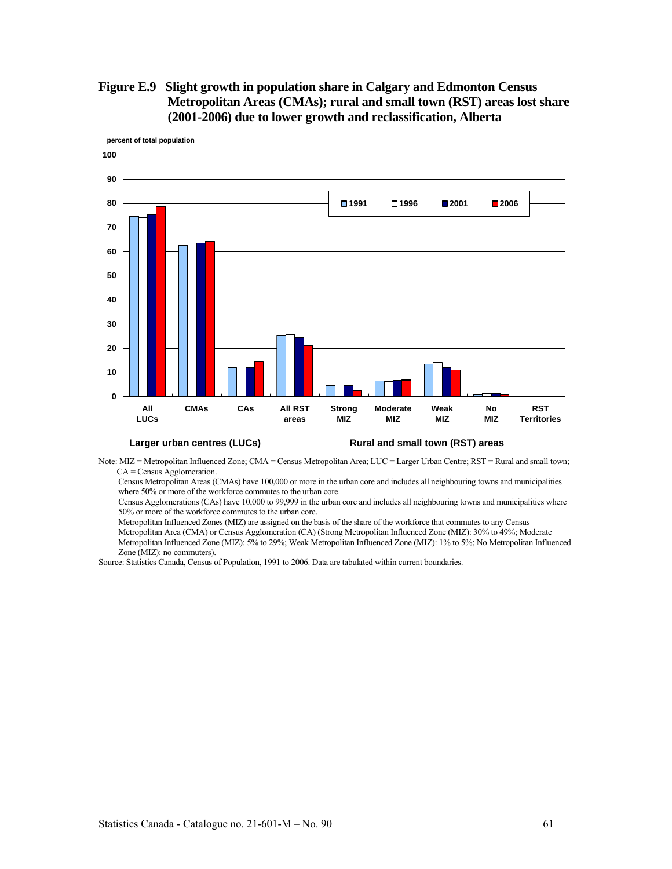# **Figure E.9 Slight growth in population share in Calgary and Edmonton Census Metropolitan Areas (CMAs); rural and small town (RST) areas lost share (2001-2006) due to lower growth and reclassification, Alberta**



Note: MIZ = Metropolitan Influenced Zone; CMA = Census Metropolitan Area; LUC = Larger Urban Centre; RST = Rural and small town; CA = Census Agglomeration.

Census Metropolitan Areas (CMAs) have 100,000 or more in the urban core and includes all neighbouring towns and municipalities where 50% or more of the workforce commutes to the urban core.

Census Agglomerations (CAs) have 10,000 to 99,999 in the urban core and includes all neighbouring towns and municipalities where 50% or more of the workforce commutes to the urban core.

Metropolitan Influenced Zones (MIZ) are assigned on the basis of the share of the workforce that commutes to any Census Metropolitan Area (CMA) or Census Agglomeration (CA) (Strong Metropolitan Influenced Zone (MIZ): 30% to 49%; Moderate

Metropolitan Influenced Zone (MIZ): 5% to 29%; Weak Metropolitan Influenced Zone (MIZ): 1% to 5%; No Metropolitan Influenced Zone (MIZ): no commuters).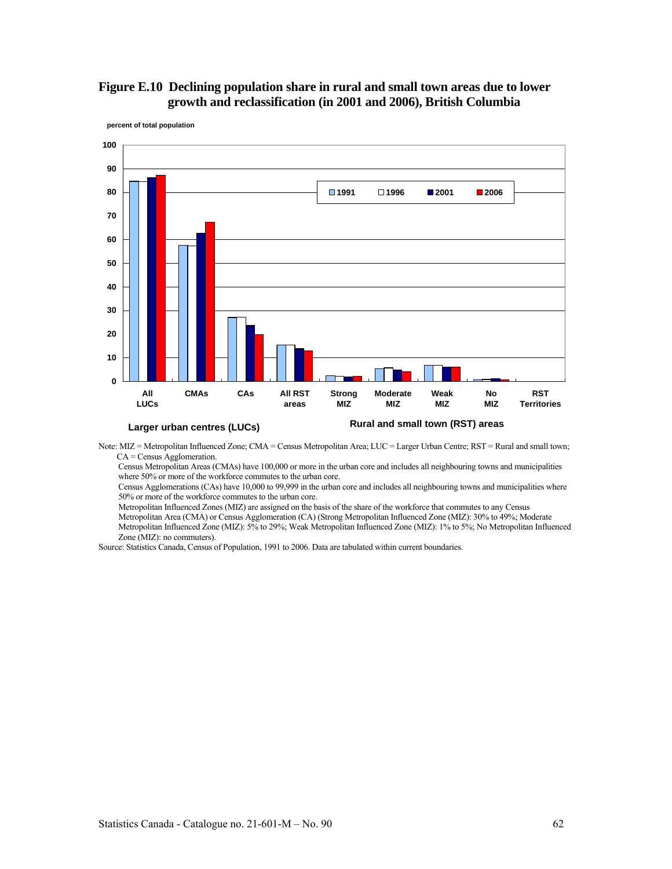# **Figure E.10 Declining population share in rural and small town areas due to lower growth and reclassification (in 2001 and 2006), British Columbia**



**percent of total population**

Census Metropolitan Areas (CMAs) have 100,000 or more in the urban core and includes all neighbouring towns and municipalities where 50% or more of the workforce commutes to the urban core.

Census Agglomerations (CAs) have 10,000 to 99,999 in the urban core and includes all neighbouring towns and municipalities where 50% or more of the workforce commutes to the urban core.

Metropolitan Influenced Zones (MIZ) are assigned on the basis of the share of the workforce that commutes to any Census

Metropolitan Area (CMA) or Census Agglomeration (CA) (Strong Metropolitan Influenced Zone (MIZ): 30% to 49%; Moderate Metropolitan Influenced Zone (MIZ): 5% to 29%; Weak Metropolitan Influenced Zone (MIZ): 1% to 5%; No Metropolitan Influenced Zone (MIZ): no commuters).

Note: MIZ = Metropolitan Influenced Zone; CMA = Census Metropolitan Area; LUC = Larger Urban Centre; RST = Rural and small town; CA = Census Agglomeration.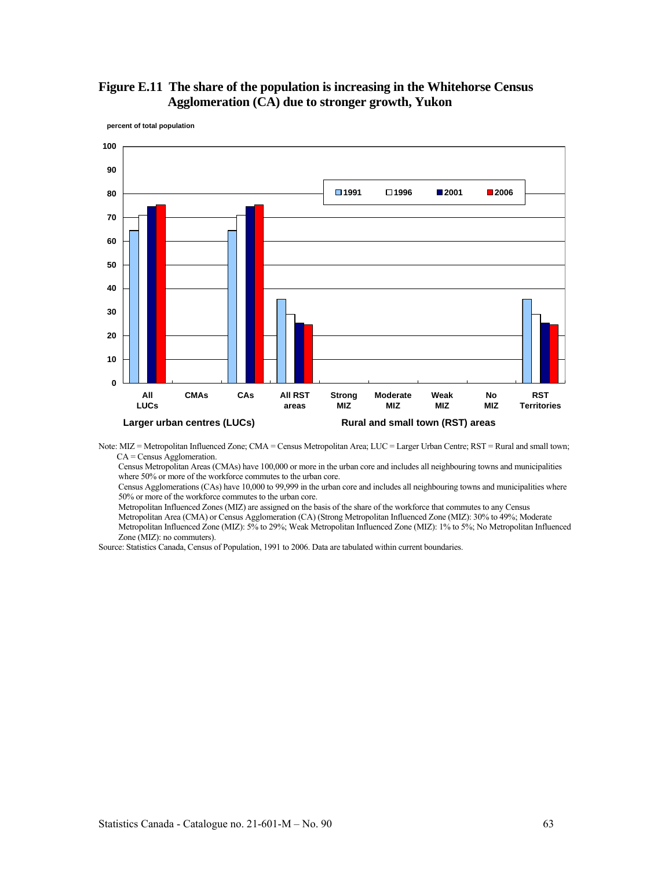# **Figure E.11 The share of the population is increasing in the Whitehorse Census Agglomeration (CA) due to stronger growth, Yukon**



**percent of total population**

Note: MIZ = Metropolitan Influenced Zone; CMA = Census Metropolitan Area; LUC = Larger Urban Centre; RST = Rural and small town; CA = Census Agglomeration.

Census Metropolitan Areas (CMAs) have 100,000 or more in the urban core and includes all neighbouring towns and municipalities where 50% or more of the workforce commutes to the urban core.

Census Agglomerations (CAs) have 10,000 to 99,999 in the urban core and includes all neighbouring towns and municipalities where 50% or more of the workforce commutes to the urban core.

Metropolitan Influenced Zones (MIZ) are assigned on the basis of the share of the workforce that commutes to any Census

Metropolitan Area (CMA) or Census Agglomeration (CA) (Strong Metropolitan Influenced Zone (MIZ): 30% to 49%; Moderate Metropolitan Influenced Zone (MIZ): 5% to 29%; Weak Metropolitan Influenced Zone (MIZ): 1% to 5%; No Metropolitan Influenced Zone (MIZ): no commuters).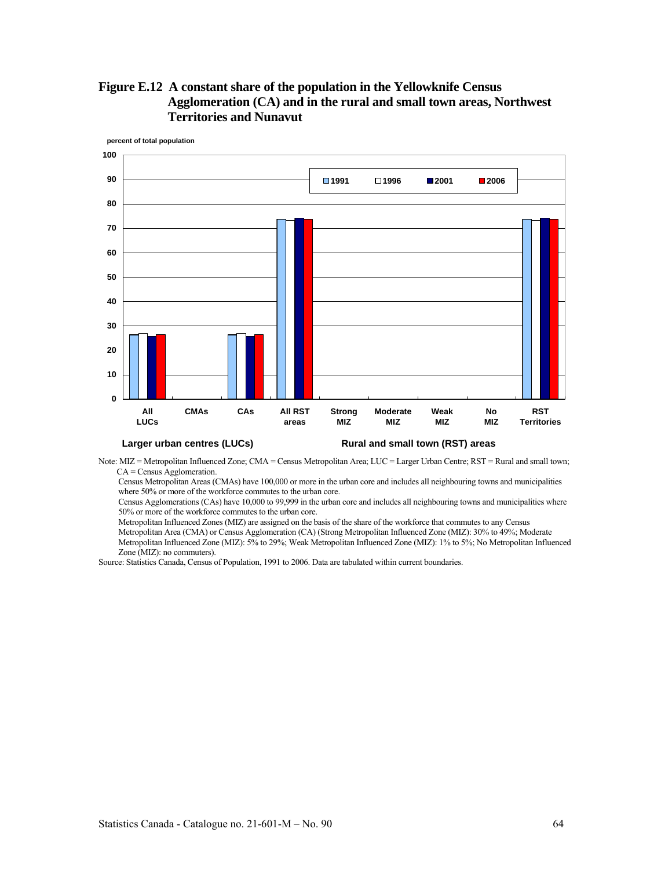



Note: MIZ = Metropolitan Influenced Zone; CMA = Census Metropolitan Area; LUC = Larger Urban Centre; RST = Rural and small town; CA = Census Agglomeration.

Census Metropolitan Areas (CMAs) have 100,000 or more in the urban core and includes all neighbouring towns and municipalities where 50% or more of the workforce commutes to the urban core.

Census Agglomerations (CAs) have 10,000 to 99,999 in the urban core and includes all neighbouring towns and municipalities where 50% or more of the workforce commutes to the urban core.

Metropolitan Influenced Zones (MIZ) are assigned on the basis of the share of the workforce that commutes to any Census Metropolitan Area (CMA) or Census Agglomeration (CA) (Strong Metropolitan Influenced Zone (MIZ): 30% to 49%; Moderate Metropolitan Influenced Zone (MIZ): 5% to 29%; Weak Metropolitan Influenced Zone (MIZ): 1% to 5%; No Metropolitan Influenced

Source: Statistics Canada, Census of Population, 1991 to 2006. Data are tabulated within current boundaries.

Zone (MIZ): no commuters).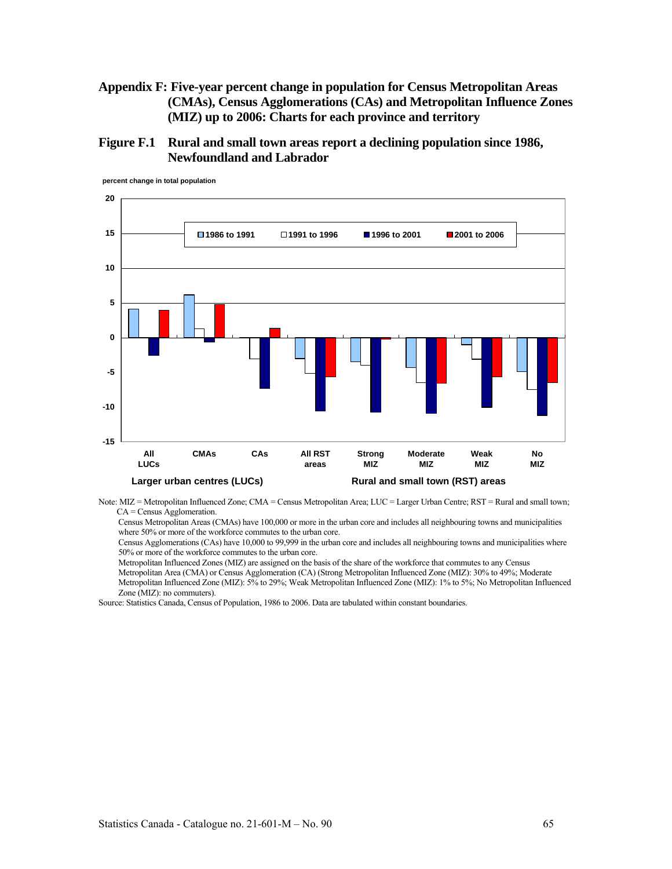# **Appendix F: Five-year percent change in population for Census Metropolitan Areas (CMAs), Census Agglomerations (CAs) and Metropolitan Influence Zones (MIZ) up to 2006: Charts for each province and territory**

**Figure F.1 Rural and small town areas report a declining population since 1986, Newfoundland and Labrador** 



**percent change in total population**

Note: MIZ = Metropolitan Influenced Zone; CMA = Census Metropolitan Area; LUC = Larger Urban Centre; RST = Rural and small town; CA = Census Agglomeration.

Census Metropolitan Areas (CMAs) have 100,000 or more in the urban core and includes all neighbouring towns and municipalities where 50% or more of the workforce commutes to the urban core.

Census Agglomerations (CAs) have 10,000 to 99,999 in the urban core and includes all neighbouring towns and municipalities where 50% or more of the workforce commutes to the urban core.

Metropolitan Influenced Zones (MIZ) are assigned on the basis of the share of the workforce that commutes to any Census

Metropolitan Area (CMA) or Census Agglomeration (CA) (Strong Metropolitan Influenced Zone (MIZ): 30% to 49%; Moderate Metropolitan Influenced Zone (MIZ): 5% to 29%; Weak Metropolitan Influenced Zone (MIZ): 1% to 5%; No Metropolitan Influenced Zone (MIZ): no commuters).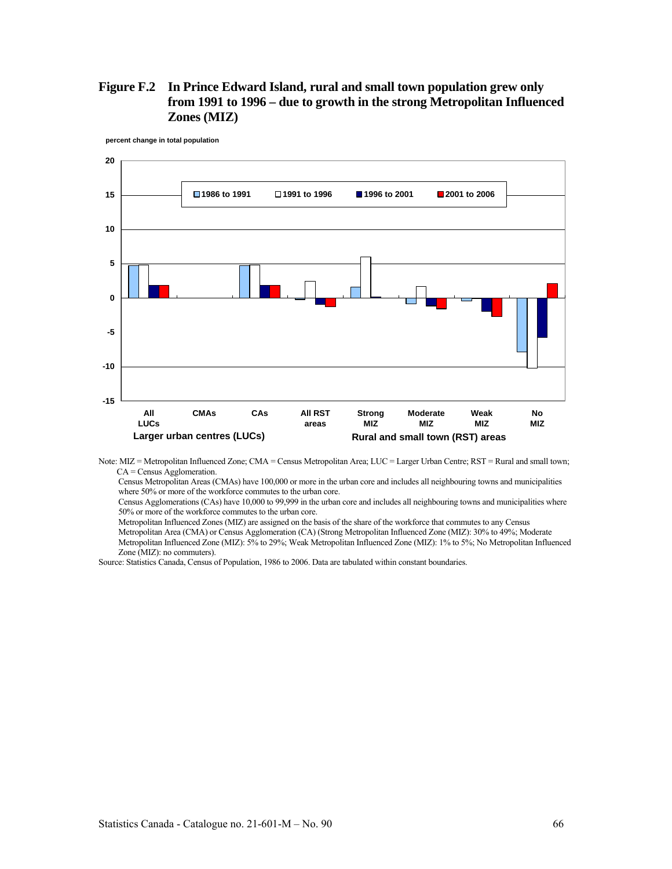# **Figure F.2 In Prince Edward Island, rural and small town population grew only from 1991 to 1996 – due to growth in the strong Metropolitan Influenced Zones (MIZ)**



**percent change in total population**

Note: MIZ = Metropolitan Influenced Zone; CMA = Census Metropolitan Area; LUC = Larger Urban Centre; RST = Rural and small town; CA = Census Agglomeration.

Census Metropolitan Areas (CMAs) have 100,000 or more in the urban core and includes all neighbouring towns and municipalities where 50% or more of the workforce commutes to the urban core.

Census Agglomerations (CAs) have 10,000 to 99,999 in the urban core and includes all neighbouring towns and municipalities where 50% or more of the workforce commutes to the urban core.

Metropolitan Influenced Zones (MIZ) are assigned on the basis of the share of the workforce that commutes to any Census Metropolitan Area (CMA) or Census Agglomeration (CA) (Strong Metropolitan Influenced Zone (MIZ): 30% to 49%; Moderate Metropolitan Influenced Zone (MIZ): 5% to 29%; Weak Metropolitan Influenced Zone (MIZ): 1% to 5%; No Metropolitan Influenced Zone (MIZ): no commuters).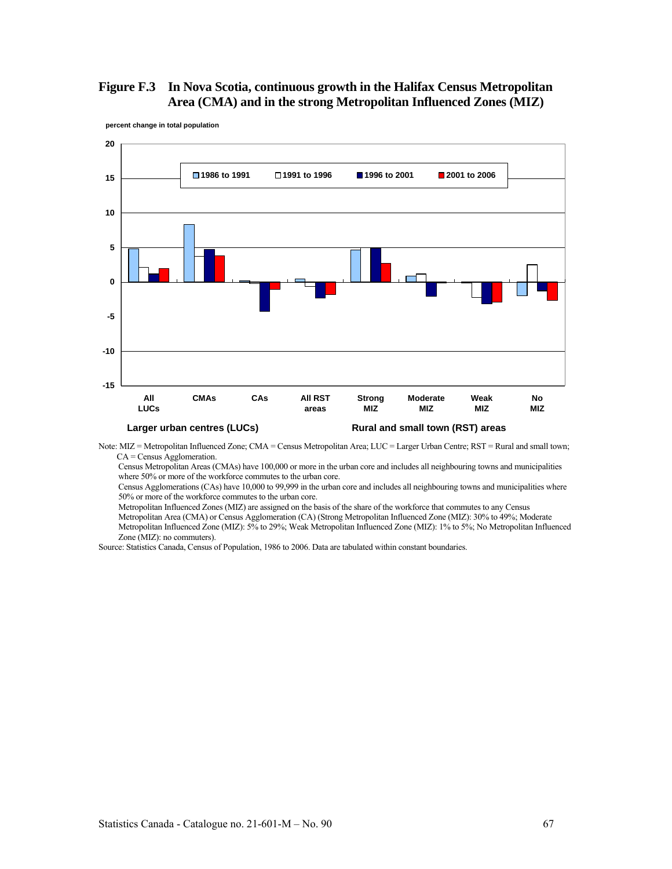# **Figure F.3 In Nova Scotia, continuous growth in the Halifax Census Metropolitan Area (CMA) and in the strong Metropolitan Influenced Zones (MIZ)**



**percent change in total population**

Note: MIZ = Metropolitan Influenced Zone; CMA = Census Metropolitan Area; LUC = Larger Urban Centre; RST = Rural and small town; CA = Census Agglomeration.

Census Metropolitan Areas (CMAs) have 100,000 or more in the urban core and includes all neighbouring towns and municipalities where 50% or more of the workforce commutes to the urban core.

Census Agglomerations (CAs) have 10,000 to 99,999 in the urban core and includes all neighbouring towns and municipalities where 50% or more of the workforce commutes to the urban core.

Metropolitan Influenced Zones (MIZ) are assigned on the basis of the share of the workforce that commutes to any Census

Metropolitan Area (CMA) or Census Agglomeration (CA) (Strong Metropolitan Influenced Zone (MIZ): 30% to 49%; Moderate Metropolitan Influenced Zone (MIZ): 5% to 29%; Weak Metropolitan Influenced Zone (MIZ): 1% to 5%; No Metropolitan Influenced Zone (MIZ): no commuters).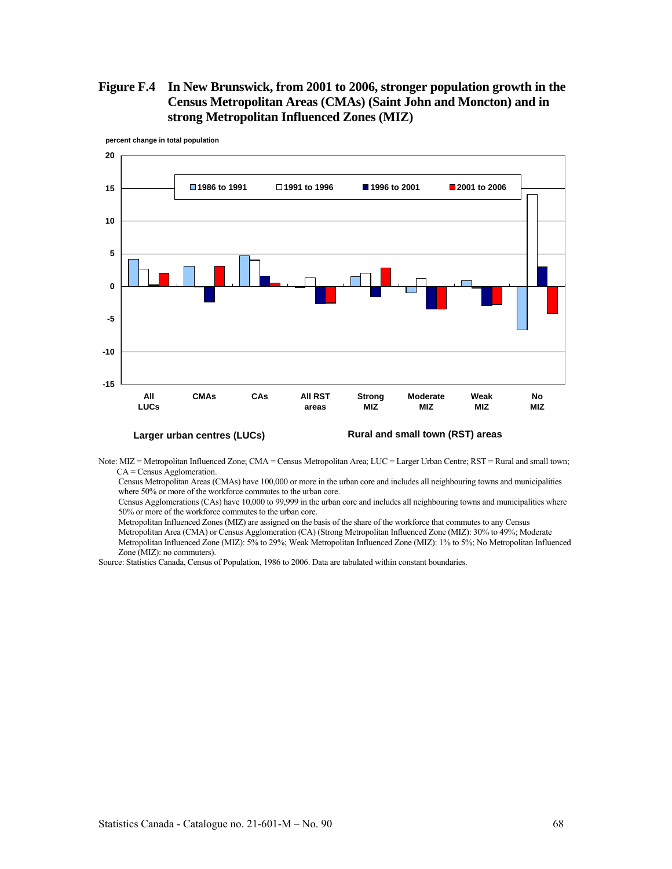# **Figure F.4 In New Brunswick, from 2001 to 2006, stronger population growth in the Census Metropolitan Areas (CMAs) (Saint John and Moncton) and in strong Metropolitan Influenced Zones (MIZ)**



**percent change in total population**

Note: MIZ = Metropolitan Influenced Zone; CMA = Census Metropolitan Area; LUC = Larger Urban Centre; RST = Rural and small town; CA = Census Agglomeration.

Census Metropolitan Areas (CMAs) have 100,000 or more in the urban core and includes all neighbouring towns and municipalities where 50% or more of the workforce commutes to the urban core.

Census Agglomerations (CAs) have 10,000 to 99,999 in the urban core and includes all neighbouring towns and municipalities where 50% or more of the workforce commutes to the urban core.

Metropolitan Influenced Zones (MIZ) are assigned on the basis of the share of the workforce that commutes to any Census Metropolitan Area (CMA) or Census Agglomeration (CA) (Strong Metropolitan Influenced Zone (MIZ): 30% to 49%; Moderate Metropolitan Influenced Zone (MIZ): 5% to 29%; Weak Metropolitan Influenced Zone (MIZ): 1% to 5%; No Metropolitan Influenced Zone (MIZ): no commuters).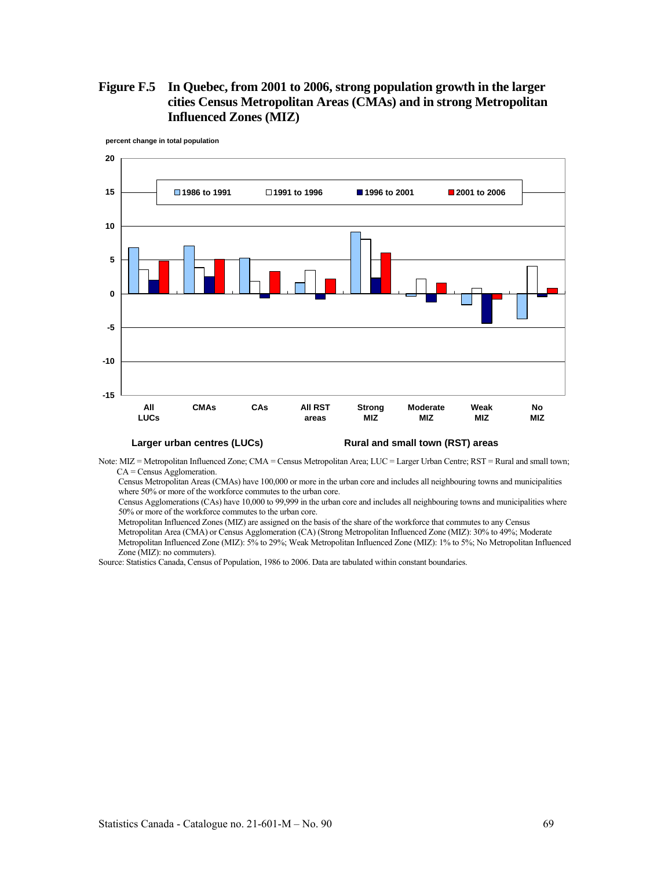# **Figure F.5 In Quebec, from 2001 to 2006, strong population growth in the larger cities Census Metropolitan Areas (CMAs) and in strong Metropolitan Influenced Zones (MIZ)**



**percent change in total population**

Note: MIZ = Metropolitan Influenced Zone; CMA = Census Metropolitan Area; LUC = Larger Urban Centre; RST = Rural and small town; CA = Census Agglomeration.

Census Metropolitan Areas (CMAs) have 100,000 or more in the urban core and includes all neighbouring towns and municipalities where 50% or more of the workforce commutes to the urban core.

Census Agglomerations (CAs) have 10,000 to 99,999 in the urban core and includes all neighbouring towns and municipalities where 50% or more of the workforce commutes to the urban core.

Metropolitan Influenced Zones (MIZ) are assigned on the basis of the share of the workforce that commutes to any Census

Metropolitan Area (CMA) or Census Agglomeration (CA) (Strong Metropolitan Influenced Zone (MIZ): 30% to 49%; Moderate Metropolitan Influenced Zone (MIZ): 5% to 29%; Weak Metropolitan Influenced Zone (MIZ): 1% to 5%; No Metropolitan Influenced Zone (MIZ): no commuters).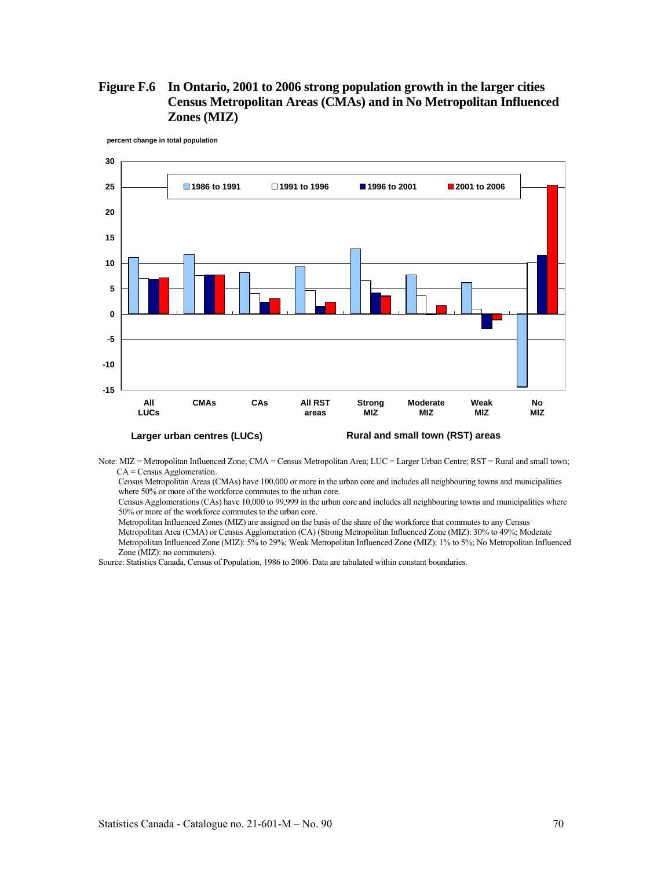# **Figure F.6 In Ontario, 2001 to 2006 strong population growth in the larger cities Census Metropolitan Areas (CMAs) and in No Metropolitan Influenced Zones (MIZ)**



**percent change in total population**

Note: MIZ = Metropolitan Influenced Zone; CMA = Census Metropolitan Area; LUC = Larger Urban Centre; RST = Rural and small town; CA = Census Agglomeration.

Census Metropolitan Areas (CMAs) have 100,000 or more in the urban core and includes all neighbouring towns and municipalities where 50% or more of the workforce commutes to the urban core.

Census Agglomerations (CAs) have 10,000 to 99,999 in the urban core and includes all neighbouring towns and municipalities where 50% or more of the workforce commutes to the urban core.

Metropolitan Influenced Zones (MIZ) are assigned on the basis of the share of the workforce that commutes to any Census Metropolitan Area (CMA) or Census Agglomeration (CA) (Strong Metropolitan Influenced Zone (MIZ): 30% to 49%; Moderate Metropolitan Influenced Zone (MIZ): 5% to 29%; Weak Metropolitan Influenced Zone (MIZ): 1% to 5%; No Metropolitan Influenced Zone (MIZ): no commuters).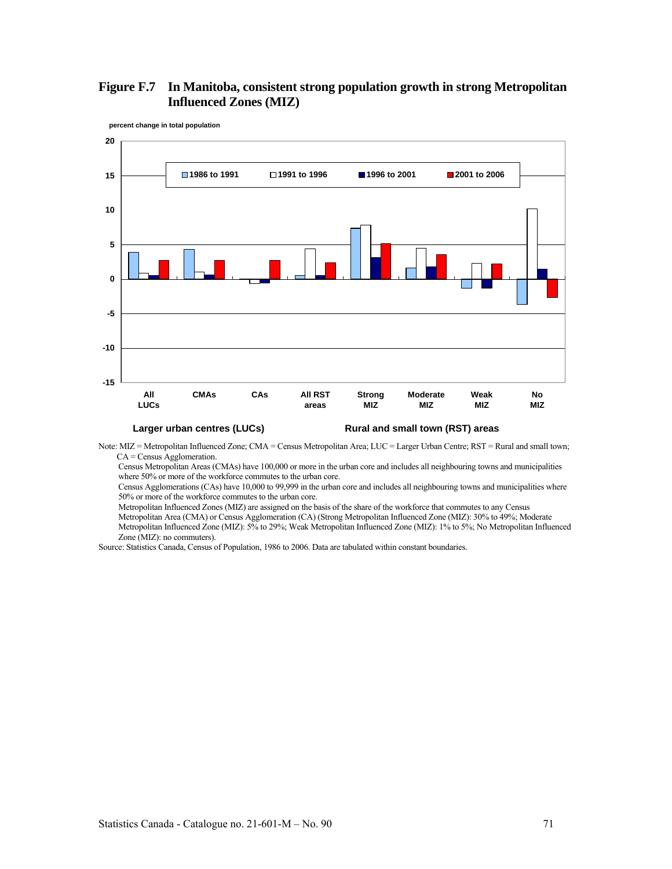# **Figure F.7 In Manitoba, consistent strong population growth in strong Metropolitan Influenced Zones (MIZ)**



**percent change in total population**

#### Larger urban centres (LUCs) **Rural and small town (RST) areas**

Note: MIZ = Metropolitan Influenced Zone; CMA = Census Metropolitan Area; LUC = Larger Urban Centre; RST = Rural and small town; CA = Census Agglomeration.

Census Metropolitan Areas (CMAs) have 100,000 or more in the urban core and includes all neighbouring towns and municipalities where 50% or more of the workforce commutes to the urban core.

Census Agglomerations (CAs) have 10,000 to 99,999 in the urban core and includes all neighbouring towns and municipalities where 50% or more of the workforce commutes to the urban core.

Metropolitan Influenced Zones (MIZ) are assigned on the basis of the share of the workforce that commutes to any Census

Metropolitan Area (CMA) or Census Agglomeration (CA) (Strong Metropolitan Influenced Zone (MIZ): 30% to 49%; Moderate

Metropolitan Influenced Zone (MIZ): 5% to 29%; Weak Metropolitan Influenced Zone (MIZ): 1% to 5%; No Metropolitan Influenced Zone (MIZ): no commuters).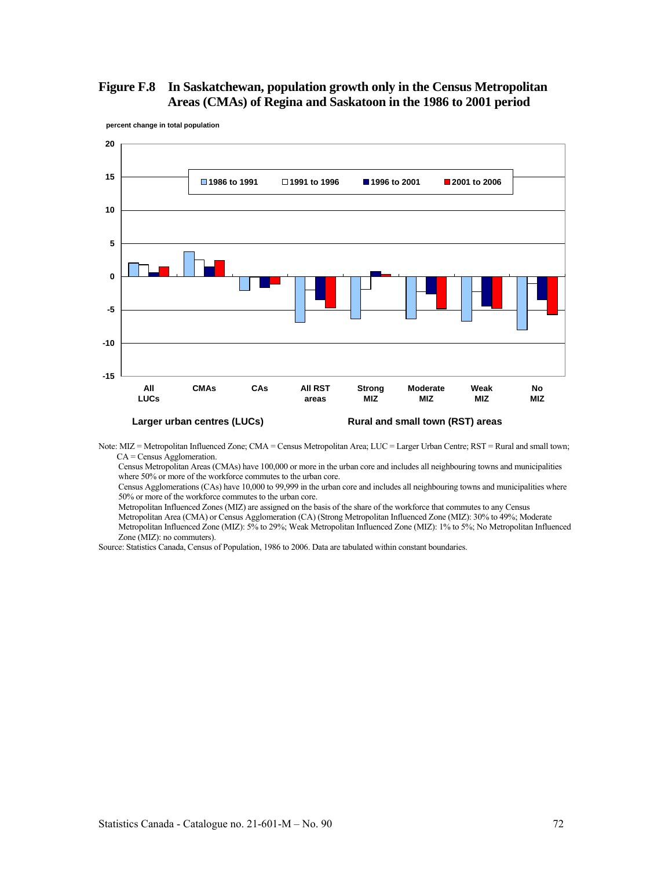# **Figure F.8 In Saskatchewan, population growth only in the Census Metropolitan Areas (CMAs) of Regina and Saskatoon in the 1986 to 2001 period**



**percent change in total population**

Note: MIZ = Metropolitan Influenced Zone; CMA = Census Metropolitan Area; LUC = Larger Urban Centre; RST = Rural and small town; CA = Census Agglomeration.

Census Metropolitan Areas (CMAs) have 100,000 or more in the urban core and includes all neighbouring towns and municipalities where 50% or more of the workforce commutes to the urban core.

Census Agglomerations (CAs) have 10,000 to 99,999 in the urban core and includes all neighbouring towns and municipalities where 50% or more of the workforce commutes to the urban core.

Metropolitan Influenced Zones (MIZ) are assigned on the basis of the share of the workforce that commutes to any Census

Metropolitan Area (CMA) or Census Agglomeration (CA) (Strong Metropolitan Influenced Zone (MIZ): 30% to 49%; Moderate Metropolitan Influenced Zone (MIZ): 5% to 29%; Weak Metropolitan Influenced Zone (MIZ): 1% to 5%; No Metropolitan Influenced Zone (MIZ): no commuters).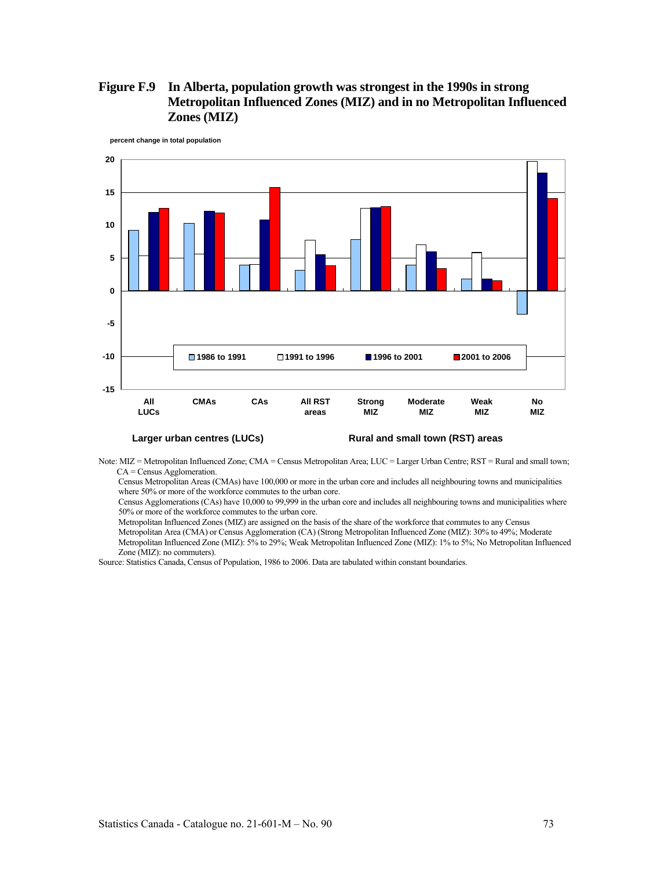# **Figure F.9 In Alberta, population growth was strongest in the 1990s in strong Metropolitan Influenced Zones (MIZ) and in no Metropolitan Influenced Zones (MIZ)**



**percent change in total population**

Note: MIZ = Metropolitan Influenced Zone; CMA = Census Metropolitan Area; LUC = Larger Urban Centre; RST = Rural and small town; CA = Census Agglomeration.

Census Metropolitan Areas (CMAs) have 100,000 or more in the urban core and includes all neighbouring towns and municipalities where 50% or more of the workforce commutes to the urban core.

Census Agglomerations (CAs) have 10,000 to 99,999 in the urban core and includes all neighbouring towns and municipalities where 50% or more of the workforce commutes to the urban core.

Metropolitan Influenced Zones (MIZ) are assigned on the basis of the share of the workforce that commutes to any Census Metropolitan Area (CMA) or Census Agglomeration (CA) (Strong Metropolitan Influenced Zone (MIZ): 30% to 49%; Moderate Metropolitan Influenced Zone (MIZ): 5% to 29%; Weak Metropolitan Influenced Zone (MIZ): 1% to 5%; No Metropolitan Influenced Zone (MIZ): no commuters).

Source: Statistics Canada, Census of Population, 1986 to 2006. Data are tabulated within constant boundaries.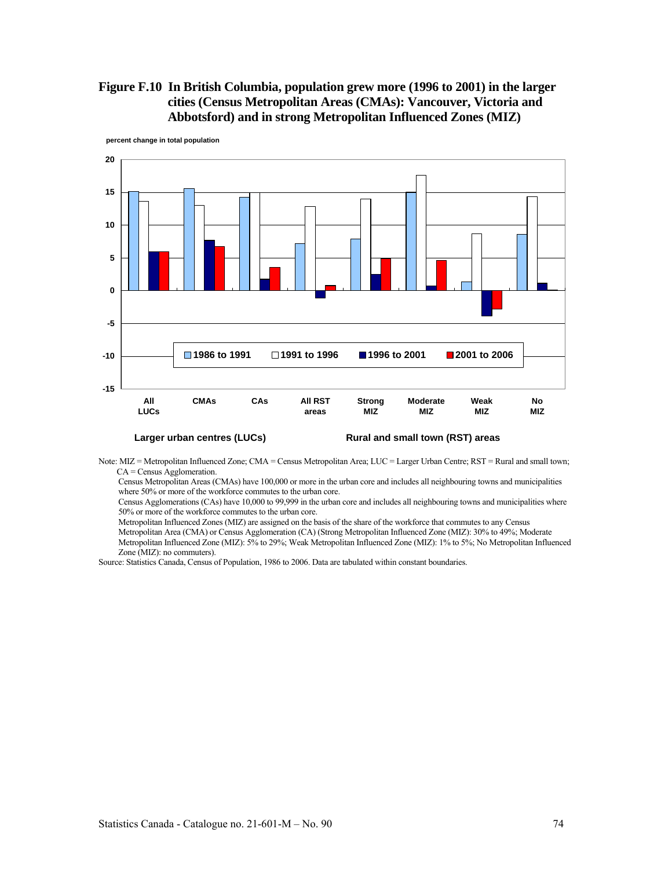# **Figure F.10 In British Columbia, population grew more (1996 to 2001) in the larger cities (Census Metropolitan Areas (CMAs): Vancouver, Victoria and Abbotsford) and in strong Metropolitan Influenced Zones (MIZ)**



**percent change in total population**

Note: MIZ = Metropolitan Influenced Zone; CMA = Census Metropolitan Area; LUC = Larger Urban Centre; RST = Rural and small town; CA = Census Agglomeration.

Census Metropolitan Areas (CMAs) have 100,000 or more in the urban core and includes all neighbouring towns and municipalities where 50% or more of the workforce commutes to the urban core.

Census Agglomerations (CAs) have 10,000 to 99,999 in the urban core and includes all neighbouring towns and municipalities where 50% or more of the workforce commutes to the urban core.

Metropolitan Influenced Zones (MIZ) are assigned on the basis of the share of the workforce that commutes to any Census Metropolitan Area (CMA) or Census Agglomeration (CA) (Strong Metropolitan Influenced Zone (MIZ): 30% to 49%; Moderate Metropolitan Influenced Zone (MIZ): 5% to 29%; Weak Metropolitan Influenced Zone (MIZ): 1% to 5%; No Metropolitan Influenced Zone (MIZ): no commuters).

Source: Statistics Canada, Census of Population, 1986 to 2006. Data are tabulated within constant boundaries.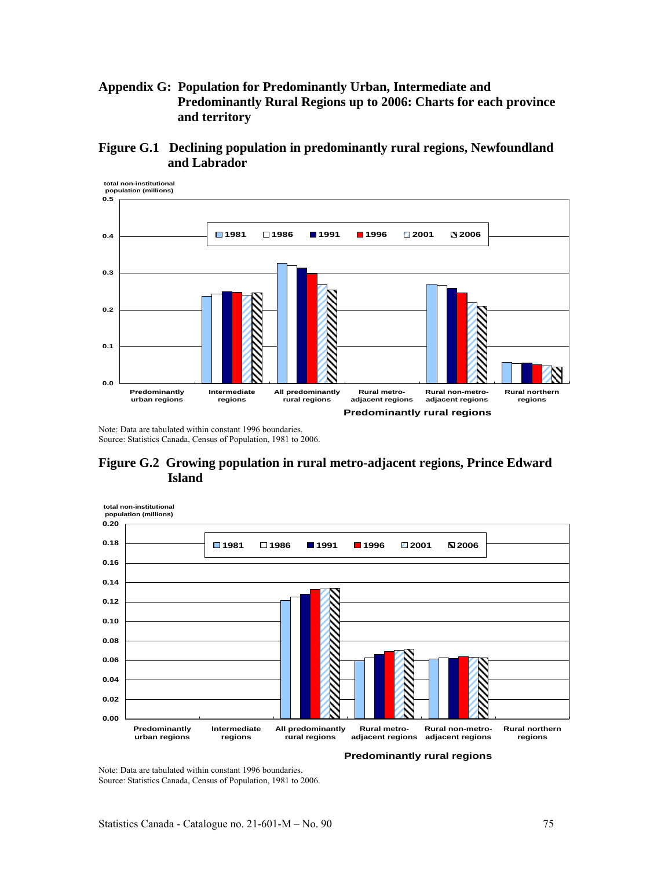# **Appendix G: Population for Predominantly Urban, Intermediate and Predominantly Rural Regions up to 2006: Charts for each province and territory**





Note: Data are tabulated within constant 1996 boundaries. Source: Statistics Canada, Census of Population, 1981 to 2006.

**Figure G.2 Growing population in rural metro-adjacent regions, Prince Edward Island** 



**Predominantly rural regions**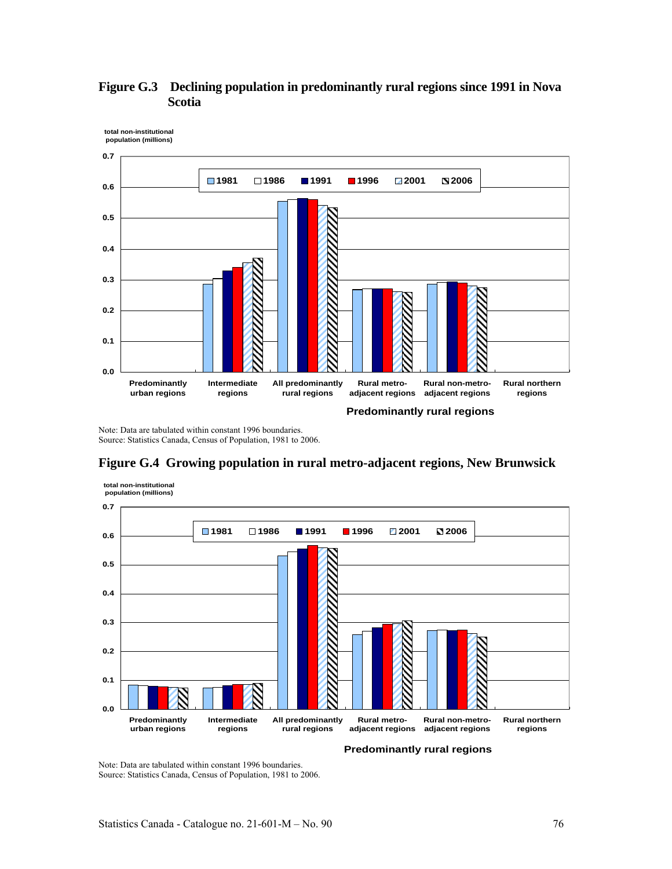

# **Figure G.3 Declining population in predominantly rural regions since 1991 in Nova Scotia**

Note: Data are tabulated within constant 1996 boundaries. Source: Statistics Canada, Census of Population, 1981 to 2006.



# **Figure G.4 Growing population in rural metro-adjacent regions, New Brunwsick**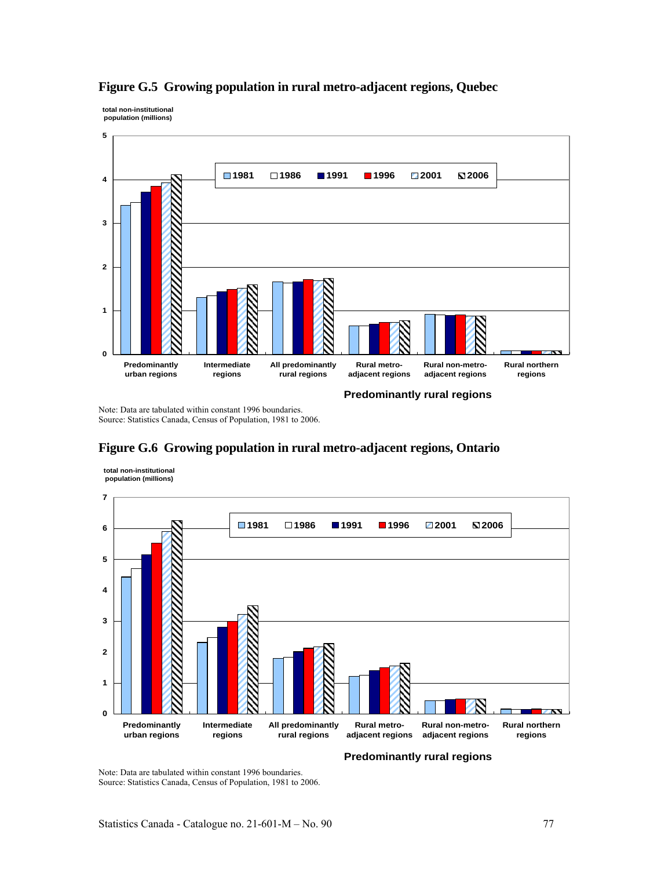

## **Figure G.5 Growing population in rural metro-adjacent regions, Quebec**

Note: Data are tabulated within constant 1996 boundaries. Source: Statistics Canada, Census of Population, 1981 to 2006.



# **Figure G.6 Growing population in rural metro-adjacent regions, Ontario**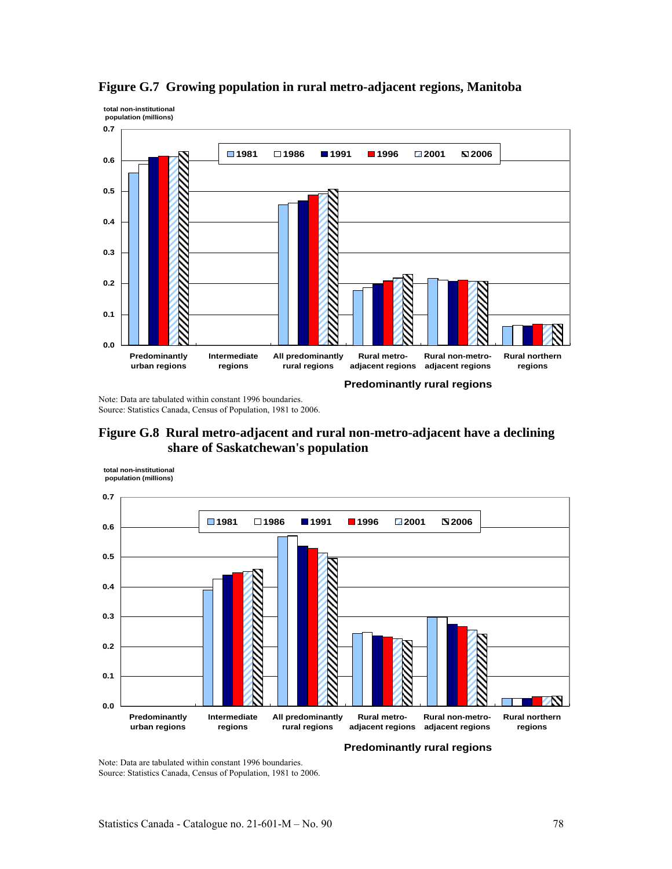

**Figure G.7 Growing population in rural metro-adjacent regions, Manitoba** 

Note: Data are tabulated within constant 1996 boundaries. Source: Statistics Canada, Census of Population, 1981 to 2006.



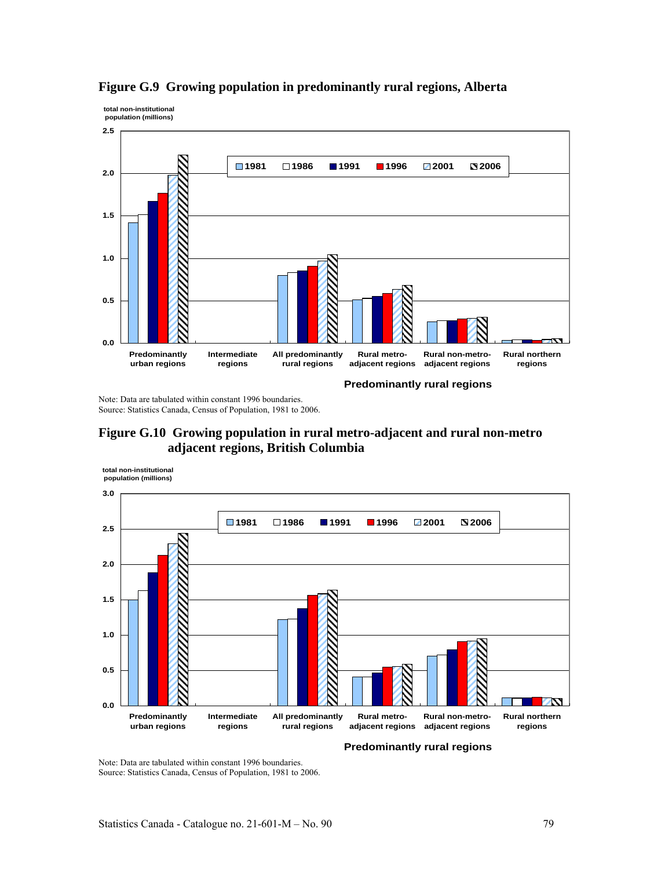



Note: Data are tabulated within constant 1996 boundaries. Source: Statistics Canada, Census of Population, 1981 to 2006.



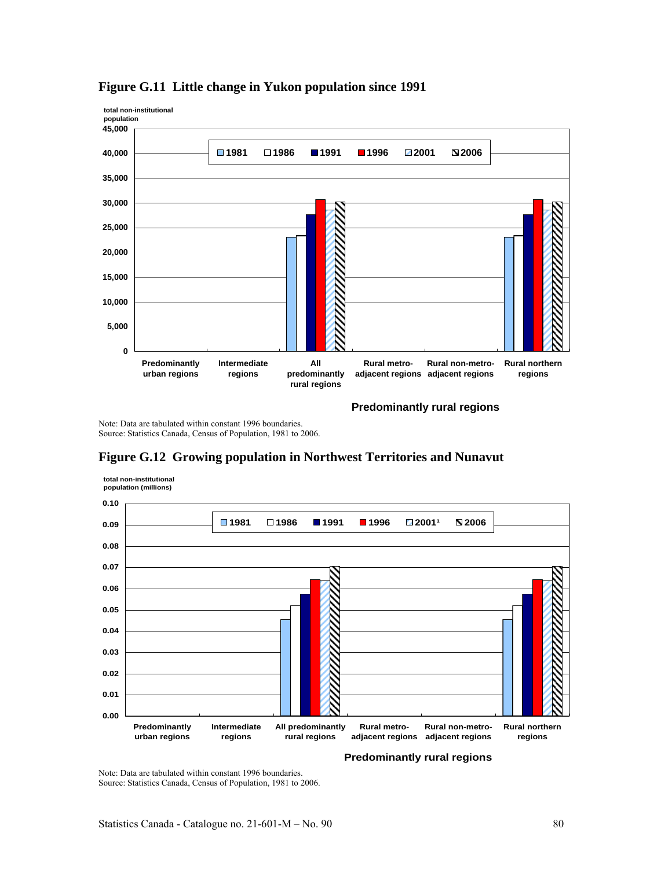

## **Figure G.11 Little change in Yukon population since 1991**

Note: Data are tabulated within constant 1996 boundaries. Source: Statistics Canada, Census of Population, 1981 to 2006.

## **Figure G.12 Growing population in Northwest Territories and Nunavut**



**Predominantly rural regions**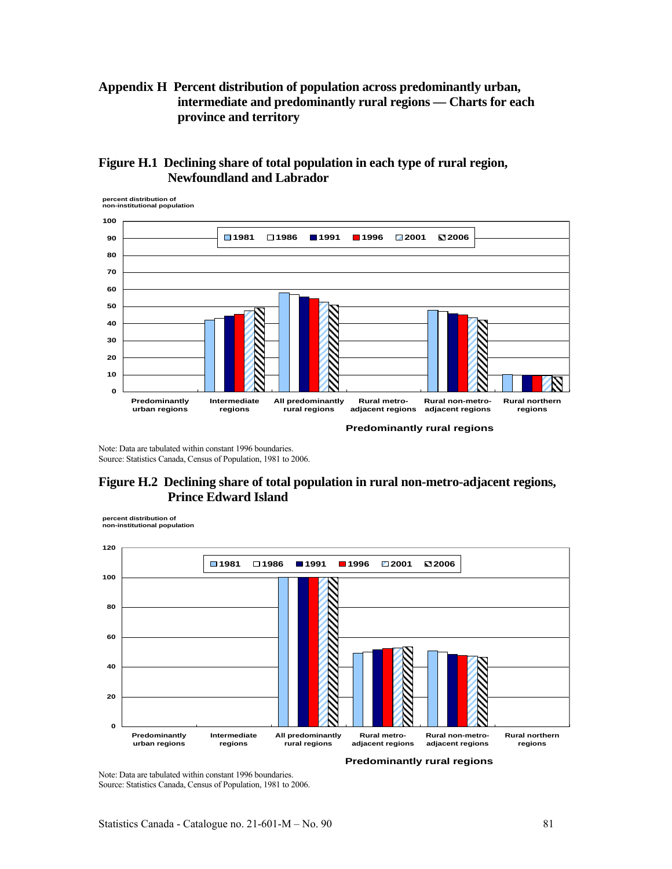# **Appendix H Percent distribution of population across predominantly urban, intermediate and predominantly rural regions — Charts for each province and territory**

# **Figure H.1 Declining share of total population in each type of rural region, Newfoundland and Labrador**



Note: Data are tabulated within constant 1996 boundaries. Source: Statistics Canada, Census of Population, 1981 to 2006.

# **Figure H.2 Declining share of total population in rural non-metro-adjacent regions, Prince Edward Island**

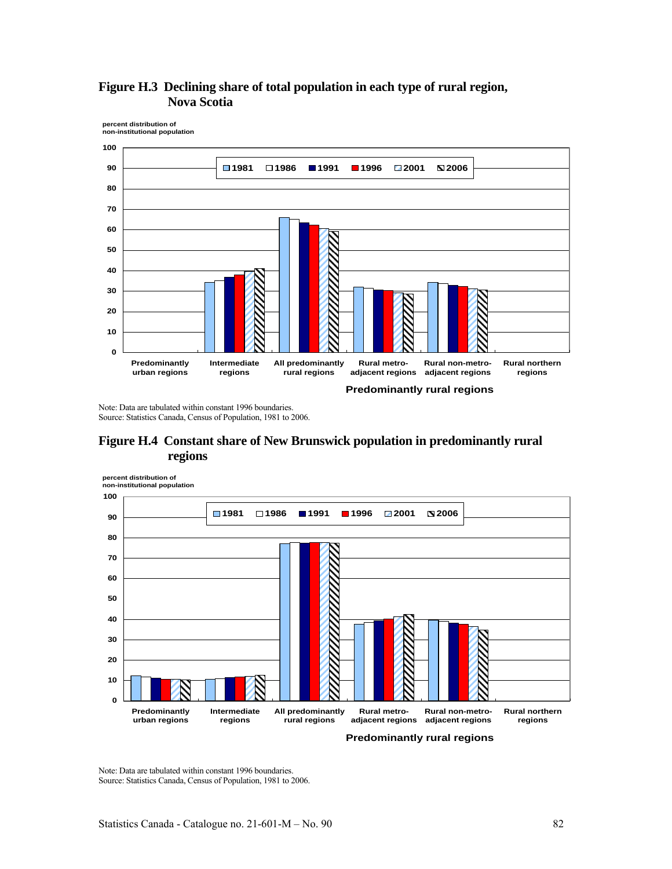

**Figure H.3 Declining share of total population in each type of rural region, Nova Scotia** 

Note: Data are tabulated within constant 1996 boundaries. Source: Statistics Canada, Census of Population, 1981 to 2006.



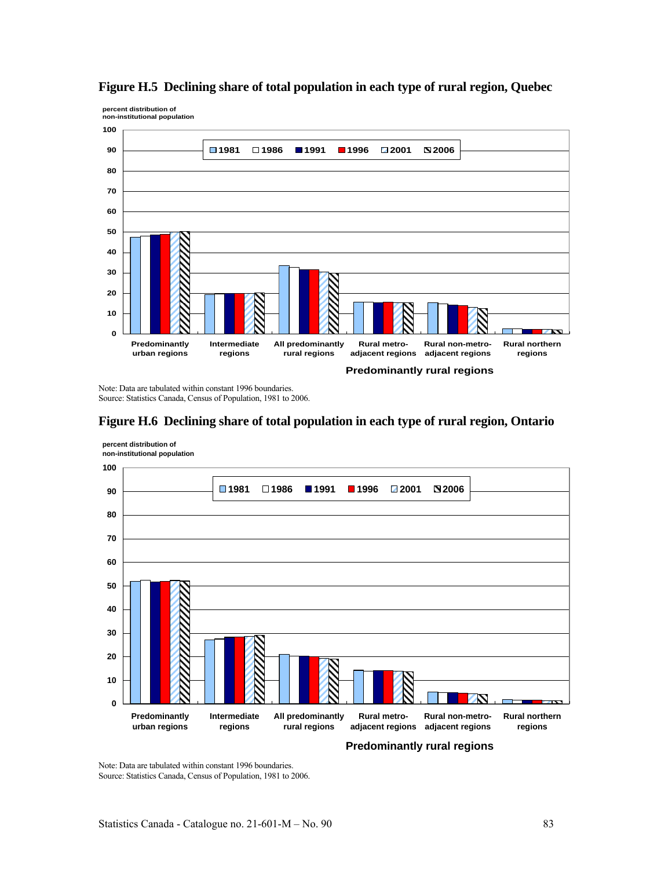

## **Figure H.5 Declining share of total population in each type of rural region, Quebec**

Note: Data are tabulated within constant 1996 boundaries. Source: Statistics Canada, Census of Population, 1981 to 2006.

## **Figure H.6 Declining share of total population in each type of rural region, Ontario**



**percent distribution of non-institutional population**

**percent distribution of**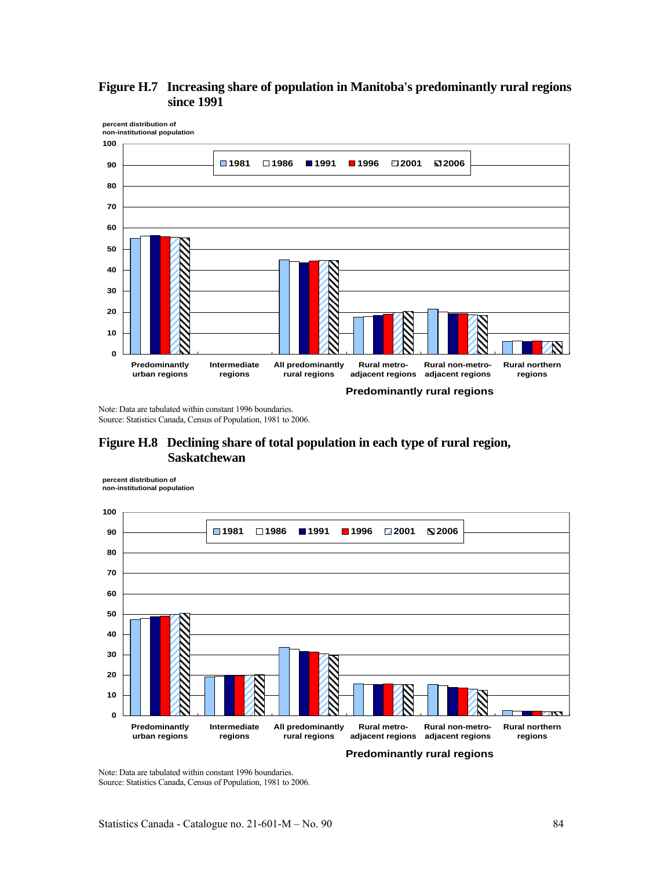



Note: Data are tabulated within constant 1996 boundaries. Source: Statistics Canada, Census of Population, 1981 to 2006.

# **Figure H.8 Declining share of total population in each type of rural region, Saskatchewan**

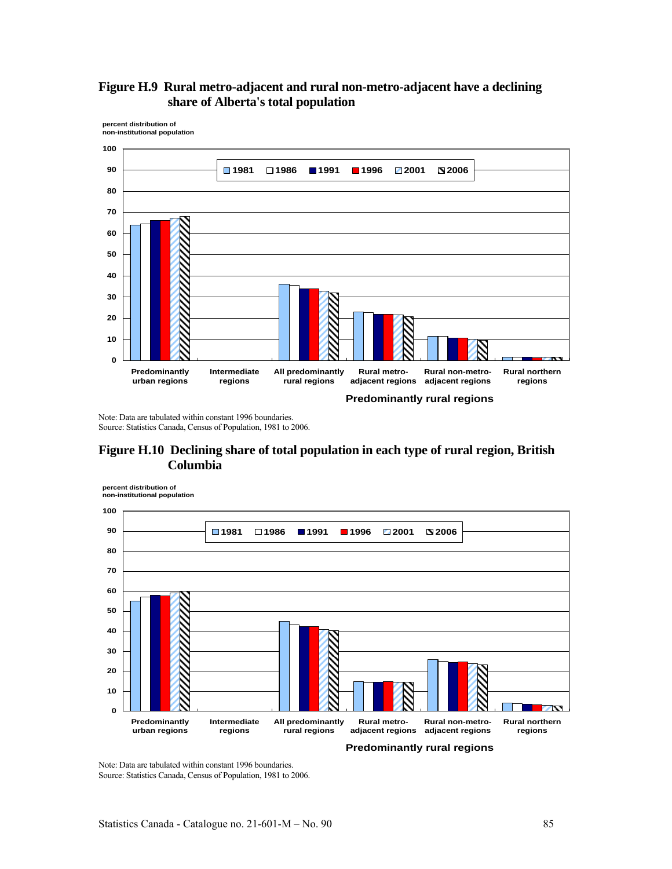



Note: Data are tabulated within constant 1996 boundaries. Source: Statistics Canada, Census of Population, 1981 to 2006.

## **Figure H.10 Declining share of total population in each type of rural region, British Columbia**

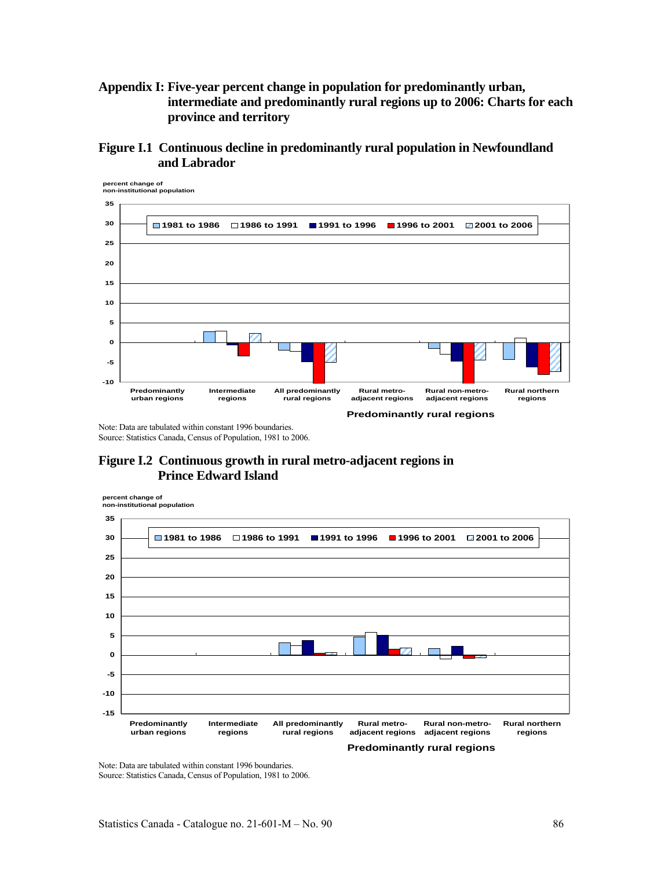# **Appendix I: Five-year percent change in population for predominantly urban, intermediate and predominantly rural regions up to 2006: Charts for each province and territory**

**Figure I.1 Continuous decline in predominantly rural population in Newfoundland and Labrador** 



Note: Data are tabulated within constant 1996 boundaries. Source: Statistics Canada, Census of Population, 1981 to 2006.

# **Figure I.2 Continuous growth in rural metro-adjacent regions in Prince Edward Island**

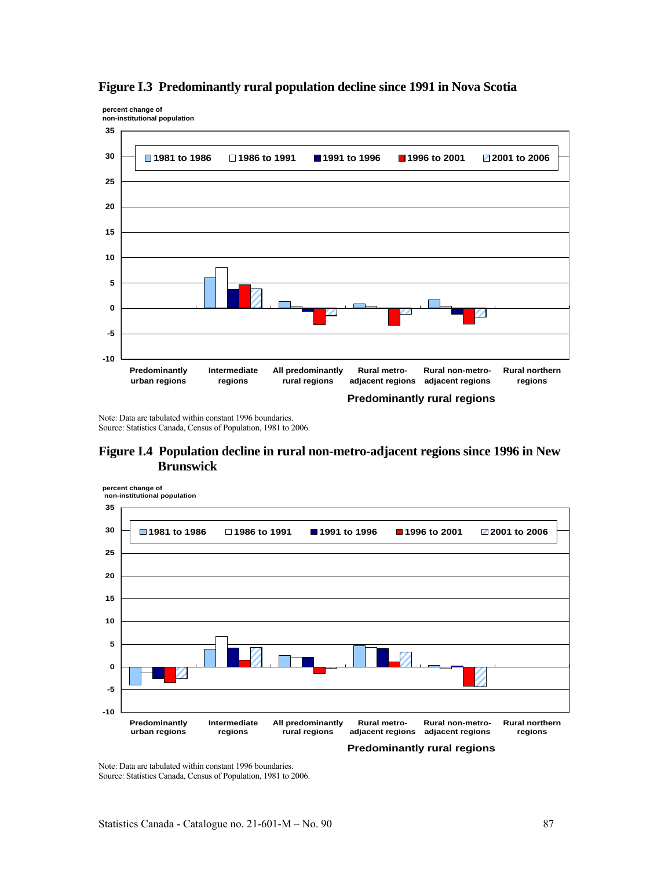

## **Figure I.3 Predominantly rural population decline since 1991 in Nova Scotia**

Note: Data are tabulated within constant 1996 boundaries. Source: Statistics Canada, Census of Population, 1981 to 2006.

**percent change of**

## **Figure I.4 Population decline in rural non-metro-adjacent regions since 1996 in New Brunswick**

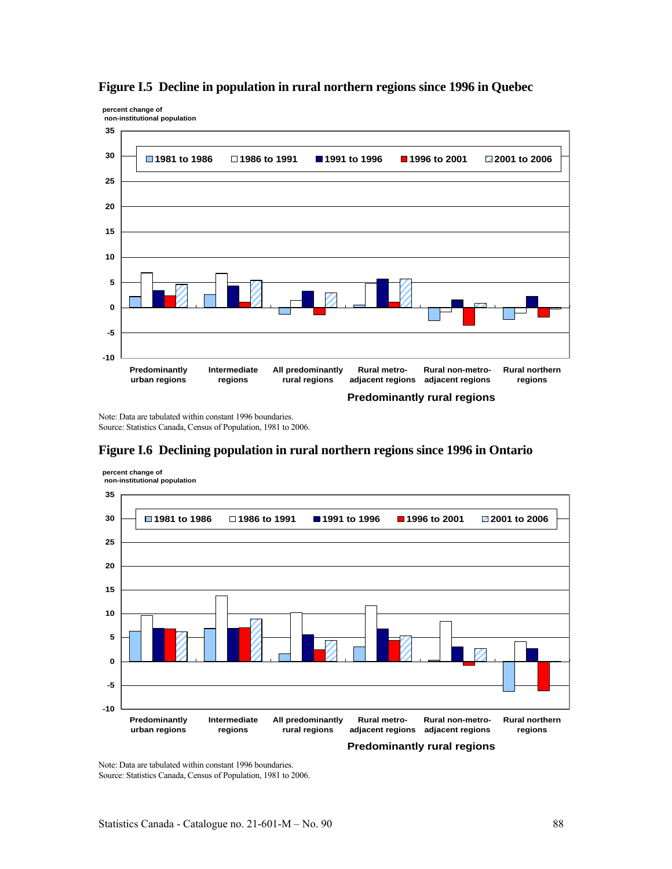

## **Figure I.5 Decline in population in rural northern regions since 1996 in Quebec**

Note: Data are tabulated within constant 1996 boundaries. Source: Statistics Canada, Census of Population, 1981 to 2006.

**percent change of**



# **Figure I.6 Declining population in rural northern regions since 1996 in Ontario**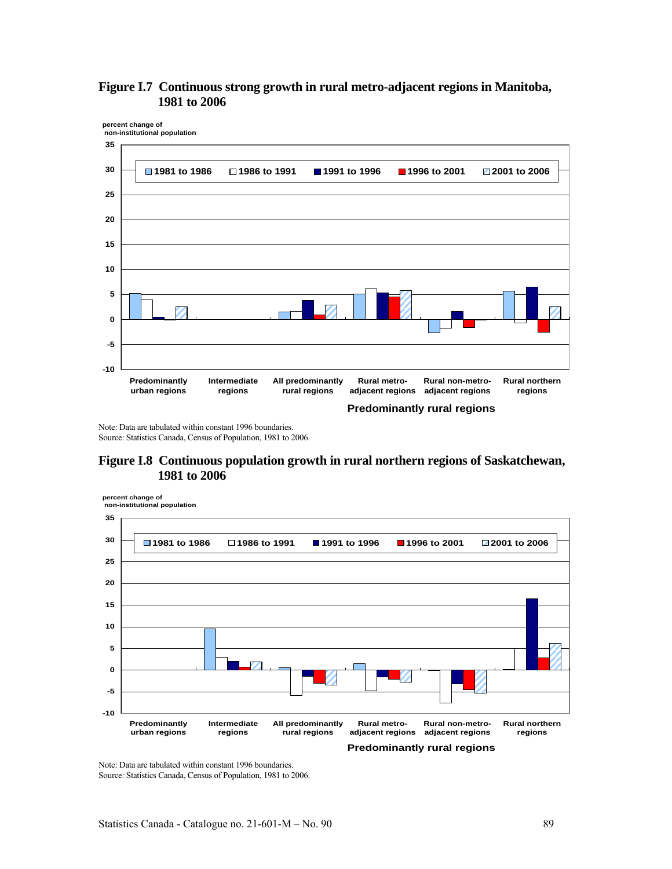



Note: Data are tabulated within constant 1996 boundaries. Source: Statistics Canada, Census of Population, 1981 to 2006.

## **Figure I.8 Continuous population growth in rural northern regions of Saskatchewan, 1981 to 2006**

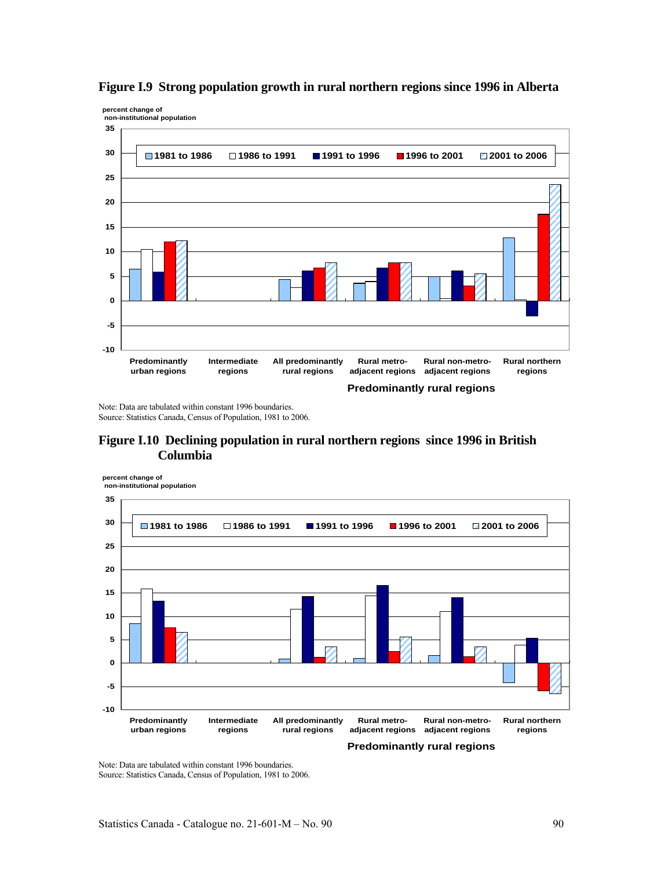

## **Figure I.9 Strong population growth in rural northern regions since 1996 in Alberta**

Note: Data are tabulated within constant 1996 boundaries. Source: Statistics Canada, Census of Population, 1981 to 2006.

# **Figure I.10 Declining population in rural northern regions since 1996 in British Columbia**

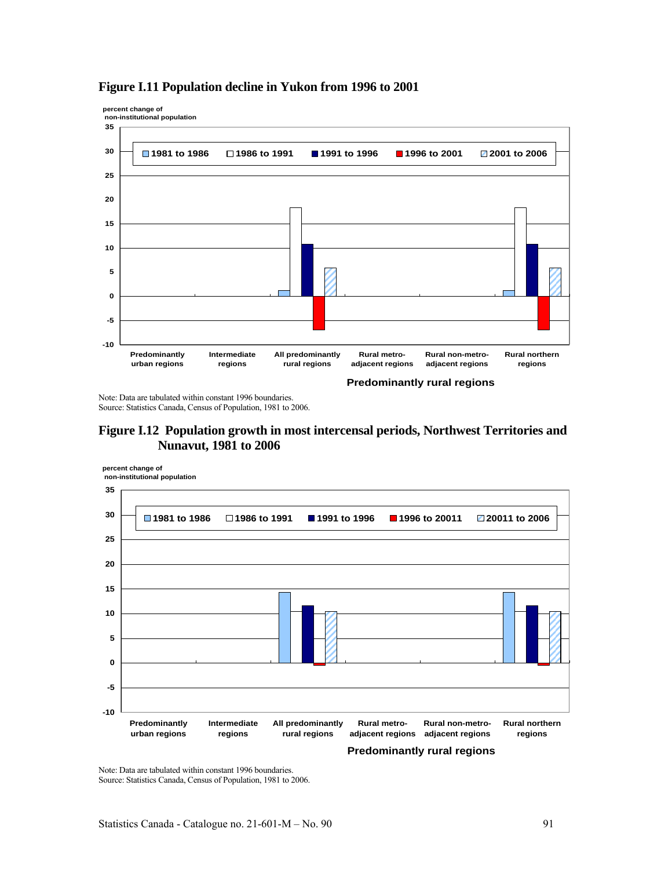

## **Figure I.11 Population decline in Yukon from 1996 to 2001**

**percent change of**

Note: Data are tabulated within constant 1996 boundaries. Source: Statistics Canada, Census of Population, 1981 to 2006.

# **Figure I.12 Population growth in most intercensal periods, Northwest Territories and Nunavut, 1981 to 2006**

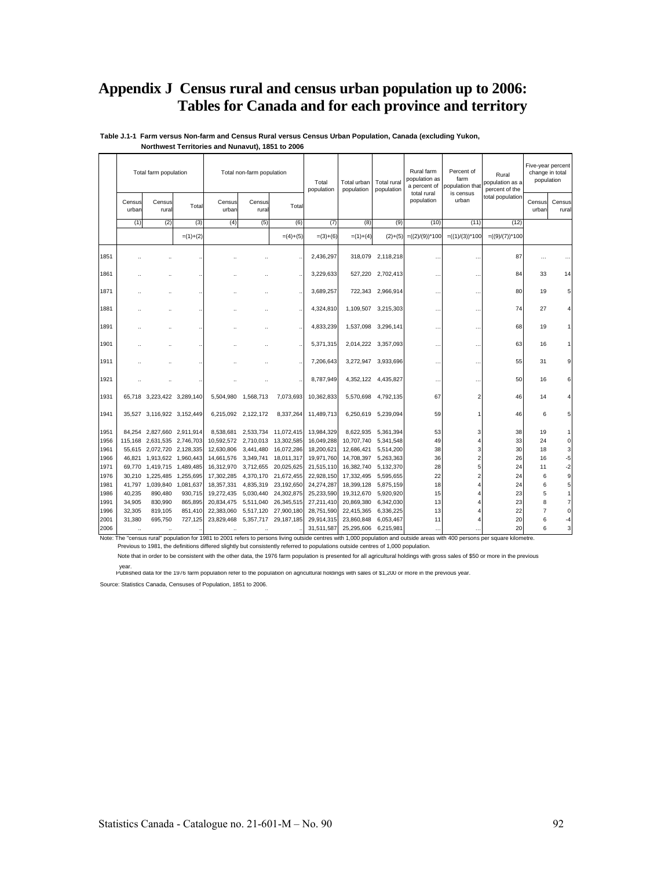# **Appendix J Census rural and census urban population up to 2006: Tables for Canada and for each province and territory**

|      |                 | Total farm population       |            |                 | Total non-farm population |                      | Total<br>population | Total urban<br>population | Total rural<br>population | Rural farm<br>population as<br>a percent of<br>total rural | Percent of<br>farm<br>population that<br>is census | Rural<br>population as a<br>percent of the | population      | Five-year percent<br>change in total |
|------|-----------------|-----------------------------|------------|-----------------|---------------------------|----------------------|---------------------|---------------------------|---------------------------|------------------------------------------------------------|----------------------------------------------------|--------------------------------------------|-----------------|--------------------------------------|
|      | Census<br>urban | Census<br>rural             | Total      | Census<br>urban | Census<br>rural           | Total                |                     |                           |                           | population                                                 | urban                                              | total population                           | Census<br>urbar | Census<br>rural                      |
|      | (1)             | (2)                         | (3)        | (4)             | (5)                       | (6)                  | (7)                 | (8)                       | (9)                       | (10)                                                       | (11)                                               | (12)                                       |                 |                                      |
|      |                 |                             | $=(1)+(2)$ |                 |                           | $=(4)+(5)$           | $=(3)+(6)$          | $= (1) + (4)$             | $(2)+(5)$                 | $=((2)/(9))^*100$                                          | $=((1)/(3))^*100$                                  | $= ((9)/(7))^*100$                         |                 |                                      |
| 1851 |                 |                             |            |                 |                           |                      | 2,436,297           |                           | 318,079 2,118,218         | $\ddot{\phantom{a}}$                                       | $\ddot{\phantom{a}}$                               | 87                                         | $\cdots$        |                                      |
| 1861 |                 |                             |            |                 |                           |                      | 3,229,633           |                           | 527,220 2,702,413         |                                                            |                                                    | 84                                         | 33              | 14                                   |
| 1871 |                 |                             |            |                 |                           |                      | 3,689,257           | 722.343                   | 2,966,914                 | $\ddotsc$                                                  | $\ddot{\phantom{a}}$                               | 80                                         | 19              | 5                                    |
| 1881 |                 |                             |            |                 |                           |                      | 4,324,810           | 1,109,507                 | 3,215,303                 | $\ddot{\phantom{a}}$                                       | $\ddotsc$                                          | 74                                         | 27              |                                      |
| 1891 |                 |                             |            |                 |                           |                      | 4,833,239           | 1,537,098                 | 3,296,141                 |                                                            | $\ddot{\phantom{0}}$                               | 68                                         | 19              |                                      |
| 1901 |                 |                             |            |                 |                           |                      | 5,371,315           |                           | 2,014,222 3,357,093       |                                                            | $\ddotsc$                                          | 63                                         | 16              |                                      |
| 1911 |                 |                             |            |                 |                           |                      | 7.206.643           | 3,272,947                 | 3,933,696                 | $\ddot{\phantom{a}}$                                       | $\ddot{\phantom{a}}$                               | 55                                         | 31              | 9                                    |
| 1921 |                 |                             |            |                 |                           |                      | 8,787,949           |                           | 4,352,122 4,435,827       |                                                            |                                                    | 50                                         | 16              | 6                                    |
| 1931 |                 | 65,718 3,223,422 3,289,140  |            | 5,504,980       | 1,568,713                 | 7,073,693            | 10,362,833          | 5,570,698                 | 4,792,135                 | 67                                                         | $\overline{2}$                                     | 46                                         | 14              |                                      |
| 1941 |                 | 35,527 3,116,922 3,152,449  |            |                 | 6,215,092 2,122,172       | 8,337,264            | 11,489,713          |                           | 6,250,619 5,239,094       | 59                                                         |                                                    | 46                                         | 6               |                                      |
| 1951 |                 | 84,254 2,827,660 2,911,914  |            | 8.538.681       | 2.533.734                 | 11,072,415           | 13,984,329          | 8,622,935                 | 5,361,394                 | 53                                                         | 3                                                  | 38                                         | 19              |                                      |
| 1956 |                 | 115,168 2,631,535 2,746,703 |            | 10,592,572      | 2,710,013                 | 13,302,585           | 16,049,288          | 10,707,740                | 5,341,548                 | 49                                                         |                                                    | 33                                         | 24              | 0                                    |
| 1961 |                 | 55,615 2,072,720 2,128,335  |            | 12,630,806      | 3,441,480                 | 16,072,286           | 18,200,621          | 12,686,421                | 5,514,200                 | 38                                                         | 3                                                  | 30                                         | 18              | 3                                    |
| 1966 |                 | 46,821 1,913,622 1,960,443  |            | 14,661,576      | 3,349,741                 | 18,011,317           | 19,971,760          | 14,708,397                | 5,263,363                 | 36                                                         | $\overline{c}$                                     | 26                                         | 16              | -5                                   |
| 1971 |                 | 69,770 1,419,715 1,489,485  |            | 16,312,970      | 3,712,655                 | 20,025,625           | 21,515,110          | 16,382,740                | 5,132,370                 | 28                                                         | 5                                                  | 24                                         | 11              | $-2$                                 |
| 1976 |                 | 30,210 1,225,485 1,255,695  |            | 17,302,285      |                           | 4,370,170 21,672,455 | 22,928,150          | 17,332,495                | 5,595,655                 | 22                                                         |                                                    | 24                                         | 6               | 9                                    |
| 1981 |                 | 41,797 1,039,840            | 1,081,637  | 18,357,331      |                           | 4,835,319 23,192,650 | 24,274,287          | 18,399,128                | 5,875,159                 | 18                                                         |                                                    | 24                                         | 6               | 5                                    |
| 1986 | 40,235          | 890,480                     | 930,715    | 19,272,435      |                           | 5,030,440 24,302,875 | 25,233,590          | 19,312,670                | 5,920,920                 | 15                                                         |                                                    | 23                                         | 5               |                                      |
| 1991 | 34,905          | 830.990                     | 865,895    | 20,834,475      |                           | 5,511,040 26,345,515 | 27,211,410          | 20,869,380                | 6,342,030                 | 13                                                         |                                                    | 23                                         | 8               |                                      |
| 1996 | 32,305          | 819,105                     | 851,410    | 22,383,060      | 5,517,120                 | 27,900,180           | 28,751,590          | 22,415,365                | 6,336,225                 | 13                                                         |                                                    | 22                                         | $\overline{7}$  | 0                                    |
| 2001 | 31,380          | 695,750                     | 727,125    | 23,829,468      |                           | 5,357,717 29,187,185 | 29,914,315          | 23,860,848                | 6,053,467                 | 11                                                         |                                                    | 20                                         | 6               | -4                                   |
| 2006 | $\cdot\cdot$    | $\ddotsc$                   |            | $\cdot\cdot$    |                           |                      | 31,511,587          | 25,295,606                | 6,215,981                 |                                                            |                                                    | 20                                         | 6               | 3                                    |

**Table J.1-1 Farm versus Non-farm and Census Rural versus Census Urban Population, Canada (excluding Yukon, Northwest Territories and Nunavut), 1851 to 2006**

Note: The "census rural" population for 1981 to 2001 refers to persons living outside centres with 1,000 population and outside areas with 400 persons per square kilometre.

Previous to 1981, the definitions differed slightly but consistently referred to populations outside centres of 1,000 population.

Note that in order to be consistent with the other data, the 1976 farm population is presented for all agricultural holdings with gross sales of \$50 or more in the previous

year.<br>Published data for the 1976 farm population refer to the population on agricultural holdings with sales of \$1,200 or more in the previous year.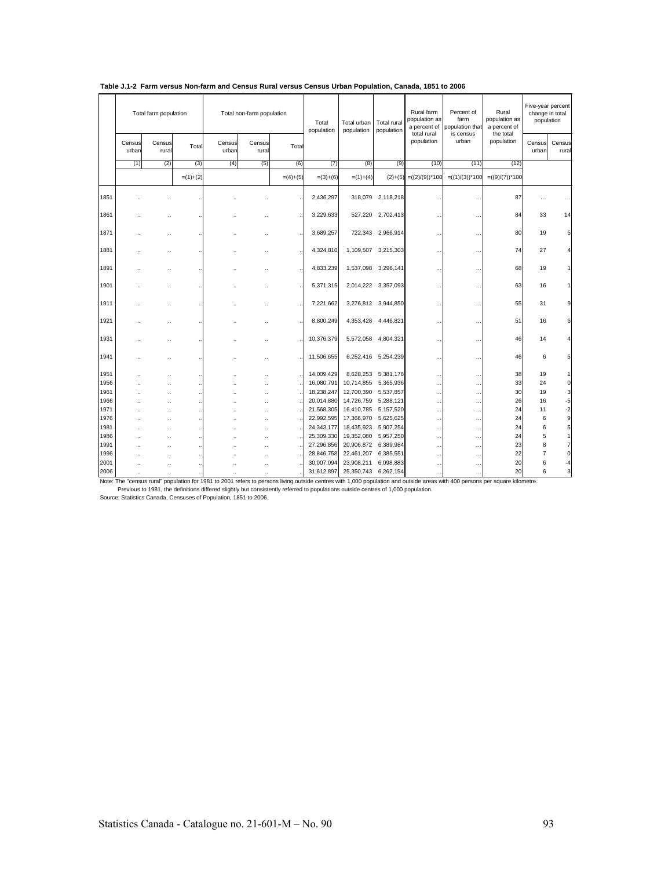|      |                      | Total farm population |                      |                 | Total non-farm population |            | Total<br>population | Total urban<br>population | Total rural<br>population | Rural farm<br>population as<br>total rural | Percent of<br>farm<br>a percent of population that<br>is census | Rural<br>population as<br>a percent of<br>the total | Five-year percent<br>change in total<br>population |                 |
|------|----------------------|-----------------------|----------------------|-----------------|---------------------------|------------|---------------------|---------------------------|---------------------------|--------------------------------------------|-----------------------------------------------------------------|-----------------------------------------------------|----------------------------------------------------|-----------------|
|      | Census<br>urban      | Census<br>rural       | Total                | Census<br>urban | Census<br>rural           | Total      |                     |                           |                           | population                                 | urban                                                           | population                                          | Census<br>urban                                    | Census<br>rural |
|      | (1)                  | (2)                   | (3)                  | (4)             | (5)                       | (6)        | (7)                 | (8)                       | (9)                       | (10)                                       | (11)                                                            | (12)                                                |                                                    |                 |
|      |                      |                       | $=(1)+(2)$           |                 |                           | $=(4)+(5)$ | $=(3)+(6)$          | $= (1)+(4)$               | $(2)+(5)$                 | $=((2)/(9))^*100$                          | $=((1)/(3))^*100$                                               | $=((9)/(7))^*100$                                   |                                                    |                 |
| 1851 |                      |                       |                      |                 | ٠.                        |            | 2,436,297           |                           | 318,079 2,118,218         | $\ddot{\phantom{a}}$                       | $\ddot{\phantom{0}}$                                            | 87                                                  |                                                    |                 |
| 1861 |                      |                       |                      |                 |                           |            | 3,229,633           |                           | 527,220 2,702,413         |                                            | $\ddot{\phantom{0}}$                                            | 84                                                  | 33                                                 | 14              |
| 1871 |                      |                       |                      |                 |                           |            | 3,689,257           |                           | 722,343 2,966,914         | $\sim$                                     | $\ddot{\phantom{a}}$                                            | 80                                                  | 19                                                 | 5               |
| 1881 |                      |                       |                      |                 |                           |            | 4,324,810           |                           | 1,109,507 3,215,303       | $\cdots$                                   | $\ddotsc$                                                       | 74                                                  | 27                                                 |                 |
| 1891 |                      |                       |                      |                 | ٠.                        |            | 4,833,239           |                           | 1,537,098 3,296,141       | $\ddotsc$                                  | $\ddot{\phantom{0}}$                                            | 68                                                  | 19                                                 |                 |
| 1901 |                      |                       |                      |                 |                           |            | 5,371,315           |                           | 2,014,222 3,357,093       | .                                          | $\ddot{\phantom{0}}$                                            | 63                                                  | 16                                                 |                 |
| 1911 |                      |                       |                      |                 |                           |            | 7,221,662           |                           | 3,276,812 3,944,850       | $\ddotsc$                                  | $\ddotsc$                                                       | 55                                                  | 31                                                 | 9               |
| 1921 |                      | $\ddot{\phantom{a}}$  |                      |                 |                           |            | 8,800,249           |                           | 4,353,428 4,446,821       | $\ddotsc$                                  | $\cdot$ .                                                       | 51                                                  | 16                                                 | 6               |
| 1931 |                      |                       |                      |                 |                           |            | 10,376,379          | 5,572,058                 | 4,804,321                 | $\ddot{\phantom{a}}$                       | $\ddot{\phantom{a}}$                                            | 46                                                  | 14                                                 |                 |
| 1941 |                      |                       |                      |                 |                           |            | 11,506,655          |                           | 6,252,416 5,254,239       |                                            | $\ddot{\phantom{0}}$                                            | 46                                                  | 6                                                  | 5               |
| 1951 |                      | ä.                    |                      |                 | à.                        |            | 14,009,429          | 8,628,253                 | 5,381,176                 | $\sim$                                     | $\ddotsc$                                                       | 38                                                  | 19                                                 |                 |
| 1956 |                      | $\ddot{\phantom{a}}$  |                      |                 |                           |            | 16,080,791          | 10,714,855                | 5,365,936                 | $\cdots$                                   | $\ddotsc$                                                       | 33                                                  | 24                                                 | $\overline{0}$  |
| 1961 |                      | $\ddot{\phantom{a}}$  | $\ddot{\phantom{a}}$ |                 | à.                        |            | 18,238,247          | 12,700,390                | 5,537,857                 | $\cdots$                                   | $\ddotsc$                                                       | 30                                                  | 19                                                 | $\overline{3}$  |
| 1966 |                      | ٠.                    |                      |                 | ä,                        |            | 20,014,880          | 14,726,759                | 5,288,121                 |                                            |                                                                 | 26                                                  | 16                                                 | $-5$            |
| 1971 |                      | $\ddot{\phantom{a}}$  |                      |                 | ٠.                        |            | 21,568,305          | 16,410,785                | 5,157,520                 | $\cdots$                                   | $\cdots$                                                        | 24                                                  | 11                                                 | $-2$            |
| 1976 |                      | ٠.                    |                      |                 |                           |            | 22,992,595          | 17,366,970                | 5,625,625                 | .                                          | $\ddot{\phantom{0}}$                                            | 24                                                  | 6                                                  | $\overline{9}$  |
| 1981 |                      |                       |                      |                 |                           |            | 24,343,177          | 18,435,923                | 5,907,254                 | $\cdots$                                   | $\ddotsc$                                                       | 24                                                  | 6                                                  | 5 <sup>1</sup>  |
| 1986 |                      |                       |                      |                 | z.                        |            | 25,309,330          | 19,352,080                | 5,957,250                 | $\cdots$                                   | $\ddotsc$                                                       | 24                                                  | 5                                                  | 1               |
| 1991 |                      |                       |                      |                 | z.                        |            | 27,296,856          | 20,906,872                | 6,389,984                 | $\cdots$                                   | $\ddots$                                                        | 23                                                  | 8                                                  | $\overline{7}$  |
| 1996 |                      | $\ddot{\phantom{a}}$  |                      |                 |                           |            | 28,846,758          | 22,461,207                | 6,385,551                 | $\cdots$                                   | $\ddotsc$                                                       | 22<br>20                                            | $\overline{7}$                                     | $\overline{0}$  |
| 2001 |                      |                       |                      |                 |                           |            | 30,007,094          | 23,908,211                | 6,098,883                 | $\cdots$                                   | $\ddotsc$                                                       |                                                     | 6                                                  | -4              |
| 2006 | $\ddot{\phantom{a}}$ |                       |                      | ٠.              | $\ddot{\phantom{a}}$      |            | 31,612,897          | 25,350,743 6,262,154      |                           | $\cdots$                                   |                                                                 | 20                                                  | 6                                                  | $\mathbf{3}$    |

|  | Table J.1-2 Farm versus Non-farm and Census Rural versus Census Urban Population, Canada, 1851 to 2006 |  |  |  |  |
|--|--------------------------------------------------------------------------------------------------------|--|--|--|--|
|  |                                                                                                        |  |  |  |  |

Note: The "census rural" population for 1981 to 2001 refers to persons living outside centres with 1,000 population and outside areas with 400 persons per square kilometre.<br>Previous to 1981, the definitions differed slight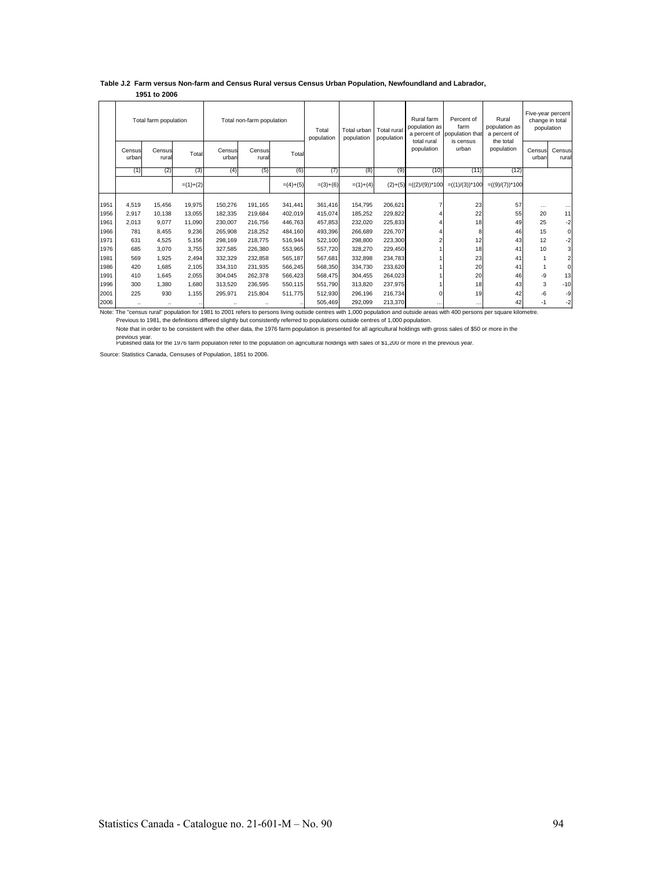#### **Table J.2 Farm versus Non-farm and Census Rural versus Census Urban Population, Newfoundland and Labrador, 1951 to 2006**

|      |                 | Total farm population |            |                      | Total non-farm population |            | Total<br>population | Total urban<br>population | Total rural<br>population | Rural farm<br>population as<br>a percent of<br>total rural | Percent of<br>farm<br>population that | Rural<br>population as<br>a percent of | change in total | Five-year percent<br>population |
|------|-----------------|-----------------------|------------|----------------------|---------------------------|------------|---------------------|---------------------------|---------------------------|------------------------------------------------------------|---------------------------------------|----------------------------------------|-----------------|---------------------------------|
|      | Census<br>urban | Census<br>rural       | Total      | Census<br>urban      | Census<br>rural           | Total      |                     |                           |                           | population                                                 | is census<br>urban                    | the total<br>population                | Census<br>urban | Census<br>rural                 |
|      | (1)             | (2)                   | (3)        | (4)                  | (5)                       | (6)        | (7)                 | (8)                       | (9)                       | (10)                                                       | (11)                                  | (12)                                   |                 |                                 |
|      |                 |                       | $=(1)+(2)$ |                      |                           | $=(4)+(5)$ | $=(3)+(6)$          | $=(1)+(4)$                | $(2)+(5)$                 | $=((2)/(9))^*100$                                          | $= ((1)/(3))^*100$                    | $= ((9)/(7))^*100$                     |                 |                                 |
| 1951 | 4,519           | 15.456                | 19,975     | 150.276              | 191.165                   | 341,441    | 361.416             | 154,795                   | 206,621                   |                                                            | 23                                    | 57                                     | $\cdots$        |                                 |
| 1956 | 2.917           | 10.138                | 13.055     | 182.335              | 219.684                   | 402.019    | 415.074             | 185.252                   | 229,822                   |                                                            | 22                                    | 55                                     | 20              | 11                              |
| 1961 | 2.013           | 9.077                 | 11.090     | 230.007              | 216.756                   | 446.763    | 457.853             | 232.020                   | 225.833                   |                                                            | 18                                    | 49                                     | 25              | $-2$                            |
| 1966 | 781             | 8.455                 | 9,236      | 265.908              | 218.252                   | 484.160    | 493.396             | 266.689                   | 226,707                   |                                                            | 8                                     | 46                                     | 15              | $\mathbf 0$                     |
| 1971 | 631             | 4.525                 | 5.156      | 298.169              | 218,775                   | 516,944    | 522.100             | 298,800                   | 223,300                   |                                                            | 12                                    | 43                                     | 12              | $-2$                            |
| 1976 | 685             | 3.070                 | 3.755      | 327.585              | 226,380                   | 553,965    | 557,720             | 328,270                   | 229,450                   |                                                            | 18                                    | 41                                     | 10              | 3                               |
| 1981 | 569             | 1,925                 | 2,494      | 332.329              | 232,858                   | 565,187    | 567.681             | 332,898                   | 234,783                   |                                                            | 23                                    | 41                                     | 1               | $\overline{2}$                  |
| 1986 | 420             | 1.685                 | 2,105      | 334.310              | 231.935                   | 566,245    | 568,350             | 334.730                   | 233,620                   |                                                            | 20                                    | 41                                     | 1               | $\mathbf 0$                     |
| 1991 | 410             | 1.645                 | 2.055      | 304.045              | 262.378                   | 566,423    | 568.475             | 304.455                   | 264,023                   |                                                            | 20                                    | 46                                     | -9              | 13                              |
| 1996 | 300             | 1.380                 | 1.680      | 313.520              | 236,595                   | 550.115    | 551.790             | 313.820                   | 237.975                   |                                                            | 18                                    | 43                                     | 3               | $-10$                           |
| 2001 | 225             | 930                   | 1.155      | 295,971              | 215,804                   | 511.775    | 512.930             | 296.196                   | 216,734                   |                                                            | 19                                    | 42                                     | $-6$            | -9                              |
| 2006 |                 | $\ddot{\phantom{a}}$  |            | $\ddot{\phantom{0}}$ |                           |            | 505,469             | 292,099                   | 213,370                   |                                                            | $\cdots$                              | 42                                     | $-1$            | $-2$                            |

Note: The "census rural" population for 1981 to 2001 refers to persons living outside centres with 1,000 population and outside areas with 400 persons per square kilometre.

Previous to 1981, the definitions differed slightly but consistently referred to populations outside centres of 1,000 population.<br>Note that in order to be consistent with the other data, the 1976 farm population is present

previous year.<br>Published data tor the 1976 farm population refer to the population on agricultural holdings with sales of \$1,200 or more in the previous year.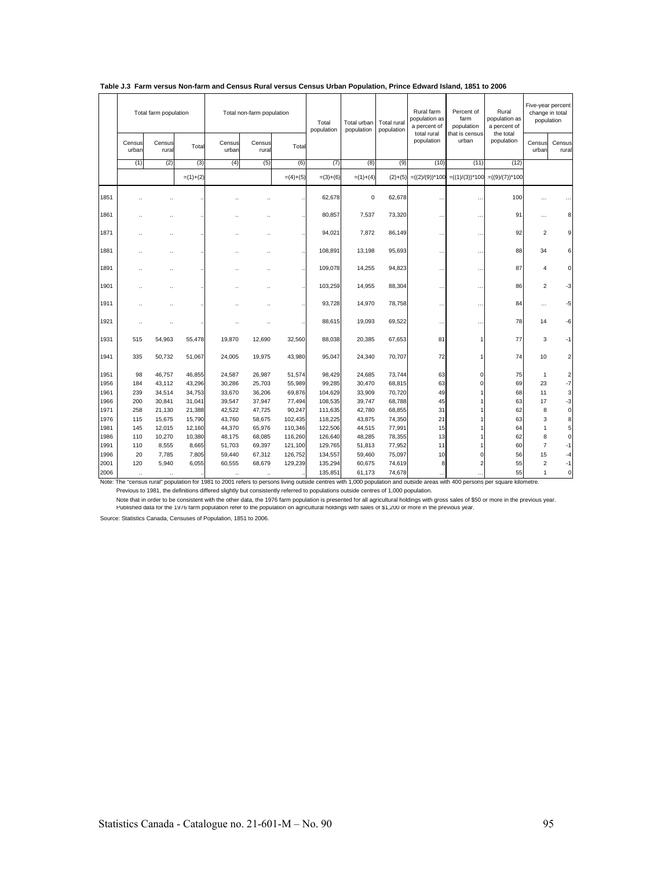|      |                 | Total farm population |            |                 | Total non-farm population |            | Total<br>population | Total urban<br>population | Total rural<br>population | Rural farm<br>population as<br>a percent of | Percent of<br>farm<br>population | Rural<br>population as<br>a percent of | Five-year percent<br>change in total | population              |
|------|-----------------|-----------------------|------------|-----------------|---------------------------|------------|---------------------|---------------------------|---------------------------|---------------------------------------------|----------------------------------|----------------------------------------|--------------------------------------|-------------------------|
|      | Census<br>urbar | Census<br>rural       | Total      | Census<br>urban | Census<br>rural           | Total      |                     |                           |                           | total rural<br>population                   | that is census<br>urban          | the total<br>population                | Census<br>urban                      | Census<br>rural         |
|      | (1)             | (2)                   | (3)        | (4)             | (5)                       | (6)        | (7)                 | (8)                       | (9)                       | (10)                                        | (11)                             | (12)                                   |                                      |                         |
|      |                 |                       | $=(1)+(2)$ |                 |                           | $=(4)+(5)$ | $=(3)+(6)$          | $=(1)+(4)$                | $(2)+(5)$                 | $=((2)/(9))^*100$                           | $=((1)/(3))^*100$                | $=((9)/(7))^*100$                      |                                      |                         |
| 1851 |                 |                       |            |                 |                           |            | 62,678              | $\mathbf 0$               | 62,678                    |                                             | $\ddot{\phantom{0}}$             | 100                                    |                                      |                         |
| 1861 |                 |                       |            |                 |                           |            | 80,857              | 7,537                     | 73,320                    |                                             | $\ddot{\phantom{a}}$             | 91                                     | $\cdots$                             | 8                       |
| 1871 |                 |                       |            |                 |                           |            | 94,021              | 7,872                     | 86,149                    | $\ddotsc$                                   |                                  | 92                                     | $\overline{2}$                       | q                       |
| 1881 |                 |                       |            |                 |                           |            | 108,891             | 13,198                    | 95,693                    | $\ddotsc$                                   | $\ddotsc$                        | 88                                     | 34                                   | 6                       |
| 1891 |                 |                       |            |                 |                           |            | 109,078             | 14,255                    | 94,823                    |                                             | ٠.                               | 87                                     | 4                                    | $\mathbf 0$             |
| 1901 |                 |                       |            |                 |                           |            | 103,259             | 14,955                    | 88,304                    | $\ddotsc$                                   |                                  | 86                                     | 2                                    | -3                      |
| 1911 |                 |                       |            |                 |                           |            | 93,728              | 14,970                    | 78,758                    | $\ddotsc$                                   | $\ddotsc$                        | 84                                     | $\cdots$                             | -5                      |
| 1921 |                 |                       |            |                 |                           |            | 88,615              | 19,093                    | 69,522                    | $\ddotsc$                                   | ٠.                               | 78                                     | 14                                   | -6                      |
| 1931 | 515             | 54,963                | 55,478     | 19,870          | 12,690                    | 32,560     | 88,038              | 20,385                    | 67,653                    | 81                                          |                                  | 77                                     | 3                                    | -1                      |
| 1941 | 335             | 50,732                | 51,067     | 24,005          | 19,975                    | 43,980     | 95,047              | 24,340                    | 70,707                    | 72                                          |                                  | 74                                     | 10                                   | $\overline{2}$          |
| 1951 | 98              | 46,757                | 46,855     | 24,587          | 26,987                    | 51,574     | 98,429              | 24,685                    | 73,744                    | 63                                          | $\Omega$                         | 75                                     | $\mathbf{1}$                         | $\overline{\mathbf{c}}$ |
| 1956 | 184             | 43,112                | 43,296     | 30,286          | 25,703                    | 55,989     | 99,285              | 30,470                    | 68,815                    | 63                                          | $\Omega$                         | 69                                     | 23                                   | $-7$                    |
| 1961 | 239             | 34,514                | 34,753     | 33,670          | 36,206                    | 69,876     | 104,629             | 33,909                    | 70,720                    | 49                                          |                                  | 68                                     | 11                                   | $\mathbf{3}$            |
| 1966 | 200             | 30,841                | 31,041     | 39,547          | 37,947                    | 77,494     | 108,535             | 39,747                    | 68,788                    | 45                                          |                                  | 63                                     | 17                                   | $-3$                    |
| 1971 | 258             | 21,130                | 21,388     | 42,522          | 47,725                    | 90,247     | 111,635             | 42,780                    | 68,855                    | 31                                          |                                  | 62                                     | 8                                    | $\mathbf 0$             |
| 1976 | 115             | 15,675                | 15,790     | 43,760          | 58,675                    | 102,435    | 118,225             | 43,875                    | 74,350                    | 21                                          |                                  | 63                                     | 3                                    | 8                       |
| 1981 | 145             | 12,015                | 12,160     | 44,370          | 65,976                    | 110,346    | 122,506             | 44,515                    | 77,991                    | 15                                          |                                  | 64                                     | $\mathbf{1}$                         | 5                       |
| 1986 | 110             | 10,270                | 10,380     | 48,175          | 68,085                    | 116,260    | 126,640             | 48,285                    | 78,355                    | 13                                          |                                  | 62                                     | 8                                    | $\mathbf 0$             |
| 1991 | 110             | 8,555                 | 8,665      | 51,703          | 69,397                    | 121,100    | 129,765             | 51,813                    | 77,952                    | 11                                          |                                  | 60                                     | $\overline{7}$                       | $-1$                    |
| 1996 | 20              | 7,785                 | 7,805      | 59,440          | 67,312                    | 126,752    | 134,557             | 59,460                    | 75,097                    | 10                                          | $\Omega$                         | 56                                     | 15                                   | $-4$                    |
| 2001 | 120             | 5,940                 | 6,055      | 60,555          | 68,679                    | 129,239    | 135,294             | 60,675                    | 74,619                    | 8                                           |                                  | 55                                     | $\overline{\mathbf{c}}$              | $-1$                    |
| 2006 | $\ddotsc$       | $\ddotsc$             | $\cdot$    | $\ddotsc$       | $\ddotsc$                 |            | 135,851             | 61,173                    | 74,678                    | $\ddotsc$                                   |                                  | 55                                     | $\mathbf{1}$                         | $\pmb{0}$               |

#### **Table J.3 Farm versus Non-farm and Census Rural versus Census Urban Population, Prince Edward Island, 1851 to 2006**

Note: The "census rural" population for 1981 to 2001 refers to persons living outside centres with 1,000 population and outside areas with 400 persons per square kilometre. Previous to 1981, the definitions differed slightly but consistently referred to populations outside centres of 1,000 population.

Note that in order to be consistent with the other data, the 1976 farm population is presented for all agricultural holdings with gross sales of \$50 or more in the previous year.<br>Published data tor the 1976 farm population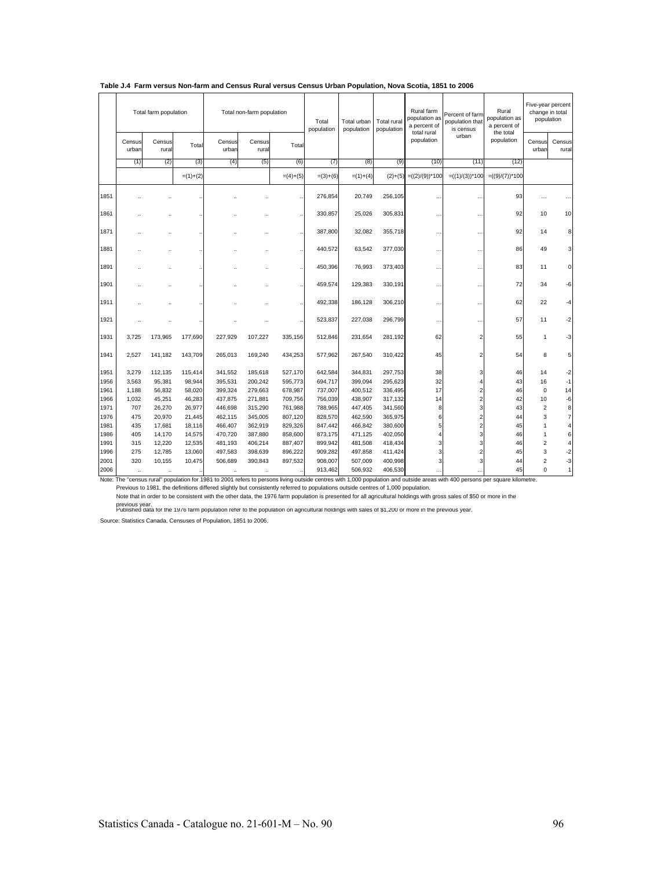|              |                      | Total farm population |                  |                    | Total non-farm population |                    | Total<br>population | Total urban<br>population | Total rural<br>population | Rural farm<br>population as<br>a percent of | Percent of farm<br>population that<br>is census | Rural<br>population as<br>a percent of | Five-year percent<br>change in total<br>population |                     |
|--------------|----------------------|-----------------------|------------------|--------------------|---------------------------|--------------------|---------------------|---------------------------|---------------------------|---------------------------------------------|-------------------------------------------------|----------------------------------------|----------------------------------------------------|---------------------|
|              | Census<br>urban      | Census<br>rural       | Total            | Census<br>urban    | Census<br>rura            | Total              |                     |                           |                           | total rural<br>population                   | urban                                           | the total<br>population                | Census<br>urban                                    | Census<br>rural     |
|              | (1)                  | (2)                   | (3)              | (4)                | (5)                       | (6)                | (7)                 | (8)                       | (9)                       | (10)                                        | (11)                                            | (12)                                   |                                                    |                     |
|              |                      |                       | $=(1)+(2)$       |                    |                           | $=(4)+(5)$         | $=(3)+(6)$          | $=(1)+(4)$                | $(2)+(5)$                 | $=((2)/(9))^*100$                           | $= ((1)/(3))^*100$                              | $= ((9)/(7))^*100$                     |                                                    |                     |
| 1851         |                      |                       |                  |                    |                           |                    | 276,854             | 20,749                    | 256,105                   | $\ddot{\phantom{a}}$                        |                                                 | 93                                     |                                                    |                     |
| 1861         |                      |                       |                  |                    |                           |                    | 330.857             | 25.026                    | 305,831                   | $\ddot{\phantom{a}}$                        |                                                 | 92                                     | 10                                                 | 10                  |
| 1871         |                      |                       |                  |                    |                           |                    | 387,800             | 32,082                    | 355,718                   | $\ddot{\phantom{a}}$                        | $\ddot{\phantom{a}}$                            | 92                                     | 14                                                 | 8                   |
| 1881         |                      |                       |                  |                    |                           |                    | 440,572             | 63,542                    | 377,030                   |                                             |                                                 | 86                                     | 49                                                 | 3                   |
| 1891         |                      |                       |                  |                    |                           |                    | 450,396             | 76,993                    | 373,403                   | .,                                          | $\ddot{\phantom{0}}$                            | 83                                     | 11                                                 | $\mathbf 0$         |
| 1901         |                      |                       |                  |                    |                           |                    | 459,574             | 129,383                   | 330,191                   | $\ddot{\phantom{a}}$                        |                                                 | 72                                     | 34                                                 | -6                  |
| 1911         |                      |                       |                  |                    |                           |                    | 492,338             | 186,128                   | 306,210                   | $\ddot{\phantom{0}}$                        |                                                 | 62                                     | 22                                                 | -4                  |
| 1921         |                      |                       |                  |                    |                           |                    | 523,837             | 227,038                   | 296,799                   | $\ddot{\phantom{0}}$                        | 44                                              | 57                                     | 11                                                 | $-2$                |
| 1931         | 3,725                | 173,965               | 177,690          | 227,929            | 107,227                   | 335,156            | 512,846             | 231,654                   | 281,192                   | 62                                          | $\overline{2}$                                  | 55                                     | 1                                                  | -3                  |
| 1941         | 2.527                | 141,182               | 143,709          | 265,013            | 169,240                   | 434,253            | 577,962             | 267,540                   | 310,422                   | 45                                          |                                                 | 54                                     | 8                                                  | 5                   |
| 1951         | 3,279                | 112,135               | 115,414          | 341,552            | 185,618                   | 527,170            | 642,584             | 344,831                   | 297,753                   | 38                                          | 3                                               | 46                                     | 14                                                 | $-2$                |
| 1956         | 3,563                | 95,381                | 98,944           | 395,531            | 200,242                   | 595,773            | 694,717             | 399,094                   | 295,623                   | 32                                          |                                                 | 43                                     | 16                                                 | $-1$                |
| 1961         | 1,188                | 56,832                | 58,020           | 399,324            | 279,663                   | 678,987            | 737,007             | 400,512                   | 336,495                   | 17                                          | $\overline{2}$                                  | 46                                     | $\pmb{0}$                                          | 14                  |
| 1966         | 1,032                | 45,251                | 46,283           | 437,875            | 271,881                   | 709,756            | 756,039             | 438,907                   | 317,132                   | 14                                          | $\overline{c}$                                  | 42                                     | 10                                                 | $-6$                |
| 1971         | 707                  | 26,270                | 26,977           | 446,698            | 315,290                   | 761,988            | 788,965             | 447,405                   | 341,560                   | 8                                           | $\overline{\mathbf{3}}$                         | 43                                     | $\overline{c}$                                     | $\bf8$              |
| 1976         | 475                  | 20,970                | 21,445           | 462,115            | 345,005                   | 807,120            | 828,570             | 462,590                   | 365,975                   | 6                                           | $\overline{2}$                                  | 44                                     | 3                                                  | $\overline{7}$      |
| 1981<br>1986 | 435<br>405           | 17,681<br>14,170      | 18.116<br>14,575 | 466.407<br>470,720 | 362.919<br>387,880        | 829,326<br>858,600 | 847,442<br>873,175  | 466.842<br>471,125        | 380,600<br>402,050        |                                             | $\overline{2}$<br>3                             | 45<br>46                               | 1<br>1                                             | $\overline{4}$<br>6 |
| 1991         | 315                  | 12,220                | 12,535           | 481,193            | 406,214                   | 887,407            | 899,942             | 481,508                   | 418,434                   | 3                                           | 3                                               | 46                                     | $\overline{2}$                                     | 4                   |
| 1996         | 275                  | 12,785                | 13,060           | 497,583            | 398,639                   | 896,222            | 909,282             | 497,858                   | 411,424                   | 3                                           |                                                 | 45                                     | 3                                                  | $-2$                |
| 2001         | 320                  | 10,155                | 10,475           | 506,689            | 390,843                   | 897,532            | 908,007             | 507,009                   | 400,998                   | 3                                           |                                                 | 44                                     | $\overline{c}$                                     | $-3$                |
| 2006         | $\ddot{\phantom{0}}$ | $\ddotsc$             |                  | $\ldots$           | $\ddot{\phantom{a}}$      |                    | 913,462             | 506,932                   | 406,530                   |                                             |                                                 | 45                                     | 0                                                  | $\mathbf{1}$        |

### **Table J.4 Farm versus Non-farm and Census Rural versus Census Urban Population, Nova Scotia, 1851 to 2006**

Note: The "census rural" population for 1981 to 2001 refers to persons living outside centres with 1,000 population and outside areas with 400 persons per square kilometre.<br>Previous to 1981, the definitions differed slight Note that in order to be consistent with the other data, the 1976 farm population is presented for all agricultural holdings with gross sales of \$50 or more in the

previous year.<br>Published data for the 1976 farm population refer to the population on agricultural holdings with sales of \$1,200 or more in the previous year.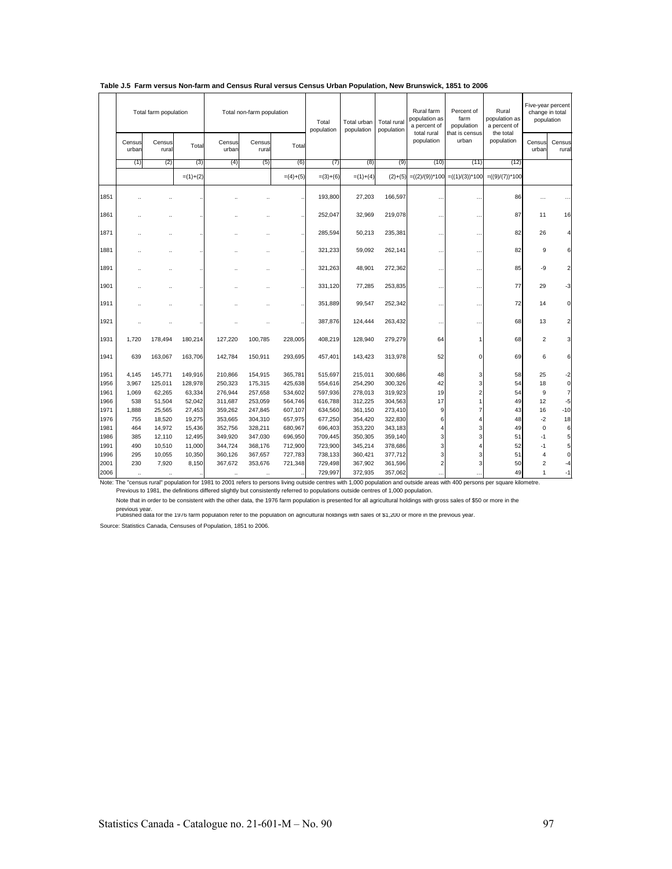|      |                      | Total farm population |            |                      | Total non-farm population |            | Total<br>population | Total urban<br>population | Total rural<br>population | Rural farm<br>population as<br>a percent of | Percent of<br>farm<br>population | Rural<br>population as<br>a percent of | change in total | Five-year percent<br>population |
|------|----------------------|-----------------------|------------|----------------------|---------------------------|------------|---------------------|---------------------------|---------------------------|---------------------------------------------|----------------------------------|----------------------------------------|-----------------|---------------------------------|
|      | Census<br>urban      | Census<br>rural       | Total      | Census<br>urban      | Census<br>rural           | Total      |                     |                           |                           | total rural<br>population                   | that is census<br>urban          | the total<br>population                | Census<br>urban | Census<br>rural                 |
|      | (1)                  | (2)                   | (3)        | (4)                  | (5)                       | (6)        | (7)                 | (8)                       | (9)                       | (10)                                        | (11)                             | (12)                                   |                 |                                 |
|      |                      |                       | $=(1)+(2)$ |                      |                           | $=(4)+(5)$ | $=(3)+(6)$          | $=(1)+(4)$                | $(2)+(5)$                 | $=((2)/(9))^*100$                           | $= ((1)/(3))^*100$               | $= ((9)/(7))^*100$                     |                 |                                 |
| 1851 |                      |                       |            |                      |                           |            | 193,800             | 27,203                    | 166,597                   | $\ddot{\phantom{0}}$                        |                                  | 86                                     |                 |                                 |
| 1861 |                      |                       |            |                      |                           |            | 252,047             | 32,969                    | 219,078                   |                                             |                                  | 87                                     | 11              | 16                              |
| 1871 |                      |                       |            |                      |                           |            | 285,594             | 50,213                    | 235,381                   |                                             |                                  | 82                                     | 26              | $\overline{4}$                  |
| 1881 |                      |                       |            |                      |                           |            | 321,233             | 59,092                    | 262,141                   |                                             | دده                              | 82                                     | 9               | 6                               |
| 1891 |                      |                       |            |                      |                           |            | 321,263             | 48,901                    | 272,362                   | $\ddot{\phantom{a}}$                        | . .                              | 85                                     | -9              | $\overline{2}$                  |
| 1901 |                      |                       |            |                      |                           |            | 331,120             | 77,285                    | 253,835                   | $\ddot{\phantom{a}}$                        | $\ddot{\phantom{a}}$             | 77                                     | 29              | $-3$                            |
| 1911 |                      |                       |            |                      |                           |            | 351,889             | 99,547                    | 252,342                   |                                             | ٠.                               | 72                                     | 14              | $\overline{0}$                  |
| 1921 |                      |                       |            |                      |                           |            | 387,876             | 124,444                   | 263,432                   |                                             | $\ddot{\phantom{a}}$             | 68                                     | 13              | $\overline{2}$                  |
| 1931 | 1,720                | 178,494               | 180,214    | 127,220              | 100,785                   | 228,005    | 408,219             | 128,940                   | 279,279                   | 64                                          |                                  | 68                                     | $\overline{2}$  | $\overline{\mathbf{3}}$         |
| 1941 | 639                  | 163,067               | 163,706    | 142.784              | 150,911                   | 293,695    | 457,401             | 143,423                   | 313,978                   | 52                                          | $\Omega$                         | 69                                     | 6               | 6                               |
| 1951 | 4,145                | 145,771               | 149,916    | 210,866              | 154,915                   | 365,781    | 515,697             | 215,011                   | 300,686                   | 48                                          | 3                                | 58                                     | 25              | $-2$                            |
| 1956 | 3.967                | 125,011               | 128,978    | 250,323              | 175,315                   | 425,638    | 554,616             | 254,290                   | 300,326                   | 42                                          |                                  | 54                                     | 18              | $\circ$                         |
| 1961 | 1,069                | 62,265                | 63,334     | 276,944              | 257,658                   | 534,602    | 597,936             | 278,013                   | 319,923                   | 19                                          |                                  | 54                                     | 9               | $\overline{7}$                  |
| 1966 | 538                  | 51,504                | 52,042     | 311,687              | 253,059                   | 564,746    | 616,788             | 312,225                   | 304,563                   | 17                                          |                                  | 49                                     | 12              | $-5$                            |
| 1971 | 1,888                | 25,565                | 27,453     | 359,262              | 247,845                   | 607,107    | 634,560             | 361,150                   | 273,410                   | 9                                           |                                  | 43                                     | 16              | $-10$                           |
| 1976 | 755                  | 18,520                | 19,275     | 353,665              | 304,310                   | 657,975    | 677,250             | 354,420                   | 322,830                   | 6                                           |                                  | 48                                     | $-2$            | 18                              |
| 1981 | 464                  | 14,972                | 15,436     | 352,756              | 328,211                   | 680,967    | 696,403             | 353,220                   | 343,183                   |                                             |                                  | 49                                     | $\mathbf 0$     | 6                               |
| 1986 | 385                  | 12,110                | 12,495     | 349,920              | 347,030                   | 696,950    | 709,445             | 350,305                   | 359,140                   | 3                                           |                                  | 51                                     | $-1$            | 5 <sup>1</sup>                  |
| 1991 | 490                  | 10,510                | 11,000     | 344,724              | 368,176                   | 712,900    | 723,900             | 345,214                   | 378,686                   | 3                                           |                                  | 52                                     | $-1$            | 5 <sub>5</sub>                  |
| 1996 | 295                  | 10,055                | 10,350     | 360,126              | 367,657                   | 727,783    | 738,133             | 360,421                   | 377,712                   |                                             |                                  | 51                                     | 4               | $\circ$                         |
| 2001 | 230                  | 7,920                 | 8,150      | 367,672              | 353,676                   | 721,348    | 729,498             | 367,902                   | 361,596                   | 2                                           |                                  | 50                                     | 2               | -4                              |
| 2006 | $\ddot{\phantom{a}}$ |                       |            | $\ddot{\phantom{a}}$ | $\ddot{\phantom{a}}$      |            | 729,997             | 372,935                   | 357,062                   |                                             |                                  | 49                                     | 1               | $-1$                            |

### **Table J.5 Farm versus Non-farm and Census Rural versus Census Urban Population, New Brunswick, 1851 to 2006**

Note: The "census rural" population for 1981 to 2001 refers to persons living outside centres with 1,000 population and outside areas with 400 persons per square kilometre.<br>Previous to 1981, the definitions differed slight

Note that in order to be consistent with the other data, the 1976 farm population is presented for all agricultural holdings with gross sales of \$50 or more in the

previous year.<br>Published data for the 1976 farm population refer to the population on agricultural holdings with sales of \$1,200 or more in the previous year.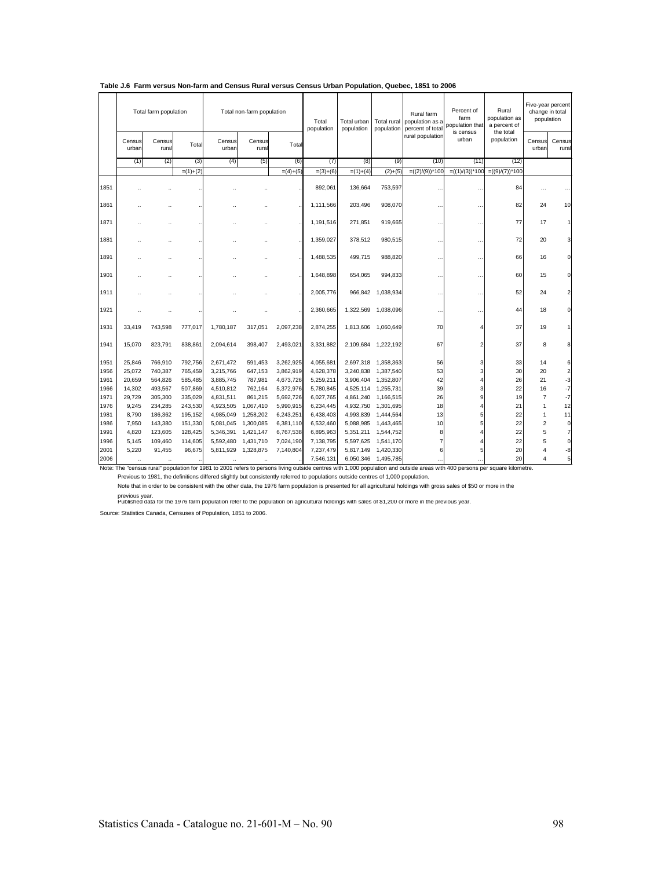|              |                      | Total farm population |                    |                        | Total non-farm population |                        | Total<br>population    | Total urban<br>population | Total rural<br>population | Rural farm<br>population as a<br>percent of total | Percent of<br>farm<br>population that | Rural<br>population as<br>a percent of | Five-year percent<br>change in total<br>population |                 |
|--------------|----------------------|-----------------------|--------------------|------------------------|---------------------------|------------------------|------------------------|---------------------------|---------------------------|---------------------------------------------------|---------------------------------------|----------------------------------------|----------------------------------------------------|-----------------|
|              | Census<br>urban      | Census<br>rural       | Total              | Census<br>urban        | Census<br>rural           | Total                  |                        |                           |                           | rural population                                  | is census<br>urban                    | the total<br>population                | Census<br>urban                                    | Census<br>rural |
|              | (1)                  | (2)                   | (3)                | (4)                    | (5)                       | (6)                    | (7)                    | (8)                       | (9)                       | (10)                                              | (11)                                  | (12)                                   |                                                    |                 |
|              |                      |                       | $=(1)+(2)$         |                        |                           | $=(4)+(5)$             | $=(3)+(6)$             | $=(1)+(4)$                | $(2)+(5)$                 | $=((2)/(9))^*100$                                 | $=((1)/(3))^*100$                     | $=((9)/(7))^*100$                      |                                                    |                 |
| 1851         |                      |                       |                    |                        |                           |                        | 892,061                | 136,664                   | 753,597                   |                                                   |                                       | 84                                     |                                                    |                 |
| 1861         |                      |                       |                    |                        |                           |                        | 1,111,566              | 203,496                   | 908,070                   |                                                   |                                       | 82                                     | 24                                                 | 10              |
| 1871         |                      |                       |                    |                        |                           |                        | 1,191,516              | 271,851                   | 919,665                   |                                                   | $\ddot{\phantom{0}}$                  | 77                                     | 17                                                 | 1               |
| 1881         |                      |                       |                    |                        |                           |                        | 1.359.027              | 378.512                   | 980,515                   |                                                   |                                       | 72                                     | 20                                                 | 3               |
| 1891         |                      |                       |                    |                        |                           |                        | 1,488,535              | 499,715                   | 988,820                   |                                                   |                                       | 66                                     | 16                                                 | $\Omega$        |
| 1901         |                      |                       |                    |                        |                           |                        | 1,648,898              | 654,065                   | 994,833                   |                                                   |                                       | 60                                     | 15                                                 | $\overline{0}$  |
| 1911         |                      |                       |                    |                        |                           |                        | 2,005,776              | 966,842                   | 1,038,934                 |                                                   |                                       | 52                                     | 24                                                 | $\overline{c}$  |
| 1921         |                      |                       |                    |                        |                           |                        | 2,360,665              | 1,322,569                 | 1,038,096                 |                                                   |                                       | 44                                     | 18                                                 | $\overline{0}$  |
| 1931         | 33.419               | 743,598               | 777,017            | 1,780,187              | 317,051                   | 2,097,238              | 2,874,255              | 1,813,606                 | 1,060,649                 | 70                                                | 4                                     | 37                                     | 19                                                 |                 |
| 1941         | 15.070               | 823,791               | 838,861            | 2,094,614              | 398,407                   | 2,493,021              | 3,331,882              | 2,109,684                 | 1,222,192                 | 67                                                | $\overline{2}$                        | 37                                     | 8                                                  | 8               |
| 1951         | 25.846               | 766,910               | 792,756            | 2,671,472              | 591,453                   | 3,262,925              | 4,055,681              | 2,697,318                 | 1,358,363                 | 56                                                | 3                                     | 33                                     | 14                                                 | 6               |
| 1956         | 25,072               | 740,387               | 765,459            | 3,215,766              | 647,153                   | 3,862,919              | 4,628,378              | 3,240,838                 | 1,387,540                 | 53                                                | 3                                     | 30                                     | 20                                                 | $\overline{c}$  |
| 1961         | 20.659               | 564,826               | 585,485            | 3,885,745              | 787,981                   | 4,673,726              | 5,259,211              | 3,906,404                 | 1,352,807                 | 42                                                | 4                                     | 26                                     | 21                                                 | $-3$            |
| 1966         | 14.302               | 493,567               | 507,869            | 4,510,812              | 762,164                   | 5,372,976              | 5,780,845              | 4,525,114                 | 1,255,731                 | 39                                                | 3                                     | 22                                     | 16                                                 | $-7$            |
| 1971         | 29.729               | 305,300               | 335,029            | 4,831,511              | 861,215                   | 5,692,726              | 6,027,765              | 4,861,240                 | 1,166,515                 | 26                                                | 9                                     | 19                                     | $\overline{7}$                                     | $-7$            |
| 1976<br>1981 | 9,245<br>8.790       | 234,285<br>186,362    | 243,530<br>195,152 | 4,923,505<br>4,985,049 | 1,067,410<br>1,258,202    | 5,990,915<br>6,243,251 | 6,234,445<br>6,438,403 | 4,932,750<br>4,993,839    | 1,301,695<br>1,444,564    | 18<br>13                                          | 4<br>5                                | 21<br>22                               | $\mathbf{1}$<br>$\mathbf{1}$                       | 12<br>11        |
| 1986         | 7.950                | 143,380               | 151,330            | 5,081,045              | 1,300,085                 | 6,381,110              | 6,532,460              | 5,088,985                 | 1,443,465                 | 10                                                | 5                                     | 22                                     | $\overline{2}$                                     | $\overline{0}$  |
| 1991         | 4,820                | 123,605               | 128,425            | 5,346,391              | 1,421,147                 | 6,767,538              | 6,895,963              | 5,351,211                 | 1,544,752                 | 8                                                 |                                       | 22                                     | 5                                                  | $\overline{7}$  |
| 1996         | 5,145                | 109,460               | 114,605            | 5,592,480              | 1,431,710                 | 7,024,190              | 7,138,795              | 5,597,625                 | 1,541,170                 | $\overline{7}$                                    |                                       | 22                                     | 5                                                  | $\overline{0}$  |
| 2001         | 5,220                | 91,455                | 96,675             | 5,811,929              | 1,328,875                 | 7,140,804              | 7,237,479              | 5,817,149                 | 1,420,330                 | 6                                                 |                                       | 20                                     | 4                                                  | -8              |
| 2006         | $\ddot{\phantom{a}}$ | $\ldots$              |                    | $\ddot{\phantom{a}}$   | $\ldots$                  |                        | 7,546,131              | 6,050,346                 | 1,495,785                 |                                                   |                                       | 20                                     | 4                                                  | $5\overline{a}$ |

### **Table J.6 Farm versus Non-farm and Census Rural versus Census Urban Population, Quebec, 1851 to 2006**

Note: The "census rural" population for 1981 to 2001 refers to persons living outside centres with 1,000 population and outside areas with 400 persons per square kilometre.<br>Previous to 1981, the definitions differed slight

Note that in order to be consistent with the other data, the 1976 farm population is presented for all agricultural holdings with gross sales of \$50 or more in the

previous year.<br>Published data for the 1976 farm population refer to the population on agricultural holdings with sales of \$1,200 or more in the previous year.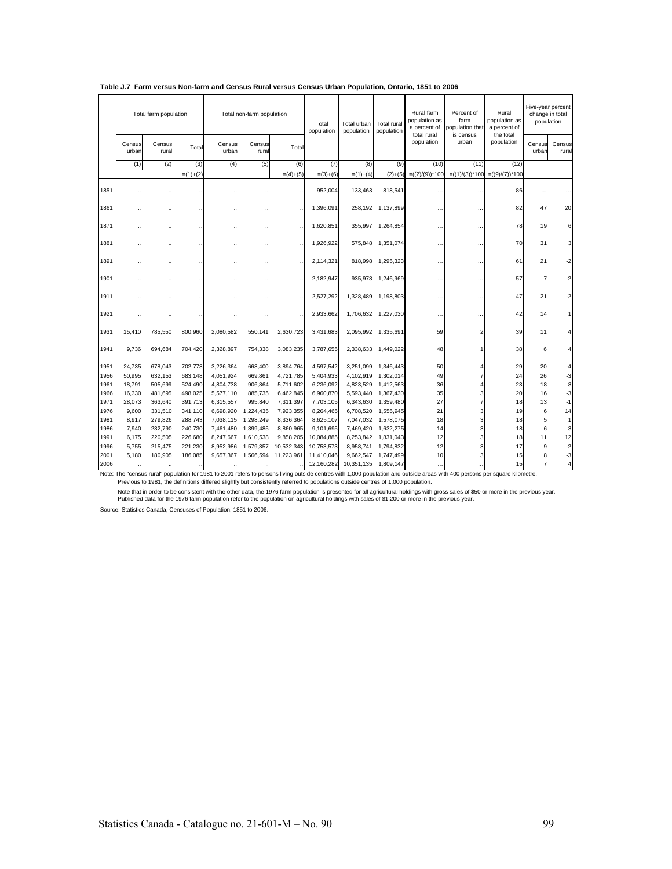|              |                 | Total farm population |                    |                        | Total non-farm population |                         | Total<br>population      | Total urban<br>population | Total rural<br>population | Rural farm<br>population as<br>a percent of | Percent of<br>farm<br>population that | Rural<br>population as<br>a percent of |                 | Five-year percent<br>change in total<br>population |
|--------------|-----------------|-----------------------|--------------------|------------------------|---------------------------|-------------------------|--------------------------|---------------------------|---------------------------|---------------------------------------------|---------------------------------------|----------------------------------------|-----------------|----------------------------------------------------|
|              | Census<br>urban | Census<br>rural       | Total              | Census<br>urban        | Census<br>rural           | Total                   |                          |                           |                           | total rural<br>population                   | is census<br>urban                    | the total<br>population                | Census<br>urban | Census<br>rural                                    |
|              | (1)             | (2)                   | (3)                | (4)                    | (5)                       | (6)                     | (7)                      | (8)                       | (9)                       | (10)                                        | (11)                                  | (12)                                   |                 |                                                    |
|              |                 |                       | $=(1)+(2)$         |                        |                           | $=(4)+(5)$              | $=(3)+(6)$               | $=(1)+(4)$                | $(2)+(5)$                 | $=((2)/(9))^*100$                           | $=((1)/(3))^*100$                     | $=((9)/(7))^*100$                      |                 |                                                    |
| 1851         |                 |                       |                    |                        |                           |                         | 952,004                  | 133,463                   | 818,541                   |                                             | $\ddot{\phantom{a}}$                  | 86                                     | $\cdots$        |                                                    |
| 1861         |                 |                       |                    |                        |                           |                         | 1,396,091                |                           | 258,192 1,137,899         | $\ddotsc$                                   |                                       | 82                                     | 47              | 20                                                 |
| 1871         |                 |                       |                    |                        |                           |                         | 1,620,851                |                           | 355,997 1,264,854         | $\ddotsc$                                   | $\ddot{\phantom{a}}$                  | 78                                     | 19              | 6                                                  |
| 1881         |                 |                       |                    |                        |                           |                         | 1.926.922                |                           | 575,848 1,351,074         |                                             | $\ddot{\phantom{a}}$                  | 70                                     | 31              | $\mathbf{3}$                                       |
| 1891         |                 |                       |                    |                        |                           |                         | 2,114,321                |                           | 818,998 1,295,323         |                                             | $\ddot{\phantom{a}}$                  | 61                                     | 21              | $-2$                                               |
| 1901         |                 |                       |                    |                        |                           |                         | 2,182,947                |                           | 935,978 1,246,969         | $\ddotsc$                                   | $\ddot{\phantom{0}}$                  | 57                                     | $\overline{7}$  | $-2$                                               |
| 1911         |                 |                       |                    |                        |                           |                         | 2,527,292                | 1,328,489                 | 1,198,803                 |                                             | $\ddot{\phantom{0}}$                  | 47                                     | 21              | $-2$                                               |
| 1921         |                 |                       |                    |                        |                           |                         | 2,933,662                |                           | 1,706,632 1,227,030       | $\ddotsc$                                   | $\ddot{\phantom{a}}$                  | 42                                     | 14              | 1                                                  |
| 1931         | 15,410          | 785,550               | 800,960            | 2,080,582              | 550.141                   | 2,630,723               | 3,431,683                |                           | 2,095,992 1,335,691       | 59                                          |                                       | 39                                     | 11              |                                                    |
| 1941         | 9,736           | 694,684               | 704,420            | 2,328,897              | 754,338                   | 3,083,235               | 3,787,655                |                           | 2,338,633 1,449,022       | 48                                          |                                       | 38                                     | 6               | 4                                                  |
| 1951         | 24.735          | 678.043               | 702,778            | 3.226.364              | 668.400                   | 3,894,764               | 4,597,542                | 3,251,099                 | 1,346,443                 | 50                                          |                                       | 29                                     | 20              | -4                                                 |
| 1956         | 50,995          | 632,153               | 683,148            | 4,051,924              | 669,861                   | 4,721,785               | 5,404,933                | 4,102,919                 | 1,302,014                 | 49                                          |                                       | 24                                     | 26              | $-3$                                               |
| 1961         | 18,791          | 505,699               | 524,490            | 4,804,738              | 906,864                   | 5,711,602               | 6,236,092                | 4,823,529                 | 1,412,563                 | 36                                          |                                       | 23                                     | 18              | 8                                                  |
| 1966         | 16,330          | 481,695               | 498,025            | 5,577,110              | 885,735                   | 6,462,845               | 6,960,870                | 5,593,440                 | 1,367,430                 | 35                                          |                                       | 20                                     | 16              | $-3$                                               |
| 1971         | 28.073          | 363,640               | 391,713            | 6,315,557              | 995,840                   | 7,311,397               | 7,703,105                | 6,343,630                 | 1,359,480                 | 27                                          |                                       | 18                                     | 13              | $-1$                                               |
| 1976         | 9.600           | 331,510               | 341,110            | 6,698,920              | 1,224,435                 | 7,923,355               | 8,264,465                | 6,708,520                 | 1,555,945                 | 21                                          |                                       | 19                                     | 6               | 14                                                 |
| 1981         | 8,917           | 279,826               | 288,743            | 7,038,115              | 1,298,249                 | 8,336,364               | 8,625,107                |                           | 7,047,032 1,578,075       | 18                                          |                                       | 18                                     | 5               | $\mathbf{1}$                                       |
| 1986         | 7.940           | 232,790               | 240,730            | 7,461,480              | 1,399,485                 | 8,860,965               | 9,101,695                | 7,469,420                 | 1,632,275                 | 14                                          |                                       | 18                                     | 6               | 3                                                  |
| 1991<br>1996 | 6,175           | 220,505               | 226,680            | 8,247,667              | 1,610,538                 | 9,858,205<br>10,532,343 | 10,084,885               |                           | 8,253,842 1,831,043       | 12<br>12                                    |                                       | 18<br>17                               | 11<br>9         | 12                                                 |
| 2001         | 5,755<br>5.180  | 215,475<br>180,905    | 221,230<br>186,085 | 8,952,986<br>9,657,367 | 1,579,357<br>1,566,594    | 11,223,961              | 10,753,573<br>11.410.046 | 8,958,741<br>9,662,547    | 1,794,832<br>1,747,499    | 10                                          |                                       | 15                                     | 8               | $-2$<br>$-3$                                       |
| 2006         | $\ddotsc$       | $\ddotsc$             |                    |                        | $\ddot{\phantom{a}}$      |                         | 12,160,282               | 10,351,135                | 1,809,147                 | $\cdots$                                    |                                       | 15                                     | $\overline{7}$  | $\overline{4}$                                     |

| Table J.7 Farm versus Non-farm and Census Rural versus Census Urban Population, Ontario, 1851 to 2006 |  |  |  |  |  |  |  |  |  |  |  |
|-------------------------------------------------------------------------------------------------------|--|--|--|--|--|--|--|--|--|--|--|
|-------------------------------------------------------------------------------------------------------|--|--|--|--|--|--|--|--|--|--|--|

Note: The "census rural" population for 1981 to 2001 refers to persons living outside centres with 1,000 population and outside areas with 400 persons per square kilometre.<br>Previous to 1981, the definitions differed slight

Note that in order to be consistent with the other data, the 1976 farm population is presented for all agricultural holdings with gross sales of \$50 or more in the previous year.<br>Published data tor the 1976 farm population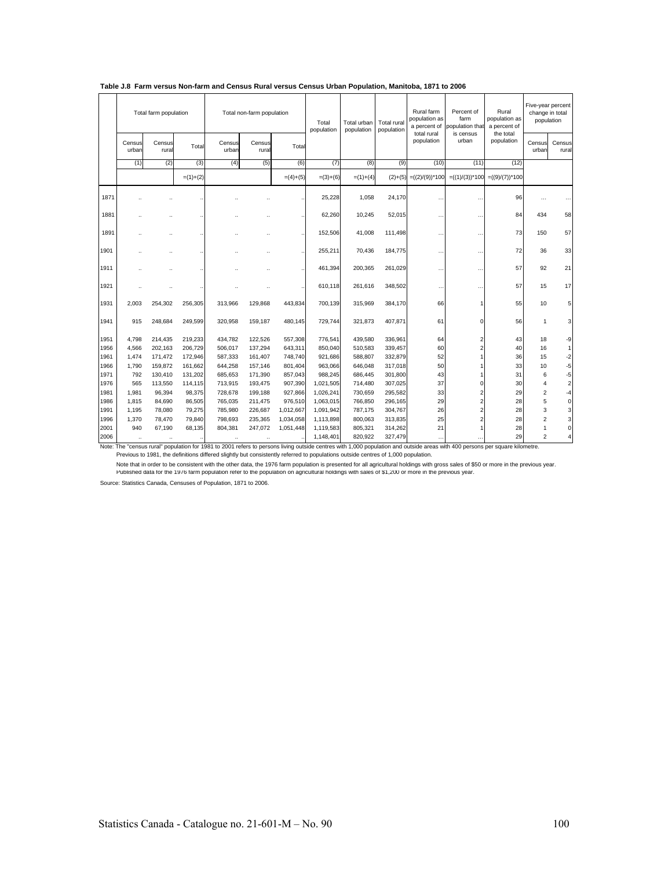|              |                 | Total farm population |                  |                    | Total non-farm population |                        | Total<br>population    | Total urban<br>population | Total rural<br>population | Rural farm<br>population as<br>a percent of<br>total rural | Percent of<br>farm<br>population that<br>is census | Rural<br>population as<br>a percent of<br>the total |                         | Five-year percent<br>change in total<br>population |
|--------------|-----------------|-----------------------|------------------|--------------------|---------------------------|------------------------|------------------------|---------------------------|---------------------------|------------------------------------------------------------|----------------------------------------------------|-----------------------------------------------------|-------------------------|----------------------------------------------------|
|              | Census<br>urban | Census<br>rural       | Total            | Census<br>urban    | Census<br>rural           | Total                  |                        |                           |                           | population                                                 | urban                                              | population                                          | Census<br>urban         | Census<br>rural                                    |
|              | (1)             | (2)                   | (3)              | (4)                | (5)                       | (6)                    | (7)                    | (8)                       | (9)                       | (10)                                                       | (11)                                               | (12)                                                |                         |                                                    |
|              |                 |                       | $=(1)+(2)$       |                    |                           | $=(4)+(5)$             | $=(3)+(6)$             | $=(1)+(4)$                | $(2)+(5)$                 | $=((2)/(9))^*100$                                          | $=((1)/(3))^*100$                                  | $=((9)/(7))^*100$                                   |                         |                                                    |
| 1871         |                 |                       |                  |                    |                           |                        | 25,228                 | 1,058                     | 24,170                    |                                                            | $\ddot{\phantom{a}}$                               | 96                                                  | $\sim$                  |                                                    |
| 1881         |                 |                       |                  |                    |                           |                        | 62.260                 | 10,245                    | 52,015                    |                                                            |                                                    | 84                                                  | 434                     | 58                                                 |
| 1891         |                 |                       |                  |                    |                           |                        | 152,506                | 41,008                    | 111,498                   |                                                            |                                                    | 73                                                  | 150                     | 57                                                 |
| 1901         |                 |                       |                  |                    |                           |                        | 255,211                | 70,436                    | 184,775                   | $\ddotsc$                                                  |                                                    | 72                                                  | 36                      | 33                                                 |
| 1911         |                 |                       |                  |                    |                           |                        | 461,394                | 200,365                   | 261,029                   | $\ddotsc$                                                  | $\ddot{\phantom{0}}$                               | 57                                                  | 92                      | 21                                                 |
| 1921         |                 |                       |                  |                    |                           |                        | 610,118                | 261,616                   | 348,502                   | $\cdots$                                                   | $\sim$                                             | 57                                                  | 15                      | 17                                                 |
| 1931         | 2.003           | 254.302               | 256.305          | 313.966            | 129.868                   | 443,834                | 700.139                | 315,969                   | 384,170                   | 66                                                         |                                                    | 55                                                  | 10                      | 5                                                  |
| 1941         | 915             | 248,684               | 249,599          | 320,958            | 159,187                   | 480,145                | 729,744                | 321,873                   | 407,871                   | 61                                                         | n                                                  | 56                                                  | 1                       | 3                                                  |
| 1951         | 4.798           | 214,435               | 219,233          | 434.782            | 122,526                   | 557,308                | 776.541                | 439,580                   | 336,961                   | 64                                                         |                                                    | 43                                                  | 18                      | -9                                                 |
| 1956         | 4,566           | 202,163               | 206,729          | 506,017            | 137,294                   | 643,311                | 850,040                | 510,583                   | 339,457                   | 60                                                         |                                                    | 40                                                  | 16                      | 1                                                  |
| 1961         | 1,474           | 171,472               | 172,946          | 587,333            | 161,407                   | 748,740                | 921,686                | 588,807                   | 332,879                   | 52                                                         |                                                    | 36                                                  | 15                      | $-2$                                               |
| 1966         | 1,790           | 159,872               | 161,662          | 644,258            | 157,146                   | 801,404                | 963,066                | 646,048                   | 317,018                   | 50                                                         |                                                    | 33                                                  | 10                      | $-5$                                               |
| 1971         | 792             | 130,410               | 131,202          | 685,653            | 171,390                   | 857,043                | 988,245                | 686,445                   | 301,800                   | 43                                                         |                                                    | 31                                                  | 6                       | $-5$                                               |
| 1976         | 565             | 113,550               | 114,115          | 713,915            | 193,475                   | 907,390                | 1,021,505              | 714,480                   | 307,025                   | 37                                                         |                                                    | 30                                                  | 4                       | $\overline{a}$                                     |
| 1981         | 1,981           | 96,394                | 98,375           | 728,678            | 199,188                   | 927,866                | 1,026,241              | 730,659                   | 295,582                   | 33                                                         |                                                    | 29                                                  | $\overline{2}$          | $-4$                                               |
| 1986<br>1991 | 1.815<br>1.195  | 84,690                | 86,505<br>79,275 | 765,035<br>785,980 | 211,475<br>226,687        | 976,510                | 1,063,015              | 766,850<br>787,175        | 296,165<br>304,767        | 29<br>26                                                   |                                                    | 28<br>28                                            | 5<br>3                  | $\mathbf 0$                                        |
| 1996         | 1,370           | 78,080<br>78,470      | 79,840           | 798,693            | 235,365                   | 1,012,667<br>1,034,058 | 1,091,942<br>1,113,898 | 800,063                   | 313,835                   | 25                                                         |                                                    | 28                                                  | $\overline{\mathbf{c}}$ | 3<br>3                                             |
| 2001         | 940             | 67,190                | 68.135           | 804,381            | 247,072                   | 1,051,448              | 1,119,583              | 805,321                   | 314,262                   | 21                                                         |                                                    | 28                                                  | 1                       | $\mathbf 0$                                        |
| 2006         |                 | $\ddotsc$             | $\cdots$         |                    | $\ldots$                  |                        | 1.148.401              | 820.922                   | 327,479                   | $\cdots$                                                   |                                                    | 29                                                  | $\overline{2}$          | 4                                                  |

#### **Table J.8 Farm versus Non-farm and Census Rural versus Census Urban Population, Manitoba, 1871 to 2006**

Note: The "census rural" population for 1981 to 2001 refers to persons living outside centres with 1,000 population and outside areas with 400 persons per square kilometre. Previous The "census rural" population for 1981 to 2001 refers to persons living outside centres with 1,000 population and outside are<br>Previous to 1981, the definitions differed slightly but consistently referred to popula

Note that in order to be consistent with the other data, the 1976 farm population is presented for all agricultural holdings with gross sales of \$50 or more in the previous year.<br>Published data tor the 1976 farm population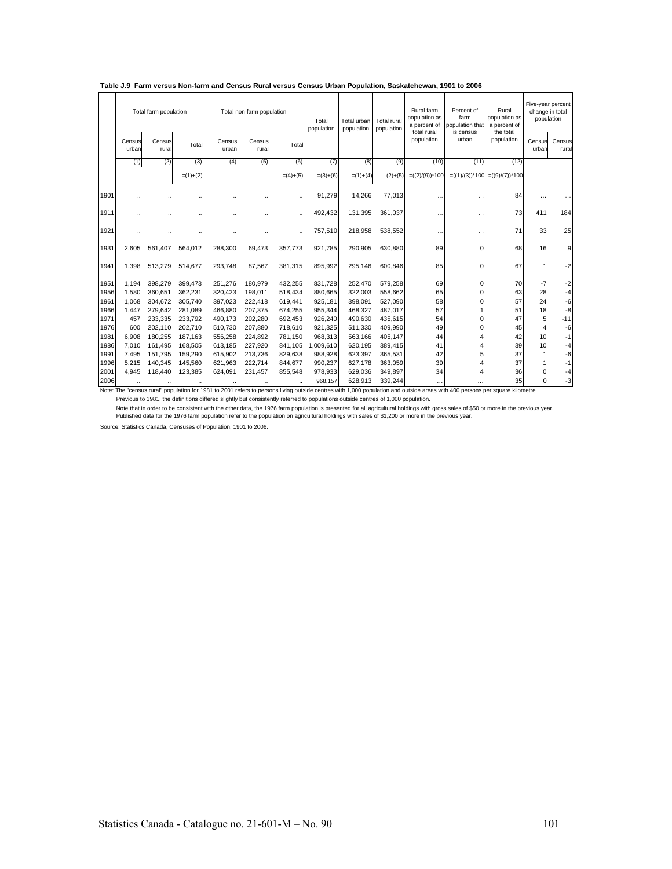|              |                               | Total farm population |            |                                 | Total non-farm population |            | Total<br>population | Total urban<br>population | <b>Total rural</b><br>population | Rural farm<br>population as<br>a percent of<br>total rural | Percent of<br>farm<br>population that<br>is census | Rural<br>population as<br>a percent of<br>the total |                      | Five-year percent<br>change in total<br>population |
|--------------|-------------------------------|-----------------------|------------|---------------------------------|---------------------------|------------|---------------------|---------------------------|----------------------------------|------------------------------------------------------------|----------------------------------------------------|-----------------------------------------------------|----------------------|----------------------------------------------------|
|              | Census<br>urban               | Census<br>rural       | Total      | Census<br>urban                 | Census<br>rura            | Total      |                     |                           |                                  | population                                                 | urban                                              | population                                          | Census<br>urban      | Census<br>rural                                    |
|              | (1)                           | (2)                   | (3)        | (4)                             | (5)                       | (6)        | (7)                 | (8)                       | (9)                              | (10)                                                       | (11)                                               | (12)                                                |                      |                                                    |
|              |                               |                       | $=(1)+(2)$ |                                 |                           | $=(4)+(5)$ | $=(3)+(6)$          | $=(1)+(4)$                | $(2)+(5)$                        | $=((2)/(9))^*100$                                          | $= ((1)/(3))^*100$                                 | $= ((9)/(7))^*100$                                  |                      |                                                    |
| 1901         |                               |                       |            |                                 |                           |            | 91.279              | 14,266                    | 77.013                           |                                                            |                                                    | 84                                                  |                      |                                                    |
| 1911         |                               |                       |            |                                 |                           |            | 492.432             | 131,395                   | 361.037                          |                                                            | $\ddot{\phantom{a}}$                               | 73                                                  | 411                  | 184                                                |
| 1921         |                               |                       |            |                                 |                           |            | 757,510             | 218,958                   | 538,552                          |                                                            | $\ddotsc$                                          | 71                                                  | 33                   | 25                                                 |
| 1931         | 2,605                         | 561,407               | 564,012    | 288,300                         | 69,473                    | 357,773    | 921,785             | 290,905                   | 630,880                          | 89                                                         | $\Omega$                                           | 68                                                  | 16                   | 9                                                  |
| 1941         | 1.398                         | 513.279               | 514,677    | 293.748                         | 87.567                    | 381,315    | 895.992             | 295.146                   | 600.846                          | 85                                                         | $\Omega$                                           | 67                                                  | 1                    | $-2$                                               |
| 1951         | 1.194                         | 398.279               | 399.473    | 251.276                         | 180.979                   | 432,255    | 831.728             | 252.470                   | 579.258                          | 69                                                         | $\Omega$                                           | 70                                                  | $-7$                 | $-2$                                               |
| 1956         | 1.580                         | 360.651               | 362,231    | 320.423                         | 198.011                   | 518,434    | 880.665             | 322.003                   | 558.662                          | 65                                                         | $\Omega$                                           | 63                                                  | 28                   | $-4$                                               |
| 1961         | 1.068                         | 304.672               | 305.740    | 397.023                         | 222.418                   | 619,441    | 925.181             | 398.091                   | 527.090                          | 58                                                         | $\Omega$                                           | 57                                                  | 24                   | $-6$                                               |
| 1966         | 1.447                         | 279,642               | 281,089    | 466,880                         | 207,375                   | 674,255    | 955,344             | 468,327                   | 487,017                          | 57                                                         |                                                    | 51                                                  | 18                   | -8                                                 |
| 1971         | 457                           | 233,335               | 233,792    | 490.173                         | 202,280                   | 692,453    | 926,240             | 490,630                   | 435,615                          | 54                                                         | $\Omega$                                           | 47                                                  | 5                    | $-11$                                              |
| 1976         | 600                           | 202,110               | 202,710    | 510,730                         | 207,880                   | 718,610    | 921,325             | 511,330                   | 409,990                          | 49                                                         | O                                                  | 45                                                  | $\overline{4}$       | -6                                                 |
| 1981         | 6.908                         | 180,255               | 187,163    | 556,258                         | 224,892                   | 781,150    | 968,313             | 563,166                   | 405,147                          | 44                                                         |                                                    | 42                                                  | 10                   | $-1$                                               |
| 1986         | 7.010                         | 161,495               | 168,505    | 613,185                         | 227,920                   | 841,105    | 1,009,610           | 620,195                   | 389,415                          | 41                                                         |                                                    | 39                                                  | 10                   | $-4$                                               |
| 1991         | 7,495                         | 151,795               | 159,290    | 615,902                         | 213,736                   | 829,638    | 988,928             | 623,397                   | 365,531                          | 42                                                         | 5                                                  | 37                                                  | 1                    | $-6$                                               |
| 1996         | 5.215                         | 140,345               | 145,560    | 621.963                         | 222.714                   | 844,677    | 990.237             | 627,178                   | 363,059                          | 39                                                         |                                                    | 37                                                  | 1                    | $-1$                                               |
| 2001<br>2006 | 4.945<br>$\ddot{\phantom{a}}$ | 118,440<br>           | 123,385    | 624.091<br>$\ddot{\phantom{a}}$ | 231.457                   | 855.548    | 978.933<br>968.157  | 629.036<br>628,913        | 349.897<br>339.244               | 34<br>$\cdots$                                             | .                                                  | 36<br>35                                            | $\Omega$<br>$\Omega$ | -4<br>$-3$                                         |

**Table J.9 Farm versus Non-farm and Census Rural versus Census Urban Population, Saskatchewan, 1901 to 2006**

Note: The "census rural" population for 1981 to 2001 refers to persons living outside centres with 1,000 population and outside areas with 400 persons per square kilometre. Previous to 1981, the definitions differed slightly but consistently referred to populations outside centres of 1,000 population.

Note that in order to be consistent with the other data, the 1976 farm population is presented for all agricultural holdings with gross sales of \$50 or more in the previous year.<br>Published data tor the 1976 farm population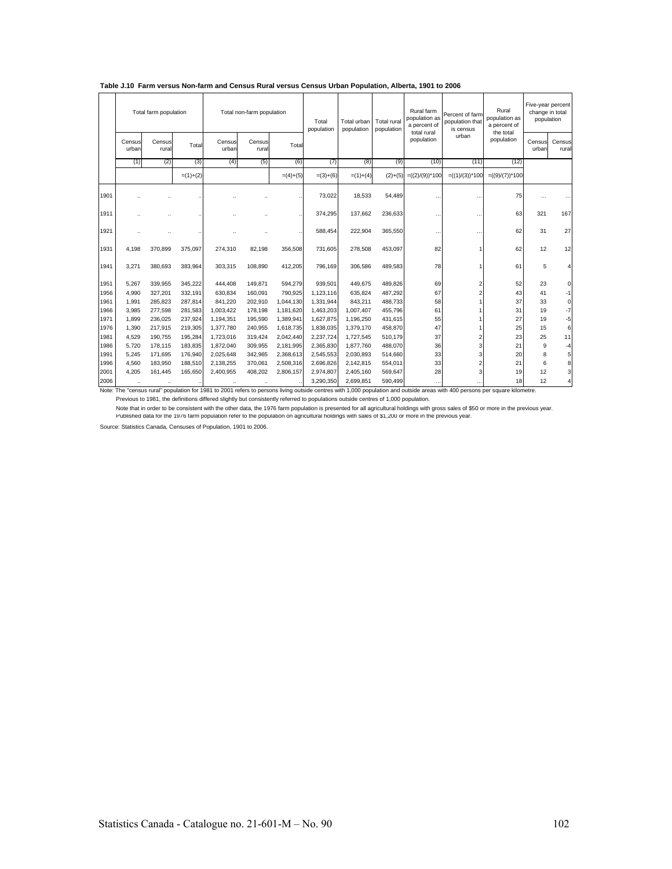|              |                               | Total farm population           |                     |                                   | Total non-farm population       |            | Total<br>population    | Total urban<br>population | <b>Total rural</b><br>population | Rural farm<br>population as<br>a percent of<br>total rural | Percent of farm<br>population that<br>is census | Rural<br>population as<br>a percent of<br>the total |                 | Five-year percent<br>change in total<br>population |
|--------------|-------------------------------|---------------------------------|---------------------|-----------------------------------|---------------------------------|------------|------------------------|---------------------------|----------------------------------|------------------------------------------------------------|-------------------------------------------------|-----------------------------------------------------|-----------------|----------------------------------------------------|
|              | Census<br>urban               | Census<br>rural                 | Total               | Census<br>urban                   | Census<br>rural                 | Total      |                        |                           |                                  | population                                                 | urban                                           | population                                          | Census<br>urban | Census<br>rural                                    |
|              | (1)                           | (2)                             | (3)                 | (4)                               | (5)                             | (6)        | (7)                    | (8)                       | (9)                              | (10)                                                       | (11)                                            | (12)                                                |                 |                                                    |
|              |                               |                                 | $=(1)+(2)$          |                                   |                                 | $=(4)+(5)$ | $=(3)+(6)$             | $= (1)+(4)$               | $(2)+(5)$                        | $=((2)/(9))^*100$                                          | $=((1)/(3))^*100$                               | $= ((9)/(7))^*100$                                  |                 |                                                    |
| 1901         |                               |                                 |                     |                                   |                                 |            | 73,022                 | 18,533                    | 54,489                           |                                                            | $\ddotsc$                                       | 75                                                  |                 |                                                    |
| 1911         |                               |                                 |                     |                                   |                                 |            | 374,295                | 137.662                   | 236,633                          | $\ddotsc$                                                  | $\ddot{\phantom{a}}$                            | 63                                                  | 321             | 167                                                |
| 1921         |                               |                                 |                     |                                   |                                 |            | 588,454                | 222.904                   | 365,550                          |                                                            | $\ddot{\phantom{a}}$                            | 62                                                  | 31              | 27                                                 |
| 1931         | 4.198                         | 370.899                         | 375,097             | 274.310                           | 82.198                          | 356,508    | 731.605                | 278.508                   | 453,097                          | 82                                                         |                                                 | 62                                                  | 12              | 12                                                 |
| 1941         | 3.271                         | 380.693                         | 383,964             | 303.315                           | 108.890                         | 412,205    | 796.169                | 306.586                   | 489,583                          | 78                                                         |                                                 | 61                                                  | 5               | 4                                                  |
| 1951         | 5.267                         | 339.955                         | 345.222             | 444.408                           | 149.871                         | 594.279    | 939.501                | 449.675                   | 489.826                          | 69                                                         | $\overline{2}$                                  | 52                                                  | 23              | $\mathbf 0$                                        |
| 1956         | 4.990                         | 327.201                         | 332,191             | 630.834                           | 160.091                         | 790.925    | 1.123.116              | 635.824                   | 487.292                          | 67                                                         |                                                 | 43                                                  | 41              | $-1$                                               |
| 1961         | 1.991                         | 285.823                         | 287,814             | 841.220                           | 202,910                         | 1.044.130  | 1,331,944              | 843,211                   | 488,733                          | 58                                                         |                                                 | 37                                                  | 33              | 0                                                  |
| 1966         | 3.985                         | 277,598                         | 281,583             | 1,003,422                         | 178,198                         | 1.181.620  | 1,463,203              | 1,007,407                 | 455,796                          | 61                                                         |                                                 | 31                                                  | 19              | $-7$                                               |
| 1971         | 1.899                         | 236,025                         | 237,924             | 1,194,351                         | 195,590                         | 1,389,941  | 1,627,875              | 1,196,250                 | 431,615                          | 55                                                         |                                                 | 27                                                  | 19              | $-5$                                               |
| 1976         | 1.390                         | 217.915                         | 219,305             | 1,377,780                         | 240,955                         | 1.618.735  | 1,838,035              | 1,379,170                 | 458,870                          | 47                                                         |                                                 | 25                                                  | 15              | 6                                                  |
| 1981         | 4.529                         | 190.755                         | 195,284             | 1.723.016                         | 319,424                         | 2.042.440  | 2,237,724              | 1,727,545                 | 510,179                          | 37                                                         | $\overline{c}$                                  | 23                                                  | 25              | 11                                                 |
| 1986         | 5.720                         | 178.115                         | 183,835             | 1,872,040                         | 309,955                         | 2,181,995  | 2,365,830              | 1,877,760                 | 488,070                          | 36                                                         | 3                                               | 21                                                  | 9               | $-4$                                               |
| 1991         | 5,245                         | 171,695                         | 176,940             | 2,025,648                         | 342,965                         | 2,368,613  | 2,545,553              | 2,030,893                 | 514,660                          | 33                                                         | 3                                               | 20                                                  | 8               | 5                                                  |
| 1996         | 4,560                         | 183,950                         | 188,510             | 2,138,255                         | 370,061                         | 2,508,316  | 2,696,826              | 2,142,815                 | 554,011                          | 33                                                         |                                                 | 21                                                  | 6               | 8                                                  |
| 2001<br>2006 | 4.205<br>$\ddot{\phantom{a}}$ | 161.445<br>$\ddot{\phantom{a}}$ | 165,650<br>$\cdots$ | 2.400.955<br>$\ddot{\phantom{a}}$ | 408,202<br>$\ddot{\phantom{a}}$ | 2.806.157  | 2,974,807<br>3,290,350 | 2,405,160<br>2.699.851    | 569,647<br>590,499               | 28<br>$\cdots$                                             | $\cdots$                                        | 19<br>18                                            | 12<br>12        | 3<br>4                                             |

#### **Table J.10 Farm versus Non-farm and Census Rural versus Census Urban Population, Alberta, 1901 to 2006**

Note: The "census rural" population for 1981 to 2001 refers to persons living outside centres with 1,000 population and outside areas with 400 persons per square kilometre. Previous to 1981, the definitions differed slightly but consistently referred to populations outside centres of 1,000 population.

Published data for the 1976 farm population refer to the population on agricultural holdings with sales of \$1,200 or more in the previous year. Note that in order to be consistent with the other data, the 1976 farm population is presented for all agricultural holdings with gross sales of \$50 or more in the previous year.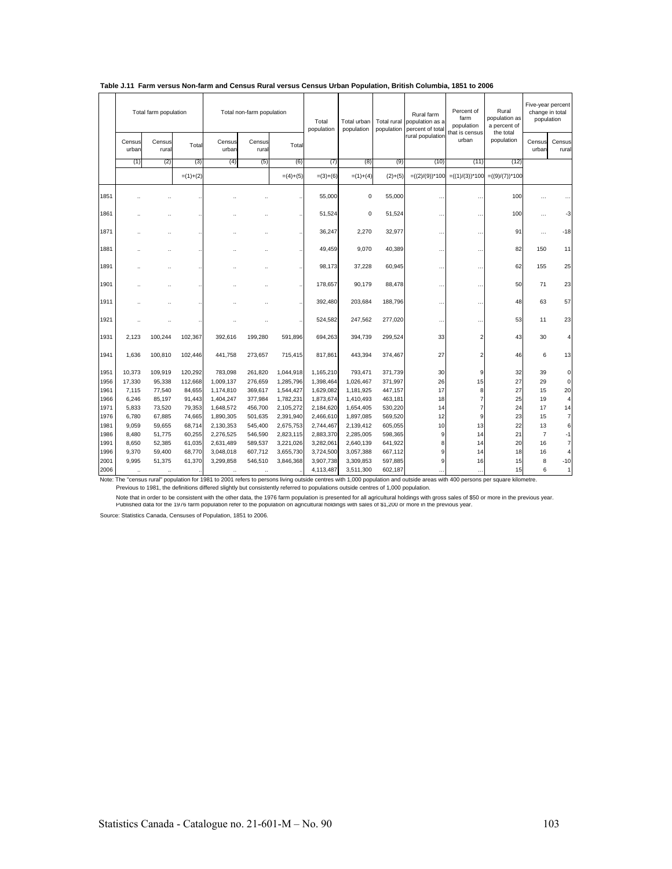|              |                 | Total farm population |                  |                        | Total non-farm population |                        | Total<br>population    | Total urban<br>population | Total rural<br>population | Rural farm<br>population as a<br>percent of total | Percent of<br>farm<br>population | Rural<br>population as<br>a percent of | Five-year percent<br>change in total<br>population |                     |
|--------------|-----------------|-----------------------|------------------|------------------------|---------------------------|------------------------|------------------------|---------------------------|---------------------------|---------------------------------------------------|----------------------------------|----------------------------------------|----------------------------------------------------|---------------------|
|              | Census<br>urban | Census<br>rural       | Total            | Census<br>urban        | Census<br>rural           | Total                  |                        |                           |                           | rural population                                  | that is census<br>urban          | the total<br>population                | Census<br>urban                                    | Census<br>rural     |
|              | (1)             | (2)                   | (3)              | (4)                    | (5)                       | (6)                    | (7)                    | (8)                       | (9)                       | (10)                                              | (11)                             | (12)                                   |                                                    |                     |
|              |                 |                       | $=(1)+(2)$       |                        |                           | $=(4)+(5)$             | $=(3)+(6)$             | $=(1)+(4)$                | $(2)+(5)$                 | $=((2)/(9))^*100$                                 | $=((1)/(3))^*100$                | $=((9)/(7))^*100$                      |                                                    |                     |
| 1851         |                 |                       |                  |                        |                           |                        | 55,000                 | $\mathbf 0$               | 55,000                    | $\ddot{\phantom{0}}$                              |                                  | 100                                    |                                                    |                     |
| 1861         |                 |                       |                  |                        |                           |                        | 51,524                 | $\mathbf 0$               | 51,524                    | $\ddot{\phantom{0}}$                              |                                  | 100                                    | $\cdots$                                           | -3                  |
| 1871         |                 |                       |                  |                        |                           |                        | 36,247                 | 2,270                     | 32,977                    | $\ddot{\phantom{0}}$                              | $\ddot{\phantom{a}}$             | 91                                     | .                                                  | $-18$               |
| 1881         |                 |                       |                  |                        |                           |                        | 49.459                 | 9,070                     | 40,389                    | $\cdots$                                          | $\ddot{\phantom{0}}$             | 82                                     | 150                                                | 11                  |
| 1891         |                 |                       |                  |                        |                           |                        | 98.173                 | 37,228                    | 60,945                    |                                                   | $\ddot{\phantom{0}}$             | 62                                     | 155                                                | 25                  |
| 1901         |                 |                       |                  |                        |                           |                        | 178,657                | 90,179                    | 88,478                    |                                                   | $\ddot{\phantom{0}}$             | 50                                     | 71                                                 | 23                  |
| 1911         |                 |                       |                  |                        |                           |                        | 392,480                | 203,684                   | 188,796                   | $\ddotsc$                                         | $\ddot{\phantom{0}}$             | 48                                     | 63                                                 | 57                  |
| 1921         |                 |                       |                  |                        |                           |                        | 524,582                | 247,562                   | 277,020                   | $\ddotsc$                                         |                                  | 53                                     | 11                                                 | 23                  |
| 1931         | 2,123           | 100,244               | 102,367          | 392,616                | 199,280                   | 591,896                | 694,263                | 394,739                   | 299,524                   | 33                                                | $\overline{2}$                   | 43                                     | 30                                                 | $\overline{4}$      |
| 1941         | 1.636           | 100,810               | 102.446          | 441,758                | 273,657                   | 715,415                | 817,861                | 443,394                   | 374,467                   | 27                                                | $\overline{2}$                   | 46                                     | 6                                                  | 13                  |
| 1951         | 10,373          | 109,919               | 120,292          | 783,098                | 261,820                   | 1,044,918              | 1,165,210              | 793,471                   | 371,739                   | 30                                                | 9                                | 32                                     | 39                                                 | $\mathbf 0$         |
| 1956         | 17,330          | 95,338                | 112,668          | 1,009,137              | 276,659                   | 1,285,796              | 1,398,464              | 1,026,467                 | 371,997                   | 26                                                | 15                               | 27                                     | 29                                                 | $\mathbf 0$         |
| 1961         | 7,115           | 77,540                | 84,655           | 1,174,810              | 369,617                   | 1,544,427              | 1,629,082              | 1,181,925                 | 447,157                   | 17                                                | 8                                | 27                                     | 15                                                 | 20                  |
| 1966         | 6,246           | 85,197                | 91,443           | 1,404,247              | 377,984                   | 1,782,231              | 1,873,674              | 1,410,493                 | 463,181                   | 18                                                | $\overline{7}$                   | 25                                     | 19                                                 | $\overline{4}$      |
| 1971         | 5,833           | 73,520                | 79,353           | 1,648,572              | 456,700                   | 2,105,272              | 2,184,620              | 1,654,405                 | 530,220                   | 14                                                | $\overline{7}$                   | 24                                     | 17                                                 | 14                  |
| 1976<br>1981 | 6.780           | 67,885                | 74,665<br>68,714 | 1,890,305              | 501,635                   | 2,391,940              | 2,466,610              | 1,897,085                 | 569,520<br>605,055        | 12<br>10                                          | $\overline{9}$<br>13             | 23<br>22                               | 15<br>13                                           | $\overline{7}$<br>6 |
| 1986         | 9,059<br>8,480  | 59,655<br>51,775      | 60,255           | 2,130,353<br>2,276,525 | 545,400<br>546,590        | 2,675,753<br>2,823,115 | 2,744,467<br>2,883,370 | 2,139,412<br>2,285,005    | 598,365                   | 9                                                 | 14                               | 21                                     | $\overline{7}$                                     | $-1$                |
| 1991         | 8,650           | 52,385                | 61,035           | 2,631,489              | 589,537                   | 3,221,026              | 3,282,061              | 2,640,139                 | 641,922                   | 8                                                 | 14                               | 20                                     | 16                                                 | $\overline{7}$      |
| 1996         | 9,370           | 59,400                | 68,770           | 3,048,018              | 607,712                   | 3,655,730              | 3,724,500              | 3,057,388                 | 667,112                   | 9                                                 | 14                               | 18                                     | 16                                                 | $\overline{4}$      |
| 2001         | 9,995           | 51,375                | 61,370           | 3,299,858              | 546,510                   | 3,846,368              | 3,907,738              | 3,309,853                 | 597,885                   | 9                                                 | 16                               | 15                                     | 8                                                  | $-10$               |
| 2006         | $\ddotsc$       | $\ddotsc$             |                  | $\ddotsc$              | $\ldots$                  |                        | 4,113,487              | 3,511,300                 | 602,187                   |                                                   |                                  | 15                                     | 6                                                  | $\mathbf{1}$        |

### **Table J.11 Farm versus Non-farm and Census Rural versus Census Urban Population, British Columbia, 1851 to 2006**

Note: The "census rural" population for 1981 to 2001 refers to persons living outside centres with 1,000 population and outside areas with 400 persons per square kilometre.<br>Previous to 1981, the definitions differed slight

Note that in order to be consistent with the other data, the 1976 farm population is presented for all agricultural holdings with gross sales of \$50 or more in the previous year.<br>Published data tor the 1976 farm population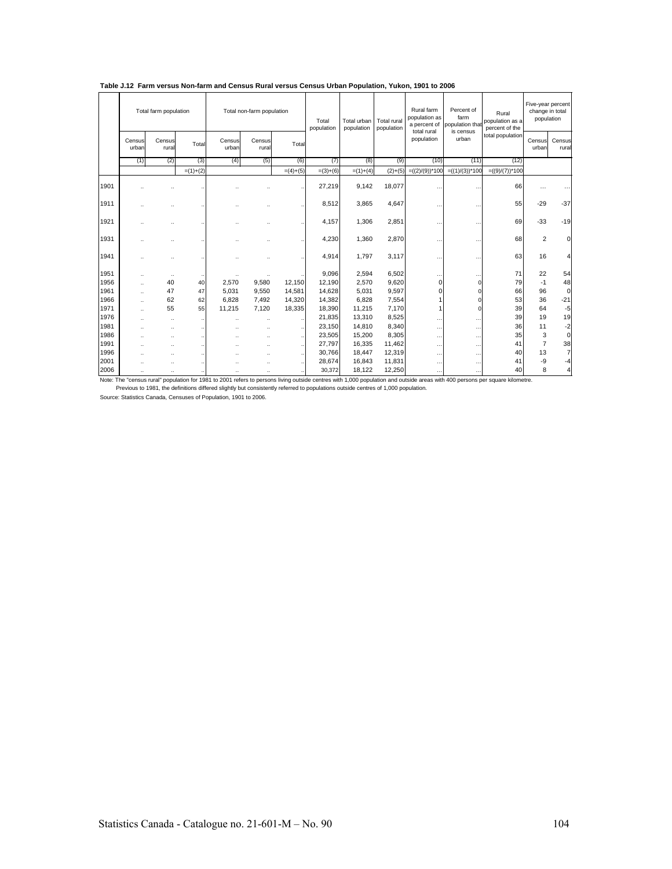|      | Total farm population |                      |            | Total non-farm population |                      | Total<br>population | Total urban<br>population | Total rural<br>population | Rural farm<br>population as<br>a percent of<br>total rural | Percent of<br>farm<br>population tha<br>is census | Rural<br>population as a<br>percent of the |                   | Five-year percent<br>change in total<br>population |                 |
|------|-----------------------|----------------------|------------|---------------------------|----------------------|---------------------|---------------------------|---------------------------|------------------------------------------------------------|---------------------------------------------------|--------------------------------------------|-------------------|----------------------------------------------------|-----------------|
|      | Census<br>urban       | Census<br>rural      | Total      | Census<br>urban           | Census<br>rural      | Total               |                           |                           |                                                            | population                                        | urban                                      | total population  | Census<br>urban                                    | Census<br>rural |
|      | (1)                   | (2)                  | (3)        | (4)                       | (5)                  | (6)                 | (7)                       | (8)                       | (9)                                                        | (10)                                              | (11)                                       | (12)              |                                                    |                 |
|      |                       |                      | $=(1)+(2)$ |                           |                      | $=(4)+(5)$          | $=(3)+(6)$                | $=(1)+(4)$                | $(2)+(5)$                                                  | $=((2)/(9))^*100$                                 | $=((1)/(3))^*100$                          | $=((9)/(7))^*100$ |                                                    |                 |
| 1901 |                       |                      |            |                           |                      |                     | 27,219                    | 9,142                     | 18,077                                                     |                                                   |                                            | 66                | .                                                  |                 |
| 1911 |                       |                      |            |                           |                      |                     | 8,512                     | 3,865                     | 4,647                                                      |                                                   |                                            | 55                | $-29$                                              | $-37$           |
| 1921 |                       |                      |            |                           |                      |                     | 4,157                     | 1,306                     | 2,851                                                      |                                                   |                                            | 69                | $-33$                                              | $-19$           |
| 1931 |                       |                      |            |                           |                      |                     | 4,230                     | 1,360                     | 2,870                                                      |                                                   |                                            | 68                | 2                                                  | $\Omega$        |
| 1941 |                       |                      |            |                           |                      |                     | 4,914                     | 1,797                     | 3,117                                                      | $\ddotsc$                                         |                                            | 63                | 16                                                 | $\vert$         |
| 1951 | $\ddot{\phantom{a}}$  | $\ddotsc$            |            |                           |                      |                     | 9,096                     | 2,594                     | 6,502                                                      | $\cdots$                                          |                                            | 71                | 22                                                 | 54              |
| 1956 | $\ddotsc$             | 40                   | 40         | 2,570                     | 9,580                | 12,150              | 12,190                    | 2,570                     | 9,620                                                      | 0                                                 | $\Omega$                                   | 79                | $-1$                                               | 48              |
| 1961 | $\ddotsc$             | 47                   | 47         | 5,031                     | 9,550                | 14,581              | 14,628                    | 5,031                     | 9,597                                                      | 0                                                 | $\Omega$                                   | 66                | 96                                                 | $\overline{0}$  |
| 1966 | $\ddot{\phantom{a}}$  | 62                   | 62         | 6.828                     | 7.492                | 14,320              | 14,382                    | 6.828                     | 7,554                                                      |                                                   | O                                          | 53                | 36                                                 | $-21$           |
| 1971 | $\ddot{\phantom{0}}$  | 55                   | 55         | 11.215                    | 7,120                | 18,335              | 18,390                    | 11,215                    | 7,170                                                      |                                                   | $\Omega$                                   | 39                | 64                                                 | $-5$            |
| 1976 | $\ddot{\phantom{a}}$  | $\ddot{\phantom{a}}$ |            |                           | $\ddot{\phantom{a}}$ |                     | 21,835                    | 13,310                    | 8,525                                                      | $\sim$                                            | $\cdots$                                   | 39                | 19                                                 | 19              |
| 1981 | $\ddot{\phantom{a}}$  | $\ddot{\phantom{a}}$ |            |                           | $\ddot{\phantom{a}}$ |                     | 23,150                    | 14,810                    | 8,340                                                      | $\cdots$                                          | .                                          | 36                | 11                                                 | $-2$            |
| 1986 | $\ddot{\phantom{a}}$  | $\ddot{\phantom{a}}$ |            |                           |                      |                     | 23,505                    | 15,200                    | 8,305                                                      | $\cdots$                                          | .                                          | 35                | 3                                                  | $\circ$         |
| 1991 | ٠.                    | $\ddot{\phantom{a}}$ |            |                           |                      |                     | 27,797                    | 16,335                    | 11,462                                                     | $\cdots$                                          | $\cdots$                                   | 41                | $\overline{7}$                                     | 38              |
| 1996 | $\ddot{\phantom{0}}$  | $\ddot{\phantom{a}}$ |            |                           |                      |                     | 30,766                    | 18,447                    | 12,319                                                     | $\cdots$                                          | $\cdots$                                   | 40                | 13                                                 | $\overline{7}$  |
| 2001 | $\ddot{\phantom{a}}$  | $\ddot{\phantom{a}}$ |            |                           |                      |                     | 28,674                    | 16,843                    | 11,831                                                     | $\cdots$                                          | $\cdots$                                   | 41                | -9                                                 | $-4$            |
| 2006 | $\ddot{\phantom{a}}$  | $\ddot{\phantom{a}}$ |            |                           |                      |                     | 30,372                    | 18,122                    | 12,250                                                     | $\cdots$                                          | $\ddotsc$                                  | 40                | 8                                                  | $\overline{4}$  |

### **Table J.12 Farm versus Non-farm and Census Rural versus Census Urban Population, Yukon, 1901 to 2006**

Note: The "census rural" population for 1981 to 2001 refers to persons living outside centres with 1,000 population and outside areas with 400 persons per square kilometre.<br>Previous to 1981, the definitions differed slight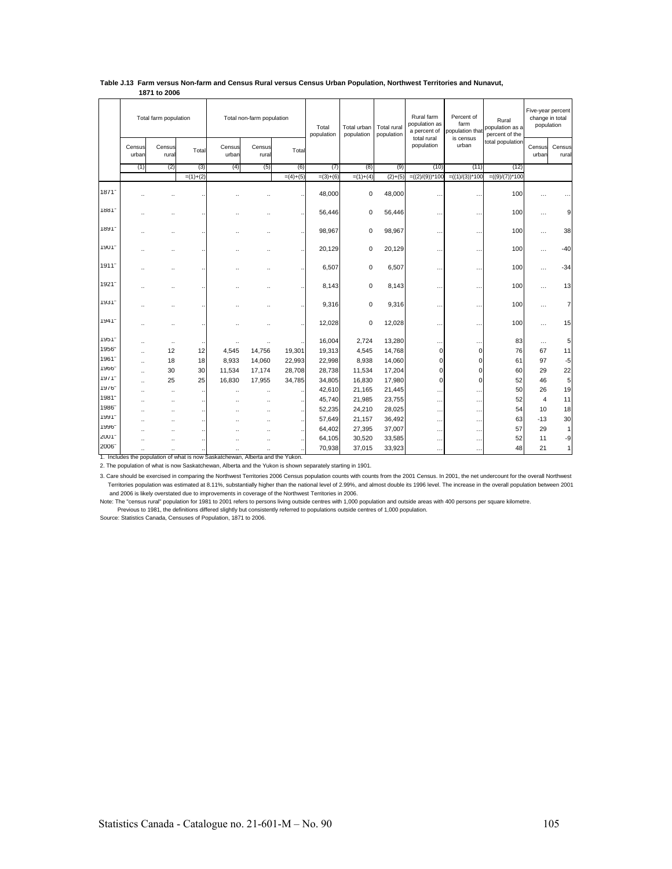|                     | Total farm population |                      |            | Total non-farm population |                      | Total<br>population  | Total urban<br>population | Total rural<br>population | Rural farm<br>population as<br>a percent of<br>total rural | Percent of<br>farm<br>population that<br>is census | Rural<br>population as a<br>percent of the | Five-year percent<br>change in total<br>population |                 |                 |
|---------------------|-----------------------|----------------------|------------|---------------------------|----------------------|----------------------|---------------------------|---------------------------|------------------------------------------------------------|----------------------------------------------------|--------------------------------------------|----------------------------------------------------|-----------------|-----------------|
|                     | Census<br>urban       | Census<br>rural      | Total      | Census<br>urban           | Census<br>rural      | Total                |                           |                           |                                                            | population                                         | urban                                      | total population                                   | Census<br>urban | Census<br>rural |
|                     | (1)                   | (2)                  | (3)        | (4)                       | (5)                  | (6)                  | (7)                       | (8)                       | (9)                                                        | (10)                                               | (11)                                       | (12)                                               |                 |                 |
|                     |                       |                      | $=(1)+(2)$ |                           |                      | $=(4)+(5)$           | $=(3)+(6)$                | $=(1)+(4)$                | $(2)+(5)$                                                  | $=((2)/(9))^*100$                                  | $=((1)/(3))^*100$                          | $=((9)/(7))^*100$                                  |                 |                 |
| 1871                |                       |                      |            |                           |                      |                      | 48,000                    | 0                         | 48,000                                                     | $\ddot{\phantom{a}}$                               | $\ddot{\phantom{a}}$                       | 100                                                |                 |                 |
| 1881                |                       |                      |            |                           |                      |                      | 56,446                    | 0                         | 56,446                                                     | $\ddot{\phantom{0}}$                               | $\cdot$ .                                  | 100                                                | $\cdots$        | 9               |
| 1891                |                       |                      |            |                           |                      |                      | 98,967                    | 0                         | 98,967                                                     | $\ddot{\phantom{a}}$                               | $\ddot{\phantom{a}}$                       | 100                                                | $\cdots$        | 38              |
| 1901-               |                       |                      |            |                           |                      |                      | 20,129                    | 0                         | 20,129                                                     | $\ddot{\phantom{a}}$                               | $\ddot{\phantom{a}}$                       | 100                                                | $\cdots$        | $-40$           |
| 1911 <sup>-</sup>   |                       |                      |            |                           |                      |                      | 6,507                     | 0                         | 6,507                                                      | $\ddot{\phantom{a}}$                               | $\ddot{\phantom{a}}$                       | 100                                                | $\cdots$        | $-34$           |
| 1921                |                       |                      |            |                           |                      |                      | 8.143                     | 0                         | 8,143                                                      | $\ddotsc$                                          | $\cdots$                                   | 100                                                | $\ddotsc$       | 13              |
| 1931*               |                       |                      |            |                           |                      |                      | 9,316                     | 0                         | 9,316                                                      | $\ddot{\phantom{a}}$                               | $\ddot{\phantom{a}}$                       | 100                                                | $\cdots$        | $\overline{7}$  |
| $1941 -$            |                       |                      |            |                           |                      |                      | 12,028                    | 0                         | 12,028                                                     | $\ddotsc$                                          | $\ddotsc$                                  | 100                                                | $\ddotsc$       | 15              |
| $1951 -$            |                       | $\ldots$             |            |                           |                      |                      | 16.004                    | 2.724                     | 13,280                                                     | $\ddotsc$                                          |                                            | 83                                                 | $\cdots$        | 5               |
| 1956                | ä.                    | 12                   | 12         | 4.545                     | 14,756               | 19,301               | 19,313                    | 4,545                     | 14,768                                                     | 0                                                  | $\mathbf 0$                                | 76                                                 | 67              | 11              |
| 1961-               | $\ddot{\phantom{a}}$  | 18                   | 18         | 8,933                     | 14,060               | 22,993               | 22,998                    | 8,938                     | 14,060                                                     | $\overline{0}$                                     | 0                                          | 61                                                 | 97              | $-5$            |
| 1966-               | ä.                    | 30                   | 30         | 11,534                    | 17,174               | 28,708               | 28,738                    | 11,534                    | 17,204                                                     | $\overline{0}$                                     | $\mathbf 0$                                | 60                                                 | 29              | 22              |
| 19711               | ä.                    | 25                   | 25         | 16,830                    | 17,955               | 34,785               | 34,805                    | 16,830                    | 17,980                                                     | $\overline{0}$                                     | $\mathbf 0$                                | 52                                                 | 46              | 5               |
| $19/6$ <sup>-</sup> | и.                    | а.                   | $\ddotsc$  | а.                        | $\ddot{\phantom{a}}$ |                      | 42,610                    | 21,165                    | 21,445                                                     | $\sim$                                             | $\cdots$                                   | 50                                                 | 26              | 19              |
| 1981                |                       |                      |            |                           | $\ddot{\phantom{0}}$ |                      | 45,740                    | 21,985                    | 23,755                                                     | .                                                  | $\cdots$                                   | 52                                                 | $\overline{4}$  | 11              |
| 1986                |                       |                      |            |                           |                      | $\ddot{\phantom{a}}$ | 52,235                    | 24,210                    | 28,025                                                     | $\ddotsc$                                          | $\ddotsc$                                  | 54                                                 | 10              | 18              |
| 1991.               |                       | $\ddot{\phantom{0}}$ |            |                           | ä.                   |                      | 57,649                    | 21,157                    | 36,492                                                     |                                                    | $\cdots$                                   | 63                                                 | $-13$           | 30              |
| 1996                |                       |                      |            |                           | ٠.                   | $\ddot{\phantom{a}}$ | 64,402                    | 27,395                    | 37,007                                                     | $\cdots$                                           | $\ddotsc$                                  | 57                                                 | 29              | $\mathbf{1}$    |
| 2001                |                       |                      |            |                           | ٠.                   |                      | 64,105                    | 30,520                    | 33,585                                                     | $\ddotsc$                                          | $\ddotsc$                                  | 52                                                 | 11              | -9              |
| 2006                | ٠.                    | $\ddot{\phantom{a}}$ |            | $\ddot{\phantom{a}}$      | $\ddot{\phantom{a}}$ |                      | 70,938                    | 37,015                    | 33,923                                                     | $\cdots$                                           | $\cdots$                                   | 48                                                 | 21              | $\mathbf{1}$    |

#### **Table J.13 Farm versus Non-farm and Census Rural versus Census Urban Population, Northwest Territories and Nunavut, 1871 to 2006**

1. Includes the population of what is now Saskatchewan, Alberta and the Yukon. 2. The population of what is now Saskatchewan, Alberta and the Yukon is shown separately starting in 1901.

3. Care should be exercised in comparing the Northwest Territories 2006 Census population counts with counts from the 2001 Census. In 2001, the net undercount for the overall Northwest Territories population was estimated at 8.11%, substantially higher than the national level of 2.99%, and almost double its 1996 level. The increase in the overall population between 2001 and 2006 is likely overstated due to improvements in coverage of the Northwest Territories in 2006.

Note: The "census rural" population for 1981 to 2001 refers to persons living outside centres with 1,000 population and outside areas with 400 persons per square kilometre.

Previous to 1981, the definitions differed slightly but consistently referred to populations outside centres of 1,000 population.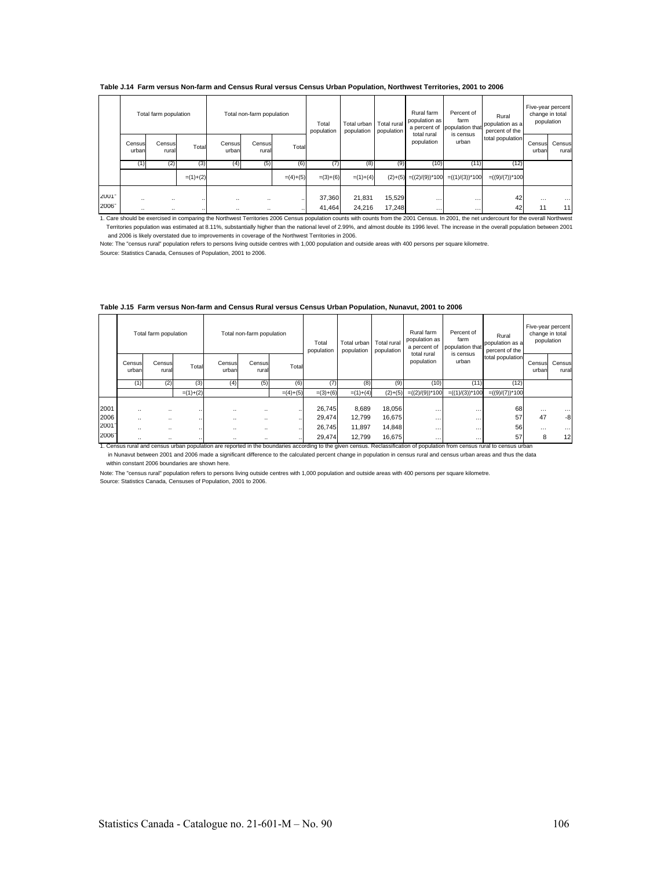#### **Table J.14 Farm versus Non-farm and Census Rural versus Census Urban Population, Northwest Territories, 2001 to 2006**

|              |                                                  | Total farm population |                      |                 | Total non-farm population |            | Total<br>population | Total urban<br>population | Total rural<br>population | Rural farm<br>population as<br>a percent of | Percent of<br>farm<br>population that | Rural<br>population as a<br>percent of the | population      | Five-year percent<br>change in total |
|--------------|--------------------------------------------------|-----------------------|----------------------|-----------------|---------------------------|------------|---------------------|---------------------------|---------------------------|---------------------------------------------|---------------------------------------|--------------------------------------------|-----------------|--------------------------------------|
|              | Census<br>Census<br>urban<br>rural<br>(2)<br>(1) |                       | Total                | Census<br>urban | Census<br>rural           | Total      |                     |                           |                           | total rural<br>population                   | is census<br>urban                    | total population                           | Census<br>urban | Census<br>rural                      |
|              |                                                  |                       | (3)                  | (4)             | (5)                       | (6)        | (7)                 | (8)                       | (9)                       | (10)                                        | (11)                                  | (12)                                       |                 |                                      |
|              |                                                  |                       | $=(1)+(2)$           |                 |                           | $=(4)+(5)$ | $=(3)+(6)$          | $=(1)+(4)$                |                           | $(2)+(5) = ((2)/(9))^*100$                  | $=((1)/(3))^*100$                     | $= ((9)/(7))^*100$                         |                 |                                      |
| 2001<br>2006 | <br>                                             | <br>                  | $\cdots$<br>$\cdots$ | <br>            | $\ddotsc$<br>             |            | 37,360<br>41.464    | 21,831<br>24.216          | 15,529<br>17.248          | <br>$\cdots$                                | $\cdots$<br>$\cdots$                  | 42<br>42                                   | $\cdots$<br>11  | <br>11                               |

1. Care should be exercised in comparing the Northwest Territories 2006 Census population counts with counts from the 2001 Census. In 2001, the net undercount for the overall Northwest<br>Territories population was estimated and 2006 is likely overstated due to improvements in coverage of the Northwest Territories in 2006.

Note: The "census rural" population refers to persons living outside centres with 1,000 population and outside areas with 400 persons per square kilometre.

Source: Statistics Canada, Censuses of Population, 2001 to 2006.

|              | Total farm population  |                 |            |                              | Total non-farm population |            | Total<br>population | Total urban<br>population | Total rural<br>population | Rural farm<br>population as<br>a percent of<br>total rural | Percent of<br>farm<br>population that | Rural<br>population as a<br>percent of the |                 | Five-year percent<br>change in total<br>population |
|--------------|------------------------|-----------------|------------|------------------------------|---------------------------|------------|---------------------|---------------------------|---------------------------|------------------------------------------------------------|---------------------------------------|--------------------------------------------|-----------------|----------------------------------------------------|
|              | Census<br>urban        | Census<br>rural | Total      | Census<br>urban              | Census<br>rural           | Total      |                     |                           |                           | population                                                 | is census<br>urban                    | total population                           | Census<br>urban | Census<br>rural                                    |
|              | (1)                    |                 | (3)        | (4)                          | (5)                       | (6)        |                     | (8)                       | (9)                       | (10)                                                       | (11)                                  | (12)                                       |                 |                                                    |
|              | (2)                    |                 | $=(1)+(2)$ |                              |                           | $=(4)+(5)$ | $=(3)+(6)$          | $=(1)+(4)$                |                           | $(2)+(5)$ = $((2)/(9))^*100$                               | $=((1)/(3))^*100$                     | $=((9)/(7))^*100$                          |                 |                                                    |
| 2001<br>2006 | $\ddotsc$<br>$\ddotsc$ | <br>            |            | $\cdots$<br><br>$\cdots$<br> |                           |            | 26,745<br>29,474    | 8,689<br>12.799           | 18,056<br>16,675          | <br>                                                       | $\cdots$<br>$\cdots$                  | 68<br>57                                   | $\cdots$<br>47  | .<br>-8                                            |
| 2001         |                        | $\cdot$         |            | $\cdots$                     |                           |            | 26,745              | 11.897                    | 14,848                    |                                                            | $\cdots$                              | 56                                         | $\cdots$        |                                                    |
| <b>SOOR.</b> |                        |                 |            |                              |                           |            | 29 474              | 12799                     | 16 675                    |                                                            |                                       | 57                                         | 8               | 12                                                 |

#### **Table J.15 Farm versus Non-farm and Census Rural versus Census Urban Population, Nunavut, 2001 to 2006**

.. .. .. .. .. .. 29,474 12,799 16,675 … … 57 8 12 1. Census rural and census urban population are reported in the boundaries according to the given census. Reclassification of population from census rural to census urban in Nunavut between 2001 and 2006 made a significant difference to the calculated percent change in population in census rural and census urban areas and thus the data within constant 2006 boundaries are shown here.

Source: Statistics Canada, Censuses of Population, 2001 to 2006. Note: The "census rural" population refers to persons living outside centres with 1,000 population and outside areas with 400 persons per square kilometre.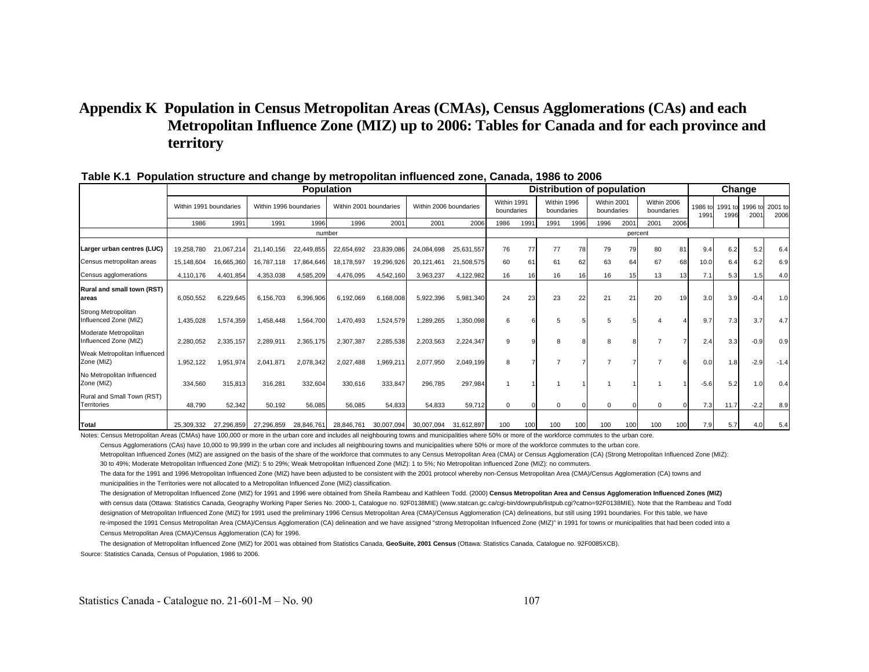# **Appendix K Population in Census Metropolitan Areas (CMAs), Census Agglomerations (CAs) and each Metropolitan Influence Zone (MIZ) up to 2006: Tables for Canada and for each province and territory**

|                                                |                        |            |                        |            | <b>Population</b>      |            |                        |            |                           | Distribution of population |                           |      |                           |         |                           | Change |                 |      |                         |                 |
|------------------------------------------------|------------------------|------------|------------------------|------------|------------------------|------------|------------------------|------------|---------------------------|----------------------------|---------------------------|------|---------------------------|---------|---------------------------|--------|-----------------|------|-------------------------|-----------------|
|                                                | Within 1991 boundaries |            | Within 1996 boundaries |            | Within 2001 boundaries |            | Within 2006 boundaries |            | Within 1991<br>boundaries |                            | Within 1996<br>boundaries |      | Within 2001<br>boundaries |         | Within 2006<br>boundaries |        | 1986 to<br>1991 | 1996 | 1991 to 1996 to<br>2001 | 2001 to<br>2006 |
|                                                | 1986                   | 1991       | 1991                   | 1996       | 1996                   | 2001       | 2001                   | 2006       | 1986                      | 1991                       | 1991                      | 1996 | 1996                      | 2001    | 2001                      | 2006   |                 |      |                         |                 |
|                                                |                        |            |                        | number     |                        |            |                        |            |                           |                            |                           |      |                           | percent |                           |        |                 |      |                         |                 |
| Larger urban centres (LUC)                     | 19,258,780             | 21,067,214 | 21,140,156             | 22,449,855 | 22,654,692             | 23,839,086 | 24,084,698             | 25,631,557 | 76                        | 77                         | 77                        | 78   | 79                        | 79      | 80                        | 81     | 9.4             | 6.2  | 5.2                     | 6.4             |
| Census metropolitan areas                      | 15,148,604             | 16,665,360 | 16,787,118             | 17,864,646 | 18,178,597             | 19,296,926 | 20,121,461             | 21,508,575 | 60                        | 61                         | 61                        | 62   | 63                        | 64      | 67                        | 68     | 10.0            | 6.4  | 6.2                     | 6.9             |
| Census agglomerations                          | 4,110,176              | 4,401,854  | 4,353,038              | 4,585,209  | 4,476,095              | 4,542,160  | 3,963,237              | 4,122,982  | 16                        |                            | 16                        | 16   | 16                        |         | 13                        | 13     | 7.1             | 5.3  | 1.5                     | 4.0             |
| <b>Rural and small town (RST)</b><br>areas     | 6,050,552              | 6,229,645  | 6,156,703              | 6,396,906  | 6,192,069              | 6,168,008  | 5,922,396              | 5,981,340  | 24                        | 23                         | 23                        | 22   | 21                        | 21      | 20                        | 19     | 3.0             | 3.9  | $-0.4$                  | 1.0             |
| Strong Metropolitan<br>Influenced Zone (MIZ)   | 1,435,028              | 1,574,359  | 1,458,448              | 1,564,700  | 1.470.493              | 1,524,579  | 1,289,265              | 1,350,098  | 6                         |                            | 5                         |      | 5                         |         |                           |        | 9.7             | 7.3  | 3.7                     | 4.7             |
| Moderate Metropolitan<br>Influenced Zone (MIZ) | 2,280,052              | 2,335,157  | 2,289,911              | 2,365,175  | 2,307,387              | 2,285,538  | 2,203,563              | 2,224,347  | $\mathbf{Q}$              |                            | 8                         |      | 8                         |         |                           |        | 2.4             | 3.3  | $-0.9$                  | 0.9             |
| Weak Metropolitan Influenced<br>Zone (MIZ)     | 1,952,122              | 1,951,974  | 2,041,871              | 2,078,342  | 2,027,488              | 1,969,211  | 2,077,950              | 2,049,199  | 8                         |                            |                           |      |                           |         |                           |        | 0.0             | 1.8  | $-2.9$                  | $-1.4$          |
| No Metropolitan Influenced<br>Zone (MIZ)       | 334,560                | 315,813    | 316,281                | 332,604    | 330,616                | 333,847    | 296,785                | 297,984    |                           |                            |                           |      |                           |         |                           |        | $-5.6$          | 5.2  | 1.0                     | 0.4             |
| Rural and Small Town (RST)<br>Territories      | 48.790                 | 52,342     | 50.192                 | 56.085     | 56.085                 | 54.833     | 54.833                 | 59,712     | $\Omega$                  |                            | $\Omega$                  |      | $\Omega$                  |         | $\Omega$                  |        | 7.3             | 11.7 | $-2.2$                  | 8.9             |
| <b>Total</b>                                   | 25,309,332             | 27,296,859 | 27.296.859             | 28.846.761 | 28.846.761             | 30,007,094 | 30.007.094             | 31.612.897 | 100                       | 100                        | 100                       | 100  | 100                       | 100     | 100                       | 100    | 7.9             | 5.7  | 4.0                     | 5.4             |

#### **Table K.1 Population structure and change by metropolitan influenced zone, Canada, 1986 to 2006**

Notes: Census Metropolitan Areas (CMAs) have 100,000 or more in the urban core and includes all neighbouring towns and municipalities where 50% or more of the workforce commutes to the urban core.

Census Agglomerations (CAs) have 10,000 to 99,999 in the urban core and includes all neighbouring towns and municipalities where 50% or more of the workforce commutes to the urban core.

Metropolitan Influenced Zones (MIZ) are assigned on the basis of the share of the workforce that commutes to any Census Metropolitan Area (CMA) or Census Agglomeration (CA) (Strong Metropolitan Influenced Zone (MIZ): 30 to 49%; Moderate Metropolitan Influenced Zone (MIZ): 5 to 29%; Weak Metropolitan Influenced Zone (MIZ): 1 to 5%; No Metropolitan Influenced Zone (MIZ): no commuters.

The data for the 1991 and 1996 Metropolitan Influenced Zone (MIZ) have been adjusted to be consistent with the 2001 protocol whereby non-Census Metropolitan Area (CMA)/Census Agglomeration (CA) towns and municipalities in the Territories were not allocated to a Metropolitan Influenced Zone (MIZ) classification.

The designation of Metropolitan Influenced Zone (MIZ) for 1991 and 1996 were obtained from Sheila Rambeau and Kathleen Todd. (2000) **Census Metropolitan Area and Census Agglomeration Influenced Zones (MIZ)** with census data (Ottawa: Statistics Canada, Geography Working Paper Series No. 2000-1, Catalogue no. 92F0138MIE) (www.statcan.gc.ca/cgi-bin/downpub/listpub.cgi?catno=92F0138MIE). Note that the Rambeau and Todd designation of Metropolitan Influenced Zone (MIZ) for 1991 used the preliminary 1996 Census Metropolitan Area (CMA)/Census Agglomeration (CA) delineations, but still using 1991 boundaries. For this table, we have re-imposed the 1991 Census Metropolitan Area (CMA)/Census Agglomeration (CA) delineation and we have assigned "strong Metropolitan Influenced Zone (MIZ)" in 1991 for towns or municipalities that had been coded into a Census Metropolitan Area (CMA)/Census Agglomeration (CA) for 1996.

 The designation of Metropolitan Influenced Zone (MIZ) for 2001 was obtained from Statistics Canada, **GeoSuite, 2001 Census** (Ottawa: Statistics Canada, Catalogue no. 92F0085XCB). Source: Statistics Canada, Census of Population, 1986 to 2006.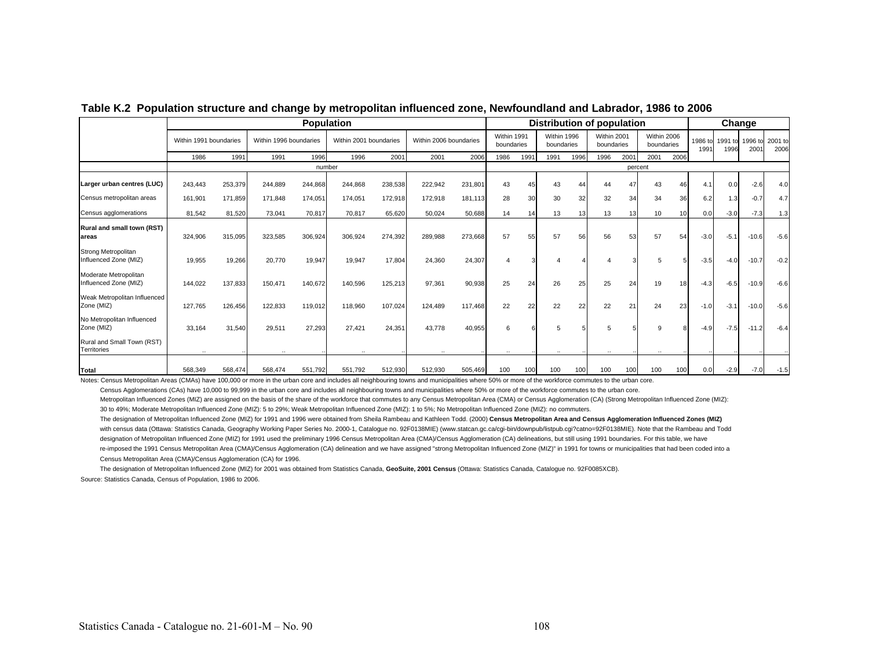|                                                |                        |         |                        |         | <b>Population</b>      |         |                        |         |                           |      | Distribution of population |                 |                           |         | Change                    |      |                 |        |                         |                 |
|------------------------------------------------|------------------------|---------|------------------------|---------|------------------------|---------|------------------------|---------|---------------------------|------|----------------------------|-----------------|---------------------------|---------|---------------------------|------|-----------------|--------|-------------------------|-----------------|
|                                                | Within 1991 boundaries |         | Within 1996 boundaries |         | Within 2001 boundaries |         | Within 2006 boundaries |         | Within 1991<br>boundaries |      | Within 1996<br>boundaries  |                 | Within 2001<br>boundaries |         | Within 2006<br>boundaries |      | 1986 to<br>1991 | 1996   | 1991 to 1996 to<br>2001 | 2001 to<br>2006 |
|                                                | 1986                   | 1991    | 1991                   | 1996    | 1996                   | 2001    | 2001                   | 2006    | 1986                      | 1991 | 1991                       | 1996            | 1996                      | 2001    | 2001                      | 2006 |                 |        |                         |                 |
|                                                |                        |         |                        | number  |                        |         |                        |         |                           |      |                            |                 |                           | percent |                           |      |                 |        |                         |                 |
| Larger urban centres (LUC)                     | 243,443                | 253,379 | 244,889                | 244,868 | 244,868                | 238,538 | 222,942                | 231,801 | 43                        | 45   | 43                         | 44              | 44                        | 47      | 43                        | 46   | 4.1             | 0.0    | $-2.6$                  | 4.0             |
| Census metropolitan areas                      | 161,901                | 171,859 | 171,848                | 174,051 | 174,051                | 172,918 | 172,918                | 181,113 | 28                        | 30   | 30                         | 32 <sub>2</sub> | 32                        | 34      | 34                        | 36   | 6.2             | 1.3    | $-0.7$                  | 4.7             |
| Census agglomerations                          | 81,542                 | 81,520  | 73,041                 | 70,817  | 70,817                 | 65.620  | 50,024                 | 50,688  | 14                        | 14   | 13                         | 13              | 13                        | 13      | 10                        | 10   | 0.0             | $-3.0$ | $-7.3$                  | 1.3             |
| Rural and small town (RST)<br>lareas           | 324,906                | 315,095 | 323,585                | 306,924 | 306,924                | 274,392 | 289,988                | 273,668 | 57                        | 55   | 57                         | 56              | 56                        | 53      | 57                        | 54   | $-3.0$          | $-5.1$ | $-10.6$                 | $-5.6$          |
| Strong Metropolitan<br>Influenced Zone (MIZ)   | 19,955                 | 19,266  | 20,770                 | 19,947  | 19,947                 | 17,804  | 24,360                 | 24,307  |                           |      |                            |                 |                           |         |                           |      | $-3.5$          | $-4.0$ | $-10.7$                 | $-0.2$          |
| Moderate Metropolitan<br>Influenced Zone (MIZ) | 144,022                | 137,833 | 150,471                | 140,672 | 140,596                | 125,213 | 97,361                 | 90,938  | 25                        | 24   | 26                         | 25              | 25                        | 24      | 19                        | 18   | $-4.3$          | $-6.5$ | $-10.9$                 | $-6.6$          |
| Weak Metropolitan Influenced<br>Zone (MIZ)     | 127,765                | 126,456 | 122,833                | 119,012 | 118,960                | 107,024 | 124,489                | 117,468 | 22                        | 22   | 22                         | 22              | 22                        | 21      | 24                        | 23   | $-1.0$          | $-3.1$ | $-10.0$                 | $-5.6$          |
| No Metropolitan Influenced<br>Zone (MIZ)       | 33,164                 | 31,540  | 29,511                 | 27,293  | 27,421                 | 24,351  | 43,778                 | 40,955  |                           |      | 5                          |                 |                           |         |                           |      | $-4.9$          | $-7.5$ | $-11.2$                 | $-6.4$          |
| Rural and Small Town (RST)<br>Territories      |                        |         |                        |         |                        |         |                        |         |                           |      |                            |                 |                           |         |                           |      |                 |        |                         |                 |
| Total                                          | 568,349                | 568,474 | 568,474                | 551,792 | 551,792                | 512,930 | 512,930                | 505,469 | 100                       | 100  | 100                        | 100             | 100                       | 100     | 100                       | 100  | 0.0             | $-2.9$ | $-7.0$                  | $-1.5$          |

## **Table K.2 Population structure and change by metropolitan influenced zone, Newfoundland and Labrador, 1986 to 2006**

Notes: Census Metropolitan Areas (CMAs) have 100,000 or more in the urban core and includes all neighbouring towns and municipalities where 50% or more of the workforce commutes to the urban core.

Census Agglomerations (CAs) have 10,000 to 99,999 in the urban core and includes all neighbouring towns and municipalities where 50% or more of the workforce commutes to the urban core.

Metropolitan Influenced Zones (MIZ) are assigned on the basis of the share of the workforce that commutes to any Census Metropolitan Area (CMA) or Census Agglomeration (CA) (Strong Metropolitan Influenced Zone (MIZ): 30 to 49%; Moderate Metropolitan Influenced Zone (MIZ): 5 to 29%; Weak Metropolitan Influenced Zone (MIZ): 1 to 5%; No Metropolitan Influenced Zone (MIZ): no commuters.

The designation of Metropolitan Influenced Zone (MIZ) for 1991 and 1996 were obtained from Sheila Rambeau and Kathleen Todd. (2000) **Census Metropolitan Area and Census Agglomeration Influenced Zones (MIZ)** with census data (Ottawa: Statistics Canada, Geography Working Paper Series No. 2000-1, Catalogue no. 92F0138MIE) (www.statcan.gc.ca/cgi-bin/downpub/listpub.cgi?catno=92F0138MIE). Note that the Rambeau and Todd designation of Metropolitan Influenced Zone (MIZ) for 1991 used the preliminary 1996 Census Metropolitan Area (CMA)/Census Agglomeration (CA) delineations, but still using 1991 boundaries. For this table, we have re-imposed the 1991 Census Metropolitan Area (CMA)/Census Agglomeration (CA) delineation and we have assigned "strong Metropolitan Influenced Zone (MIZ)" in 1991 for towns or municipalities that had been coded into a Census Metropolitan Area (CMA)/Census Agglomeration (CA) for 1996.

 The designation of Metropolitan Influenced Zone (MIZ) for 2001 was obtained from Statistics Canada, **GeoSuite, 2001 Census** (Ottawa: Statistics Canada, Catalogue no. 92F0085XCB). Source: Statistics Canada, Census of Population, 1986 to 2006.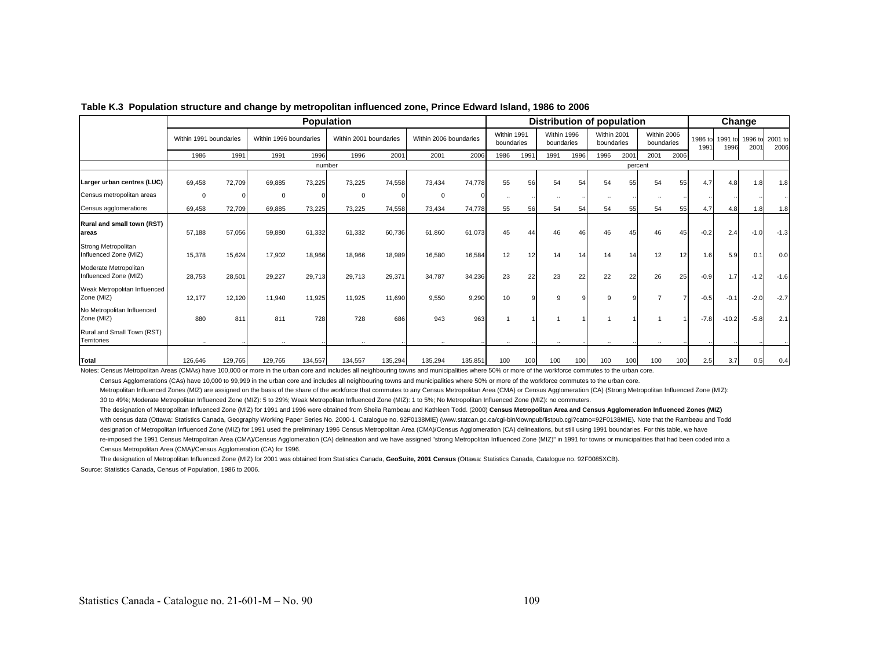|                                                |                        |         |                        |         | <b>Population</b>      |         |                        |         |                           |      |                           |          | <b>Distribution of population</b> |         |                           |      |                 |                 | Change          |                 |
|------------------------------------------------|------------------------|---------|------------------------|---------|------------------------|---------|------------------------|---------|---------------------------|------|---------------------------|----------|-----------------------------------|---------|---------------------------|------|-----------------|-----------------|-----------------|-----------------|
|                                                | Within 1991 boundaries |         | Within 1996 boundaries |         | Within 2001 boundaries |         | Within 2006 boundaries |         | Within 1991<br>boundaries |      | Within 1996<br>boundaries |          | Within 2001<br>boundaries         |         | Within 2006<br>boundaries |      | 1986 to<br>1991 | 1991 to<br>1996 | 1996 to<br>2001 | 2001 to<br>2006 |
|                                                | 1986                   | 1991    | 1991                   | 1996    | 1996                   | 2001    | 2001                   | 2006    | 1986                      | 1991 | 1991                      | 1996     | 1996                              | 2001    | 2001                      | 2006 |                 |                 |                 |                 |
|                                                |                        |         |                        |         | number                 |         |                        |         |                           |      |                           |          |                                   | percent |                           |      |                 |                 |                 |                 |
| Larger urban centres (LUC)                     | 69.458                 | 72,709  | 69.885                 | 73,225  | 73.225                 | 74,558  | 73.434                 | 74.778  | 55                        | 56   | 54                        | 54       | 54                                | 55      | 54                        | 55   | 4.7             | 4.8             | 1.8             | 1.8             |
| Census metropolitan areas                      | $\Omega$               |         | $\mathbf 0$            |         | 0                      |         | $\mathbf 0$            |         | $\cdot$                   |      |                           |          |                                   |         |                           |      |                 |                 |                 |                 |
| Census agglomerations                          | 69,458                 | 72,709  | 69,885                 | 73,225  | 73,225                 | 74,558  | 73,434                 | 74,778  | 55                        | 56   | 54                        | 54       | 54                                | 55      | 54                        | 55   | 4.7             | 4.8             | 1.8             | 1.8             |
| Rural and small town (RST)<br>lareas           | 57,188                 | 57,056  | 59,880                 | 61,332  | 61,332                 | 60,736  | 61,860                 | 61,073  | 45                        |      | 46                        | 46       | 46                                |         | 46                        | 45   | $-0.2$          | 2.4             | $-1.0$          | $-1.3$          |
| Strong Metropolitan<br>Influenced Zone (MIZ)   | 15,378                 | 15,624  | 17,902                 | 18,966  | 18,966                 | 18,989  | 16,580                 | 16,584  | 12                        | 12   | 14                        | 14       | 14                                | 14      | 12                        | 12   | 1.6             | 5.9             | 0.1             | 0.0             |
| Moderate Metropolitan<br>Influenced Zone (MIZ) | 28,753                 | 28,501  | 29,227                 | 29,713  | 29,713                 | 29,371  | 34,787                 | 34,236  | 23                        | 22   | 23                        | 22       | 22                                | 22      | 26                        | 25   | $-0.9$          | 1.7             | $-1.2$          | $-1.6$          |
| Weak Metropolitan Influenced<br>Zone (MIZ)     | 12,177                 | 12,120  | 11,940                 | 11,925  | 11,925                 | 11,690  | 9,550                  | 9,290   | 10                        |      | 9                         | $\Omega$ | 9                                 |         |                           |      | $-0.5$          | $-0.1$          | $-2.0$          | $-2.7$          |
| No Metropolitan Influenced<br>Zone (MIZ)       | 880                    | 811     | 811                    | 728     | 728                    | 686     | 943                    | 963     |                           |      |                           |          |                                   |         |                           |      | $-7.8$          | $-10.2$         | $-5.8$          | 2.1             |
| Rural and Small Town (RST)<br>Territories      |                        |         |                        |         |                        |         |                        |         |                           |      |                           |          |                                   |         |                           |      |                 |                 |                 |                 |
| Total                                          | 126,646                | 129,765 | 129,765                | 134,557 | 134,557                | 135,294 | 135,294                | 135,851 | 100                       | 100  | 100                       | 100      | 100                               | 100     | 100                       | 100  | 2.5             | 3.7             | 0.5             | 0.4             |

#### **Table K.3 Population structure and change by metropolitan influenced zone, Prince Edward Island, 1986 to 2006**

Notes: Census Metropolitan Areas (CMAs) have 100,000 or more in the urban core and includes all neighbouring towns and municipalities where 50% or more of the workforce commutes to the urban core.

Census Agglomerations (CAs) have 10,000 to 99,999 in the urban core and includes all neighbouring towns and municipalities where 50% or more of the workforce commutes to the urban core.

Metropolitan Influenced Zones (MIZ) are assigned on the basis of the share of the workforce that commutes to any Census Metropolitan Area (CMA) or Census Agglomeration (CA) (Strong Metropolitan Influenced Zone (MIZ):

30 to 49%; Moderate Metropolitan Influenced Zone (MIZ): 5 to 29%; Weak Metropolitan Influenced Zone (MIZ): 1 to 5%; No Metropolitan Influenced Zone (MIZ): no commuters.

The designation of Metropolitan Influenced Zone (MIZ) for 1991 and 1996 were obtained from Sheila Rambeau and Kathleen Todd. (2000) **Census Metropolitan Area and Census Agglomeration Influenced Zones (MIZ)** with census data (Ottawa: Statistics Canada, Geography Working Paper Series No. 2000-1, Catalogue no. 92F0138MIE) (www.statcan.gc.ca/cgi-bin/downpub/listpub.cgi?catno=92F0138MIE). Note that the Rambeau and Todd designation of Metropolitan Influenced Zone (MIZ) for 1991 used the preliminary 1996 Census Metropolitan Area (CMA)/Census Agglomeration (CA) delineations, but still using 1991 boundaries. For this table, we have re-imposed the 1991 Census Metropolitan Area (CMA)/Census Agglomeration (CA) delineation and we have assigned "strong Metropolitan Influenced Zone (MIZ)" in 1991 for towns or municipalities that had been coded into a Census Metropolitan Area (CMA)/Census Agglomeration (CA) for 1996.

The designation of Metropolitan Influenced Zone (MIZ) for 2001 was obtained from Statistics Canada, **GeoSuite, 2001 Census** (Ottawa: Statistics Canada, Catalogue no. 92F0085XCB).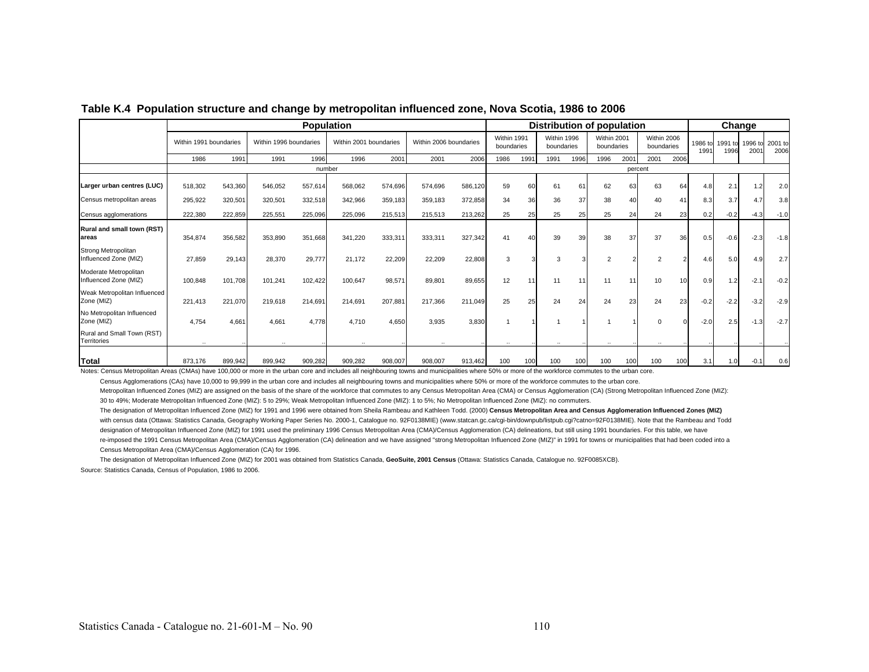|                                                |                        |         | <b>Population</b>      |         |                        |         |                        |         |                           |      |                           | Distribution of population |                           |         |                           |      |                 | Change          |                 |                 |
|------------------------------------------------|------------------------|---------|------------------------|---------|------------------------|---------|------------------------|---------|---------------------------|------|---------------------------|----------------------------|---------------------------|---------|---------------------------|------|-----------------|-----------------|-----------------|-----------------|
|                                                | Within 1991 boundaries |         | Within 1996 boundaries |         | Within 2001 boundaries |         | Within 2006 boundaries |         | Within 1991<br>boundaries |      | Within 1996<br>boundaries |                            | Within 2001<br>boundaries |         | Within 2006<br>boundaries |      | 1986 to<br>1991 | 1991 to<br>1996 | 1996 to<br>2001 | 2001 to<br>2006 |
|                                                | 1986                   | 1991    | 1991                   | 1996    | 1996                   | 2001    | 2001                   | 2006    | 1986                      | 1991 | 1991                      | 1996                       | 1996                      | 2001    | 2001                      | 2006 |                 |                 |                 |                 |
|                                                |                        |         |                        | number  |                        |         |                        |         |                           |      |                           |                            |                           | percent |                           |      |                 |                 |                 |                 |
| Larger urban centres (LUC)                     | 518,302                | 543,360 | 546,052                | 557,614 | 568,062                | 574,696 | 574,696                | 586,120 | 59                        | 60   | 61                        | 61                         | 62                        | 63      | 63                        | 64   | 4.8             | 2.1             | 1.2             | 2.0             |
| Census metropolitan areas                      | 295,922                | 320,501 | 320,501                | 332,518 | 342,966                | 359,183 | 359,183                | 372,858 | 34                        | 36   | 36                        | 37                         | 38                        | 40      | 40                        | 41   | 8.3             | 3.7             | 4.7             | 3.8             |
| Census agglomerations                          | 222,380                | 222,859 | 225,551                | 225,096 | 225,096                | 215,513 | 215,513                | 213,262 | 25                        | 25   | 25                        | 25                         | 25                        | 24      | 24                        | 23   | 0.2             | $-0.2$          | $-4.3$          | $-1.0$          |
| Rural and small town (RST)<br>lareas           | 354,874                | 356,582 | 353,890                | 351,668 | 341.220                | 333,311 | 333,311                | 327,342 | 41                        | 40   | 39                        | 39                         | 38                        | 37      | 37                        | 36   | 0.5             | $-0.6$          | $-2.3$          | $-1.8$          |
| Strong Metropolitan<br>Influenced Zone (MIZ)   | 27,859                 | 29,143  | 28,370                 | 29,777  | 21,172                 | 22,209  | 22,209                 | 22,808  | 3                         |      | 3                         |                            | $\overline{2}$            |         | $\overline{2}$            |      | 4.6             | 5.0             | 4.9             | 2.7             |
| Moderate Metropolitan<br>Influenced Zone (MIZ) | 100,848                | 101,708 | 101,241                | 102,422 | 100,647                | 98,571  | 89,801                 | 89,655  | 12                        | 11   | 11                        |                            | 11                        |         | 10 <sup>1</sup>           |      | 0.9             | 1.2             | $-2.1$          | $-0.2$          |
| Weak Metropolitan Influenced<br>Zone (MIZ)     | 221,413                | 221,070 | 219,618                | 214,691 | 214,691                | 207,881 | 217,366                | 211,049 | 25                        | 25   | 24                        | 24                         | 24                        | 23      | 24                        | 23   | $-0.2$          | $-2.2$          | $-3.2$          | $-2.9$          |
| No Metropolitan Influenced<br>Zone (MIZ)       | 4.754                  | 4,661   | 4.661                  | 4.778   | 4.710                  | 4,650   | 3,935                  | 3,830   |                           |      |                           |                            |                           |         |                           |      | $-2.0$          | 2.5             | $-1.3$          | $-2.7$          |
| Rural and Small Town (RST)<br>Territories      |                        |         |                        |         |                        |         |                        |         |                           |      |                           |                            |                           |         |                           |      |                 |                 |                 |                 |
| Total                                          | 873,176                | 899,942 | 899,942                | 909,282 | 909,282                | 908,007 | 908,007                | 913,462 | 100                       | 100  | 100                       | 100                        | 100                       | 100     | 100                       | 100  | 3.1             | 1.0             | $-0.1$          | 0.6             |

#### **Table K.4 Population structure and change by metropolitan influenced zone, Nova Scotia, 1986 to 2006**

Notes: Census Metropolitan Areas (CMAs) have 100,000 or more in the urban core and includes all neighbouring towns and municipalities where 50% or more of the workforce commutes to the urban core.

Census Agglomerations (CAs) have 10,000 to 99,999 in the urban core and includes all neighbouring towns and municipalities where 50% or more of the workforce commutes to the urban core.

Metropolitan Influenced Zones (MIZ) are assigned on the basis of the share of the workforce that commutes to any Census Metropolitan Area (CMA) or Census Agglomeration (CA) (Strong Metropolitan Influenced Zone (MIZ): 30 to 49%; Moderate Metropolitan Influenced Zone (MIZ): 5 to 29%; Weak Metropolitan Influenced Zone (MIZ): 1 to 5%; No Metropolitan Influenced Zone (MIZ): no commuters.

The designation of Metropolitan Influenced Zone (MIZ) for 1991 and 1996 were obtained from Sheila Rambeau and Kathleen Todd. (2000) Census Metropolitan Area and Census Agglomeration Influenced Zones (MIZ) with census data (Ottawa: Statistics Canada, Geography Working Paper Series No. 2000-1, Catalogue no. 92F0138MIE) (www.statcan.gc.ca/cgi-bin/downpub/listpub.cgi?catno=92F0138MIE). Note that the Rambeau and Todd designation of Metropolitan Influenced Zone (MIZ) for 1991 used the preliminary 1996 Census Metropolitan Area (CMA)/Census Agglomeration (CA) delineations, but still using 1991 boundaries. For this table, we have re-imposed the 1991 Census Metropolitan Area (CMA)/Census Agglomeration (CA) delineation and we have assigned "strong Metropolitan Influenced Zone (MIZ)" in 1991 for towns or municipalities that had been coded into a Census Metropolitan Area (CMA)/Census Agglomeration (CA) for 1996.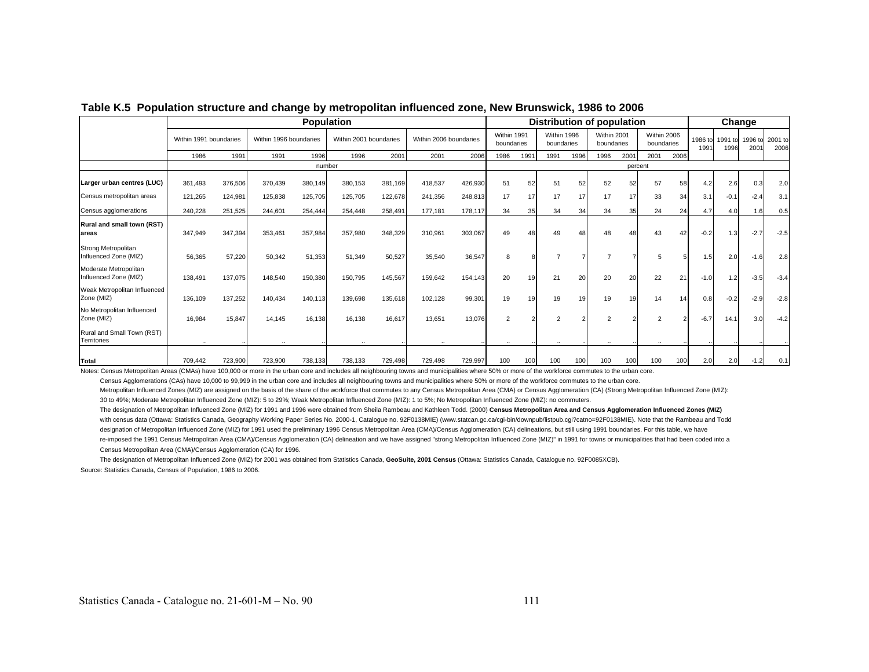|                                                |                        |         |                        | <b>Population</b> |                        |         |                        |         |                           |      |                           | <b>Distribution of population</b> |                           |         |                           |      |                 | Change          |                          |                 |
|------------------------------------------------|------------------------|---------|------------------------|-------------------|------------------------|---------|------------------------|---------|---------------------------|------|---------------------------|-----------------------------------|---------------------------|---------|---------------------------|------|-----------------|-----------------|--------------------------|-----------------|
|                                                | Within 1991 boundaries |         | Within 1996 boundaries |                   | Within 2001 boundaries |         | Within 2006 boundaries |         | Within 1991<br>boundaries |      | Within 1996<br>boundaries |                                   | Within 2001<br>boundaries |         | Within 2006<br>boundaries |      | 1986 to<br>1991 | 1991 to<br>1996 | 1996 to<br>$200^{\circ}$ | 2001 to<br>2006 |
|                                                | 1986                   | 1991    | 1991                   | 1996              | 1996                   | 2001    | 2001                   | 2006    | 1986                      | 1991 | 1991                      | 1996                              | 1996                      | 2001    | 2001                      | 2006 |                 |                 |                          |                 |
|                                                |                        |         |                        | number            |                        |         |                        |         |                           |      |                           |                                   |                           | percent |                           |      |                 |                 |                          |                 |
| Larger urban centres (LUC)                     | 361.493                | 376,506 | 370,439                | 380,149           | 380,153                | 381,169 | 418,537                | 426,930 | 51                        | 52   | 51                        | 52                                | 52                        | 52      | 57                        | 58   | 4.2             | 2.6             | 0.3                      | 2.0             |
| Census metropolitan areas                      | 121,265                | 124,981 | 125,838                | 125,705           | 125,705                | 122,678 | 241,356                | 248,813 | 17                        | 17   | 17                        | 17                                | 17                        | 17      | 33                        | 34   | 3.1             | $-0.1$          | $-2.4$                   | 3.1             |
| Census agglomerations                          | 240,228                | 251,525 | 244.601                | 254,444           | 254.448                | 258,491 | 177.181                | 178,117 | 34                        | 35   | 34                        | 34                                | 34                        | 35      | 24                        | 24   | 4.7             | 4.0             | 1.6                      | 0.5             |
| Rural and small town (RST)<br>lareas           | 347,949                | 347,394 | 353,461                | 357,984           | 357,980                | 348,329 | 310,961                | 303,067 | 49                        | 48   | 49                        |                                   | 48                        |         | 43                        | 42   | $-0.2$          | 1.3             | $-2.7$                   | $-2.5$          |
| Strong Metropolitan<br>Influenced Zone (MIZ)   | 56,365                 | 57,220  | 50,342                 | 51,353            | 51,349                 | 50,527  | 35,540                 | 36,547  | 8                         |      |                           |                                   |                           |         | 5                         |      | 1.5             | 2.0             | $-1.6$                   | 2.8             |
| Moderate Metropolitan<br>Influenced Zone (MIZ) | 138,491                | 137,075 | 148,540                | 150,380           | 150,795                | 145,567 | 159,642                | 154.143 | 20                        | 19   | 21                        | 20 <sup>1</sup>                   | 20                        | 20      | 22                        | 21   | $-1.0$          | 1.2             | $-3.5$                   | $-3.4$          |
| Weak Metropolitan Influenced<br>Zone (MIZ)     | 136,109                | 137,252 | 140,434                | 140,113           | 139,698                | 135,618 | 102,128                | 99,301  | 19                        | 19   | 19                        | 19 <sub>l</sub>                   | 19                        | 19      | 14                        | 14   | 0.8             | $-0.2$          | $-2.9$                   | $-2.8$          |
| No Metropolitan Influenced<br>Zone (MIZ)       | 16.984                 | 15,847  | 14.145                 | 16,138            | 16.138                 | 16,617  | 13.651                 | 13,076  | $\overline{2}$            |      | $\overline{2}$            |                                   | $\overline{2}$            |         | $\mathfrak{p}$            |      | $-6.7$          | 14.1            | 3.0                      | $-4.2$          |
| Rural and Small Town (RST)<br>Territories      |                        |         |                        |                   |                        |         |                        |         |                           |      |                           |                                   |                           |         |                           |      |                 |                 |                          |                 |
| Total                                          | 709,442                | 723,900 | 723,900                | 738,133           | 738,133                | 729,498 | 729,498                | 729,997 | 100                       | 100  | 100                       | 100                               | 100                       | 100     | 100                       | 100  | 2.0             | 2.0             | $-1.2$                   | 0.1             |

### **Table K.5 Population structure and change by metropolitan influenced zone, New Brunswick, 1986 to 2006**

Notes: Census Metropolitan Areas (CMAs) have 100,000 or more in the urban core and includes all neighbouring towns and municipalities where 50% or more of the workforce commutes to the urban core.

Census Agglomerations (CAs) have 10,000 to 99,999 in the urban core and includes all neighbouring towns and municipalities where 50% or more of the workforce commutes to the urban core.

Metropolitan Influenced Zones (MIZ) are assigned on the basis of the share of the workforce that commutes to any Census Metropolitan Area (CMA) or Census Agglomeration (CA) (Strong Metropolitan Influenced Zone (MIZ):

30 to 49%; Moderate Metropolitan Influenced Zone (MIZ): 5 to 29%; Weak Metropolitan Influenced Zone (MIZ): 1 to 5%; No Metropolitan Influenced Zone (MIZ): no commuters.

The designation of Metropolitan Influenced Zone (MIZ) for 1991 and 1996 were obtained from Sheila Rambeau and Kathleen Todd. (2000) **Census Metropolitan Area and Census Agglomeration Influenced Zones (MIZ)** with census data (Ottawa: Statistics Canada, Geography Working Paper Series No. 2000-1, Catalogue no. 92F0138MIE) (www.statcan.gc.ca/cgi-bin/downpub/listpub.cgi?catno=92F0138MIE). Note that the Rambeau and Todd designation of Metropolitan Influenced Zone (MIZ) for 1991 used the preliminary 1996 Census Metropolitan Area (CMA)/Census Agglomeration (CA) delineations, but still using 1991 boundaries. For this table, we have re-imposed the 1991 Census Metropolitan Area (CMA)/Census Agglomeration (CA) delineation and we have assigned "strong Metropolitan Influenced Zone (MIZ)" in 1991 for towns or municipalities that had been coded into a Census Metropolitan Area (CMA)/Census Agglomeration (CA) for 1996.

The designation of Metropolitan Influenced Zone (MIZ) for 2001 was obtained from Statistics Canada, **GeoSuite, 2001 Census** (Ottawa: Statistics Canada, Catalogue no. 92F0085XCB).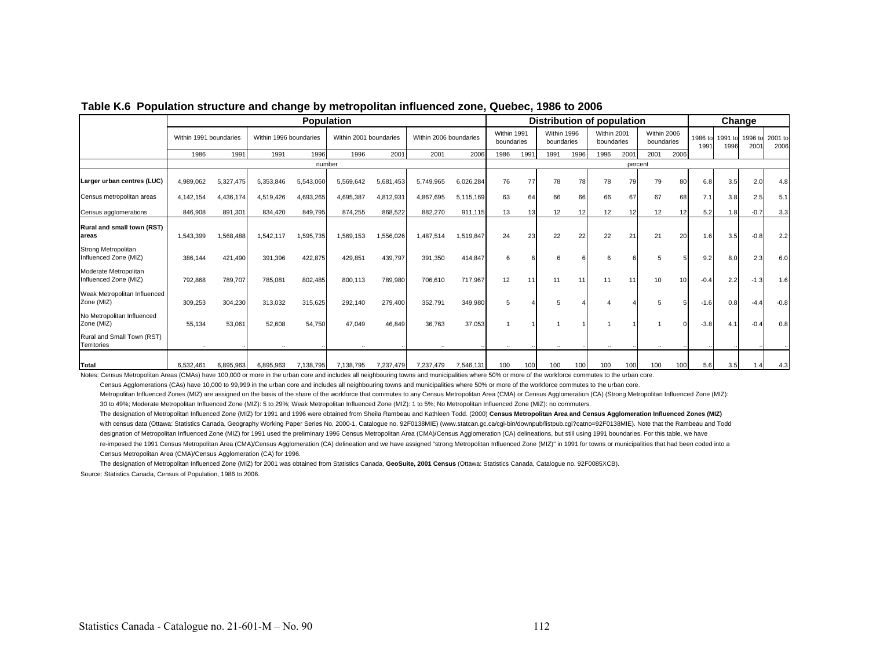|                                                                                                                                                                                                               |                        |           |                        |           | <b>Population</b>      |           |                        |           |                           |      |                           |      | Distribution of population |         |                           |      |                 |                 | Change         |                 |
|---------------------------------------------------------------------------------------------------------------------------------------------------------------------------------------------------------------|------------------------|-----------|------------------------|-----------|------------------------|-----------|------------------------|-----------|---------------------------|------|---------------------------|------|----------------------------|---------|---------------------------|------|-----------------|-----------------|----------------|-----------------|
|                                                                                                                                                                                                               | Within 1991 boundaries |           | Within 1996 boundaries |           | Within 2001 boundaries |           | Within 2006 boundaries |           | Within 1991<br>boundaries |      | Within 1996<br>boundaries |      | Within 2001<br>boundaries  |         | Within 2006<br>boundaries |      | 1986 to<br>1991 | 1991 to<br>1996 | 1996 to<br>200 | 2001 to<br>2006 |
|                                                                                                                                                                                                               | 1986                   | 1991      | 1991                   | 1996      | 1996                   | 2001      | 2001                   | 2006      | 1986                      | 1991 | 1991                      | 1996 | 1996                       | 2001    | 2001                      | 2006 |                 |                 |                |                 |
|                                                                                                                                                                                                               |                        |           |                        | number    |                        |           |                        |           |                           |      |                           |      |                            | percent |                           |      |                 |                 |                |                 |
| Larger urban centres (LUC)                                                                                                                                                                                    | 4,989,062              | 5,327,475 | 5,353,846              | 5,543,060 | 5,569,642              | 5,681,453 | 5.749.965              | 6,026,284 | 76                        | 77   | 78                        | 78   | 78                         | 79      | 79                        | 80   | 6.8             | 3.5             | 2.0            | 4.8             |
| Census metropolitan areas                                                                                                                                                                                     | 4,142,154              | 4,436,174 | 4,519,426              | 4,693,265 | 4,695,387              | 4,812,931 | 4,867,695              | 5,115,169 | 63                        | 64   | 66                        | 66   | 66                         | 67      | 67                        | 68   | 7.1             | 3.8             | 2.5            | 5.1             |
| Census agglomerations                                                                                                                                                                                         | 846,908                | 891,301   | 834,420                | 849,795   | 874,255                | 868,522   | 882,270                | 911,115   | 13                        | 13   | 12                        | 12   | 12                         |         | 12                        | 12   | 5.2             | 1.8             | $-0.7$         | 3.3             |
| Rural and small town (RST)<br>lareas                                                                                                                                                                          | 1,543,399              | 1,568,488 | 1,542,117              | 1,595,735 | 1,569,153              | 1,556,026 | 1,487,514              | 1,519,847 | 24                        | 23   | 22                        | 22   | 22                         | 21      | 21                        | 20   | 1.6             | 3.5             | $-0.8$         | 2.2             |
| Strong Metropolitan<br>Influenced Zone (MIZ)                                                                                                                                                                  | 386,144                | 421,490   | 391,396                | 422,875   | 429,851                | 439,797   | 391,350                | 414,847   | 6                         |      | 6                         |      | 6                          |         |                           |      | 9.2             | 8.0             | 2.3            | 6.0             |
| Moderate Metropolitan<br>Influenced Zone (MIZ)                                                                                                                                                                | 792,868                | 789,707   | 785,081                | 802,485   | 800,113                | 789,980   | 706,610                | 717,967   | 12                        | 11   | 11                        | 11   | 11                         |         | 10                        |      | $-0.4$          | 2.2             | $-1.3$         | 1.6             |
| Weak Metropolitan Influenced<br>Zone (MIZ)                                                                                                                                                                    | 309,253                | 304,230   | 313.032                | 315,625   | 292.140                | 279,400   | 352,791                | 349,980   | 5                         |      | 5                         |      |                            |         | 5                         |      | $-1.6$          | 0.8             | $-4.4$         | $-0.8$          |
| No Metropolitan Influenced<br>Zone (MIZ)                                                                                                                                                                      | 55,134                 | 53,061    | 52,608                 | 54,750    | 47,049                 | 46,849    | 36,763                 | 37,053    |                           |      |                           |      |                            |         |                           |      | $-3.8$          | 4.1             | $-0.4$         | 0.8             |
| Rural and Small Town (RST)<br>Territories                                                                                                                                                                     | $\cdot$ .              |           |                        |           |                        |           |                        |           |                           |      |                           |      |                            |         |                           |      |                 |                 |                |                 |
| Total<br>Notes: Census Metropolitan Areas (CMAs) have 100,000 or more in the urban core and includes all neighbouring towns and municipalities where 50% or more of the workforce commutes to the urban core. | 6.532.461              | 6.895.963 | 6.895.963              | 7.138.795 | 7.138.795              | 7.237.479 | 7,237,479              | 7.546.131 | 100                       | 100  | 100                       | 100  | 100                        | 100     | 100                       | 100  | 5.6             | 3.5             |                | 4.3             |

#### **Table K.6 Population structure and change by metropolitan influenced zone, Quebec, 1986 to 2006**

Census Agglomerations (CAs) have 10,000 to 99,999 in the urban core and includes all neighbouring towns and municipalities where 50% or more of the workforce commutes to the urban core.

Metropolitan Influenced Zones (MIZ) are assigned on the basis of the share of the workforce that commutes to any Census Metropolitan Area (CMA) or Census Agglomeration (CA) (Strong Metropolitan Influenced Zone (MIZ):

30 to 49%; Moderate Metropolitan Influenced Zone (MIZ): 5 to 29%; Weak Metropolitan Influenced Zone (MIZ): 1 to 5%; No Metropolitan Influenced Zone (MIZ): no commuters.

The designation of Metropolitan Influenced Zone (MIZ) for 1991 and 1996 were obtained from Sheila Rambeau and Kathleen Todd. (2000) Census Metropolitan Area and Census Agglomeration Influenced Zones (MIZ) with census data (Ottawa: Statistics Canada, Geography Working Paper Series No. 2000-1, Catalogue no. 92F0138MIE) (www.statcan.gc.ca/cgi-bin/downpub/listpub.cgi?catno=92F0138MIE). Note that the Rambeau and Todd designation of Metropolitan Influenced Zone (MIZ) for 1991 used the preliminary 1996 Census Metropolitan Area (CMA)/Census Agglomeration (CA) delineations, but still using 1991 boundaries. For this table, we have re-imposed the 1991 Census Metropolitan Area (CMA)/Census Agglomeration (CA) delineation and we have assigned "strong Metropolitan Influenced Zone (MIZ)" in 1991 for towns or municipalities that had been coded into a Census Metropolitan Area (CMA)/Census Agglomeration (CA) for 1996.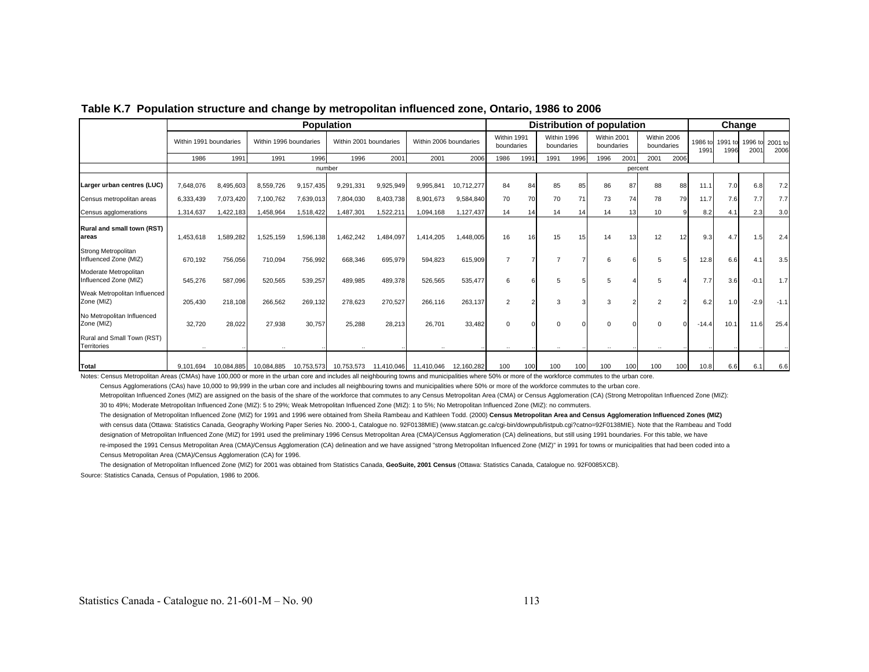|                                                |                        |            | <b>Population</b>      |            |                        |            |                        |            |                           |      | Distribution of population |      |                           |         |                           |      | Change          |                 |                          |                 |
|------------------------------------------------|------------------------|------------|------------------------|------------|------------------------|------------|------------------------|------------|---------------------------|------|----------------------------|------|---------------------------|---------|---------------------------|------|-----------------|-----------------|--------------------------|-----------------|
|                                                | Within 1991 boundaries |            | Within 1996 boundaries |            | Within 2001 boundaries |            | Within 2006 boundaries |            | Within 1991<br>boundaries |      | Within 1996<br>boundaries  |      | Within 2001<br>boundaries |         | Within 2006<br>boundaries |      | 1986 to<br>1991 | 1991 to<br>1996 | 1996 to<br>$200^{\circ}$ | 2001 to<br>2006 |
|                                                | 1986                   | 1991       | 1991                   | 1996       | 1996                   | 2001       | 2001                   | 2006       | 1986                      | 1991 | 1991                       | 1996 | 1996                      | 2001    | 2001                      | 2006 |                 |                 |                          |                 |
|                                                |                        |            |                        | number     |                        |            |                        |            |                           |      |                            |      |                           | percent |                           |      |                 |                 |                          |                 |
| Larger urban centres (LUC)                     | 7,648,076              | 8,495,603  | 8,559,726              | 9,157,435  | 9,291,331              | 9,925,949  | 9,995,841              | 10,712,277 | 84                        | 84   | 85                         | 85   | 86                        | 87      | 88                        | 88   | 11.1            | 7.0             | 6.8                      | 7.2             |
| Census metropolitan areas                      | 6,333,439              | 7,073,420  | 7,100,762              | 7,639,013  | 7,804,030              | 8,403,738  | 8,901,673              | 9,584,840  | 70                        | 70   | 70                         | 71   | 73                        | 74      | 78                        | 79   | 11.7            | 7.6             | 7.7                      | 7.7             |
| Census agglomerations                          | 1,314,637              | 1,422,183  | 1,458,964              | 1,518,422  | 1,487,301              | 1,522,211  | 1,094,168              | 1,127,437  | 14                        | 14   | 14                         | 141  | 14                        | 13      | 10                        |      | 8.2             | 4.1             | 2.3                      | 3.0             |
| <b>Rural and small town (RST)</b><br>lareas    | ,453,618               | 1,589,282  | 1,525,159              | 1,596,138  | ,462,242               | 1,484,097  | 1,414,205              | 1,448,005  | 16                        | 16   | 15                         |      | 14                        | 13      | 12                        |      | 9.3             | 4.7             | 1.5                      | 2.4             |
| Strong Metropolitan<br>Influenced Zone (MIZ)   | 670,192                | 756,056    | 710,094                | 756,992    | 668,346                | 695,979    | 594,823                | 615,909    | $\overline{7}$            |      |                            |      | 6                         |         | 5                         |      | 12.8            | 6.6             | $\mathbf{4}$             | 3.5             |
| Moderate Metropolitan<br>Influenced Zone (MIZ) | 545,276                | 587,096    | 520,565                | 539,257    | 489,985                | 489,378    | 526,565                | 535,477    | 6                         |      | 5                          |      | 5                         |         | 5                         |      | 7.7             | 3.6             | $-0.1$                   | 1.7             |
| Weak Metropolitan Influenced<br>Zone (MIZ)     | 205,430                | 218,108    | 266,562                | 269,132    | 278,623                | 270,527    | 266.116                | 263,137    | $\overline{2}$            |      | 3                          |      | 3                         |         | $\overline{2}$            |      | 6.2             | 1.0             | $-2.9$                   | $-1.1$          |
| No Metropolitan Influenced<br>Zone (MIZ)       | 32,720                 | 28,022     | 27,938                 | 30,757     | 25,288                 | 28,213     | 26,701                 | 33,482     |                           |      | $\Omega$                   |      |                           |         | $\Omega$                  |      | $-14.4$         | 10.1            | 11.6                     | 25.4            |
| Rural and Small Town (RST)<br>Territories      |                        |            |                        |            |                        |            |                        |            |                           |      |                            |      |                           |         |                           |      |                 |                 |                          |                 |
| Total                                          | 9,101,694              | 10,084,885 | 10,084,885             | 10,753,573 | 10,753,573             | 11,410,046 | 11,410,046             | 12,160,282 | 100                       | 100  | 100                        | 100  | 100                       | 100     | 100                       | 100  | 10.8            | 6.6             | 6.1                      | 6.6             |

### **Table K.7 Population structure and change by metropolitan influenced zone, Ontario, 1986 to 2006**

Notes: Census Metropolitan Areas (CMAs) have 100,000 or more in the urban core and includes all neighbouring towns and municipalities where 50% or more of the workforce commutes to the urban core.

Census Agglomerations (CAs) have 10,000 to 99,999 in the urban core and includes all neighbouring towns and municipalities where 50% or more of the workforce commutes to the urban core.

Metropolitan Influenced Zones (MIZ) are assigned on the basis of the share of the workforce that commutes to any Census Metropolitan Area (CMA) or Census Agglomeration (CA) (Strong Metropolitan Influenced Zone (MIZ): 30 to 49%; Moderate Metropolitan Influenced Zone (MIZ): 5 to 29%; Weak Metropolitan Influenced Zone (MIZ): 1 to 5%; No Metropolitan Influenced Zone (MIZ): no commuters.

The designation of Metropolitan Influenced Zone (MIZ) for 1991 and 1996 were obtained from Sheila Rambeau and Kathleen Todd. (2000) Census Metropolitan Area and Census Agglomeration Influenced Zones (MIZ) with census data (Ottawa: Statistics Canada, Geography Working Paper Series No. 2000-1, Catalogue no. 92F0138MIE) (www.statcan.gc.ca/cgi-bin/downpub/listpub.cgi?catno=92F0138MIE). Note that the Rambeau and Todd designation of Metropolitan Influenced Zone (MIZ) for 1991 used the preliminary 1996 Census Metropolitan Area (CMA)/Census Agglomeration (CA) delineations, but still using 1991 boundaries. For this table, we have re-imposed the 1991 Census Metropolitan Area (CMA)/Census Agglomeration (CA) delineation and we have assigned "strong Metropolitan Influenced Zone (MIZ)" in 1991 for towns or municipalities that had been coded into a Census Metropolitan Area (CMA)/Census Agglomeration (CA) for 1996.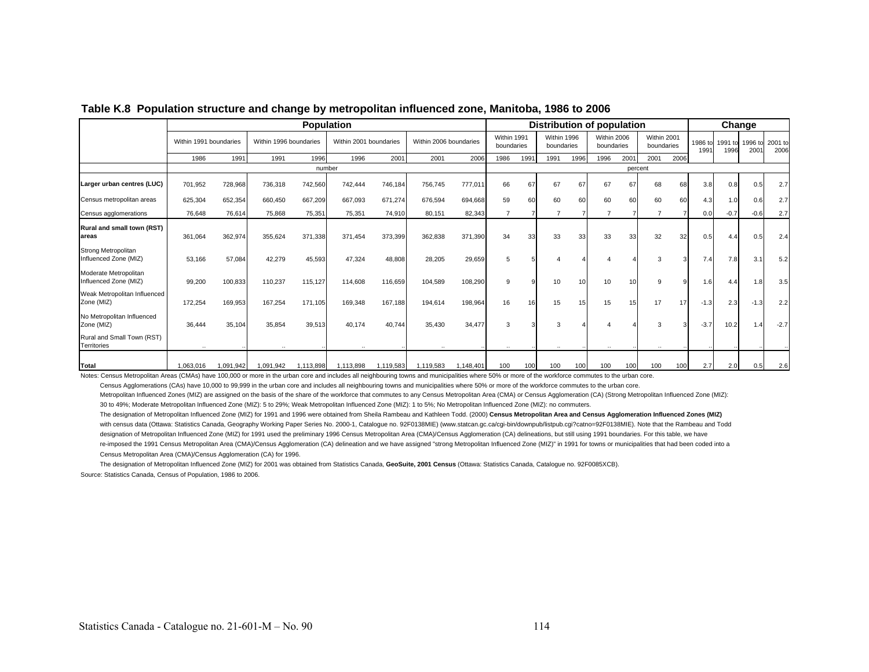|                                                |                        |           |                        |           | <b>Population</b>      |           |                        |           |                           |      |                           |                 | Distribution of population |         |                           |      |                 |                 | Change                   |                 |
|------------------------------------------------|------------------------|-----------|------------------------|-----------|------------------------|-----------|------------------------|-----------|---------------------------|------|---------------------------|-----------------|----------------------------|---------|---------------------------|------|-----------------|-----------------|--------------------------|-----------------|
|                                                | Within 1991 boundaries |           | Within 1996 boundaries |           | Within 2001 boundaries |           | Within 2006 boundaries |           | Within 1991<br>boundaries |      | Within 1996<br>boundaries |                 | Within 2006<br>boundaries  |         | Within 2001<br>boundaries |      | 1986 to<br>1991 | 1991 to<br>1996 | 1996 to<br>$200^{\circ}$ | 2001 to<br>2006 |
|                                                | 1986                   | 1991      | 1991                   | 1996      | 1996                   | 2001      | 2001                   | 2006      | 1986                      | 1991 | 1991                      | 1996            | 1996                       | 2001    | 2001                      | 2006 |                 |                 |                          |                 |
|                                                |                        |           |                        | number    |                        |           |                        |           |                           |      |                           |                 |                            | percent |                           |      |                 |                 |                          |                 |
| Larger urban centres (LUC)                     | 701,952                | 728,968   | 736,318                | 742,560   | 742,444                | 746,184   | 756,745                | 777,011   | 66                        | 67   | 67                        | 67              | 67                         | 67      | 68                        | 68   | 3.8             | 0.8             | 0.5                      | 2.7             |
| Census metropolitan areas                      | 625,304                | 652,354   | 660,450                | 667,209   | 667,093                | 671,274   | 676,594                | 694.668   | 59                        | 60   | 60                        | 60              | 60                         | 60      | 60                        | 60   | 4.3             | 1.0             | 0.6                      | 2.7             |
| Census agglomerations                          | 76,648                 | 76,614    | 75,868                 | 75,351    | 75,351                 | 74,910    | 80,151                 | 82,343    | $\overline{7}$            |      | 7                         |                 | 7                          |         |                           |      | 0.0             | $-0.7$          | $-0.6$                   | 2.7             |
| Rural and small town (RST)<br>lareas           | 361,064                | 362,974   | 355,624                | 371,338   | 371.454                | 373,399   | 362,838                | 371,390   | 34                        | 33   | 33                        | 33              | 33                         | 33      | 32                        | 32   | 0.5             | 4.4             | 0.5                      | 2.4             |
| Strong Metropolitan<br>Influenced Zone (MIZ)   | 53,166                 | 57,084    | 42,279                 | 45,593    | 47,324                 | 48,808    | 28,205                 | 29,659    | 5                         |      |                           |                 |                            |         | 3                         |      | 7.4             | 7.8             | 3.1                      | 5.2             |
| Moderate Metropolitan<br>Influenced Zone (MIZ) | 99,200                 | 100,833   | 110,237                | 115,127   | 114,608                | 116,659   | 104,589                | 108,290   | g                         |      | 10                        | 10 <sup>1</sup> | 10                         | 10      | 9                         | c    | 1.6             | 4.4             | 1.8                      | 3.5             |
| Weak Metropolitan Influenced<br>Zone (MIZ)     | 172,254                | 169,953   | 167,254                | 171,105   | 169,348                | 167,188   | 194,614                | 198,964   | 16                        | 16   | 15                        | 15              | 15                         | 15      | 17                        | 17   | $-1.3$          | 2.3             | $-1.3$                   | 2.2             |
| No Metropolitan Influenced<br>Zone (MIZ)       | 36,444                 | 35,104    | 35,854                 | 39,513    | 40,174                 | 40,744    | 35,430                 | 34,477    | 3                         |      | 3                         |                 |                            |         |                           |      | $-3.7$          | 10.2            |                          | $-2.7$          |
| Rural and Small Town (RST)<br>Territories      |                        |           |                        |           |                        |           |                        |           | $\ddotsc$                 |      |                           |                 |                            |         |                           |      |                 |                 |                          |                 |
| Total                                          | 1,063,016              | 1,091,942 | 1,091,942              | 1,113,898 | 1,113,898              | 1,119,583 | 1,119,583              | 1,148,401 | 100                       | 100  | 100                       | 100             | 100                        | 100     | 100                       | 100  | 2.7             | 2.0             | 0.5                      | 2.6             |

**Table K.8 Population structure and change by metropolitan influenced zone, Manitoba, 1986 to 2006**

Notes: Census Metropolitan Areas (CMAs) have 100,000 or more in the urban core and includes all neighbouring towns and municipalities where 50% or more of the workforce commutes to the urban core.

Census Agglomerations (CAs) have 10,000 to 99,999 in the urban core and includes all neighbouring towns and municipalities where 50% or more of the workforce commutes to the urban core.

Metropolitan Influenced Zones (MIZ) are assigned on the basis of the share of the workforce that commutes to any Census Metropolitan Area (CMA) or Census Agglomeration (CA) (Strong Metropolitan Influenced Zone (MIZ): 30 to 49%; Moderate Metropolitan Influenced Zone (MIZ): 5 to 29%; Weak Metropolitan Influenced Zone (MIZ): 1 to 5%; No Metropolitan Influenced Zone (MIZ): no commuters.

The designation of Metropolitan Influenced Zone (MIZ) for 1991 and 1996 were obtained from Sheila Rambeau and Kathleen Todd. (2000) **Census Metropolitan Area and Census Agglomeration Influenced Zones (MIZ)** with census data (Ottawa: Statistics Canada, Geography Working Paper Series No. 2000-1, Catalogue no. 92F0138MIE) (www.statcan.gc.ca/cgi-bin/downpub/listpub.cgi?catno=92F0138MIE). Note that the Rambeau and Todd designation of Metropolitan Influenced Zone (MIZ) for 1991 used the preliminary 1996 Census Metropolitan Area (CMA)/Census Agglomeration (CA) delineations, but still using 1991 boundaries. For this table, we have re-imposed the 1991 Census Metropolitan Area (CMA)/Census Agglomeration (CA) delineation and we have assigned "strong Metropolitan Influenced Zone (MIZ)" in 1991 for towns or municipalities that had been coded into a Census Metropolitan Area (CMA)/Census Agglomeration (CA) for 1996.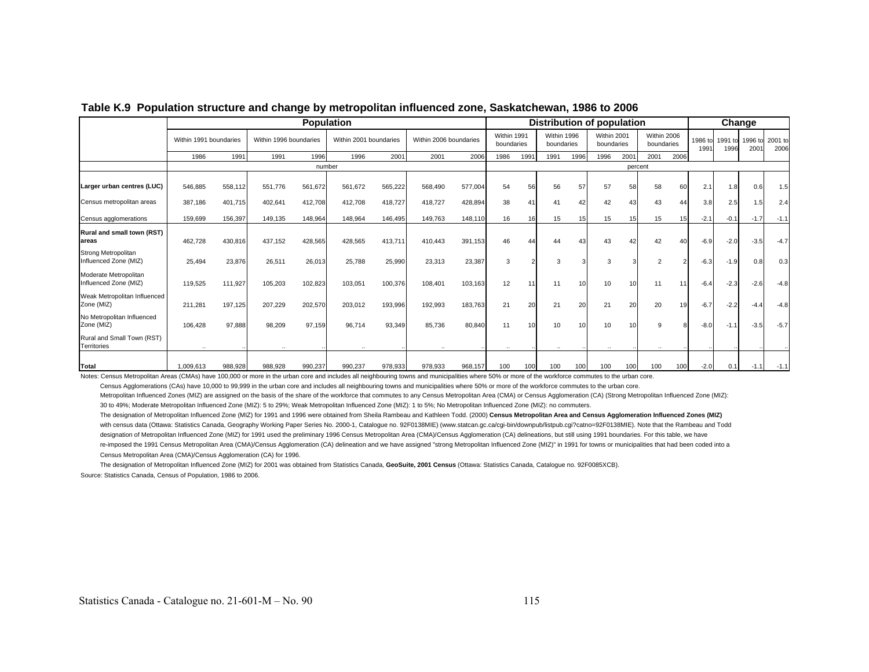|                                                |                        |         |                        | <b>Population</b> |                        |         |                        |         |                           |      | <b>Distribution of population</b> |      |                           |         |                           |      | Change          |                 |                 |                 |
|------------------------------------------------|------------------------|---------|------------------------|-------------------|------------------------|---------|------------------------|---------|---------------------------|------|-----------------------------------|------|---------------------------|---------|---------------------------|------|-----------------|-----------------|-----------------|-----------------|
|                                                | Within 1991 boundaries |         | Within 1996 boundaries |                   | Within 2001 boundaries |         | Within 2006 boundaries |         | Within 1991<br>boundaries |      | Within 1996<br>boundaries         |      | Within 2001<br>boundaries |         | Within 2006<br>boundaries |      | 1986 to<br>1991 | 1991 to<br>1996 | 1996 to<br>2001 | 2001 to<br>2006 |
|                                                | 1986                   | 1991    | 1991                   | 1996              | 1996                   | 2001    | 2001                   | 2006    | 1986                      | 1991 | 1991                              | 1996 | 1996                      | 2001    | 2001                      | 2006 |                 |                 |                 |                 |
|                                                |                        |         |                        | number            |                        |         |                        |         |                           |      |                                   |      |                           | percent |                           |      |                 |                 |                 |                 |
| Larger urban centres (LUC)                     | 546,885                | 558,112 | 551.776                | 561,672           | 561,672                | 565,222 | 568,490                | 577,004 | 54                        | 56   | 56                                | 57   | 57                        | 58      | 58                        | 60   | 2.1             | 1.8             | 0.6             | 1.5             |
| Census metropolitan areas                      | 387,186                | 401,715 | 402,641                | 412,708           | 412,708                | 418,727 | 418,727                | 428,894 | 38                        | 41   | 41                                | 42   | 42                        | 43      | 43                        | 44   | 3.8             | 2.5             | 1.5             | 2.4             |
| Census agglomerations                          | 159,699                | 156,397 | 149,135                | 148,964           | 148.964                | 146,495 | 149.763                | 148,110 | 16                        | 16   | 15                                | 15   | 15                        | 15      | 15                        | 15   | $-2.1$          | $-0.1$          | $-1.7$          | $-1.1$          |
| Rural and small town (RST)<br>lareas           | 462,728                | 430,816 | 437,152                | 428,565           | 428,565                | 413,711 | 410,443                | 391,153 | 46                        | 44   | 44                                | 43   | 43                        | 42      | 42                        | 40   | $-6.9$          | $-2.0$          | $-3.5$          | $-4.7$          |
| Strong Metropolitan<br>Influenced Zone (MIZ)   | 25,494                 | 23,876  | 26,511                 | 26,013            | 25.788                 | 25,990  | 23,313                 | 23,387  | 3                         |      | 3                                 |      | 3                         |         | $\overline{2}$            |      | $-6.3$          | $-1.9$          | 0.8             | 0.3             |
| Moderate Metropolitan<br>Influenced Zone (MIZ) | 119,525                | 111,927 | 105,203                | 102,823           | 103,051                | 100,376 | 108,401                | 103,163 | 12                        | 11   | 11                                |      | 10                        | 10      | 11                        |      | $-6.4$          | $-2.3$          | $-2.6$          | $-4.8$          |
| Weak Metropolitan Influenced<br>Zone (MIZ)     | 211,281                | 197,125 | 207,229                | 202,570           | 203,012                | 193,996 | 192,993                | 183,763 | 21                        | 20   | 21                                | 20   | 21                        | 20      | 20                        | 19   | $-6.7$          | $-2.2$          | $-4.4$          | $-4.8$          |
| No Metropolitan Influenced<br>Zone (MIZ)       | 106.428                | 97,888  | 98,209                 | 97,159            | 96.714                 | 93,349  | 85,736                 | 80,840  | 11                        | 10   | 10                                |      | 10                        |         | g                         |      | $-8.0$          | $-1.1$          | $-3.5$          | $-5.7$          |
| Rural and Small Town (RST)<br>Territories      | $\ddotsc$              |         | $\ddotsc$              |                   |                        |         | $\ldots$               |         | $\ldots$                  |      | $\ddot{\phantom{0}}$              |      | $\cdot$                   |         |                           |      |                 |                 |                 |                 |
| Total                                          | 1,009,613              | 988,928 | 988,928                | 990,237           | 990,237                | 978,933 | 978,933                | 968,157 | 100                       | 100  | 100                               | 100  | 100                       | 100     | 100                       | 100  | $-2.0$          | 0.1             | $-1.1$          | $-1.1$          |

### **Table K.9 Population structure and change by metropolitan influenced zone, Saskatchewan, 1986 to 2006**

Notes: Census Metropolitan Areas (CMAs) have 100,000 or more in the urban core and includes all neighbouring towns and municipalities where 50% or more of the workforce commutes to the urban core.

Census Agglomerations (CAs) have 10,000 to 99,999 in the urban core and includes all neighbouring towns and municipalities where 50% or more of the workforce commutes to the urban core.

Metropolitan Influenced Zones (MIZ) are assigned on the basis of the share of the workforce that commutes to any Census Metropolitan Area (CMA) or Census Agglomeration (CA) (Strong Metropolitan Influenced Zone (MIZ): 30 to 49%; Moderate Metropolitan Influenced Zone (MIZ): 5 to 29%; Weak Metropolitan Influenced Zone (MIZ): 1 to 5%; No Metropolitan Influenced Zone (MIZ): no commuters.

The designation of Metropolitan Influenced Zone (MIZ) for 1991 and 1996 were obtained from Sheila Rambeau and Kathleen Todd. (2000) **Census Metropolitan Area and Census Agglomeration Influenced Zones (MIZ)** with census data (Ottawa: Statistics Canada, Geography Working Paper Series No. 2000-1, Catalogue no. 92F0138MIE) (www.statcan.gc.ca/cgi-bin/downpub/listpub.cgi?catno=92F0138MIE). Note that the Rambeau and Todd designation of Metropolitan Influenced Zone (MIZ) for 1991 used the preliminary 1996 Census Metropolitan Area (CMA)/Census Agglomeration (CA) delineations, but still using 1991 boundaries. For this table, we have re-imposed the 1991 Census Metropolitan Area (CMA)/Census Agglomeration (CA) delineation and we have assigned "strong Metropolitan Influenced Zone (MIZ)" in 1991 for towns or municipalities that had been coded into a Census Metropolitan Area (CMA)/Census Agglomeration (CA) for 1996.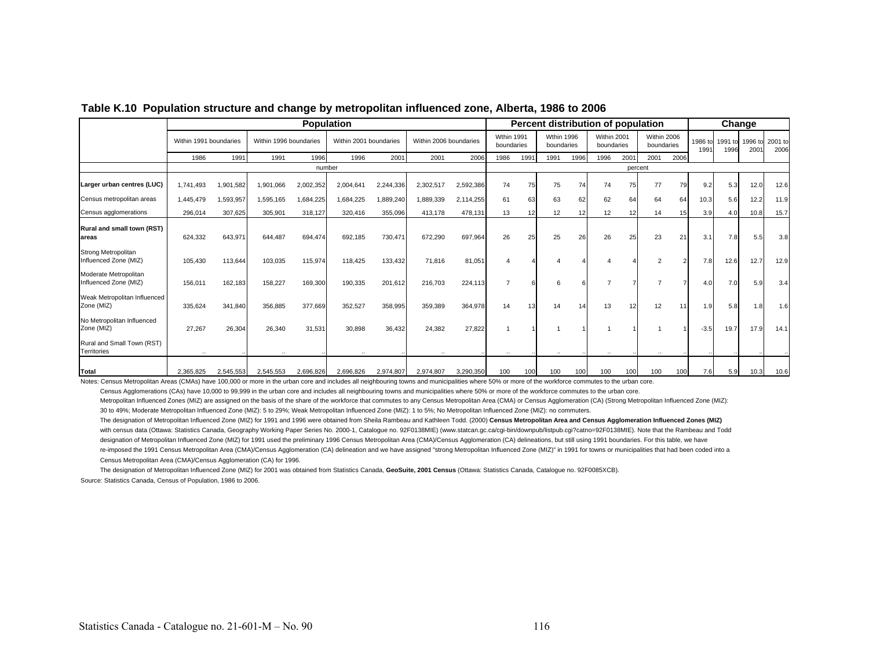|                                                |                        |           |                        |           | <b>Population</b>      |           |                        |           |                                 |      |                          |                 | Percent distribution of population |         |                           |      |                 |      | Change                  |                 |
|------------------------------------------------|------------------------|-----------|------------------------|-----------|------------------------|-----------|------------------------|-----------|---------------------------------|------|--------------------------|-----------------|------------------------------------|---------|---------------------------|------|-----------------|------|-------------------------|-----------------|
|                                                | Within 1991 boundaries |           | Within 1996 boundaries |           | Within 2001 boundaries |           | Within 2006 boundaries |           | <b>Wthin 1991</b><br>boundaries |      | Wthin 1996<br>boundaries |                 | Within 2001<br>boundaries          |         | Within 2006<br>boundaries |      | 1986 to<br>1991 | 1996 | 1991 to 1996 to<br>2001 | 2001 to<br>2006 |
|                                                | 1986                   | 1991      | 1991                   | 1996      | 1996                   | 2001      | 2001                   | 2006      | 1986                            | 1991 | 1991                     | 1996            | 1996                               | 2001    | 2001                      | 2006 |                 |      |                         |                 |
|                                                |                        |           |                        | number    |                        |           |                        |           |                                 |      |                          |                 |                                    | percent |                           |      |                 |      |                         |                 |
| Larger urban centres (LUC)                     | 1,741,493              | 1,901,582 | 1,901,066              | 2,002,352 | 2,004,641              | 2,244,336 | 2,302,517              | 2,592,386 | 74                              | 75   | 75                       | 74              | 74                                 | 75      | 77                        | 79   | 9.2             | 5.3  | 12.0                    | 12.6            |
| Census metropolitan areas                      | 1,445,479              | 1,593,957 | 1,595,165              | 1,684,225 | 684,225                | 1,889,240 | 1,889,339              | 2,114,255 | 61                              | 63   | 63                       | 62              | 62                                 | 64      | 64                        | 64   | 10.3            | 5.6  | 12.2                    | 11.9            |
| Census agglomerations                          | 296,014                | 307,625   | 305,901                | 318,127   | 320,416                | 355,096   | 413,178                | 478,131   | 13                              | 12   | 12                       | 12 <sup>1</sup> | 12                                 | 12      | 14                        | 15   | 3.9             | 4.0  | 10.8                    | 15.7            |
| <b>Rural and small town (RST)</b><br>lareas    | 624,332                | 643,971   | 644.487                | 694,474   | 692,185                | 730,471   | 672,290                | 697,964   | 26                              | 25   | 25                       | 26              | 26                                 | 25      | 23                        | 21   | 3.1             | 7.8  | 5.5                     | 3.8             |
| Strong Metropolitan<br>Influenced Zone (MIZ)   | 105,430                | 113,644   | 103,035                | 115,974   | 118,425                | 133,432   | 71,816                 | 81,051    |                                 |      |                          |                 |                                    |         | 2                         |      | 7.8             | 12.6 | 12.7                    | 12.9            |
| Moderate Metropolitan<br>Influenced Zone (MIZ) | 156,011                | 162,183   | 158,227                | 169,300   | 190,335                | 201,612   | 216,703                | 224,113   | $\overline{7}$                  |      | 6                        |                 |                                    |         |                           |      | 4.0             | 7.0  | 5.9                     | 3.4             |
| Weak Metropolitan Influenced<br>Zone (MIZ)     | 335,624                | 341,840   | 356,885                | 377,669   | 352,527                | 358,995   | 359,389                | 364,978   | 14                              | 13   | 14                       | 14              | 13                                 | 12      | 12                        | 11   | 1.9             | 5.8  | 1.8                     | 1.6             |
| No Metropolitan Influenced<br>Zone (MIZ)       | 27.267                 | 26,304    | 26.340                 | 31,531    | 30.898                 | 36,432    | 24,382                 | 27,822    |                                 |      |                          |                 |                                    |         |                           |      | $-3.5$          | 19.7 | 17.9                    | 14.1            |
| Rural and Small Town (RST)<br>Territories      |                        |           |                        |           |                        |           |                        |           |                                 |      |                          |                 |                                    |         |                           |      |                 |      |                         |                 |
| Total                                          | 2,365,825              | 2,545,553 | 2,545,553              | 2,696,826 | 2,696,826              | 2,974,807 | 2,974,807              | 3,290,350 | 100                             | 100  | 100                      | 100             | 100                                | 100     | 100                       | 100  | 7.6             | 5.9  | 10.3                    | 10.6            |

#### **Table K.10 Population structure and change by metropolitan influenced zone, Alberta, 1986 to 2006**

Notes: Census Metropolitan Areas (CMAs) have 100,000 or more in the urban core and includes all neighbouring towns and municipalities where 50% or more of the workforce commutes to the urban core.

Census Agglomerations (CAs) have 10,000 to 99,999 in the urban core and includes all neighbouring towns and municipalities where 50% or more of the workforce commutes to the urban core.

Metropolitan Influenced Zones (MIZ) are assigned on the basis of the share of the workforce that commutes to any Census Metropolitan Area (CMA) or Census Agglomeration (CA) (Strong Metropolitan Influenced Zone (MIZ): 30 to 49%; Moderate Metropolitan Influenced Zone (MIZ): 5 to 29%; Weak Metropolitan Influenced Zone (MIZ): 1 to 5%; No Metropolitan Influenced Zone (MIZ): no commuters.

The designation of Metropolitan Influenced Zone (MIZ) for 1991 and 1996 were obtained from Sheila Rambeau and Kathleen Todd. (2000) Census Metropolitan Area and Census Agglomeration Influenced Zones (MIZ) with census data (Ottawa: Statistics Canada, Geography Working Paper Series No. 2000-1, Catalogue no. 92F0138MIE) (www.statcan.gc.ca/cgi-bin/downpub/listpub.cgi?catno=92F0138MIE). Note that the Rambeau and Todd designation of Metropolitan Influenced Zone (MIZ) for 1991 used the preliminary 1996 Census Metropolitan Area (CMA)/Census Agglomeration (CA) delineations, but still using 1991 boundaries. For this table, we have re-imposed the 1991 Census Metropolitan Area (CMA)/Census Agglomeration (CA) delineation and we have assigned "strong Metropolitan Influenced Zone (MIZ)" in 1991 for towns or municipalities that had been coded into a Census Metropolitan Area (CMA)/Census Agglomeration (CA) for 1996.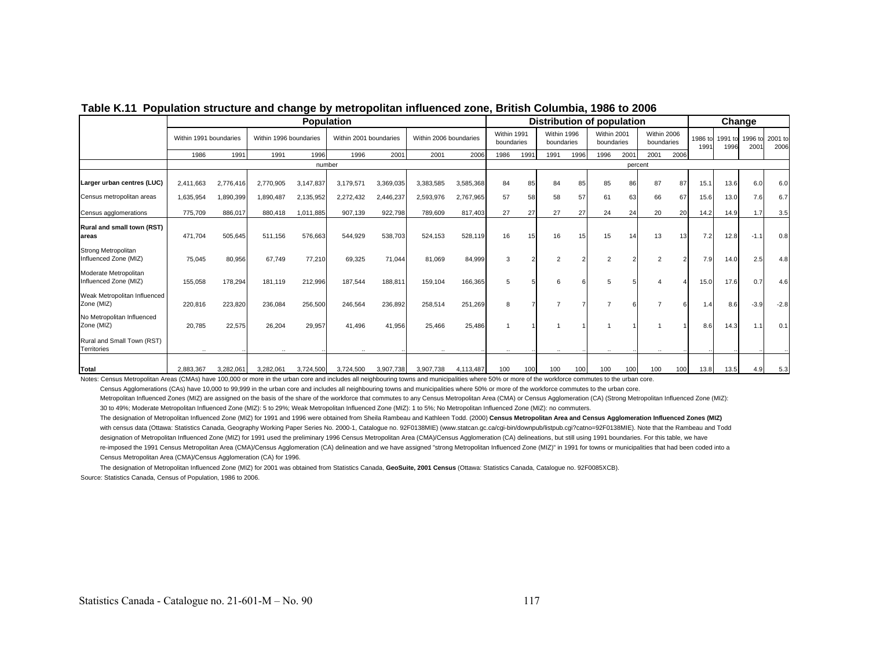|                                                |                        | <b>Population</b> |                        |           |                        |           |                        |           |                           |      |                           |      | <b>Distribution of population</b> |         |                           |      |                 |                 | Change                   |                 |
|------------------------------------------------|------------------------|-------------------|------------------------|-----------|------------------------|-----------|------------------------|-----------|---------------------------|------|---------------------------|------|-----------------------------------|---------|---------------------------|------|-----------------|-----------------|--------------------------|-----------------|
|                                                | Within 1991 boundaries |                   | Within 1996 boundaries |           | Within 2001 boundaries |           | Within 2006 boundaries |           | Within 1991<br>boundaries |      | Within 1996<br>boundaries |      | Within 2001<br>boundaries         |         | Within 2006<br>boundaries |      | 1986 to<br>1991 | 1991 to<br>1996 | 1996 to<br>$200^{\circ}$ | 2001 to<br>2006 |
|                                                | 1986                   | 1991              | 1991                   | 1996      | 1996                   | 2001      | 2001                   | 2006      | 1986                      | 1991 | 1991                      | 1996 | 1996                              | 2001    | 2001                      | 2006 |                 |                 |                          |                 |
|                                                |                        |                   |                        | number    |                        |           |                        |           |                           |      |                           |      |                                   | percent |                           |      |                 |                 |                          |                 |
| Larger urban centres (LUC)                     | 2,411,663              | 2,776,416         | 2,770,905              | 3,147,837 | 3,179,571              | 3,369,035 | 3,383,585              | 3,585,368 | 84                        | 85   | 84                        | 85   | 85                                | 86      | 87                        | 87   | 15.1            | 13.6            | 6.0                      | 6.0             |
| Census metropolitan areas                      | 1,635,954              | 1,890,399         | 1,890,487              | 2,135,952 | 2,272,432              | 2,446,237 | 2,593,976              | 2,767,965 | 57                        | 58   | 58                        | 57   | 61                                | 63      | 66                        | 67   | 15.6            | 13.0            | 7.6                      | 6.7             |
| Census agglomerations                          | 775,709                | 886,017           | 880,418                | 1,011,885 | 907,139                | 922,798   | 789,609                | 817,403   | 27                        | 27   | 27                        | 27   | 24                                | 24      | 20                        | 20   | 14.2            | 14.9            | 1.7                      | 3.5             |
| Rural and small town (RST)<br>lareas           | 471,704                | 505,645           | 511.156                | 576,663   | 544,929                | 538,703   | 524,153                | 528,119   | 16                        | 15   | 16                        | 15   | 15                                | 14      | 13                        | 13   | 7.2             | 12.8            | $-1.1$                   | 0.8             |
| Strong Metropolitan<br>Influenced Zone (MIZ)   | 75,045                 | 80,956            | 67,749                 | 77,210    | 69,325                 | 71,044    | 81,069                 | 84,999    | 3                         |      | 2                         |      | $\overline{2}$                    |         | $\overline{2}$            |      | 7.9             | 14.0            | 2.5                      | 4.8             |
| Moderate Metropolitan<br>Influenced Zone (MIZ) | 155,058                | 178,294           | 181.119                | 212,996   | 187,544                | 188,811   | 159,104                | 166,365   | 5                         |      | 6                         |      | 5                                 |         |                           |      | 15.0            | 17.6            | 0.7                      | 4.6             |
| Weak Metropolitan Influenced<br>Zone (MIZ)     | 220,816                | 223,820           | 236,084                | 256,500   | 246,564                | 236,892   | 258,514                | 251,269   | 8                         |      |                           |      | 7                                 |         |                           |      | 1.4             | 8.6             | $-3.9$                   | $-2.8$          |
| No Metropolitan Influenced<br>Zone (MIZ)       | 20,785                 | 22,575            | 26,204                 | 29,957    | 41,496                 | 41,956    | 25,466                 | 25,486    |                           |      |                           |      |                                   |         |                           |      | 8.6             | 14.3            | 1.1                      | 0.1             |
| Rural and Small Town (RST)<br>Territories      | $\ldots$               |                   |                        |           |                        |           |                        |           |                           |      |                           |      |                                   |         |                           |      |                 |                 |                          |                 |
| Total                                          | 2,883,367              | 3,282,061         | 3,282,061              | 3,724,500 | 3,724,500              | 3,907,738 | 3,907,738              | 4,113,487 | 100                       | 100  | 100                       | 100  | 100                               | 100     | 100                       | 100  | 13.8            | 13.5            | 4.9                      | 5.3             |

**Table K.11 Population structure and change by metropolitan influenced zone, British Columbia, 1986 to 2006**

Notes: Census Metropolitan Areas (CMAs) have 100,000 or more in the urban core and includes all neighbouring towns and municipalities where 50% or more of the workforce commutes to the urban core.

Census Agglomerations (CAs) have 10,000 to 99,999 in the urban core and includes all neighbouring towns and municipalities where 50% or more of the workforce commutes to the urban core.

Metropolitan Influenced Zones (MIZ) are assigned on the basis of the share of the workforce that commutes to any Census Metropolitan Area (CMA) or Census Agglomeration (CA) (Strong Metropolitan Influenced Zone (MIZ): 30 to 49%; Moderate Metropolitan Influenced Zone (MIZ): 5 to 29%; Weak Metropolitan Influenced Zone (MIZ): 1 to 5%; No Metropolitan Influenced Zone (MIZ): no commuters.

The designation of Metropolitan Influenced Zone (MIZ) for 1991 and 1996 were obtained from Sheila Rambeau and Kathleen Todd. (2000) **Census Metropolitan Area and Census Agglomeration Influenced Zones (MIZ)** with census data (Ottawa: Statistics Canada, Geography Working Paper Series No. 2000-1, Catalogue no. 92F0138MIE) (www.statcan.gc.ca/cgi-bin/downpub/listpub.cgi?catno=92F0138MIE). Note that the Rambeau and Todd designation of Metropolitan Influenced Zone (MIZ) for 1991 used the preliminary 1996 Census Metropolitan Area (CMA)/Census Agglomeration (CA) delineations, but still using 1991 boundaries. For this table, we have re-imposed the 1991 Census Metropolitan Area (CMA)/Census Agglomeration (CA) delineation and we have assigned "strong Metropolitan Influenced Zone (MIZ)" in 1991 for towns or municipalities that had been coded into a Census Metropolitan Area (CMA)/Census Agglomeration (CA) for 1996.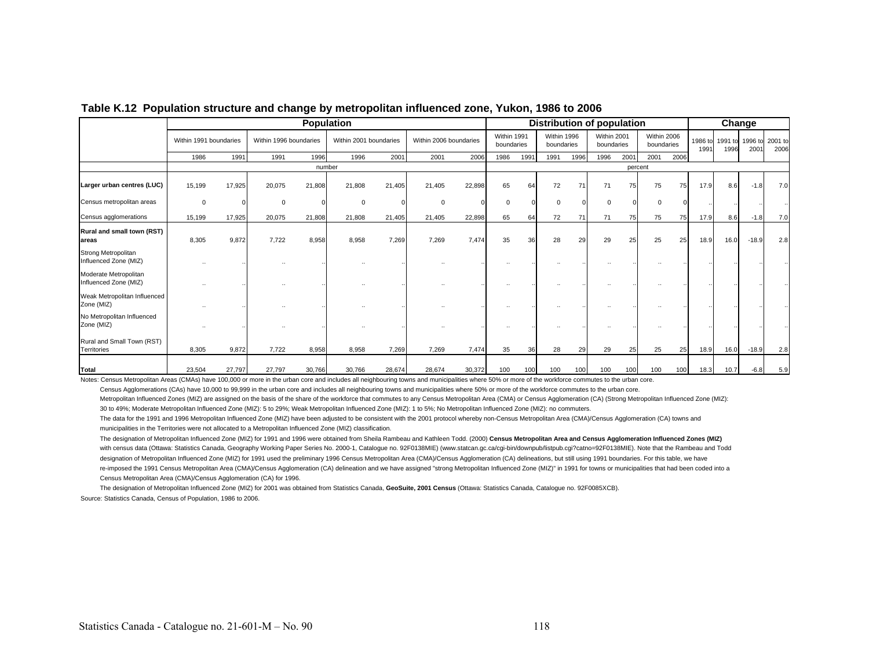|                                                |                        |        | <b>Population</b>      |        |                        |        |                        |        |                           |      | Distribution of population |      |                           |         |                           |      | Change          |      |                         |                 |
|------------------------------------------------|------------------------|--------|------------------------|--------|------------------------|--------|------------------------|--------|---------------------------|------|----------------------------|------|---------------------------|---------|---------------------------|------|-----------------|------|-------------------------|-----------------|
|                                                | Within 1991 boundaries |        | Within 1996 boundaries |        | Within 2001 boundaries |        | Within 2006 boundaries |        | Within 1991<br>boundaries |      | Within 1996<br>boundaries  |      | Within 2001<br>boundaries |         | Within 2006<br>boundaries |      | 1986 to<br>1991 | 1996 | 1991 to 1996 to<br>2001 | 2001 to<br>2006 |
|                                                | 1986                   | 1991   | 1991                   | 1996   | 1996                   | 2001   | 2001                   | 2006   | 1986                      | 1991 | 1991                       | 1996 | 1996                      | 2001    | 2001                      | 2006 |                 |      |                         |                 |
|                                                |                        |        |                        | number |                        |        |                        |        |                           |      |                            |      |                           | percent |                           |      |                 |      |                         |                 |
| Larger urban centres (LUC)                     | 15,199                 | 17,925 | 20,075                 | 21,808 | 21,808                 | 21,405 | 21,405                 | 22,898 | 65                        | 64   | 72                         | 71   | 71                        | 75      | 75                        | 75   | 17.9            | 8.6  | $-1.8$                  | 7.0             |
| Census metropolitan areas                      | $^{\circ}$             |        | 0                      |        | $\Omega$               |        | 0                      |        | $\Omega$                  |      | $\Omega$                   |      | $\Omega$                  |         | $\Omega$                  |      |                 |      |                         |                 |
| Census agglomerations                          | 15,199                 | 17,925 | 20,075                 | 21,808 | 21,808                 | 21,405 | 21,405                 | 22,898 | 65                        | 64   | 72                         | 71   | 71                        | 75      | 75                        | 75   | 17.9            | 8.6  | $-1.8$                  | 7.0             |
| Rural and small town (RST)<br>lareas           | 8,305                  | 9,872  | 7.722                  | 8,958  | 8,958                  | 7,269  | 7,269                  | 7,474  | 35                        | 36   | 28                         | 29   | 29                        | 25      | 25                        | 25   | 18.9            | 16.0 | $-18.9$                 | 2.8             |
| Strong Metropolitan<br>Influenced Zone (MIZ)   |                        |        |                        |        |                        |        |                        |        |                           |      |                            |      |                           |         |                           |      |                 |      |                         |                 |
| Moderate Metropolitan<br>Influenced Zone (MIZ) |                        |        |                        |        |                        |        |                        |        |                           |      |                            |      |                           |         |                           |      |                 |      |                         |                 |
| Weak Metropolitan Influenced<br>Zone (MIZ)     |                        |        |                        |        |                        |        |                        |        |                           |      |                            |      |                           |         |                           |      |                 |      |                         |                 |
| No Metropolitan Influenced<br>Zone (MIZ)       |                        |        |                        |        |                        |        |                        |        |                           |      |                            |      |                           |         |                           |      |                 |      |                         |                 |
| Rural and Small Town (RST)<br>Territories      | 8,305                  | 9,872  | 7,722                  | 8,958  | 8,958                  | 7,269  | 7,269                  | 7,474  | 35                        | 36   | 28                         | 29   | 29                        | 25      | 25                        | 25   | 18.9            | 16.0 | $-18.9$                 | 2.8             |
| <b>Total</b>                                   | 23,504                 | 27,797 | 27,797                 | 30,766 | 30,766                 | 28,674 | 28,674                 | 30,372 | 100                       | 100  | 100                        | 100  | 100                       | 100     | 100                       | 100  | 18.3            | 10.7 | $-6.8$                  | 5.9             |

### **Table K.12 Population structure and change by metropolitan influenced zone, Yukon, 1986 to 2006**

Notes: Census Metropolitan Areas (CMAs) have 100,000 or more in the urban core and includes all neighbouring towns and municipalities where 50% or more of the workforce commutes to the urban core.

Census Agglomerations (CAs) have 10,000 to 99,999 in the urban core and includes all neighbouring towns and municipalities where 50% or more of the workforce commutes to the urban core.

Metropolitan Influenced Zones (MIZ) are assigned on the basis of the share of the workforce that commutes to any Census Metropolitan Area (CMA) or Census Agglomeration (CA) (Strong Metropolitan Influenced Zone (MIZ): 30 to 49%; Moderate Metropolitan Influenced Zone (MIZ): 5 to 29%; Weak Metropolitan Influenced Zone (MIZ): 1 to 5%; No Metropolitan Influenced Zone (MIZ): no commuters.

The data for the 1991 and 1996 Metropolitan Influenced Zone (MIZ) have been adjusted to be consistent with the 2001 protocol whereby non-Census Metropolitan Area (CMA)/Census Agglomeration (CA) towns and municipalities in the Territories were not allocated to a Metropolitan Influenced Zone (MIZ) classification.

The designation of Metropolitan Influenced Zone (MIZ) for 1991 and 1996 were obtained from Sheila Rambeau and Kathleen Todd. (2000) Census Metropolitan Area and Census Agglomeration Influenced Zones (MIZ) with census data (Ottawa: Statistics Canada, Geography Working Paper Series No. 2000-1, Catalogue no. 92F0138MIE) (www.statcan.gc.ca/cgi-bin/downpub/listpub.cgi?catno=92F0138MIE). Note that the Rambeau and Todd designation of Metropolitan Influenced Zone (MIZ) for 1991 used the preliminary 1996 Census Metropolitan Area (CMA)/Census Agglomeration (CA) delineations, but still using 1991 boundaries. For this table, we have re-imposed the 1991 Census Metropolitan Area (CMA)/Census Agglomeration (CA) delineation and we have assigned "strong Metropolitan Influenced Zone (MIZ)" in 1991 for towns or municipalities that had been coded into a Census Metropolitan Area (CMA)/Census Agglomeration (CA) for 1996.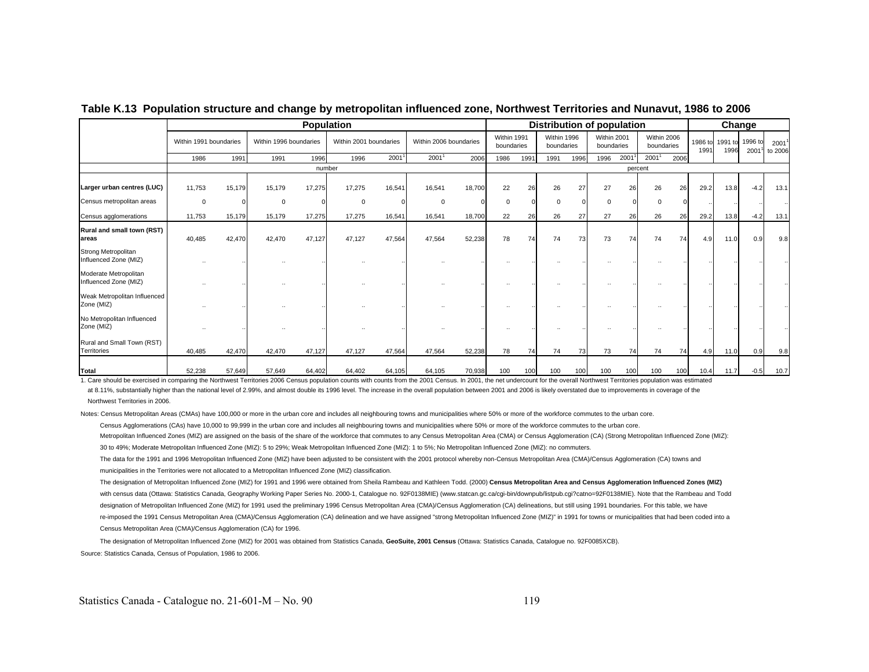|                                                |                        | <b>Population</b> |                        |        |                        |        |                        |        |                           |      |                           | Distribution of population |                           |         |                           |      |                 | Change          |                 |                              |
|------------------------------------------------|------------------------|-------------------|------------------------|--------|------------------------|--------|------------------------|--------|---------------------------|------|---------------------------|----------------------------|---------------------------|---------|---------------------------|------|-----------------|-----------------|-----------------|------------------------------|
|                                                | Within 1991 boundaries |                   | Within 1996 boundaries |        | Within 2001 boundaries |        | Within 2006 boundaries |        | Within 1991<br>boundaries |      | Within 1996<br>boundaries |                            | Within 2001<br>boundaries |         | Within 2006<br>boundaries |      | 1986 to<br>1991 | 1991 to<br>1996 | 1996 to<br>2001 | 2001 <sup>1</sup><br>to 2006 |
|                                                | 1986                   | 1991              | 1991                   | 1996   | 1996                   | 2001   | 2001 <sup>1</sup>      | 2006   | 1986                      | 1991 | 1991                      | 1996                       | 1996                      | 2001    | 2001 <sup>1</sup>         | 2006 |                 |                 |                 |                              |
|                                                |                        |                   |                        | number |                        |        |                        |        |                           |      |                           |                            |                           | percent |                           |      |                 |                 |                 |                              |
| Larger urban centres (LUC)                     | 11,753                 | 15,179            | 15,179                 | 17,275 | 17,275                 | 16,541 | 16,541                 | 18,700 | 22                        | 26   | 26                        | 27                         | 27                        | 26      | 26                        | 26   | 29.2            | 13.8            | $-4.2$          | 13.1                         |
| Census metropolitan areas                      | $\mathbf 0$            |                   | $\mathbf 0$            |        | $\mathbf 0$            |        | $\mathbf 0$            |        | $^{\circ}$                |      | $\Omega$                  |                            | $\Omega$                  |         | $\Omega$                  |      |                 |                 |                 |                              |
| Census agglomerations                          | 11,753                 | 15,179            | 15,179                 | 17,275 | 17,275                 | 16,541 | 16,541                 | 18,700 | 22                        | 26   | 26                        | 27                         | 27                        | 26      | 26                        | 26   | 29.2            | 13.8            | $-4.2$          | 13.1                         |
| Rural and small town (RST)<br>lareas           | 40,485                 | 42,470            | 42,470                 | 47,127 | 47,127                 | 47,564 | 47,564                 | 52,238 | 78                        | 74   | 74                        | 73                         | 73                        | 74      | 74                        | 74   | 4.9             | 11.0            | 0.9             | 9.8                          |
| Strong Metropolitan<br>Influenced Zone (MIZ)   |                        |                   |                        |        |                        |        |                        |        |                           |      |                           |                            |                           |         |                           |      |                 |                 |                 |                              |
| Moderate Metropolitan<br>Influenced Zone (MIZ) |                        |                   |                        |        |                        |        |                        |        |                           |      |                           |                            |                           |         |                           |      |                 |                 |                 |                              |
| Weak Metropolitan Influenced<br>Zone (MIZ)     |                        |                   |                        |        |                        |        |                        |        |                           |      |                           |                            |                           |         |                           |      |                 |                 |                 |                              |
| No Metropolitan Influenced<br>Zone (MIZ)       |                        |                   |                        |        |                        |        |                        |        |                           |      |                           |                            |                           |         |                           |      |                 |                 |                 |                              |
| Rural and Small Town (RST)<br>Territories      | 40,485                 | 42,470            | 42,470                 | 47,127 | 47,127                 | 47,564 | 47,564                 | 52,238 | 78                        | 74   | 74                        | 73                         | 73                        | 74      | 74                        | 74   | 4.9             | 11.0            | 0.9             | 9.8                          |
| Total                                          | 52,238                 | 57,649            | 57,649                 | 64,402 | 64,402                 | 64,105 | 64,105                 | 70,938 | 100                       | 100  | 100                       | 100                        | 100                       | 100     | 100                       | 100  | 10.4            | 11.7            | $-0.5$          | 10.7                         |

**Table K.13 Population structure and change by metropolitan influenced zone, Northwest Territories and Nunavut, 1986 to 2006**

1. Care should be exercised in comparing the Northwest Territories 2006 Census population counts with counts from the 2001 Census. In 2001, the net undercount for the overall Northwest Territories population was estimated at 8.11%, substantially higher than the national level of 2.99%, and almost double its 1996 level. The increase in the overall population between 2001 and 2006 is likely overstated due to improvements in coverage of the Northwest Territories in 2006.

Notes: Census Metropolitan Areas (CMAs) have 100,000 or more in the urban core and includes all neighbouring towns and municipalities where 50% or more of the workforce commutes to the urban core.

Census Agglomerations (CAs) have 10,000 to 99,999 in the urban core and includes all neighbouring towns and municipalities where 50% or more of the workforce commutes to the urban core.

Metropolitan Influenced Zones (MIZ) are assigned on the basis of the share of the workforce that commutes to any Census Metropolitan Area (CMA) or Census Agglomeration (CA) (Strong Metropolitan Influenced Zone (MIZ):

30 to 49%; Moderate Metropolitan Influenced Zone (MIZ): 5 to 29%; Weak Metropolitan Influenced Zone (MIZ): 1 to 5%; No Metropolitan Influenced Zone (MIZ): no commuters.

The data for the 1991 and 1996 Metropolitan Influenced Zone (MIZ) have been adjusted to be consistent with the 2001 protocol whereby non-Census Metropolitan Area (CMA)/Census Agglomeration (CA) towns and municipalities in the Territories were not allocated to a Metropolitan Influenced Zone (MIZ) classification.

The designation of Metropolitan Influenced Zone (MIZ) for 1991 and 1996 were obtained from Sheila Rambeau and Kathleen Todd. (2000) Census Metropolitan Area and Census Agglomeration Influenced Zones (MIZ) with census data (Ottawa: Statistics Canada, Geography Working Paper Series No. 2000-1, Catalogue no. 92F0138MIE) (www.statcan.gc.ca/cgi-bin/downpub/listpub.cgi?catno=92F0138MIE). Note that the Rambeau and Todd designation of Metropolitan Influenced Zone (MIZ) for 1991 used the preliminary 1996 Census Metropolitan Area (CMA)/Census Agglomeration (CA) delineations, but still using 1991 boundaries. For this table, we have re-imposed the 1991 Census Metropolitan Area (CMA)/Census Agglomeration (CA) delineation and we have assigned "strong Metropolitan Influenced Zone (MIZ)" in 1991 for towns or municipalities that had been coded into a Census Metropolitan Area (CMA)/Census Agglomeration (CA) for 1996.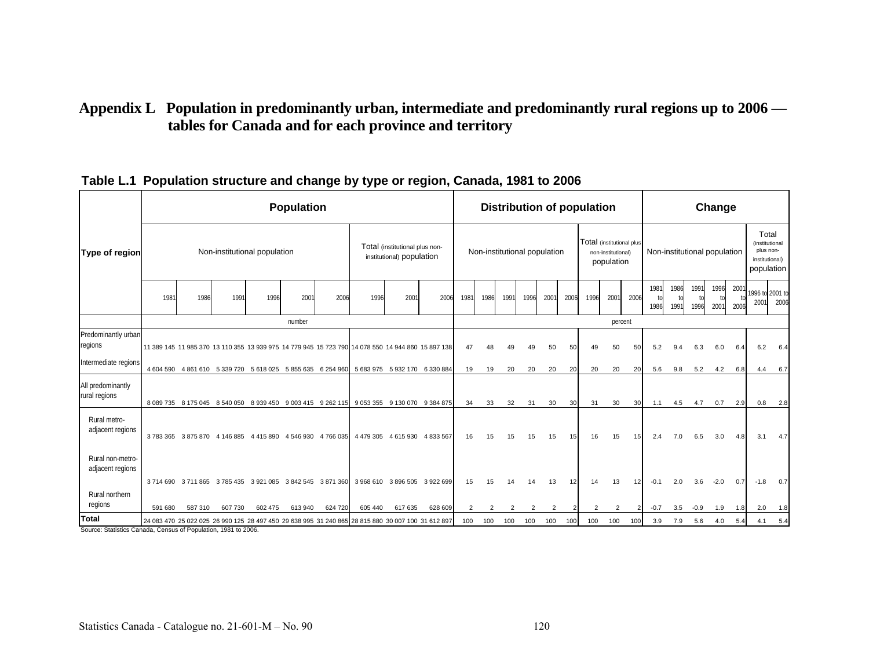## **Appendix L Population in predominantly urban, intermediate and predominantly rural regions up to 2006 tables for Canada and for each province and territory**

|                                                                               |         |        |                                                             |         | <b>Population</b>             |         |                                                                                                    |                                                             |                     |                |                              |      |                |                |                 | <b>Distribution of population</b> |                                  |      |              |              |                              | Change       |              |                                                        |                         |
|-------------------------------------------------------------------------------|---------|--------|-------------------------------------------------------------|---------|-------------------------------|---------|----------------------------------------------------------------------------------------------------|-------------------------------------------------------------|---------------------|----------------|------------------------------|------|----------------|----------------|-----------------|-----------------------------------|----------------------------------|------|--------------|--------------|------------------------------|--------------|--------------|--------------------------------------------------------|-------------------------|
| Type of region                                                                |         |        | Non-institutional population                                |         |                               |         |                                                                                                    | Total (institutional plus non-<br>institutional) population |                     |                | Non-institutional population |      |                |                |                 | Total (institutional plus         | non-institutional)<br>population |      |              |              | Non-institutional population |              |              | Total<br>(institutional<br>plus non-<br>institutional) | population              |
|                                                                               | 1981    | 1986   | 1991                                                        | 1996    | 2001                          | 2006    | 1996                                                                                               | 200                                                         | 2006                | 1981           | 1986                         | 1991 | 1996           | 2001           | 2006            | 1996                              | 2001                             | 2006 | 1981<br>1986 | 1986<br>1991 | 1991<br>1996                 | 1996<br>2001 | 2001<br>2006 | 200                                                    | 1996 to 2001 to<br>2006 |
|                                                                               |         |        |                                                             |         | number                        |         |                                                                                                    |                                                             |                     |                |                              |      |                |                |                 |                                   | percent                          |      |              |              |                              |              |              |                                                        |                         |
| Predominantly urban<br>regions                                                |         |        |                                                             |         |                               |         | 11 389 145 11 985 370 13 110 355 13 939 975 14 779 945 15 723 790 14 078 550 14 944 860 15 897 138 |                                                             |                     | 47             |                              |      |                | 50             | 50              | 49                                | 50                               | 50   | 5.2          | 9.4          | 6.3                          | 6.0          | 6.4          | 6.2                                                    | 6.4                     |
| Intermediate regions                                                          |         |        | 4 604 590 4 861 610 5 339 720 5 618 025 5 855 635 6 254 960 |         |                               |         |                                                                                                    | 5 683 975 5 932 170 6 330 884                               |                     | 19             | 19                           | 20   | 20             | 20             | 20              | 20                                | 20                               | 20   | 5.6          | 9.8          | 5.2                          | 4.2          | 6.8          | 4.4                                                    | 6.7                     |
| All predominantly<br>rural regions                                            |         |        |                                                             |         |                               |         | 8 089 735 8 175 045 8 540 050 8 939 450 9 003 415 9 262 115 9 053 355 9 130 070 9 384 875          |                                                             |                     | 34             | 33                           | 32   | 31             | 30             | 30 <sup>l</sup> | 31                                | 30                               | 30   | 1.1          | 4.5          | 4.7                          | 0.7          | 2.9          | 0.8                                                    | 2.8                     |
| Rural metro-<br>adjacent regions                                              |         |        | 3 783 365 3 875 870 4 146 885                               |         | 4 415 890 4 546 930 4 766 035 |         | 4 4 7 9 3 0 5                                                                                      |                                                             | 4 615 930 4 833 567 | 16             | 15                           | 15   | 15             | 15             | 15              | 16                                | 15                               | 15   | 2.4          | 7.0          | 6.5                          | 3.0          | 4.8          | 3.1                                                    | 4.7                     |
| Rural non-metro-<br>adjacent regions                                          |         |        | 3714 690 3711 865 3785 435 3921 085 3842 545 3871 360       |         |                               |         |                                                                                                    | 3 968 610 3 896 505 3 922 699                               |                     | 15             | 15                           | 14   | 14             | 13             | 12              | 14                                | 13                               | 12   | $-0.1$       | 2.0          | 3.6                          | $-2.0$       | 0.7          | $-1.8$                                                 | 0.7                     |
| Rural northern<br>regions                                                     | 591 680 | 587310 | 607 730                                                     | 602 475 | 613 940                       | 624 720 | 605 440                                                                                            | 617 635                                                     | 628 609             | $\overline{2}$ | $\overline{2}$               | 2    | $\overline{2}$ | $\overline{2}$ |                 | $\overline{2}$                    | $\overline{2}$                   |      | $-0.7$       | 3.5          | $-0.9$                       | 1.9          | 1.8          | 2.0                                                    | 1.8                     |
| <b>Total</b><br>Source: Statistics Canada, Census of Population, 1981 to 2006 |         |        |                                                             |         |                               |         | 24 083 470 25 022 025 26 990 125 28 497 450 29 638 995 31 240 865 28 815 880 30 007 100 31 612 897 |                                                             |                     | 100            | 100                          | 100  | 100            | 100            | 100             | 100                               | 100                              | 100  | 3.9          | 7.9          | 5.6                          | 4.0          | 5.4          | 4.1                                                    | 5.4                     |

### **Table L.1 Population structure and change by type or region, Canada, 1981 to 2006**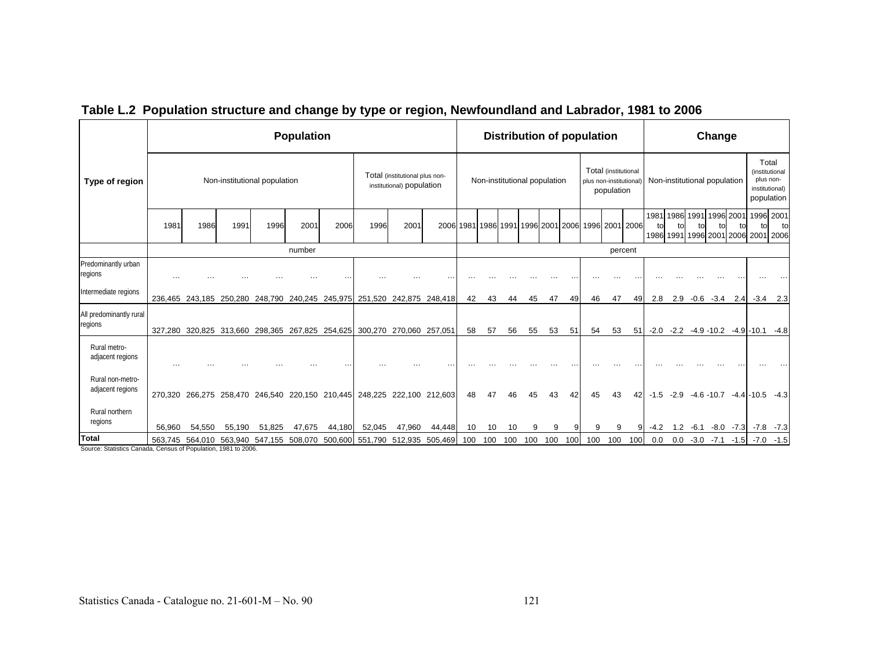|                                                                        |           |                                         |        |                              | <b>Population</b>                                                       |        |        |                                                             |                 |     |                              |     |     |     |     | Distribution of population                        |                                    |     |                                                                 |        |              | Change                       |             |                                                    |                                  |
|------------------------------------------------------------------------|-----------|-----------------------------------------|--------|------------------------------|-------------------------------------------------------------------------|--------|--------|-------------------------------------------------------------|-----------------|-----|------------------------------|-----|-----|-----|-----|---------------------------------------------------|------------------------------------|-----|-----------------------------------------------------------------|--------|--------------|------------------------------|-------------|----------------------------------------------------|----------------------------------|
| Type of region                                                         |           |                                         |        | Non-institutional population |                                                                         |        |        | Total (institutional plus non-<br>institutional) population |                 |     | Non-institutional population |     |     |     |     | plus non-institutional)                           | Total (institutional<br>population |     |                                                                 |        |              | Non-institutional population |             | Total<br>plus non-<br>population                   | (institutional<br>institutional) |
|                                                                        | 1981      | 1986                                    | 1991   | 1996                         | 2001                                                                    | 2006   | 1996   | 2001                                                        |                 |     |                              |     |     |     |     | 2006 1981 1986 1991 1996 2001 2006 1996 2001 2006 |                                    |     | 1981 1986 1991 1996<br>to<br>1986 1991 1996 2001 2006 2001 2006 | t٥     |              |                              | 2001<br>tol | 1996 2001<br>tol                                   | to                               |
|                                                                        |           |                                         |        |                              | number                                                                  |        |        |                                                             |                 |     |                              |     |     |     |     |                                                   | percent                            |     |                                                                 |        |              |                              |             |                                                    |                                  |
| Predominantly urban<br>regions                                         | $\ddotsc$ |                                         |        |                              |                                                                         |        |        |                                                             |                 |     |                              |     |     |     |     |                                                   |                                    |     |                                                                 |        |              |                              |             |                                                    |                                  |
| Intermediate regions                                                   |           |                                         |        |                              | 236,465 243,185 250,280 248,790 240,245 245,975 251,520                 |        |        |                                                             | 242,875 248,418 | 42  | 43                           | 44  | 45  | 47  | 49  | 46                                                | 47                                 | 49  | 2.8                                                             | 2.9    | $-0.6 - 3.4$ |                              | 2.4         |                                                    | $-3.4$ 2.3                       |
| All predominantly rural<br>regions                                     |           |                                         |        |                              | 327,280 320,825 313,660 298,365 267,825 254,625 300,270                 |        |        | 270,060 257,051                                             |                 | 58  | 57                           | 56  | 55  | 53  | 51  | 54                                                | 53                                 | 51  |                                                                 |        |              |                              |             | $-2.0$ $-2.2$ $-4.9$ $-10.2$ $-4.9$ $-10.1$ $-4.8$ |                                  |
| Rural metro-<br>adjacent regions                                       | $\ddotsc$ |                                         |        |                              |                                                                         |        |        |                                                             |                 |     |                              |     |     |     |     |                                                   |                                    |     |                                                                 |        |              |                              |             |                                                    |                                  |
| Rural non-metro-<br>adjacent regions                                   |           |                                         |        |                              | 270,320 266,275 258,470 246,540 220,150 210,445 248,225 222,100 212,603 |        |        |                                                             |                 | 48  | 47                           |     |     | 43  | 42  | 45                                                | 43                                 | 42  | $-1.5$                                                          | $-2.9$ |              |                              |             | $-4.6 - 10.7 - 4.4 - 10.5 - 4.3$                   |                                  |
| Rural northern<br>regions                                              | 56,960    | 54,550                                  | 55,190 | 51,825                       | 47,675                                                                  | 44,180 | 52,045 | 47,960                                                      | 44,448          | 10  | 10                           | 10  | 9   | 9   |     | 9                                                 | 9                                  |     | $-4.2$                                                          | 1.2    |              |                              |             | $-6.1$ $-8.0$ $-7.3$ $-7.8$ $-7.3$                 |                                  |
| Total<br>Source: Statistics Canada, Consus of Population, 1081 to 2006 |           | 563,745 564,010 563,940 547,155 508,070 |        |                              |                                                                         |        |        | 500,600 551,790 512,935                                     | 505,469         | 100 | 100                          | 100 | 100 | 100 | 100 | 100                                               | 100                                | 100 | 0.0                                                             | 0.0    |              | $-3.0 -7.1$                  | $-1.5$      |                                                    | $-7.0 - 1.5$                     |

# **Table L.2 Population structure and change by type or region, Newfoundland and Labrador, 1981 to 2006**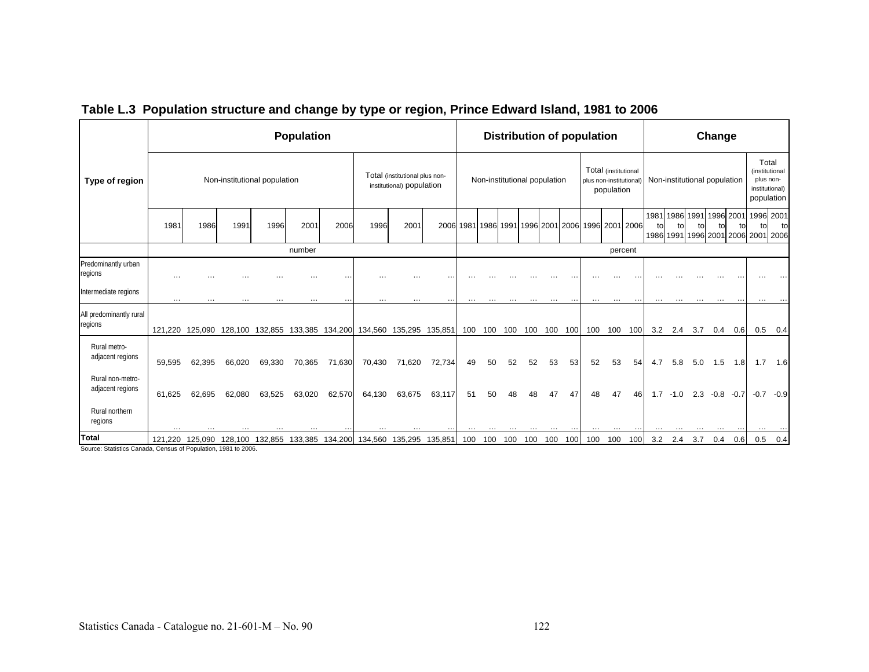|                                                                        |               |          |          |                              | <b>Population</b>       |          |          |                                                             |         |          |                              |     |     |          |           | <b>Distribution of population</b>                 |                                    |           |                      |        |                              | Change          |           |                                           |                                                       |
|------------------------------------------------------------------------|---------------|----------|----------|------------------------------|-------------------------|----------|----------|-------------------------------------------------------------|---------|----------|------------------------------|-----|-----|----------|-----------|---------------------------------------------------|------------------------------------|-----------|----------------------|--------|------------------------------|-----------------|-----------|-------------------------------------------|-------------------------------------------------------|
| Type of region                                                         |               |          |          | Non-institutional population |                         |          |          | Total (institutional plus non-<br>institutional) population |         |          | Non-institutional population |     |     |          |           | plus non-institutional)                           | Total (institutional<br>population |           |                      |        | Non-institutional population |                 |           | (institutional<br>plus non-<br>population | Total<br>institutional)                               |
|                                                                        | 1981          | 1986     | 1991     | 1996                         | 2001                    | 2006     | 1996     | 2001                                                        |         |          |                              |     |     |          |           | 2006 1981 1986 1991 1996 2001 2006 1996 2001 2006 |                                    |           | 1981 1986 1991<br>to | to     | t٥                           | 1996 2001<br>t∩ | to        | tol                                       | 1996 2001<br>to<br>1986 1991 1996 2001 2006 2001 2006 |
|                                                                        |               |          |          |                              | number                  |          |          |                                                             |         |          |                              |     |     |          |           |                                                   |                                    | percent   |                      |        |                              |                 |           |                                           |                                                       |
| Predominantly urban<br>regions                                         | $\cdots$      | $\cdots$ | .        |                              | $\cdots$                | $\cdots$ |          | .                                                           |         |          |                              |     |     |          |           |                                                   |                                    |           |                      |        |                              |                 |           |                                           |                                                       |
| Intermediate regions                                                   | $\sim$ $\sim$ | $\cdots$ | $\cdots$ | $\cdots$                     | $\cdots$                | $\cdots$ | $\cdots$ | $\cdots$                                                    |         | $\cdots$ | $\cdots$                     |     |     | $\cdots$ | $\ddotsc$ | $\cdots$                                          | $\cdots$                           | $\ddotsc$ | $\cdots$             |        | $\cdots$                     | $\cdots$        | $\ddotsc$ | $\cdots$                                  |                                                       |
| All predominantly rural<br>regions                                     | 121.220       | 125.090  | 128.100  |                              | 132,855 133,385 134,200 |          |          | 134,560 135,295 135,851                                     |         | 100      | 100                          | 100 | 100 | 100 100  |           | 100                                               | 100                                | 100       | 3.2                  | 2.4    | 3.7                          | 0.4             | 0.6       | 0.5                                       | 0.4                                                   |
| Rural metro-<br>adjacent regions                                       | 59.595        | 62,395   | 66,020   | 69,330                       | 70,365                  | 71,630   | 70,430   | 71,620                                                      | 72,734  | 49       | 50                           | 52  | 52  | 53       | 53        | 52                                                | 53                                 | 54        | 4.7                  | 5.8    | 5.0                          | 1.5             | 1.8       | 1.7                                       | 1.6                                                   |
| Rural non-metro-<br>adjacent regions                                   | 61,625        | 62,695   | 62,080   | 63,525                       | 63,020                  | 62,570   | 64,130   | 63,675                                                      | 63,117  | 51       | 50                           |     | 48  | 47       | 47        | 48                                                | 47                                 | 46        | 1.7                  | $-1.0$ |                              | $2.3 -0.8 -0.7$ |           | $-0.7$                                    | $-0.9$                                                |
| Rural northern<br>regions                                              |               |          |          |                              |                         |          |          |                                                             |         |          |                              |     |     |          |           |                                                   |                                    |           |                      |        |                              |                 |           |                                           |                                                       |
| Total<br>Source: Statistics Canada, Census of Population, 1981 to 2006 | 121,220       | 125,090  | 128,100  | 132,855                      | 133,385                 | 134,200  | 134,560  | 135,295                                                     | 135,851 | 100      | 100                          | 100 | 100 | 100      | 100       | 100                                               | 100                                | 100       | 3.2                  | 2.4    | 3.7                          | 0.4             | 0.6       | 0.5                                       | 0.4                                                   |

### **Table L.3 Population structure and change by type or region, Prince Edward Island, 1981 to 2006**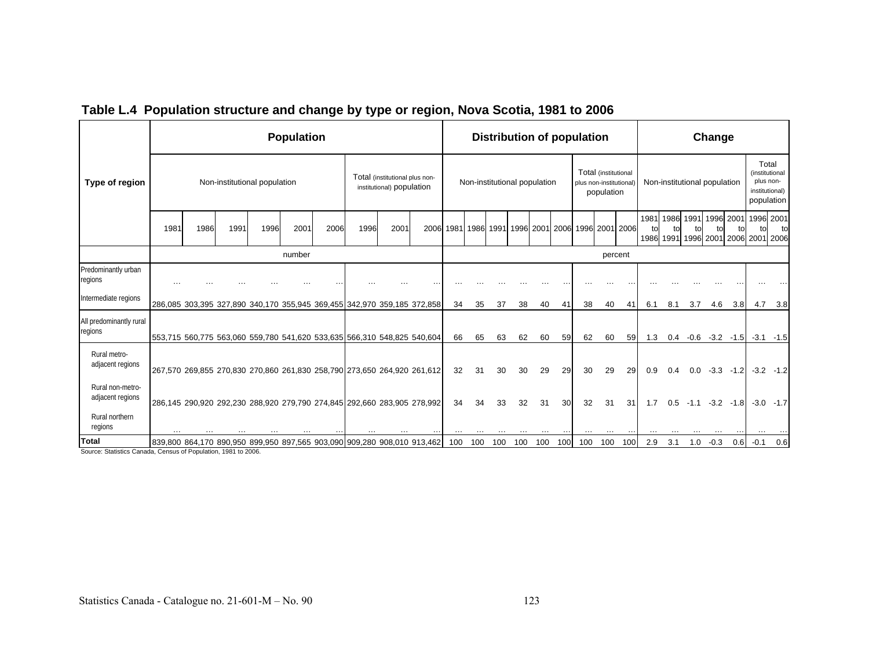|                                                        |      |      |      |                              | <b>Population</b> |      |                                                                         |                                                             |                     |     |     |     | <b>Distribution of population</b> |     |     |                                                               |     |                     |                         |                                | Change    |             |                         |                                           |
|--------------------------------------------------------|------|------|------|------------------------------|-------------------|------|-------------------------------------------------------------------------|-------------------------------------------------------------|---------------------|-----|-----|-----|-----------------------------------|-----|-----|---------------------------------------------------------------|-----|---------------------|-------------------------|--------------------------------|-----------|-------------|-------------------------|-------------------------------------------|
| Type of region                                         |      |      |      | Non-institutional population |                   |      |                                                                         | Total (institutional plus non-<br>institutional) population |                     |     |     |     | Non-institutional population      |     |     | Total (institutional<br>plus non-institutional)<br>population |     |                     |                         | Non-institutional population   |           |             | plus non-<br>population | Total<br>(institutional<br>institutional) |
|                                                        | 1981 | 1986 | 1991 | 1996                         | 2001              | 2006 | 1996                                                                    | 2001                                                        | 2006 1981 1986 1991 |     |     |     | 1996 2001 2006 1996 2001 2006     |     |     |                                                               |     | 1981<br>tol<br>1986 | 1986<br>t٥<br>1991 1996 | 1991                           | 1996 2001 | to          | to                      | 1996 2001<br>to<br>2001 2006 2001 2006    |
|                                                        |      |      |      |                              | number            |      |                                                                         |                                                             |                     |     |     |     |                                   |     |     | percent                                                       |     |                     |                         |                                |           |             |                         |                                           |
| Predominantly urban<br>regions                         |      |      |      |                              |                   |      |                                                                         |                                                             |                     |     |     |     |                                   |     |     |                                                               |     |                     |                         |                                |           |             |                         |                                           |
| Intermediate regions                                   |      |      |      |                              |                   |      | 286,085 303,395 327,890 340,170 355,945 369,455 342,970 359,185 372,858 |                                                             | 34                  | 35  | 37  | 38  | 40                                | 41  | 38  | 40                                                            | 41  | 6.1                 | 8.1                     | 3.7                            | 4.6       | 3.8         | 4.7                     | 3.8                                       |
| All predominantly rural<br>regions                     |      |      |      |                              |                   |      | 553,715 560,775 563,060 559,780 541,620 533,635 566,310 548,825 540,604 |                                                             | 66                  | 65  | 63  | 62  | 60                                | 59  | 62  | 60                                                            | 59  | 1.3                 |                         | $0.4 -0.6 -3.2 -1.5 -3.1 -1.5$ |           |             |                         |                                           |
| Rural metro-<br>adjacent regions                       |      |      |      |                              |                   |      | 267,570 269,855 270,830 270,860 261,830 258,790 273,650 264,920 261,612 |                                                             | 32                  | 31  | 30  | 30  | 29                                | 29  | 30  | 29                                                            | 29  | 0.9                 | 0.4                     | 0.0                            | $-3.3$    | $-1.2$      |                         | $-3.2 -1.2$                               |
| Rural non-metro-<br>adjacent regions<br>Rural northern |      |      |      |                              |                   |      | 286,145 290,920 292,230 288,920 279,790 274,845 292,660 283,905 278,992 |                                                             | 34                  | 34  | 33  | 32  | 31                                | 30  | 32  | 31                                                            | 31  | 1.7                 | $0.5^{\circ}$           | $-1.1$                         |           | $-3.2 -1.8$ |                         | $-3.0$ $-1.7$                             |
| regions<br><b>Total</b>                                |      |      |      |                              |                   |      |                                                                         |                                                             |                     |     |     |     |                                   |     |     |                                                               |     |                     |                         |                                |           |             |                         |                                           |
|                                                        |      |      |      |                              |                   |      | 839,800 864,170 890,950 899,950 897,565 903,090 909,280 908,010 913,462 |                                                             | 100                 | 100 | 100 | 100 | 100                               | 100 | 100 | 100                                                           | 100 | 2.9                 | 3.1                     | 1.0                            | $-0.3$    | 0.6         | $-0.1$                  | 0.6                                       |

## **Table L.4 Population structure and change by type or region, Nova Scotia, 1981 to 2006**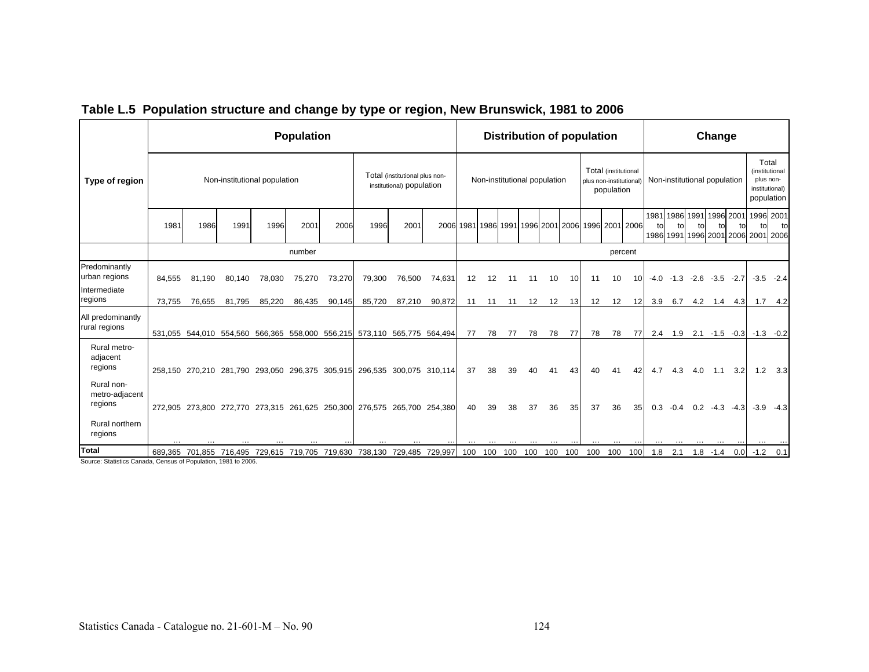|                                                                  |        |        |        |                              | <b>Population</b> |        |                                                                         |                                                             |        |                                                   |     | <b>Distribution of population</b> |     |     |                 |                        |                                    |         |                                |        |                              | Change          |     |                                                                      |              |
|------------------------------------------------------------------|--------|--------|--------|------------------------------|-------------------|--------|-------------------------------------------------------------------------|-------------------------------------------------------------|--------|---------------------------------------------------|-----|-----------------------------------|-----|-----|-----------------|------------------------|------------------------------------|---------|--------------------------------|--------|------------------------------|-----------------|-----|----------------------------------------------------------------------|--------------|
| Type of region                                                   |        |        |        | Non-institutional population |                   |        |                                                                         | Total (institutional plus non-<br>institutional) population |        |                                                   |     | Non-institutional population      |     |     |                 | plus non-institutional | Total (institutional<br>population |         |                                |        | Non-institutional population |                 |     | Total<br>(institutional<br>plus non-<br>institutional)<br>population |              |
|                                                                  | 1981   | 1986   | 1991   | 1996                         | 2001              | 2006   | 1996                                                                    | 2001                                                        |        | 2006 1981 1986 1991 1996 2001 2006 1996 2001 2006 |     |                                   |     |     |                 |                        |                                    |         | 1981 1986 1991 1996 2001<br>t٥ |        |                              |                 |     | 1996 2001<br>1986 1991 1996 2001 2006 2001 2006                      | to           |
|                                                                  |        |        |        |                              | number            |        |                                                                         |                                                             |        |                                                   |     |                                   |     |     |                 |                        |                                    | percent |                                |        |                              |                 |     |                                                                      |              |
| Predominantly<br>urban regions<br>Intermediate                   | 84.555 | 81.190 | 80,140 | 78,030                       | 75,270            | 73,270 | 79,300                                                                  | 76,500                                                      | 74,631 | 12                                                | 12  | 11                                | 11  | 10  | 10 <sup>1</sup> | 11                     | 10                                 | 10      | $-4.0$                         | $-1.3$ | $-2.6$                       | $-3.5 -2.7$     |     |                                                                      | $-3.5 -2.4$  |
| regions                                                          | 73.755 | 76.655 | 81,795 | 85.220                       | 86,435            | 90,145 | 85,720                                                                  | 87,210                                                      | 90,872 | 11                                                | 11  | 11                                | 12  | 12  | 13              | 12                     | 12                                 | 12I     | 3.9                            | 6.7    |                              | 4.2 1.4 4.3     |     | 1.7                                                                  | 4.2          |
| All predominantly<br>rural regions                               |        |        |        |                              |                   |        | 531,055 544,010 554,560 566,365 558,000 556,215 573,110 565,775 564,494 |                                                             |        | 77                                                | 78  | 77                                | 78  | 78  | 77              | 78                     | 78                                 | 77      | 2.4                            |        |                              |                 |     | $1.9$ $2.1$ $-1.5$ $-0.3$ $-1.3$ $-0.2$                              |              |
| Rural metro-<br>adjacent<br>regions                              |        |        |        |                              |                   |        | 258,150 270,210 281,790 293,050 296,375 305,915 296,535 300,075 310,114 |                                                             |        | 37                                                | 38  | 39                                | 40  | 41  | 43 <sub>l</sub> | 40                     | 41                                 | 42      | 4.7                            | 4.3    | 4.0                          | 1.1             | 3.2 |                                                                      | $1.2$ $3.3$  |
| Rural non-<br>metro-adjacent<br>regions                          |        |        |        |                              |                   |        | 272,905 273,800 272,770 273,315 261,625 250,300 276,575 265,700 254,380 |                                                             |        | 40                                                | 39  | 38                                | 37  | 36  | 35 <sub>l</sub> | 37                     | 36                                 | 35      | 0.3                            | $-0.4$ |                              | $0.2 -4.3 -4.3$ |     |                                                                      | $-3.9 - 4.3$ |
| Rural northern<br>regions                                        |        |        |        |                              |                   |        |                                                                         |                                                             |        |                                                   |     |                                   |     |     |                 |                        |                                    |         |                                |        |                              |                 |     |                                                                      |              |
| Total<br>Otatistics Openeda, Opening of Deputation, 4004 to 0000 |        |        |        |                              |                   |        | 689,365 701,855 716,495 729,615 719,705 719,630 738,130 729,485 729,997 |                                                             |        | 100                                               | 100 | 100                               | 100 | 100 | 100             | 100                    | 100                                | 100     | 1.8                            | 2.1    |                              | $1.8 - 1.4$     | 0.0 |                                                                      | $-1.2$ 0.1   |

### **Table L.5 Population structure and change by type or region, New Brunswick, 1981 to 2006**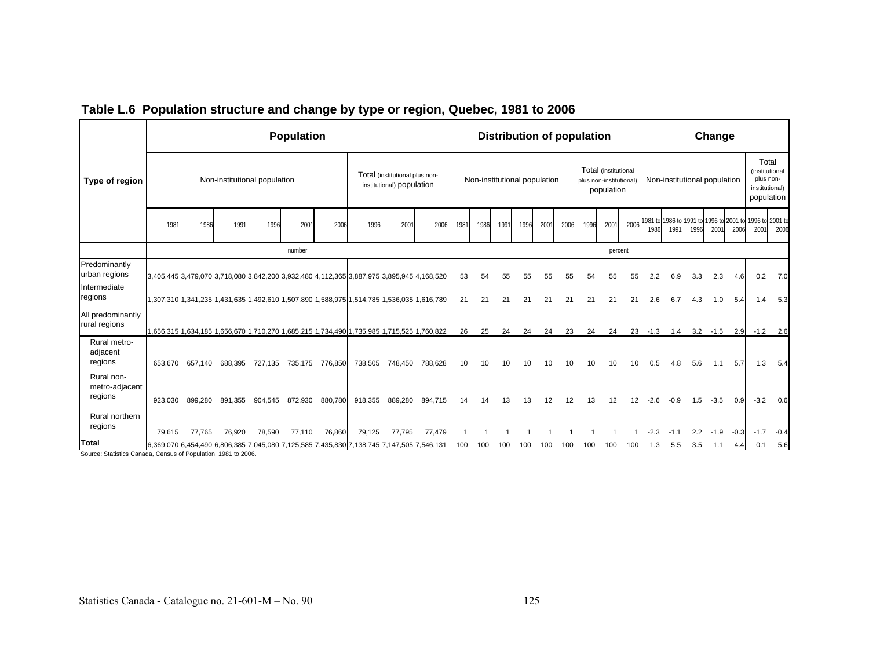|                                         |         |         |         |                              | <b>Population</b> |         |                                                                                           |                                                             |         |      |                              |      |      |      |      | <b>Distribution of population</b> |                                    |                 |        |        |                                                 | Change      |        |                                                                      |            |
|-----------------------------------------|---------|---------|---------|------------------------------|-------------------|---------|-------------------------------------------------------------------------------------------|-------------------------------------------------------------|---------|------|------------------------------|------|------|------|------|-----------------------------------|------------------------------------|-----------------|--------|--------|-------------------------------------------------|-------------|--------|----------------------------------------------------------------------|------------|
| Type of region                          |         |         |         | Non-institutional population |                   |         |                                                                                           | Total (institutional plus non-<br>institutional) population |         |      | Non-institutional population |      |      |      |      | plus non-institutional)           | Total (institutional<br>population |                 |        |        | Non-institutional population                    |             |        | Total<br>(institutional<br>plus non-<br>institutional)<br>population |            |
|                                         | 1981    | 1986    | 1991    | 1996                         | 200               | 2006    | 1996                                                                                      | 200 <sup>°</sup>                                            | 2006    | 1981 | 1986                         | 1991 | 1996 | 2001 | 2006 | 1996                              | 2001                               | 2006            | 1986   | 1991   | 1981 to 1986 to 1991 to 1996 to 2001 to<br>1996 | 2001        | 2006   | 1996 to 2001 to<br>200                                               | 2006       |
|                                         |         |         |         |                              | number            |         |                                                                                           |                                                             |         |      |                              |      |      |      |      |                                   | percent                            |                 |        |        |                                                 |             |        |                                                                      |            |
| Predominantly<br>urban regions          |         |         |         |                              |                   |         | 3,405,445 3,479,070 3,718,080 3,842,200 3,932,480 4,112,365 3,887,975 3,895,945 4,168,520 |                                                             |         | 53   | 54                           | 55   | 55   | 55   | 55   | 54                                | 55                                 | 55              | 2.2    | 6.9    | 3.3                                             | 2.3         | 4.6    | 0.2                                                                  | 7.0        |
| Intermediate<br>regions                 |         |         |         |                              |                   |         | 1,307,310 1,341,235 1,431,635 1,492,610 1,507,890 1,588,975 1,514,785 1,536,035 1,616,789 |                                                             |         | 21   | 21                           | 21   | 21   | 21   | 21   | 21                                | 21                                 | 21              | 2.6    | 6.7    | 4.3                                             | 1.0         | 5.4    | 1.4                                                                  | 5.3        |
| All predominantly<br>rural regions      |         |         |         |                              |                   |         | 1,656,315 1,634,185 1,656,670 1,710,270 1,685,215 1,734,490 1,735,985 1,715,525 1,760,822 |                                                             |         | 26   | 25                           | 24   | 24   | 24   | 23   | 24                                | 24                                 | 23              | $-1.3$ | 1.4    |                                                 | $3.2 - 1.5$ | 2.9    |                                                                      | $-1.2$ 2.6 |
| Rural metro-<br>adjacent<br>regions     | 653.670 | 657.140 | 688,395 | 727.135                      | 735,175           | 776,850 | 738,505                                                                                   | 748,450                                                     | 788,628 | 10   | 10                           | 10   | 10   | 10   | 10   | 10                                | 10                                 | 10 <sup>1</sup> | 0.5    | 4.8    | 5.6                                             | 1.1         | 5.7    | 1.3                                                                  | 5.4        |
| Rural non-<br>metro-adjacent<br>regions | 923.030 | 899,280 | 891,355 | 904.545                      | 872,930           | 880,780 | 918,355                                                                                   | 889,280                                                     | 894,715 | 14   | 14                           | 13   | 13   | 12   | 12   | 13                                | 12                                 | 12              | $-2.6$ | $-0.9$ | 1.5                                             | $-3.5$      | 0.9    | $-3.2$                                                               | 0.6        |
| Rural northern<br>regions               | 79,615  | 77,765  | 76,920  | 78,590                       | 77,110            | 76,860  | 79,125                                                                                    | 77,795                                                      | 77,479  |      |                              |      |      |      |      |                                   |                                    |                 | $-2.3$ | $-1.1$ |                                                 | $2.2 - 1.9$ | $-0.3$ | $-1.7$                                                               | $-0.4$     |
| <b>Total</b>                            |         |         |         |                              |                   |         | 6,369,070 6,454,490 6,806,385 7,045,080 7,125,585 7,435,830 7,138,745 7,147,505 7,546,131 |                                                             |         | 100  | 100                          | 100  | 100  | 100  | 100  | 100                               | 100                                | 100             | 1.3    | 5.5    | 3.5                                             | 1.1         | 4.4    | 0.1                                                                  | 5.6        |

### **Table L.6 Population structure and change by type or region, Quebec, 1981 to 2006**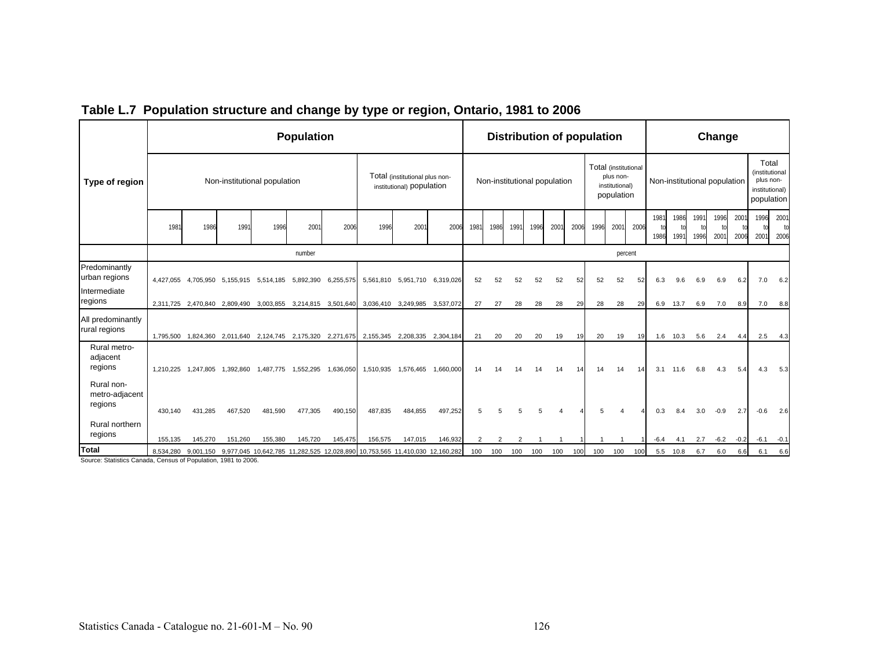|                                         |           |                     |                     |                              | <b>Population</b>                                           |           |                                                                                                 |                                                             |                     |      |      |                              |      |      |      | <b>Distribution of population</b> |                                           |         |                    |              |              | Change                       |              |                                                                      |              |
|-----------------------------------------|-----------|---------------------|---------------------|------------------------------|-------------------------------------------------------------|-----------|-------------------------------------------------------------------------------------------------|-------------------------------------------------------------|---------------------|------|------|------------------------------|------|------|------|-----------------------------------|-------------------------------------------|---------|--------------------|--------------|--------------|------------------------------|--------------|----------------------------------------------------------------------|--------------|
| Type of region                          |           |                     |                     | Non-institutional population |                                                             |           |                                                                                                 | Total (institutional plus non-<br>institutional) population |                     |      |      | Non-institutional population |      |      |      | Total (institutional              | plus non-<br>institutional)<br>population |         |                    |              |              | Non-institutional population |              | Total<br>(institutional<br>plus non-<br>institutional)<br>population |              |
|                                         | 1981      | 1986                | 1991                | 1996                         | 2001                                                        | 2006      | 1996                                                                                            | 200                                                         | 2006                | 1981 | 1986 | 1991                         | 1996 | 2001 | 2006 | 1996                              | 2001                                      | 2006    | 1981<br>tn<br>1986 | 1986<br>1991 | 1991<br>1996 | 1996<br>200 <sup>°</sup>     | 2001<br>2006 | 1996<br>200                                                          | 2001<br>2006 |
|                                         |           |                     |                     |                              | number                                                      |           |                                                                                                 |                                                             |                     |      |      |                              |      |      |      |                                   |                                           | percent |                    |              |              |                              |              |                                                                      |              |
| Predominantly<br>urban regions          |           |                     |                     |                              | 4,427,055 4,705,950 5,155,915 5,514,185 5,892,390           | 6,255,575 |                                                                                                 | 5,561,810 5,951,710 6,319,026                               |                     | 52   | 52   | 52                           | 52   | 52   | 52   | 52                                | 52                                        | 52      | 6.3                | 9.6          | 6.9          | 6.9                          | 6.2          | 7.0                                                                  | 6.2          |
| Intermediate<br>regions                 |           |                     |                     |                              | 2,311,725 2,470,840 2,809,490 3,003,855 3,214,815 3,501,640 |           | 3,036,410                                                                                       |                                                             | 3,249,985 3,537,072 | 27   | 27   | 28                           | 28   | 28   | 29   | 28                                | 28                                        | 29      | 6.9                | 13.7         | 6.9          | 7.0                          | 8.9          | 7.0                                                                  | 8.8          |
| All predominantly<br>rural regions      | 1.795.500 |                     | 1,824,360 2,011,640 |                              | 2,124,745 2,175,320 2,271,675                               |           |                                                                                                 | 2,155,345 2,208,335 2,304,184                               |                     | 21   | 20   | 20                           | 20   | 19   | 19   | 20                                | 19                                        | 19      | 1.6                | 10.3         | 5.6          | 2.4                          | 4.4          | 2.5                                                                  | 4.3          |
| Rural metro-<br>adjacent<br>regions     |           | 1,210,225 1,247,805 | 1,392,860           | 1,487,775                    | 1,552,295                                                   | 1,636,050 | 1,510,935                                                                                       | 1,576,465                                                   | 1,660,000           | 14   |      |                              | 14   | 14   | 14   | 14                                | 14                                        | 14      | 3.1                | 11.6         | 6.8          | 4.3                          | 5.4          | 4.3                                                                  | 5.3          |
| Rural non-<br>metro-adjacent<br>regions | 430,140   | 431,285             | 467,520             | 481,590                      | 477,305                                                     | 490,150   | 487,835                                                                                         | 484,855                                                     | 497,252             | 5    |      |                              |      |      |      | 5                                 |                                           |         | 0.3                | 8.4          | 3.0          | $-0.9$                       | 2.7          | $-0.6$                                                               | 2.6          |
| Rural northern<br>regions               | 155,135   | 145,270             | 151,260             | 155,380                      | 145,720                                                     | 145,475   | 156,575                                                                                         | 147,015                                                     | 146,932             | 2    |      |                              |      |      |      |                                   |                                           |         | $-6.4$             | 4.1          | 2.7          | $-6.2$                       | $-0.2$       |                                                                      | $-6.1 - 0.1$ |
| Total                                   |           |                     | 1001                |                              |                                                             |           | 8,534,280 9,001,150 9,977,045 10,642,785 11,282,525 12,028,890 10,753,565 11,410,030 12,160,282 |                                                             |                     | 100  | 100  | 100                          | 100  | 100  | 100  | 100                               | 100                                       | 100     | 5.5                | 10.8         | 6.7          | 6.0                          | 6.6          | 6.1                                                                  | 6.6          |

## **Table L.7 Population structure and change by type or region, Ontario, 1981 to 2006**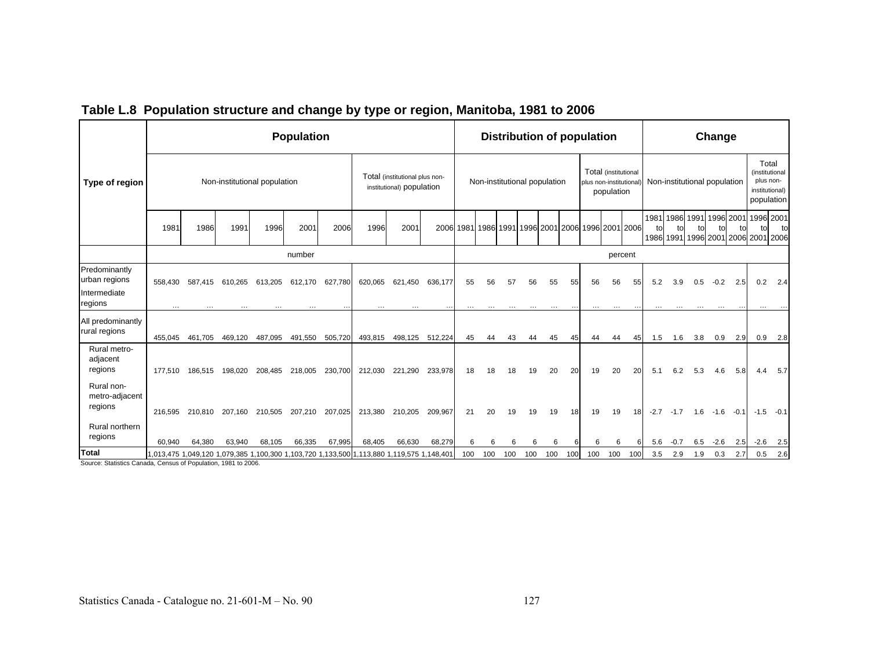|                                                                   |                                                                                           |         |                              |         | <b>Population</b> |         |         |                                                             |                 |     |                                                   | <b>Distribution of population</b> |     |     |                 |                        |                                    |     |            |        |                              | Change          |        |                                      |                                                         |
|-------------------------------------------------------------------|-------------------------------------------------------------------------------------------|---------|------------------------------|---------|-------------------|---------|---------|-------------------------------------------------------------|-----------------|-----|---------------------------------------------------|-----------------------------------|-----|-----|-----------------|------------------------|------------------------------------|-----|------------|--------|------------------------------|-----------------|--------|--------------------------------------|---------------------------------------------------------|
| Type of region                                                    |                                                                                           |         | Non-institutional population |         |                   |         |         | Total (institutional plus non-<br>institutional) population |                 |     | Non-institutional population                      |                                   |     |     |                 | plus non-institutional | Total (institutional<br>population |     |            |        | Non-institutional population |                 |        | plus non-                            | Total<br>(institutional<br>institutional)<br>population |
|                                                                   | 1981                                                                                      | 1986    | 1991                         | 1996    | 2001              | 2006    | 1996    | 2001                                                        |                 |     | 2006 1981 1986 1991 1996 2001 2006 1996 2001 2006 |                                   |     |     |                 |                        |                                    |     | to<br>1986 | tol    | 1981 1986 1991<br>to         | 1996 2001<br>t٥ | to     | tol<br>1991 1996 2001 2006 2001 2006 | 1996 2001<br>to                                         |
|                                                                   |                                                                                           |         |                              |         | number            |         |         |                                                             |                 |     |                                                   |                                   |     |     |                 |                        | percent                            |     |            |        |                              |                 |        |                                      |                                                         |
| Predominantly<br>urban regions<br>Intermediate<br>regions         | 558.430                                                                                   | 587.415 | 610.265                      | 613,205 | 612,170           | 627.780 | 620,065 | 621,450                                                     | 636.177         | 55  | 56                                                | 57                                | 56  | 55  | 55              | 56                     | 56                                 | 55  | 5.2        | 3.9    | 0.5                          | $-0.2$          | 2.5    | 0.2                                  | 2.4                                                     |
| All predominantly<br>rural regions                                | 455.045                                                                                   | 461,705 | 469,120                      | 487,095 | 491,550           | 505,720 | 493,815 |                                                             | 498,125 512,224 | 45  | 44                                                | 43                                | 44  | 45  | 45              | 44                     | 44                                 | 45  | 1.5        | 1.6    | 3.8                          | 0.9             | 2.9    | 0.9                                  | 2.8                                                     |
| Rural metro-<br>adjacent<br>regions                               | 177.510                                                                                   | 186.515 | 198.020                      | 208,485 | 218,005           | 230,700 | 212,030 | 221.290                                                     | 233,978         | 18  | 18                                                | 18                                | 19  | 20  | 20              | 19                     | 20                                 | 20  | 5.1        | 6.2    | 5.3                          | 4.6             | 5.8    | 4.4                                  | 5.7                                                     |
| Rural non-<br>metro-adjacent<br>regions<br>Rural northern         | 216.595                                                                                   | 210.810 | 207.160                      | 210,505 | 207,210           | 207,025 | 213,380 | 210,205                                                     | 209,967         | 21  | 20                                                | 19                                | 19  | 19  | 18 <sup>l</sup> | 19                     | 19                                 | 18  | $-2.7$     | $-1.7$ | 1.6                          | $-1.6$          | $-0.1$ |                                      | $-1.5 -0.1$                                             |
| regions                                                           | 60.940                                                                                    | 64,380  | 63,940                       | 68,105  | 66,335            | 67,995  | 68,405  | 66,630                                                      | 68,279          | 6   | 6                                                 |                                   | 6   | 6   |                 | 6                      | 6                                  |     | 5.6        | $-0.7$ | 6.5                          | $-2.6$          | 2.5    | $-2.6$                               | 2.5                                                     |
| Total<br>Chatiating Concela, Congress of Deputation, 4004 to 0000 | 1,013,475 1,049,120 1,079,385 1,100,300 1,103,720 1,133,500 1,113,880 1,119,575 1,148,401 |         |                              |         |                   |         |         |                                                             |                 | 100 | 100                                               | 100                               | 100 | 100 | 100             | 100                    | 100                                | 100 | 3.5        | 2.9    | 1.9                          | 0.3             | 2.7    | 0.5                                  | 2.6                                                     |

## **Table L.8 Population structure and change by type or region, Manitoba, 1981 to 2006**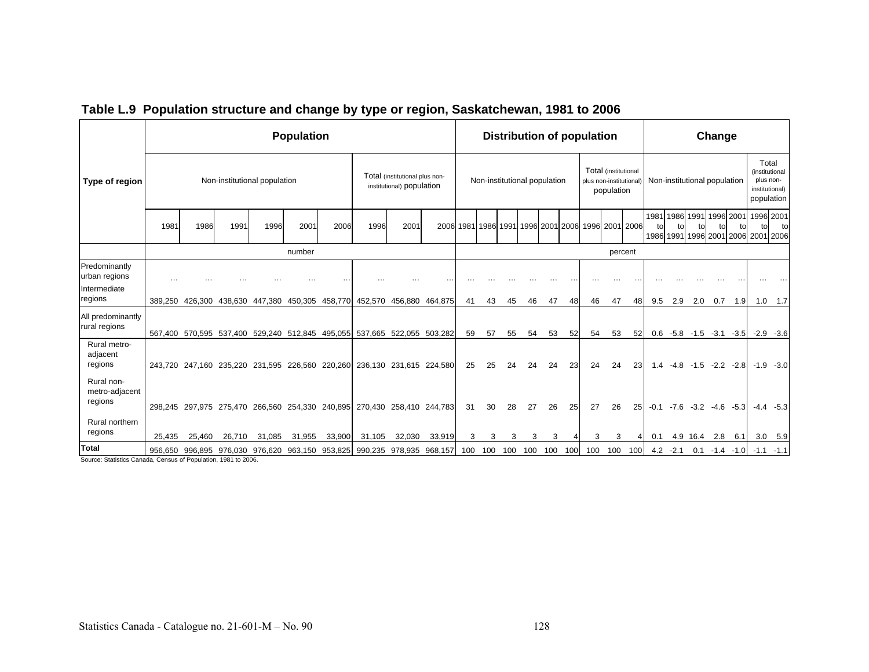|                                                                  |          |                                                                         |                              |        | <b>Population</b> |        |         |                                                             |         |     |     | <b>Distribution of population</b> |     |    |         |                        |                                    |                                                   |                      |            |                              | Change               |             |     |                                                                      |
|------------------------------------------------------------------|----------|-------------------------------------------------------------------------|------------------------------|--------|-------------------|--------|---------|-------------------------------------------------------------|---------|-----|-----|-----------------------------------|-----|----|---------|------------------------|------------------------------------|---------------------------------------------------|----------------------|------------|------------------------------|----------------------|-------------|-----|----------------------------------------------------------------------|
| Type of region                                                   |          |                                                                         | Non-institutional population |        |                   |        |         | Total (institutional plus non-<br>institutional) population |         |     |     | Non-institutional population      |     |    |         | plus non-institutional | Total (institutional<br>population |                                                   |                      |            | Non-institutional population |                      |             |     | Total<br>(institutional<br>plus non-<br>institutional)<br>population |
|                                                                  | 1981     | 1986                                                                    | 1991                         | 1996   | 2001              | 2006   | 1996    | 2001                                                        |         |     |     |                                   |     |    |         |                        |                                    | 2006 1981 1986 1991 1996 2001 2006 1996 2001 2006 | 1981 1986 1991<br>t٥ |            |                              | 1996 2001            |             | tol | 1996 2001<br>to<br>1986 1991 1996 2001 2006 2001 2006                |
|                                                                  |          |                                                                         |                              |        | number            |        |         |                                                             |         |     |     |                                   |     |    |         |                        | percent                            |                                                   |                      |            |                              |                      |             |     |                                                                      |
| Predominantly<br>urban regions                                   | $\cdots$ |                                                                         |                              |        |                   |        |         |                                                             |         |     |     |                                   |     |    |         |                        |                                    |                                                   |                      |            |                              |                      |             |     |                                                                      |
| Intermediate<br>regions                                          |          | 389,250 426,300                                                         | 438,630 447,380              |        | 450,305 458,770   |        | 452,570 | 456,880 464,875                                             |         | 41  | 43  | 45                                | 46  | 47 | 48      | 46                     | 47                                 | 48                                                | 9.5                  | 2.9        | 2.0                          | 0.7                  | 1.9         |     | $1.0$ 1.7                                                            |
| All predominantly<br>rural regions                               |          | 567,400 570,595 537,400 529,240 512,845 495,055 537,665 522,055 503,282 |                              |        |                   |        |         |                                                             |         | 59  | 57  | 55                                | 54  | 53 | 52      | 54                     | 53                                 | 52                                                |                      |            | $0.6$ -5.8 -1.5 -3.1 -3.5    |                      |             |     | $-2.9 - 3.6$                                                         |
| Rural metro-<br>adjacent<br>regions                              |          | 243,720 247,160 235,220 231,595 226,560 220,260                         |                              |        |                   |        |         | 236,130 231,615 224,580                                     |         | 25  | 25  | 24                                | 24  | 24 | 23      | 24                     | 24                                 | 23                                                | 1.4                  | $-4.8$     | $-1.5$                       |                      | $-2.2 -2.8$ |     | $-1.9 -3.0$                                                          |
| Rural non-<br>metro-adjacent<br>regions                          |          | 298,245 297,975 275,470 266,560 254,330 240,895                         |                              |        |                   |        |         | 270,430 258,410 244,783                                     |         | 31  | 30  | 28                                | 27  | 26 | 25      | 27                     | 26                                 | 25                                                | $-0.1$               | $-7.6$     |                              | $-3.2$ $-4.6$ $-5.3$ |             |     | $-4.4 -5.3$                                                          |
| Rural northern<br>regions                                        | 25,435   | 25,460                                                                  | 26,710                       | 31,085 | 31,955            | 33,900 | 31,105  | 32,030                                                      | 33,919  | 3   | 3   | 3                                 | 3   | 3  |         | 3                      | 3                                  |                                                   | 0.1                  |            | 4.9 16.4                     | 2.8                  | 6.1         |     | $3.0$ $5.9$                                                          |
| Total<br>Chatating Councils, Connect of Deputation, 4004 to 0000 |          | 956,650 996,895 976,030 976,620 963,150 953,825 990,235 978,935         |                              |        |                   |        |         |                                                             | 968,157 | 100 | 100 | 100                               | 100 |    | 100 100 | 100                    | 100                                | 100                                               |                      | $4.2 -2.1$ | 0.1                          | $-1.4$               | -1.01       |     | $-1.1 - 1.1$                                                         |

# **Table L.9 Population structure and change by type or region, Saskatchewan, 1981 to 2006**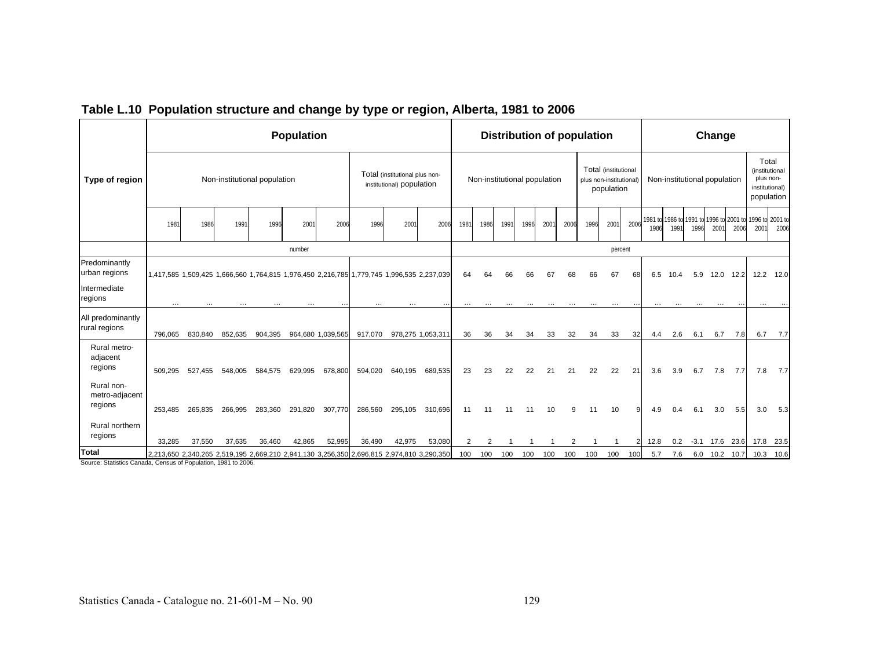|                                                                        |          |                                                                                           |                              |         | <b>Population</b> |                   |          |                                                             |                   |                |                              |      |      |     |      | <b>Distribution of population</b> |                                    |      |          |          |                              | Change   |      |                                                                 |                                                                      |
|------------------------------------------------------------------------|----------|-------------------------------------------------------------------------------------------|------------------------------|---------|-------------------|-------------------|----------|-------------------------------------------------------------|-------------------|----------------|------------------------------|------|------|-----|------|-----------------------------------|------------------------------------|------|----------|----------|------------------------------|----------|------|-----------------------------------------------------------------|----------------------------------------------------------------------|
| Type of region                                                         |          |                                                                                           | Non-institutional population |         |                   |                   |          | Total (institutional plus non-<br>institutional) population |                   |                | Non-institutional population |      |      |     |      | plus non-institutional)           | Total (institutional<br>population |      |          |          | Non-institutional population |          |      |                                                                 | Total<br>(institutional<br>plus non-<br>institutional)<br>population |
|                                                                        | 1981     | 1986                                                                                      | 1991                         | 1996    | 2001              | 2006              | 1996     | 2001                                                        | 2006              | 1981           | 1986                         | 1991 | 1996 | 200 | 2006 | 1996                              | 2001                               | 2006 | 1986     | 1991     | 1996                         | 2001     | 2006 | 1981 to 1986 to 1991 to 1996 to 2001 to 1996 to 2001 to<br>2001 | 2006                                                                 |
|                                                                        |          |                                                                                           |                              |         | number            |                   |          |                                                             |                   |                |                              |      |      |     |      |                                   | percent                            |      |          |          |                              |          |      |                                                                 |                                                                      |
| Predominantly<br>urban regions                                         |          | 1,417,585 1,509,425 1,666,560 1,764,815 1,976,450 2,216,785 1,779,745 1,996,535 2,237,039 |                              |         |                   |                   |          |                                                             |                   | 64             | 64                           | 66   | 66   | 67  | 68   | 66                                | 67                                 | 68   | 6.5      | 10.4     | 5.9                          | 12.0     | 12.2 |                                                                 | 12.2 12.0                                                            |
| Intermediate<br>regions                                                | $\cdots$ |                                                                                           |                              |         |                   |                   | $\cdots$ |                                                             |                   | $\cdots$       | $\cdots$                     |      |      |     |      |                                   |                                    |      | $\cdots$ | $\cdots$ |                              |          |      |                                                                 |                                                                      |
| All predominantly<br>rural regions                                     | 796,065  | 830,840                                                                                   | 852,635                      | 904,395 |                   | 964,680 1,039,565 | 917,070  |                                                             | 978,275 1,053,311 | 36             | 36                           | 34   | 34   | 33  | 32   | 34                                | 33                                 | 32   | 4.4      | 2.6      | 6.1                          | 6.7      | 7.8  | 6.7                                                             | 7.7                                                                  |
| Rural metro-<br>adjacent<br>regions                                    | 509.295  | 527.455                                                                                   | 548.005                      | 584.575 | 629.995           | 678,800           | 594,020  | 640.195                                                     | 689,535           | 23             | 23                           | 22   | 22   | 21  | 21   | 22                                | 22                                 | 21   | 3.6      | 3.9      | 6.7                          | 7.8      | 7.7  | 7.8                                                             | 7.7                                                                  |
| Rural non-<br>metro-adjacent<br>regions                                | 253.485  | 265,835                                                                                   | 266,995                      | 283,360 | 291,820           | 307,770           | 286,560  | 295,105                                                     | 310,696           | 11             | 11                           | 11   |      | 10  |      | 11                                | 10                                 |      | 4.9      | 0.4      | 6.1                          | 3.0      | 5.5  | 3.0                                                             | 5.3                                                                  |
| Rural northern<br>regions                                              | 33,285   | 37,550                                                                                    | 37,635                       | 36,460  | 42,865            | 52,995            | 36,490   | 42,975                                                      | 53,080            | $\overline{2}$ | $\overline{2}$               |      |      |     |      |                                   |                                    |      | 12.8     | 0.2      |                              |          |      | -3.1 17.6 23.6 17.8 23.5                                        |                                                                      |
| Total<br>Poursey Ptotistics Canada, Canava of Depulation, 1081 to 2006 |          | 2,213,650 2,340,265 2,519,195 2,669,210 2,941,130 3,256,350 2,696,815 2,974,810 3,290,350 |                              |         |                   |                   |          |                                                             |                   | 100            | 100                          | 100  | 100  | 100 | 100  | 100                               | 100                                | 100  | 5.7      | 7.6      |                              | 6.0 10.2 | 10.7 |                                                                 | 10.3 10.6                                                            |

### **Table L.10 Population structure and change by type or region, Alberta, 1981 to 2006**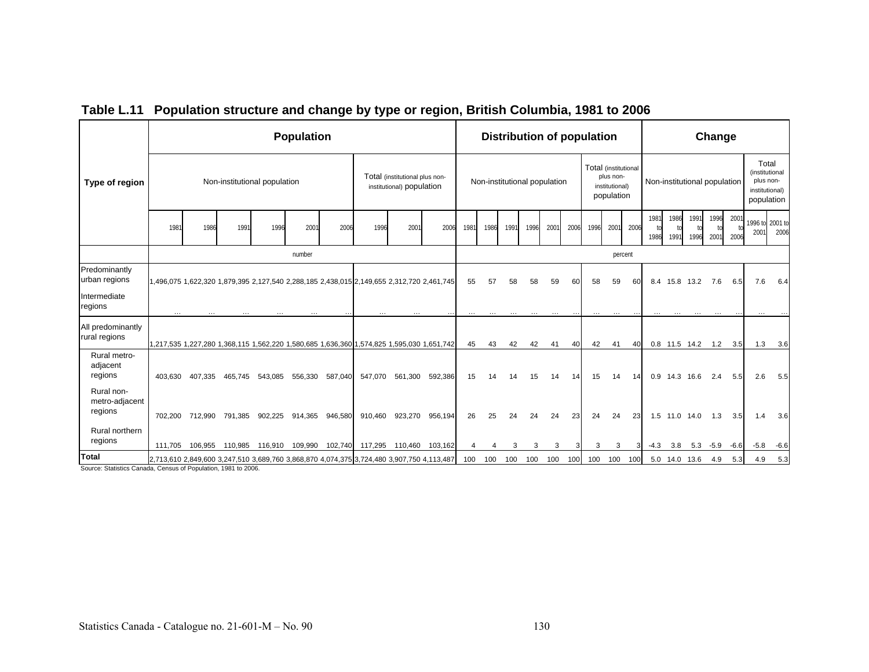|                                                               |          |          |                                                                                           |         | <b>Population</b> |         |          |                                                             |         |                |      | <b>Distribution of population</b> |      |          |      |                      |                                           |      |              |              |                              | Change       |             |                                                                      |        |
|---------------------------------------------------------------|----------|----------|-------------------------------------------------------------------------------------------|---------|-------------------|---------|----------|-------------------------------------------------------------|---------|----------------|------|-----------------------------------|------|----------|------|----------------------|-------------------------------------------|------|--------------|--------------|------------------------------|--------------|-------------|----------------------------------------------------------------------|--------|
| Type of region                                                |          |          | Non-institutional population                                                              |         |                   |         |          | Total (institutional plus non-<br>institutional) population |         |                |      | Non-institutional population      |      |          |      | Total (institutional | plus non-<br>institutional)<br>population |      |              |              | Non-institutional population |              |             | Total<br>(institutional<br>plus non-<br>institutional)<br>population |        |
|                                                               | 1981     | 1986     | 1991                                                                                      | 1996    | 200               | 2006    | 1996     | 200                                                         | 2006    | 1981           | 1986 | 1991                              | 1996 | 2001     | 2006 | 1996                 | 2001                                      | 2006 | 1981<br>1986 | 1986<br>1991 | 1991<br>1996                 | 1996<br>2001 | 200<br>2006 | 1996 to 2001 to<br>200 <sup>°</sup>                                  | 2006   |
|                                                               |          |          |                                                                                           |         | number            |         |          |                                                             |         |                |      |                                   |      |          |      |                      | percent                                   |      |              |              |                              |              |             |                                                                      |        |
| Predominantly<br>urban regions                                |          |          | 1,496,075 1,622,320 1,879,395 2,127,540 2,288,185 2,438,015 2,149,655 2,312,720 2,461,745 |         |                   |         |          |                                                             |         | 55             | 57   | 58                                | 58   | 59       | 60   | 58                   | 59                                        | 60   | 8.4          | 15.8         | 13.2                         | 7.6          | 6.5         | 7.6                                                                  | 6.4    |
| Intermediate<br>regions                                       | $\cdots$ | $\cdots$ | $\cdots$                                                                                  |         |                   |         | $\cdots$ |                                                             |         | $\cdots$       |      |                                   |      | $\cdots$ |      | $\cdots$             | $\cdots$                                  |      | $\cdots$     | $\cdots$     | $\cdots$                     | $\cdots$     |             |                                                                      |        |
| All predominantly<br>rural regions                            |          |          | 1,217,535 1,227,280 1,368,115 1,562,220 1,580,685 1,636,360 1,574,825 1,595,030 1,651,742 |         |                   |         |          |                                                             |         | 45             | 43   | 42                                | 42   | 41       | 40   | 42                   | 41                                        | 40   |              |              | 0.8 11.5 14.2 1.2            |              | 3.5         | 1.3                                                                  | 3.6    |
| Rural metro-<br>adjacent<br>regions                           | 403.630  | 407,335  | 465,745                                                                                   | 543,085 | 556,330           | 587,040 | 547,070  | 561,300                                                     | 592,386 | 15             | 14   |                                   | 15   | 14       | 14   | 15                   | 14                                        | 14   |              |              | 0.9 14.3 16.6                | 2.4          | 5.5         | 2.6                                                                  | 5.5    |
| Rural non-<br>metro-adjacent<br>regions                       | 702.200  | 712.990  | 791,385                                                                                   | 902,225 | 914.365           | 946,580 | 910.460  | 923,270                                                     | 956,194 | 26             | 25   |                                   |      | 24       | 23   | 24                   | 24                                        | 23   |              |              | 1.5 11.0 14.0                | 1.3          | 3.5         | 1.4                                                                  | 3.6    |
| Rural northern<br>regions                                     | 111.705  | 106.955  | 110.985                                                                                   | 116.910 | 109,990           | 102,740 | 117,295  | 110,460                                                     | 103,162 | $\overline{4}$ |      |                                   | 3    | 3        |      | 3                    | 3                                         |      | $-4.3$       | 3.8          |                              | $5.3 - 5.9$  | $-6.6$      | $-5.8$                                                               | $-6.6$ |
| Total<br>Chatiatics Consule Consumed Deputation, 1001 to 2000 |          |          | 2,713,610 2,849,600 3,247,510 3,689,760 3,868,870 4,074,375 3,724,480 3,907,750 4,113,487 |         |                   |         |          |                                                             |         | 100            | 100  | 100                               | 100  | 100      | 100  | 100                  | 100                                       | 100  |              |              | 5.0 14.0 13.6                | 4.9          | 5.3         | 4.9                                                                  | 5.3    |

## **Table L.11 Population structure and change by type or region, British Columbia, 1981 to 2006**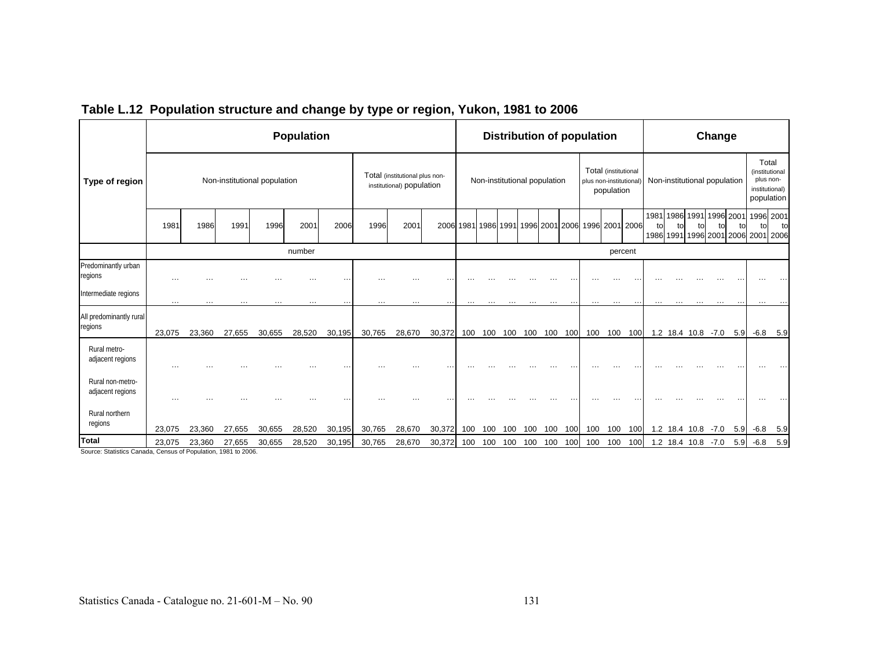|                                      |          |        |                              |        | <b>Population</b> |        |        |                                                             |        |          |                              |     |     |         |     | <b>Distribution of population</b>                 |                                    |           |                      |    |                              | Change     |             |          |                                                                      |
|--------------------------------------|----------|--------|------------------------------|--------|-------------------|--------|--------|-------------------------------------------------------------|--------|----------|------------------------------|-----|-----|---------|-----|---------------------------------------------------|------------------------------------|-----------|----------------------|----|------------------------------|------------|-------------|----------|----------------------------------------------------------------------|
| Type of region                       |          |        | Non-institutional population |        |                   |        |        | Total (institutional plus non-<br>institutional) population |        |          | Non-institutional population |     |     |         |     | plus non-institutional                            | Total (institutional<br>population |           |                      |    | Non-institutional population |            |             |          | Total<br>(institutional<br>plus non-<br>institutional)<br>population |
|                                      | 1981     | 1986   | 1991                         | 1996   | 2001              | 2006   | 1996   | 2001                                                        |        |          |                              |     |     |         |     | 2006 1981 1986 1991 1996 2001 2006 1996 2001 2006 |                                    |           | 1981 1986 1991<br>to | to | to                           | 1996<br>to | 2001<br>tol | tol      | 1996 2001<br>to<br>1986 1991 1996 2001 2006 2001 2006                |
|                                      |          |        |                              |        | number            |        |        |                                                             |        |          |                              |     |     |         |     |                                                   | percent                            |           |                      |    |                              |            |             |          |                                                                      |
| Predominantly urban<br>regions       | $\cdots$ |        |                              |        |                   |        |        |                                                             |        |          |                              |     |     |         |     |                                                   |                                    |           |                      |    |                              |            |             |          |                                                                      |
| Intermediate regions                 | $\cdots$ | .      | .                            |        | $\cdots$          |        |        |                                                             | . .    | $\cdots$ |                              |     |     |         |     | $\cdots$                                          | $\cdots$                           | $\cdot$ . | .                    |    |                              |            |             | $\cdots$ |                                                                      |
| All predominantly rural<br>regions   | 23,075   | 23,360 | 27,655                       | 30,655 | 28,520            | 30,195 | 30,765 | 28,670                                                      | 30,372 | 100      | 100                          | 100 |     | 100 100 | 100 | 100                                               | 100                                | 100       |                      |    | 1.2 18.4 10.8                | $-7.0$     | 5.9         |          | $-6.8$ 5.9                                                           |
| Rural metro-<br>adjacent regions     | $\cdots$ |        |                              |        |                   |        |        |                                                             |        |          |                              |     |     |         |     |                                                   |                                    |           |                      |    |                              |            |             |          |                                                                      |
| Rural non-metro-<br>adjacent regions | $\cdots$ |        |                              |        |                   |        |        |                                                             |        |          |                              |     |     |         |     |                                                   |                                    |           |                      |    |                              |            |             |          |                                                                      |
| Rural northern<br>regions            | 23,075   | 23,360 | 27,655                       | 30,655 | 28,520            | 30,195 | 30,765 | 28,670                                                      | 30,372 | 100      | 100                          | 100 | 100 | 100     | 100 | 100                                               | 100                                | 100       |                      |    | 1.2 18.4 10.8                | $-7.0$     | 5.9         | $-6.8$   | 5.9                                                                  |
| Total                                | 23,075   | 23,360 | 27,655                       | 30,655 | 28,520            | 30,195 | 30,765 | 28,670                                                      | 30,372 | 100      | 100                          | 100 | 100 | 100     | 100 | 100                                               | 100                                | 100       |                      |    | 1.2 18.4 10.8 -7.0           |            | 5.9         | $-6.8$   | 5.9                                                                  |

### **Table L.12 Population structure and change by type or region, Yukon, 1981 to 2006**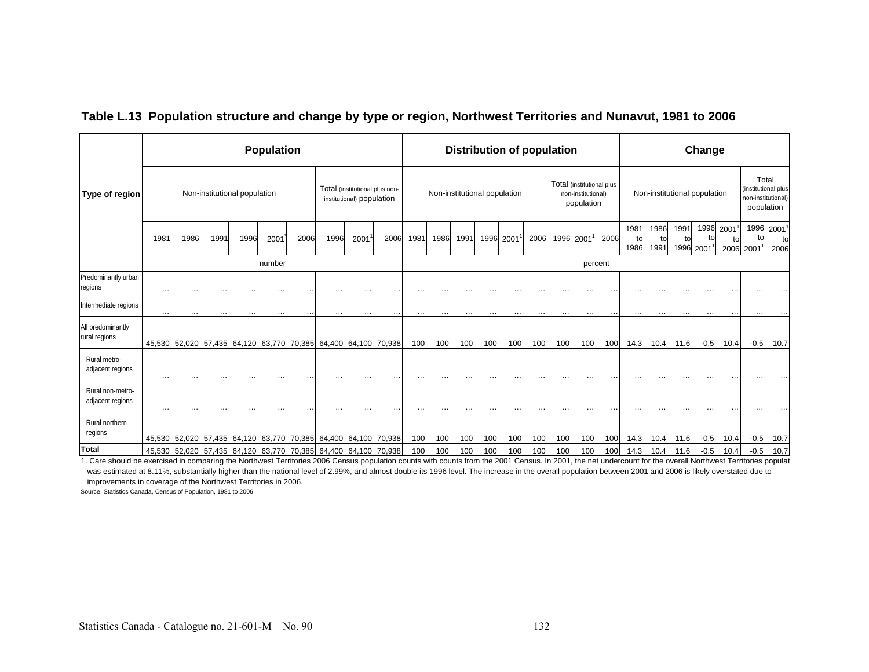|                                      |          |               |          |                              | <b>Population</b> |      |                                                                |                                                             |      |          |                              |      |           | <b>Distribution of population</b> |      |          |                                                               |         |                    |                    |                              | Change           |      |                                                                  |                          |
|--------------------------------------|----------|---------------|----------|------------------------------|-------------------|------|----------------------------------------------------------------|-------------------------------------------------------------|------|----------|------------------------------|------|-----------|-----------------------------------|------|----------|---------------------------------------------------------------|---------|--------------------|--------------------|------------------------------|------------------|------|------------------------------------------------------------------|--------------------------|
| Type of region                       |          |               |          | Non-institutional population |                   |      |                                                                | Total (institutional plus non-<br>institutional) population |      |          | Non-institutional population |      |           |                                   |      |          | Total (institutional plus<br>non-institutional)<br>population |         |                    |                    | Non-institutional population |                  |      | Total<br>(institutional plus<br>non-institutional)<br>population |                          |
|                                      | 1981     | 1986          | 1991     | 1996                         | 2001              | 2006 | 1996                                                           | 2001                                                        | 2006 | 1981     | 1986                         | 1991 | 1996 2001 |                                   | 2006 |          | 1996 2001                                                     | 2006    | 1981<br>to<br>1986 | 1986<br>to<br>1991 | 1991<br>to<br>1996 20011     | 1996 2001<br>tol | 2006 | to<br>2001                                                       | 1996 20011<br>to<br>2006 |
|                                      |          |               |          |                              | number            |      |                                                                |                                                             |      |          |                              |      |           |                                   |      |          |                                                               | percent |                    |                    |                              |                  |      |                                                                  |                          |
| Predominantly urban<br>regions       |          |               |          |                              |                   |      |                                                                |                                                             |      |          |                              |      |           |                                   |      |          |                                                               |         |                    |                    |                              |                  |      |                                                                  |                          |
| Intermediate regions                 | $\cdots$ | $\cdots$      | $\cdots$ | $\cdots$                     | $\cdots$          |      | $\cdots$                                                       | $\cdots$                                                    |      | $\cdots$ | $\cdots$                     | .    | .         | $\cdots$                          |      | $\cdots$ | $\cdots$                                                      |         | $\cdots$           | $\cdots$           |                              | $\cdots$         |      | $\cdots$                                                         |                          |
| All predominantly<br>rural regions   |          |               |          |                              |                   |      | 45,530 52,020 57,435 64,120 63,770 70,385 64,400 64,100 70,938 |                                                             |      | 100      | 100                          | 100  | 100       | 100                               | 100  | 100      | 100                                                           | 100     | 14.3               | 10.4               | 11.6                         | $-0.5$           | 10.4 | $-0.5$                                                           | 10.7                     |
| Rural metro-<br>adjacent regions     |          |               |          |                              |                   |      |                                                                |                                                             |      |          |                              |      |           |                                   |      |          |                                                               |         |                    |                    |                              |                  |      |                                                                  |                          |
| Rural non-metro-<br>adjacent regions | .        |               |          |                              |                   |      |                                                                |                                                             |      |          |                              |      |           |                                   |      |          |                                                               |         |                    |                    |                              |                  |      |                                                                  |                          |
| Rural northern<br>regions            |          | 45,530 52,020 |          | 57,435 64,120                | 63,770            |      | 70,385 64,400 64,100 70,938                                    |                                                             |      | 100      | 100                          | 100  | 100       | 100                               | 100  | 100      | 100                                                           | 100     | 14.3               | 10.4               | 11.6                         | $-0.5$           | 10.4 | $-0.5$                                                           | 10.7                     |
| Total                                |          |               |          |                              |                   |      | 45,530 52,020 57,435 64,120 63,770 70,385 64,400 64,100 70,938 |                                                             |      | 100      | 100                          | 100  | 100       | 100                               | 100  | 100      | 100                                                           | 100     | 14.3               |                    | 10.4 11.6                    | $-0.5$           | 10.4 | $-0.5$                                                           | 10.7                     |

### **Table L.13 Population structure and change by type or region, Northwest Territories and Nunavut, 1981 to 2006**

1. Care should be exercised in comparing the Northwest Territories 2006 Census population counts with counts from the 2001 Census. In 2001, the net undercount for the overall Northwest Territories populat was estimated at 8.11%, substantially higher than the national level of 2.99%, and almost double its 1996 level. The increase in the overall population between 2001 and 2006 is likely overstated due to improvements in coverage of the Northwest Territories in 2006.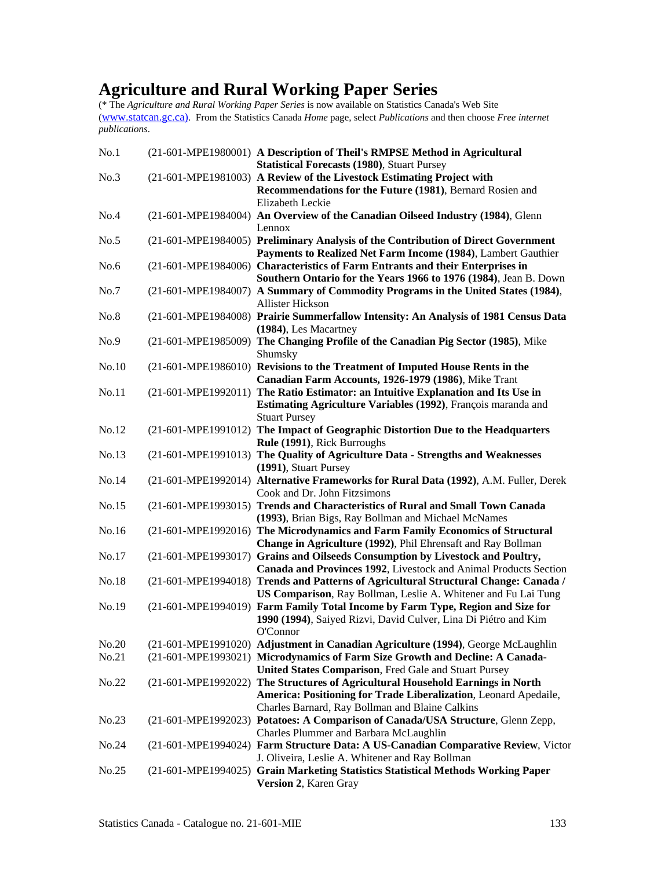# **Agriculture and Rural Working Paper Series**

| No.1  | (21-601-MPE1980001) A Description of Theil's RMPSE Method in Agricultural                                                                        |
|-------|--------------------------------------------------------------------------------------------------------------------------------------------------|
|       | <b>Statistical Forecasts (1980), Stuart Pursey</b>                                                                                               |
| No.3  | (21-601-MPE1981003) A Review of the Livestock Estimating Project with<br>Recommendations for the Future (1981), Bernard Rosien and               |
|       | Elizabeth Leckie                                                                                                                                 |
| No.4  | (21-601-MPE1984004) An Overview of the Canadian Oilseed Industry (1984), Glenn                                                                   |
|       | Lennox                                                                                                                                           |
| No.5  | (21-601-MPE1984005) Preliminary Analysis of the Contribution of Direct Government                                                                |
|       | Payments to Realized Net Farm Income (1984), Lambert Gauthier                                                                                    |
| No.6  | (21-601-MPE1984006) Characteristics of Farm Entrants and their Enterprises in                                                                    |
|       | Southern Ontario for the Years 1966 to 1976 (1984), Jean B. Down                                                                                 |
| No.7  | (21-601-MPE1984007) A Summary of Commodity Programs in the United States (1984),                                                                 |
|       | <b>Allister Hickson</b>                                                                                                                          |
| No.8  | (21-601-MPE1984008) Prairie Summerfallow Intensity: An Analysis of 1981 Census Data                                                              |
|       | (1984), Les Macartney                                                                                                                            |
| No.9  | (21-601-MPE1985009) The Changing Profile of the Canadian Pig Sector (1985), Mike                                                                 |
|       | Shumsky                                                                                                                                          |
| No.10 | (21-601-MPE1986010) Revisions to the Treatment of Imputed House Rents in the                                                                     |
|       | Canadian Farm Accounts, 1926-1979 (1986), Mike Trant                                                                                             |
| No.11 | (21-601-MPE1992011) The Ratio Estimator: an Intuitive Explanation and Its Use in                                                                 |
|       | Estimating Agriculture Variables (1992), François maranda and                                                                                    |
|       | <b>Stuart Pursey</b>                                                                                                                             |
| No.12 | (21-601-MPE1991012) The Impact of Geographic Distortion Due to the Headquarters                                                                  |
|       | Rule (1991), Rick Burroughs                                                                                                                      |
| No.13 | (21-601-MPE1991013) The Quality of Agriculture Data - Strengths and Weaknesses                                                                   |
|       | (1991), Stuart Pursey                                                                                                                            |
| No.14 | (21-601-MPE1992014) Alternative Frameworks for Rural Data (1992), A.M. Fuller, Derek                                                             |
|       | Cook and Dr. John Fitzsimons                                                                                                                     |
| No.15 | (21-601-MPE1993015) Trends and Characteristics of Rural and Small Town Canada                                                                    |
|       | (1993), Brian Bigs, Ray Bollman and Michael McNames                                                                                              |
| No.16 | (21-601-MPE1992016) The Microdynamics and Farm Family Economics of Structural                                                                    |
|       | Change in Agriculture (1992), Phil Ehrensaft and Ray Bollman                                                                                     |
| No.17 | (21-601-MPE1993017) Grains and Oilseeds Consumption by Livestock and Poultry,                                                                    |
|       | Canada and Provinces 1992, Livestock and Animal Products Section                                                                                 |
| No.18 | (21-601-MPE1994018) Trends and Patterns of Agricultural Structural Change: Canada /                                                              |
| No.19 | US Comparison, Ray Bollman, Leslie A. Whitener and Fu Lai Tung<br>(21-601-MPE1994019) Farm Family Total Income by Farm Type, Region and Size for |
|       | 1990 (1994), Saiyed Rizvi, David Culver, Lina Di Piétro and Kim                                                                                  |
|       | O'Connor                                                                                                                                         |
| No.20 | (21-601-MPE1991020) Adjustment in Canadian Agriculture (1994), George McLaughlin                                                                 |
| No.21 | (21-601-MPE1993021) Microdynamics of Farm Size Growth and Decline: A Canada-                                                                     |
|       | United States Comparison, Fred Gale and Stuart Pursey                                                                                            |
| No.22 | (21-601-MPE1992022) The Structures of Agricultural Household Earnings in North                                                                   |
|       | America: Positioning for Trade Liberalization, Leonard Apedaile,                                                                                 |
|       | Charles Barnard, Ray Bollman and Blaine Calkins                                                                                                  |
| No.23 | (21-601-MPE1992023) Potatoes: A Comparison of Canada/USA Structure, Glenn Zepp,                                                                  |
|       | Charles Plummer and Barbara McLaughlin                                                                                                           |
| No.24 | (21-601-MPE1994024) Farm Structure Data: A US-Canadian Comparative Review, Victor                                                                |
|       | J. Oliveira, Leslie A. Whitener and Ray Bollman                                                                                                  |
| No.25 | (21-601-MPE1994025) Grain Marketing Statistics Statistical Methods Working Paper                                                                 |
|       | Version 2, Karen Gray                                                                                                                            |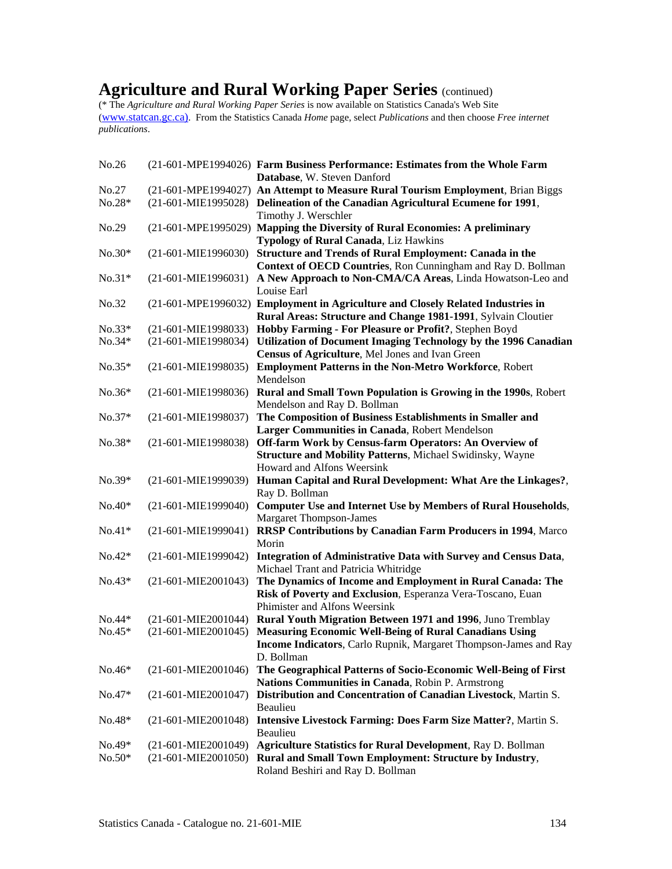## **Agriculture and Rural Working Paper Series** (continued)

| No.26    |                       | (21-601-MPE1994026) Farm Business Performance: Estimates from the Whole Farm<br>Database, W. Steven Danford |
|----------|-----------------------|-------------------------------------------------------------------------------------------------------------|
| No.27    |                       | (21-601-MPE1994027) An Attempt to Measure Rural Tourism Employment, Brian Biggs                             |
| $No.28*$ | $(21-601-MIE1995028)$ | Delineation of the Canadian Agricultural Ecumene for 1991,                                                  |
|          |                       | Timothy J. Werschler                                                                                        |
| No.29    |                       | (21-601-MPE1995029) Mapping the Diversity of Rural Economies: A preliminary                                 |
|          |                       | Typology of Rural Canada, Liz Hawkins                                                                       |
| $No.30*$ | $(21-601-MIE1996030)$ | <b>Structure and Trends of Rural Employment: Canada in the</b>                                              |
|          |                       | Context of OECD Countries, Ron Cunningham and Ray D. Bollman                                                |
| $No.31*$ | $(21-601-MIE1996031)$ | A New Approach to Non-CMA/CA Areas, Linda Howatson-Leo and                                                  |
|          |                       | Louise Earl                                                                                                 |
| No.32    |                       |                                                                                                             |
|          |                       | (21-601-MPE1996032) Employment in Agriculture and Closely Related Industries in                             |
|          |                       | Rural Areas: Structure and Change 1981-1991, Sylvain Cloutier                                               |
| $No.33*$ | $(21-601-MIE1998033)$ | Hobby Farming - For Pleasure or Profit?, Stephen Boyd                                                       |
| $No.34*$ | (21-601-MIE1998034)   | Utilization of Document Imaging Technology by the 1996 Canadian                                             |
|          |                       | Census of Agriculture, Mel Jones and Ivan Green                                                             |
| $No.35*$ | $(21-601-MIE1998035)$ | <b>Employment Patterns in the Non-Metro Workforce, Robert</b>                                               |
|          |                       | Mendelson                                                                                                   |
| $No.36*$ | (21-601-MIE1998036)   | Rural and Small Town Population is Growing in the 1990s, Robert                                             |
|          |                       | Mendelson and Ray D. Bollman                                                                                |
| $No.37*$ | (21-601-MIE1998037)   | The Composition of Business Establishments in Smaller and                                                   |
|          |                       | Larger Communities in Canada, Robert Mendelson                                                              |
| $No.38*$ | (21-601-MIE1998038)   | Off-farm Work by Census-farm Operators: An Overview of                                                      |
|          |                       | <b>Structure and Mobility Patterns, Michael Swidinsky, Wayne</b>                                            |
|          |                       | Howard and Alfons Weersink                                                                                  |
| $No.39*$ | (21-601-MIE1999039)   | Human Capital and Rural Development: What Are the Linkages?,                                                |
|          |                       | Ray D. Bollman                                                                                              |
| $No.40*$ | $(21-601-MIE1999040)$ | <b>Computer Use and Internet Use by Members of Rural Households,</b>                                        |
|          |                       | <b>Margaret Thompson-James</b>                                                                              |
| $No.41*$ | $(21-601-MIE1999041)$ | RRSP Contributions by Canadian Farm Producers in 1994, Marco                                                |
|          |                       | Morin                                                                                                       |
| $No.42*$ | (21-601-MIE1999042)   | Integration of Administrative Data with Survey and Census Data,                                             |
|          |                       | Michael Trant and Patricia Whitridge                                                                        |
| $No.43*$ | $(21-601-MIE2001043)$ | The Dynamics of Income and Employment in Rural Canada: The                                                  |
|          |                       | Risk of Poverty and Exclusion, Esperanza Vera-Toscano, Euan                                                 |
|          |                       | Phimister and Alfons Weersink                                                                               |
| $No.44*$ | $(21-601-MIE2001044)$ | Rural Youth Migration Between 1971 and 1996, Juno Tremblay                                                  |
| $No.45*$ | $(21-601-MIE2001045)$ | <b>Measuring Economic Well-Being of Rural Canadians Using</b>                                               |
|          |                       | Income Indicators, Carlo Rupnik, Margaret Thompson-James and Ray                                            |
|          |                       | D. Bollman                                                                                                  |
| $No.46*$ | $(21-601-MIE2001046)$ | The Geographical Patterns of Socio-Economic Well-Being of First                                             |
|          |                       | Nations Communities in Canada, Robin P. Armstrong                                                           |
| $No.47*$ | $(21-601-MIE2001047)$ | Distribution and Concentration of Canadian Livestock, Martin S.                                             |
|          |                       | Beaulieu                                                                                                    |
| $No.48*$ |                       | (21-601-MIE2001048) Intensive Livestock Farming: Does Farm Size Matter?, Martin S.                          |
|          |                       | Beaulieu                                                                                                    |
| $No.49*$ | $(21-601-MIE2001049)$ | <b>Agriculture Statistics for Rural Development, Ray D. Bollman</b>                                         |
| $No.50*$ |                       | (21-601-MIE2001050) Rural and Small Town Employment: Structure by Industry,                                 |
|          |                       | Roland Beshiri and Ray D. Bollman                                                                           |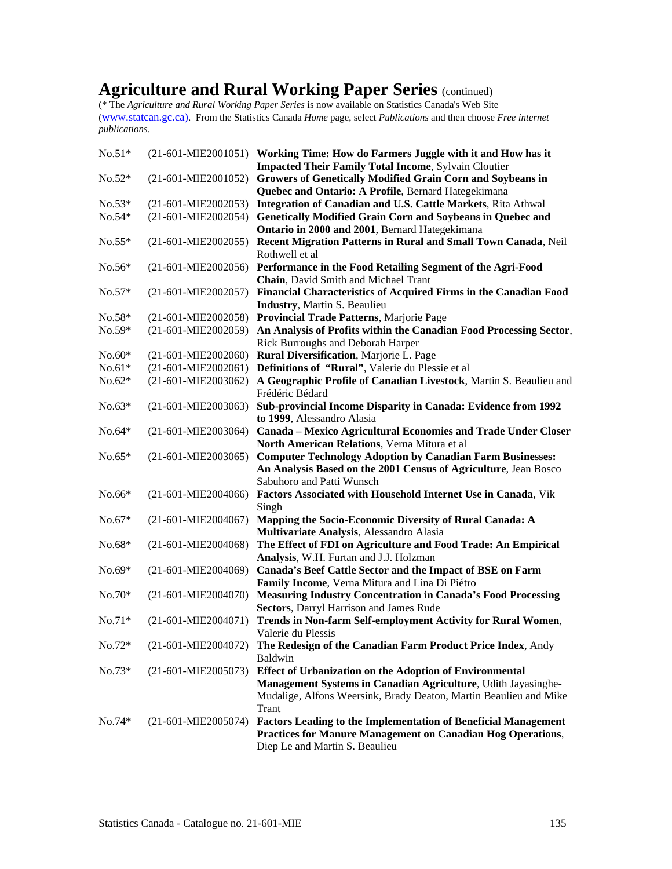## **Agriculture and Rural Working Paper Series** (continued)

| $No.51*$ |                       | $(21-601-MIE2001051)$ Working Time: How do Farmers Juggle with it and How has it                                      |
|----------|-----------------------|-----------------------------------------------------------------------------------------------------------------------|
|          |                       | <b>Impacted Their Family Total Income, Sylvain Cloutier</b>                                                           |
| $No.52*$ | (21-601-MIE2001052)   | Growers of Genetically Modified Grain Corn and Soybeans in                                                            |
|          |                       | Quebec and Ontario: A Profile, Bernard Hategekimana                                                                   |
| $No.53*$ | $(21-601-MIE2002053)$ | Integration of Canadian and U.S. Cattle Markets, Rita Athwal                                                          |
| $No.54*$ | $(21-601-MIE2002054)$ | Genetically Modified Grain Corn and Soybeans in Quebec and                                                            |
|          |                       | Ontario in 2000 and 2001, Bernard Hategekimana                                                                        |
| $No.55*$ | $(21-601-MIE2002055)$ | Recent Migration Patterns in Rural and Small Town Canada, Neil                                                        |
|          |                       | Rothwell et al                                                                                                        |
| $No.56*$ | $(21-601-MIE2002056)$ | Performance in the Food Retailing Segment of the Agri-Food                                                            |
|          |                       | Chain, David Smith and Michael Trant                                                                                  |
| $No.57*$ | $(21-601-MIE2002057)$ | Financial Characteristics of Acquired Firms in the Canadian Food                                                      |
|          |                       | <b>Industry, Martin S. Beaulieu</b>                                                                                   |
| $No.58*$ | (21-601-MIE2002058)   | Provincial Trade Patterns, Marjorie Page                                                                              |
| $No.59*$ | (21-601-MIE2002059)   | An Analysis of Profits within the Canadian Food Processing Sector,                                                    |
|          |                       | Rick Burroughs and Deborah Harper                                                                                     |
| $No.60*$ | $(21-601-MIE2002060)$ | Rural Diversification, Marjorie L. Page                                                                               |
| $No.61*$ | $(21-601-MIE2002061)$ | Definitions of "Rural", Valerie du Plessie et al                                                                      |
| $No.62*$ | (21-601-MIE2003062)   | A Geographic Profile of Canadian Livestock, Martin S. Beaulieu and<br>Frédéric Bédard                                 |
| $No.63*$ | $(21-601-MIE2003063)$ | Sub-provincial Income Disparity in Canada: Evidence from 1992                                                         |
|          |                       | to 1999, Alessandro Alasia                                                                                            |
| $No.64*$ | $(21-601-MIE2003064)$ | Canada - Mexico Agricultural Economies and Trade Under Closer                                                         |
|          |                       | North American Relations, Verna Mitura et al                                                                          |
| $No.65*$ | $(21-601-MIE2003065)$ | <b>Computer Technology Adoption by Canadian Farm Businesses:</b>                                                      |
|          |                       | An Analysis Based on the 2001 Census of Agriculture, Jean Bosco                                                       |
|          |                       | Sabuhoro and Patti Wunsch                                                                                             |
| $No.66*$ | $(21-601-MIE2004066)$ | Factors Associated with Household Internet Use in Canada, Vik                                                         |
|          |                       | Singh                                                                                                                 |
| $No.67*$ | $(21-601-MIE2004067)$ | Mapping the Socio-Economic Diversity of Rural Canada: A                                                               |
|          |                       | Multivariate Analysis, Alessandro Alasia                                                                              |
| $No.68*$ | (21-601-MIE2004068)   | The Effect of FDI on Agriculture and Food Trade: An Empirical                                                         |
|          |                       | Analysis, W.H. Furtan and J.J. Holzman                                                                                |
| $No.69*$ | $(21-601-MIE2004069)$ | Canada's Beef Cattle Sector and the Impact of BSE on Farm                                                             |
|          |                       | Family Income, Verna Mitura and Lina Di Piétro<br><b>Measuring Industry Concentration in Canada's Food Processing</b> |
| $No.70*$ | $(21-601-MIE2004070)$ | Sectors, Darryl Harrison and James Rude                                                                               |
| $No.71*$ | $(21-601-MIE2004071)$ | Trends in Non-farm Self-employment Activity for Rural Women,                                                          |
|          |                       | Valerie du Plessis                                                                                                    |
| No.72*   | $(21-601-MIE2004072)$ | The Redesign of the Canadian Farm Product Price Index, Andy                                                           |
|          |                       | Baldwin                                                                                                               |
| $No.73*$ | $(21-601-MIE2005073)$ | <b>Effect of Urbanization on the Adoption of Environmental</b>                                                        |
|          |                       | Management Systems in Canadian Agriculture, Udith Jayasinghe-                                                         |
|          |                       | Mudalige, Alfons Weersink, Brady Deaton, Martin Beaulieu and Mike                                                     |
|          |                       | Trant                                                                                                                 |
| $No.74*$ | $(21-601-MIE2005074)$ | <b>Factors Leading to the Implementation of Beneficial Management</b>                                                 |
|          |                       | <b>Practices for Manure Management on Canadian Hog Operations,</b>                                                    |
|          |                       | Diep Le and Martin S. Beaulieu                                                                                        |